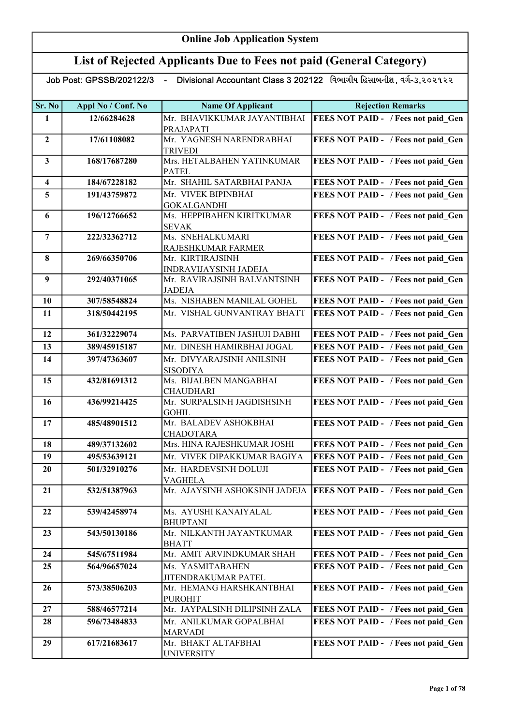#### List of Rejected Applicants Due to Fees not paid (General Category)

| Sr. No                  | Appl No / Conf. No | <b>Name Of Applicant</b>                             | <b>Rejection Remarks</b>                                            |
|-------------------------|--------------------|------------------------------------------------------|---------------------------------------------------------------------|
| 1                       | 12/66284628        | Mr. BHAVIKKUMAR JAYANTIBHAI                          | FEES NOT PAID - / Fees not paid Gen                                 |
|                         |                    | PRAJAPATI                                            |                                                                     |
| $\overline{2}$          | 17/61108082        | Mr. YAGNESH NARENDRABHAI                             | FEES NOT PAID - / Fees not paid Gen                                 |
|                         |                    | <b>TRIVEDI</b>                                       |                                                                     |
| $\mathbf{3}$            | 168/17687280       | Mrs. HETALBAHEN YATINKUMAR                           | FEES NOT PAID - / Fees not paid Gen                                 |
|                         |                    | <b>PATEL</b>                                         |                                                                     |
| $\overline{\mathbf{4}}$ | 184/67228182       | Mr. SHAHIL SATARBHAI PANJA                           | FEES NOT PAID - / Fees not paid Gen                                 |
| 5                       | 191/43759872       | Mr. VIVEK BIPINBHAI                                  | FEES NOT PAID - / Fees not paid Gen                                 |
|                         |                    | <b>GOKALGANDHI</b>                                   |                                                                     |
| 6                       | 196/12766652       | Ms. HEPPIBAHEN KIRITKUMAR                            | FEES NOT PAID - / Fees not paid Gen                                 |
|                         |                    | <b>SEVAK</b>                                         |                                                                     |
| $\overline{7}$          | 222/32362712       | Ms. SNEHALKUMARI                                     | FEES NOT PAID - / Fees not paid Gen                                 |
|                         |                    | RAJESHKUMAR FARMER                                   |                                                                     |
| 8                       | 269/66350706       | Mr. KIRTIRAJSINH                                     | FEES NOT PAID - / Fees not paid_Gen                                 |
| 9                       | 292/40371065       | INDRAVIJAYSINH JADEJA<br>Mr. RAVIRAJSINH BALVANTSINH |                                                                     |
|                         |                    | <b>JADEJA</b>                                        | FEES NOT PAID - / Fees not paid_Gen                                 |
| 10                      | 307/58548824       | Ms. NISHABEN MANILAL GOHEL                           | FEES NOT PAID - / Fees not paid Gen                                 |
| 11                      | 318/50442195       | Mr. VISHAL GUNVANTRAY BHATT                          | FEES NOT PAID - / Fees not paid Gen                                 |
|                         |                    |                                                      |                                                                     |
| 12                      | 361/32229074       | Ms. PARVATIBEN JASHUJI DABHI                         | FEES NOT PAID - / Fees not paid Gen                                 |
| 13                      | 389/45915187       | Mr. DINESH HAMIRBHAI JOGAL                           | <b>FEES NOT PAID - / Fees not paid Gen</b>                          |
|                         |                    |                                                      |                                                                     |
| 14                      | 397/47363607       | Mr. DIVYARAJSINH ANILSINH                            | FEES NOT PAID - / Fees not paid Gen                                 |
| 15                      | 432/81691312       | <b>SISODIYA</b><br>Ms. BIJALBEN MANGABHAI            | FEES NOT PAID - / Fees not paid Gen                                 |
|                         |                    | <b>CHAUDHARI</b>                                     |                                                                     |
| 16                      | 436/99214425       | Mr. SURPALSINH JAGDISHSINH                           | FEES NOT PAID - / Fees not paid Gen                                 |
|                         |                    | <b>GOHIL</b>                                         |                                                                     |
| 17                      | 485/48901512       | Mr. BALADEV ASHOKBHAI                                | FEES NOT PAID - / Fees not paid Gen                                 |
|                         |                    | <b>CHADOTARA</b>                                     |                                                                     |
| 18                      | 489/37132602       | Mrs. HINA RAJESHKUMAR JOSHI                          | FEES NOT PAID - / Fees not paid Gen                                 |
| 19                      | 495/53639121       | Mr. VIVEK DIPAKKUMAR BAGIYA                          | FEES NOT PAID - / Fees not paid Gen                                 |
| 20                      | 501/32910276       | Mr. HARDEVSINH DOLUJI                                | FEES NOT PAID - / Fees not paid Gen                                 |
|                         |                    | <b>VAGHELA</b>                                       |                                                                     |
| 21                      | 532/51387963       |                                                      | Mr. AJAYSINH ASHOKSINH JADEJA   FEES NOT PAID - / Fees not paid Gen |
|                         |                    |                                                      |                                                                     |
| 22                      | 539/42458974       | Ms. AYUSHI KANAIYALAL                                | FEES NOT PAID - / Fees not paid Gen                                 |
|                         |                    | <b>BHUPTANI</b>                                      |                                                                     |
| 23                      | 543/50130186       | Mr. NILKANTH JAYANTKUMAR                             | FEES NOT PAID - / Fees not paid Gen                                 |
|                         |                    | <b>BHATT</b>                                         |                                                                     |
| 24                      | 545/67511984       | Mr. AMIT ARVINDKUMAR SHAH                            | FEES NOT PAID - / Fees not paid Gen                                 |
| 25                      | 564/96657024       | Ms. YASMITABAHEN                                     | FEES NOT PAID - / Fees not paid Gen                                 |
|                         |                    | JITENDRAKUMAR PATEL                                  |                                                                     |
| 26                      | 573/38506203       | Mr. HEMANG HARSHKANTBHAI                             | FEES NOT PAID - / Fees not paid Gen                                 |
|                         |                    | <b>PUROHIT</b>                                       |                                                                     |
| 27                      | 588/46577214       | Mr. JAYPALSINH DILIPSINH ZALA                        | FEES NOT PAID - / Fees not paid Gen                                 |
| 28                      | 596/73484833       | Mr. ANILKUMAR GOPALBHAI                              | FEES NOT PAID - / Fees not paid Gen                                 |
|                         |                    | MARVADI                                              |                                                                     |
| 29                      | 617/21683617       | Mr. BHAKT ALTAFBHAI                                  | FEES NOT PAID - / Fees not paid Gen                                 |
|                         |                    | <b>UNIVERSITY</b>                                    |                                                                     |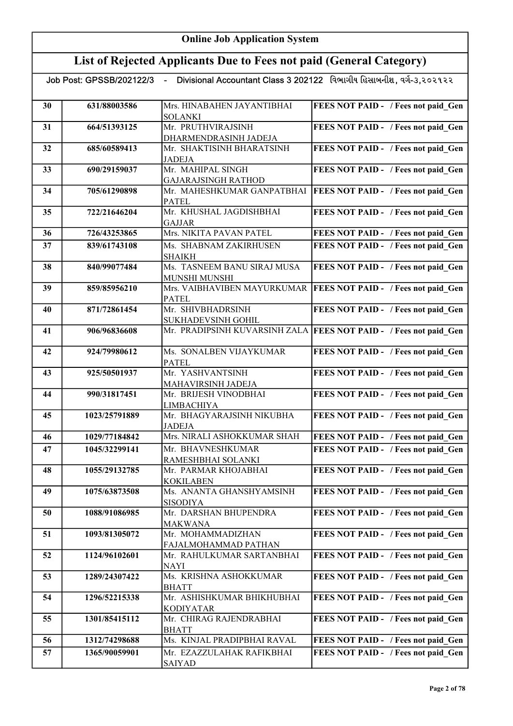|    |               | Job Post: GPSSB/202122/3  - Divisional Accountant Class 3 202122   વિભાગીય હિસાબનીશ . વર્ગ-૩.૨૦૨૧૨૨ |                                                                   |
|----|---------------|-----------------------------------------------------------------------------------------------------|-------------------------------------------------------------------|
| 30 | 631/88003586  | Mrs. HINABAHEN JAYANTIBHAI<br><b>SOLANKI</b>                                                        | FEES NOT PAID - / Fees not paid Gen                               |
| 31 | 664/51393125  | Mr. PRUTHVIRAJSINH                                                                                  | FEES NOT PAID - / Fees not paid Gen                               |
|    |               | DHARMENDRASINH JADEJA                                                                               |                                                                   |
| 32 | 685/60589413  | Mr. SHAKTISINH BHARATSINH                                                                           | FEES NOT PAID - / Fees not paid_Gen                               |
|    |               | <b>JADEJA</b>                                                                                       |                                                                   |
| 33 | 690/29159037  | Mr. MAHIPAL SINGH                                                                                   | FEES NOT PAID - / Fees not paid Gen                               |
| 34 | 705/61290898  | <b>GAJARAJSINGH RATHOD</b><br>Mr. MAHESHKUMAR GANPATBHAI                                            | <b>FEES NOT PAID - / Fees not paid Gen</b>                        |
|    |               | <b>PATEL</b>                                                                                        |                                                                   |
| 35 | 722/21646204  | Mr. KHUSHAL JAGDISHBHAI                                                                             | FEES NOT PAID - / Fees not paid Gen                               |
|    |               | <b>GAJJAR</b>                                                                                       |                                                                   |
| 36 | 726/43253865  | Mrs. NIKITA PAVAN PATEL                                                                             | FEES NOT PAID - / Fees not paid Gen                               |
| 37 | 839/61743108  | Ms. SHABNAM ZAKIRHUSEN                                                                              | FEES NOT PAID - / Fees not paid Gen                               |
|    |               | <b>SHAIKH</b>                                                                                       |                                                                   |
| 38 | 840/99077484  | Ms. TASNEEM BANU SIRAJ MUSA                                                                         | FEES NOT PAID - / Fees not paid Gen                               |
|    |               | <b>MUNSHI MUNSHI</b>                                                                                |                                                                   |
| 39 | 859/85956210  | Mrs. VAIBHAVIBEN MAYURKUMAR<br><b>PATEL</b>                                                         | <b>FEES NOT PAID - / Fees not paid Gen</b>                        |
| 40 | 871/72861454  | Mr. SHIVBHADRSINH                                                                                   | FEES NOT PAID - / Fees not paid Gen                               |
|    |               | SUKHADEVSINH GOHIL                                                                                  |                                                                   |
| 41 | 906/96836608  |                                                                                                     | Mr. PRADIPSINH KUVARSINH ZALA FEES NOT PAID - / Fees not paid_Gen |
| 42 | 924/79980612  | Ms. SONALBEN VIJAYKUMAR                                                                             | FEES NOT PAID - / Fees not paid Gen                               |
|    |               | <b>PATEL</b>                                                                                        |                                                                   |
| 43 | 925/50501937  | Mr. YASHVANTSINH                                                                                    | FEES NOT PAID - / Fees not paid Gen                               |
| 44 | 990/31817451  | MAHAVIRSINH JADEJA<br>Mr. BRIJESH VINODBHAI                                                         | FEES NOT PAID - / Fees not paid Gen                               |
|    |               | <b>LIMBACHIYA</b>                                                                                   |                                                                   |
| 45 | 1023/25791889 | Mr. BHAGYARAJSINH NIKUBHA                                                                           | FEES NOT PAID - / Fees not paid Gen                               |
|    |               | <b>JADEJA</b>                                                                                       |                                                                   |
| 46 | 1029/77184842 | Mrs. NIRALI ASHOKKUMAR SHAH                                                                         | FEES NOT PAID - / Fees not paid Gen                               |
| 47 | 1045/32299141 | Mr. BHAVNESHKUMAR                                                                                   | FEES NOT PAID - / Fees not paid Gen                               |
|    |               | RAMESHBHAI SOLANKI                                                                                  |                                                                   |
| 48 | 1055/29132785 | Mr. PARMAR KHOJABHAI                                                                                | FEES NOT PAID - / Fees not paid Gen                               |
|    |               | <b>KOKILABEN</b>                                                                                    |                                                                   |
| 49 | 1075/63873508 | Ms. ANANTA GHANSHYAMSINH<br><b>SISODIYA</b>                                                         | FEES NOT PAID - / Fees not paid Gen                               |
| 50 | 1088/91086985 | Mr. DARSHAN BHUPENDRA                                                                               | FEES NOT PAID - / Fees not paid Gen                               |
|    |               | <b>MAKWANA</b>                                                                                      |                                                                   |
| 51 | 1093/81305072 | Mr. MOHAMMADIZHAN                                                                                   | FEES NOT PAID - / Fees not paid Gen                               |
|    |               | FAJALMOHAMMAD PATHAN                                                                                |                                                                   |
| 52 | 1124/96102601 | Mr. RAHULKUMAR SARTANBHAI                                                                           | FEES NOT PAID - / Fees not paid Gen                               |
|    |               | <b>NAYI</b>                                                                                         |                                                                   |
| 53 | 1289/24307422 | Ms. KRISHNA ASHOKKUMAR<br><b>BHATT</b>                                                              | FEES NOT PAID - / Fees not paid Gen                               |
| 54 | 1296/52215338 | Mr. ASHISHKUMAR BHIKHUBHAI                                                                          | FEES NOT PAID - / Fees not paid_Gen                               |
|    |               | <b>KODIYATAR</b>                                                                                    |                                                                   |
| 55 | 1301/85415112 | Mr. CHIRAG RAJENDRABHAI                                                                             | FEES NOT PAID - / Fees not paid Gen                               |
|    |               | <b>BHATT</b>                                                                                        |                                                                   |
| 56 | 1312/74298688 | Ms. KINJAL PRADIPBHAI RAVAL                                                                         | FEES NOT PAID - / Fees not paid Gen                               |
| 57 | 1365/90059901 | Mr. EZAZZULAHAK RAFIKBHAI<br><b>SAIYAD</b>                                                          | FEES NOT PAID - / Fees not paid Gen                               |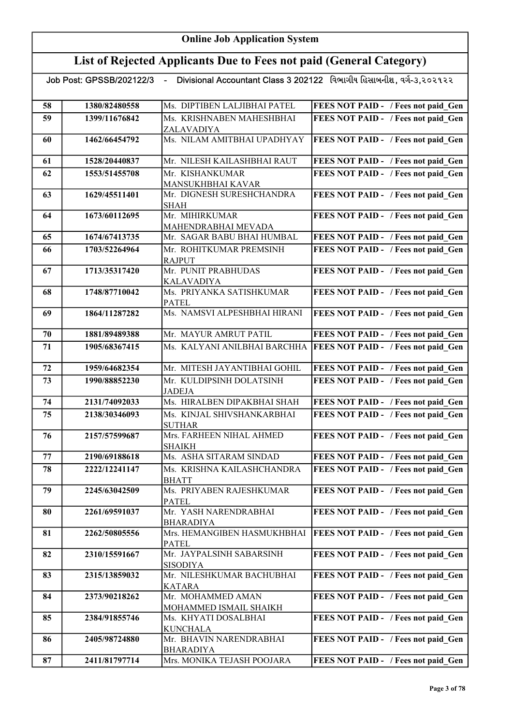| Divisional Accountant Class 3 202122 વિભાગીય હિસાબનીશ, વર્ગ-૩,૨૦૨૧૨૨<br>Job Post: GPSSB/202122/3<br>$\sim$ |               |                                               |                                            |
|------------------------------------------------------------------------------------------------------------|---------------|-----------------------------------------------|--------------------------------------------|
| 58                                                                                                         | 1380/82480558 | Ms. DIPTIBEN LALJIBHAI PATEL                  | FEES NOT PAID - / Fees not paid Gen        |
| 59                                                                                                         | 1399/11676842 | Ms. KRISHNABEN MAHESHBHAI                     | FEES NOT PAID - / Fees not paid Gen        |
|                                                                                                            |               | ZALAVADIYA                                    |                                            |
| 60                                                                                                         | 1462/66454792 | Ms. NILAM AMITBHAI UPADHYAY                   | FEES NOT PAID - / Fees not paid_Gen        |
| 61                                                                                                         | 1528/20440837 | Mr. NILESH KAILASHBHAI RAUT                   | FEES NOT PAID - / Fees not paid_Gen        |
| 62                                                                                                         | 1553/51455708 | Mr. KISHANKUMAR                               | FEES NOT PAID - / Fees not paid Gen        |
|                                                                                                            |               | MANSUKHBHAI KAVAR                             |                                            |
| 63                                                                                                         | 1629/45511401 | Mr. DIGNESH SURESHCHANDRA<br><b>SHAH</b>      | FEES NOT PAID - / Fees not paid Gen        |
| 64                                                                                                         | 1673/60112695 | Mr. MIHIRKUMAR                                | FEES NOT PAID - / Fees not paid Gen        |
|                                                                                                            |               | MAHENDRABHAI MEVADA                           |                                            |
| 65                                                                                                         | 1674/67413735 | Mr. SAGAR BABU BHAI HUMBAL                    | <b>FEES NOT PAID - / Fees not paid Gen</b> |
| 66                                                                                                         | 1703/52264964 | Mr. ROHITKUMAR PREMSINH                       | FEES NOT PAID - / Fees not paid Gen        |
|                                                                                                            |               | <b>RAJPUT</b>                                 |                                            |
| 67                                                                                                         | 1713/35317420 | Mr. PUNIT PRABHUDAS                           | FEES NOT PAID - / Fees not paid Gen        |
|                                                                                                            |               | <b>KALAVADIYA</b><br>Ms. PRIYANKA SATISHKUMAR | FEES NOT PAID - / Fees not paid Gen        |
| 68                                                                                                         | 1748/87710042 | <b>PATEL</b>                                  |                                            |
| 69                                                                                                         | 1864/11287282 | Ms. NAMSVI ALPESHBHAI HIRANI                  | FEES NOT PAID - / Fees not paid Gen        |
|                                                                                                            |               |                                               |                                            |
| 70                                                                                                         | 1881/89489388 | Mr. MAYUR AMRUT PATIL                         | FEES NOT PAID - / Fees not paid Gen        |
| 71                                                                                                         | 1905/68367415 | Ms. KALYANI ANILBHAI BARCHHA                  | <b>FEES NOT PAID - / Fees not paid Gen</b> |
|                                                                                                            |               |                                               |                                            |
| 72                                                                                                         | 1959/64682354 | Mr. MITESH JAYANTIBHAI GOHIL                  | FEES NOT PAID - / Fees not paid Gen        |
| 73                                                                                                         | 1990/88852230 | Mr. KULDIPSINH DOLATSINH<br><b>JADEJA</b>     | FEES NOT PAID - / Fees not paid Gen        |
| 74                                                                                                         | 2131/74092033 | Ms. HIRALBEN DIPAKBHAI SHAH                   | <b>FEES NOT PAID - / Fees not paid Gen</b> |
| 75                                                                                                         | 2138/30346093 | Ms. KINJAL SHIVSHANKARBHAI                    | FEES NOT PAID - / Fees not paid Gen        |
|                                                                                                            |               | <b>SUTHAR</b>                                 |                                            |
| 76                                                                                                         | 2157/57599687 | Mrs. FARHEEN NIHAL AHMED<br><b>SHAIKH</b>     | FEES NOT PAID - / Fees not paid Gen        |
| 77                                                                                                         | 2190/69188618 | Ms. ASHA SITARAM SINDAD                       | <b>FEES NOT PAID - / Fees not paid Gen</b> |
| 78                                                                                                         | 2222/12241147 | Ms. KRISHNA KAILASHCHANDRA                    | FEES NOT PAID - / Fees not paid Gen        |
|                                                                                                            |               | <b>BHATT</b>                                  |                                            |
| 79                                                                                                         | 2245/63042509 | Ms. PRIYABEN RAJESHKUMAR                      | FEES NOT PAID - / Fees not paid Gen        |
| 80                                                                                                         | 2261/69591037 | <b>PATEL</b><br>Mr. YASH NARENDRABHAI         | FEES NOT PAID - / Fees not paid Gen        |
|                                                                                                            |               | <b>BHARADIYA</b>                              |                                            |
| 81                                                                                                         | 2262/50805556 | Mrs. HEMANGIBEN HASMUKHBHAI                   | <b>FEES NOT PAID - / Fees not paid Gen</b> |
|                                                                                                            |               | <b>PATEL</b>                                  |                                            |
| 82                                                                                                         | 2310/15591667 | Mr. JAYPALSINH SABARSINH                      | FEES NOT PAID - / Fees not paid Gen        |
|                                                                                                            |               | <b>SISODIYA</b>                               |                                            |
| 83                                                                                                         | 2315/13859032 | Mr. NILESHKUMAR BACHUBHAI<br><b>KATARA</b>    | FEES NOT PAID - / Fees not paid Gen        |
| 84                                                                                                         | 2373/90218262 | Mr. MOHAMMED AMAN                             | FEES NOT PAID - / Fees not paid Gen        |
|                                                                                                            |               | MOHAMMED ISMAIL SHAIKH                        |                                            |
| 85                                                                                                         | 2384/91855746 | Ms. KHYATI DOSALBHAI                          | FEES NOT PAID - / Fees not paid Gen        |
| 86                                                                                                         | 2405/98724880 | <b>KUNCHALA</b><br>Mr. BHAVIN NARENDRABHAI    | FEES NOT PAID - / Fees not paid Gen        |
|                                                                                                            |               | <b>BHARADIYA</b>                              |                                            |
| 87                                                                                                         | 2411/81797714 | Mrs. MONIKA TEJASH POOJARA                    | FEES NOT PAID - / Fees not paid Gen        |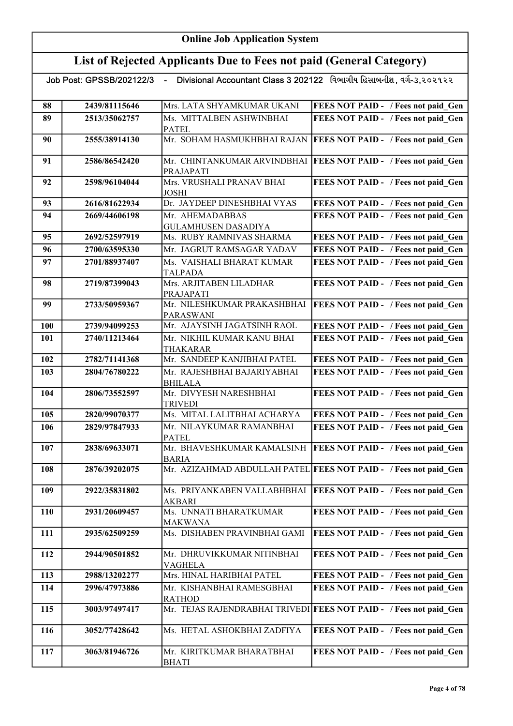#### List of Rejected Applicants Due to Fees not paid (General Category)

| 88         | 2439/81115646 | Mrs. LATA SHYAMKUMAR UKANI                     | <b>FEES NOT PAID - / Fees not paid Gen</b>                         |
|------------|---------------|------------------------------------------------|--------------------------------------------------------------------|
| 89         | 2513/35062757 | Ms. MITTALBEN ASHWINBHAI                       | FEES NOT PAID - / Fees not paid Gen                                |
|            |               | <b>PATEL</b><br>Mr. SOHAM HASMUKHBHAI RAJAN    |                                                                    |
| 90         | 2555/38914130 |                                                | <b>FEES NOT PAID - / Fees not paid Gen</b>                         |
| 91         | 2586/86542420 | Mr. CHINTANKUMAR ARVINDBHAI                    | <b>FEES NOT PAID - / Fees not paid_Gen</b>                         |
|            |               | PRAJAPATI                                      |                                                                    |
| 92         | 2598/96104044 | Mrs. VRUSHALI PRANAV BHAI                      | FEES NOT PAID - / Fees not paid Gen                                |
|            |               | <b>JOSHI</b>                                   |                                                                    |
| 93         | 2616/81622934 | Dr. JAYDEEP DINESHBHAI VYAS                    | FEES NOT PAID - / Fees not paid Gen                                |
| 94         | 2669/44606198 | Mr. AHEMADABBAS                                | FEES NOT PAID - / Fees not paid Gen                                |
|            |               | <b>GULAMHUSEN DASADIYA</b>                     |                                                                    |
| 95         | 2692/52597919 | Ms. RUBY RAMNIVAS SHARMA                       | FEES NOT PAID - / Fees not paid Gen                                |
| 96         | 2700/63595330 | Mr. JAGRUT RAMSAGAR YADAV                      | FEES NOT PAID - / Fees not paid Gen                                |
| 97         | 2701/88937407 | Ms. VAISHALI BHARAT KUMAR                      | FEES NOT PAID - / Fees not paid Gen                                |
|            |               | <b>TALPADA</b>                                 |                                                                    |
| 98         | 2719/87399043 | Mrs. ARJITABEN LILADHAR                        | FEES NOT PAID - / Fees not paid Gen                                |
|            |               | PRAJAPATI                                      |                                                                    |
| 99         | 2733/50959367 | Mr. NILESHKUMAR PRAKASHBHAI                    | FEES NOT PAID - / Fees not paid Gen                                |
|            |               | <b>PARASWANI</b>                               |                                                                    |
| 100        | 2739/94099253 | Mr. AJAYSINH JAGATSINH RAOL                    | FEES NOT PAID - / Fees not paid Gen                                |
| 101        | 2740/11213464 | Mr. NIKHIL KUMAR KANU BHAI                     | FEES NOT PAID - / Fees not paid Gen                                |
|            |               | THAKARAR                                       |                                                                    |
| 102        | 2782/71141368 | Mr. SANDEEP KANJIBHAI PATEL                    | FEES NOT PAID - / Fees not paid Gen                                |
| 103        | 2804/76780222 | Mr. RAJESHBHAI BAJARIYABHAI                    | FEES NOT PAID - / Fees not paid Gen                                |
|            |               | <b>BHILALA</b>                                 |                                                                    |
| 104        | 2806/73552597 | Mr. DIVYESH NARESHBHAI                         | FEES NOT PAID - / Fees not paid Gen                                |
|            |               | <b>TRIVEDI</b>                                 |                                                                    |
| 105        | 2820/99070377 | Ms. MITAL LALITBHAI ACHARYA                    | FEES NOT PAID - / Fees not paid Gen                                |
| 106        | 2829/97847933 | Mr. NILAYKUMAR RAMANBHAI                       | FEES NOT PAID - / Fees not paid Gen                                |
|            |               | <b>PATEL</b>                                   |                                                                    |
| 107        | 2838/69633071 | Mr. BHAVESHKUMAR KAMALSINH                     | <b>FEES NOT PAID - / Fees not paid Gen</b>                         |
|            |               | <b>BARIA</b>                                   |                                                                    |
| 108        | 2876/39202075 |                                                | Mr. AZIZAHMAD ABDULLAH PATEL FEES NOT PAID - / Fees not paid Gen   |
|            |               |                                                |                                                                    |
| 109        | 2922/35831802 | Ms. PRIYANKABEN VALLABHBHAI                    | <b>FEES NOT PAID - / Fees not paid Gen</b>                         |
|            |               | AKBARI                                         |                                                                    |
| <b>110</b> | 2931/20609457 | Ms. UNNATI BHARATKUMAR                         | FEES NOT PAID - / Fees not paid Gen                                |
|            |               | <b>MAKWANA</b><br>Ms. DISHABEN PRAVINBHAI GAMI |                                                                    |
| 111        | 2935/62509259 |                                                | FEES NOT PAID - / Fees not paid Gen                                |
| 112        | 2944/90501852 | Mr. DHRUVIKKUMAR NITINBHAI                     | FEES NOT PAID - / Fees not paid Gen                                |
|            |               | <b>VAGHELA</b>                                 |                                                                    |
| 113        | 2988/13202277 | Mrs. HINAL HARIBHAI PATEL                      | FEES NOT PAID - / Fees not paid Gen                                |
| 114        | 2996/47973886 | Mr. KISHANBHAI RAMESGBHAI                      | FEES NOT PAID - / Fees not paid Gen                                |
|            |               | <b>RATHOD</b>                                  |                                                                    |
| 115        | 3003/97497417 |                                                | Mr. TEJAS RAJENDRABHAI TRIVEDI FEES NOT PAID - / Fees not paid_Gen |
|            |               |                                                |                                                                    |
| 116        | 3052/77428642 | Ms. HETAL ASHOKBHAI ZADFIYA                    | FEES NOT PAID - / Fees not paid Gen                                |
|            |               |                                                |                                                                    |
| 117        | 3063/81946726 | Mr. KIRITKUMAR BHARATBHAI                      | FEES NOT PAID - / Fees not paid Gen                                |
|            |               | <b>BHATI</b>                                   |                                                                    |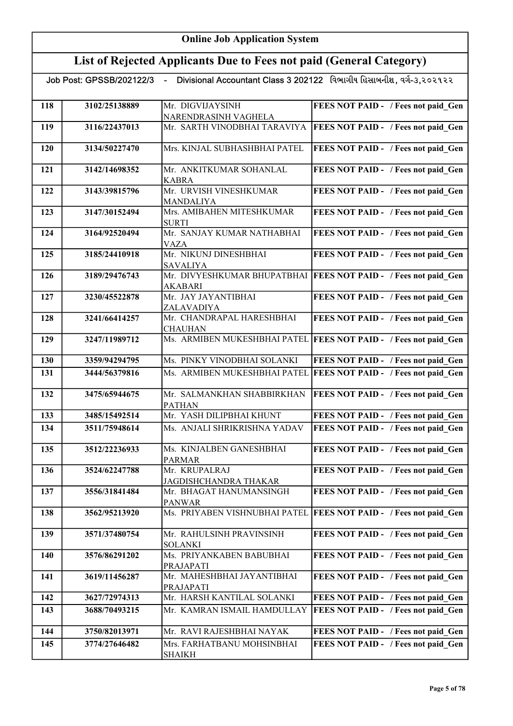# List of Rejected Applicants Due to Fees not paid (General Category)

| 118 | 3102/25138889 | Mr. DIGVIJAYSINH                            | FEES NOT PAID - / Fees not paid Gen        |
|-----|---------------|---------------------------------------------|--------------------------------------------|
|     |               | NARENDRASINH VAGHELA                        |                                            |
| 119 | 3116/22437013 | Mr. SARTH VINODBHAI TARAVIYA                | FEES NOT PAID - / Fees not paid Gen        |
| 120 | 3134/50227470 | Mrs. KINJAL SUBHASHBHAI PATEL               | FEES NOT PAID - / Fees not paid Gen        |
| 121 | 3142/14698352 | Mr. ANKITKUMAR SOHANLAL<br><b>KABRA</b>     | FEES NOT PAID - / Fees not paid Gen        |
| 122 | 3143/39815796 | Mr. URVISH VINESHKUMAR<br><b>MANDALIYA</b>  | FEES NOT PAID - / Fees not paid Gen        |
| 123 | 3147/30152494 | Mrs. AMIBAHEN MITESHKUMAR<br><b>SURTI</b>   | FEES NOT PAID - / Fees not paid Gen        |
| 124 | 3164/92520494 | Mr. SANJAY KUMAR NATHABHAI<br><b>VAZA</b>   | FEES NOT PAID - / Fees not paid_Gen        |
| 125 | 3185/24410918 | Mr. NIKUNJ DINESHBHAI<br><b>SAVALIYA</b>    | FEES NOT PAID - / Fees not paid Gen        |
| 126 | 3189/29476743 | Mr. DIVYESHKUMAR BHUPATBHAI<br>AKABARI      | <b>FEES NOT PAID - / Fees not paid Gen</b> |
| 127 | 3230/45522878 | Mr. JAY JAYANTIBHAI<br>ZALAVADIYA           | FEES NOT PAID - / Fees not paid Gen        |
| 128 | 3241/66414257 | Mr. CHANDRAPAL HARESHBHAI<br><b>CHAUHAN</b> | FEES NOT PAID - / Fees not paid Gen        |
| 129 | 3247/11989712 | Ms. ARMIBEN MUKESHBHAI PATEL                | <b>FEES NOT PAID - / Fees not paid_Gen</b> |
| 130 | 3359/94294795 | Ms. PINKY VINODBHAI SOLANKI                 | FEES NOT PAID - / Fees not paid Gen        |
| 131 | 3444/56379816 | Ms. ARMIBEN MUKESHBHAI PATEL                | <b>FEES NOT PAID - / Fees not paid Gen</b> |
| 132 | 3475/65944675 | Mr. SALMANKHAN SHABBIRKHAN<br><b>PATHAN</b> | FEES NOT PAID - / Fees not paid Gen        |
| 133 | 3485/15492514 | Mr. YASH DILIPBHAI KHUNT                    | FEES NOT PAID - / Fees not paid Gen        |
| 134 | 3511/75948614 | Ms. ANJALI SHRIKRISHNA YADAV                | FEES NOT PAID - / Fees not paid Gen        |
| 135 | 3512/22236933 | Ms. KINJALBEN GANESHBHAI<br><b>PARMAR</b>   | FEES NOT PAID - / Fees not paid Gen        |
| 136 | 3524/62247788 | Mr. KRUPALRAJ<br>JAGDISHCHANDRA THAKAR      | FEES NOT PAID - / Fees not paid Gen        |
| 137 | 3556/31841484 | Mr. BHAGAT HANUMANSINGH<br><b>PANWAR</b>    | FEES NOT PAID - / Fees not paid Gen        |
| 138 | 3562/95213920 | Ms. PRIYABEN VISHNUBHAI PATEL               | <b>FEES NOT PAID - / Fees not paid Gen</b> |
| 139 | 3571/37480754 | Mr. RAHULSINH PRAVINSINH<br><b>SOLANKI</b>  | FEES NOT PAID - / Fees not paid Gen        |
| 140 | 3576/86291202 | Ms. PRIYANKABEN BABUBHAI<br>PRAJAPATI       | FEES NOT PAID - / Fees not paid Gen        |
| 141 | 3619/11456287 | Mr. MAHESHBHAI JAYANTIBHAI<br>PRAJAPATI     | FEES NOT PAID - / Fees not paid Gen        |
| 142 | 3627/72974313 | Mr. HARSH KANTILAL SOLANKI                  | FEES NOT PAID - / Fees not paid Gen        |
| 143 | 3688/70493215 | Mr. KAMRAN ISMAIL HAMDULLAY                 | FEES NOT PAID - / Fees not paid Gen        |
| 144 | 3750/82013971 | Mr. RAVI RAJESHBHAI NAYAK                   | FEES NOT PAID - / Fees not paid Gen        |
| 145 | 3774/27646482 | Mrs. FARHATBANU MOHSINBHAI<br><b>SHAIKH</b> | FEES NOT PAID - / Fees not paid Gen        |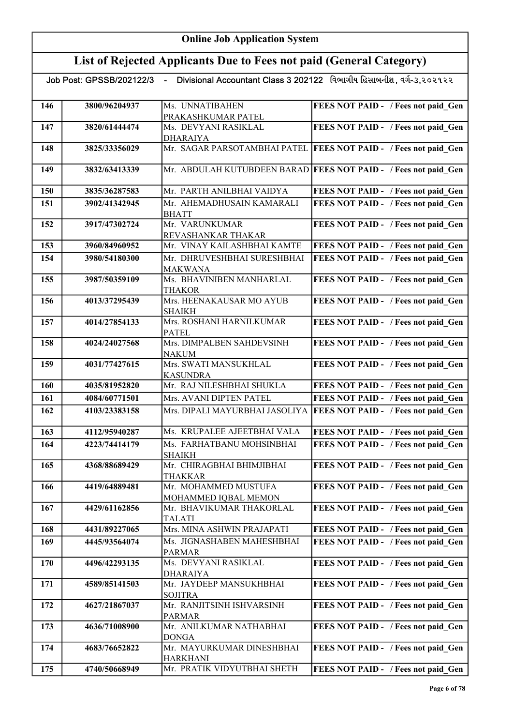#### List of Rejected Applicants Due to Fees not paid (General Category)

| of indicated replacements blue to a control paid (Seneral Category)                                |               |                                               |                                                                 |
|----------------------------------------------------------------------------------------------------|---------------|-----------------------------------------------|-----------------------------------------------------------------|
| Divisional Accountant Class 3 202122 વિભાગીય હિસાબનીશ, વર્ગ-૩,૨૦૨૧૨૨<br>Job Post: GPSSB/202122/3 - |               |                                               |                                                                 |
| 146                                                                                                | 3800/96204937 | Ms. UNNATIBAHEN<br>PRAKASHKUMAR PATEL         | FEES NOT PAID - / Fees not paid Gen                             |
| 147                                                                                                | 3820/61444474 | Ms. DEVYANI RASIKLAL<br><b>DHARAIYA</b>       | FEES NOT PAID - / Fees not paid Gen                             |
| 148                                                                                                | 3825/33356029 | Mr. SAGAR PARSOTAMBHAI PATEL                  | <b>FEES NOT PAID - / Fees not paid Gen</b>                      |
| 149                                                                                                | 3832/63413339 |                                               | Mr. ABDULAH KUTUBDEEN BARAD FEES NOT PAID - / Fees not paid Gen |
| 150                                                                                                | 3835/36287583 | Mr. PARTH ANILBHAI VAIDYA                     | FEES NOT PAID - / Fees not paid Gen                             |
| 151                                                                                                | 3902/41342945 | Mr. AHEMADHUSAIN KAMARALI<br><b>BHATT</b>     | FEES NOT PAID - / Fees not paid Gen                             |
| 152                                                                                                | 3917/47302724 | Mr. VARUNKUMAR<br>REVASHANKAR THAKAR          | FEES NOT PAID - / Fees not paid Gen                             |
| 153                                                                                                | 3960/84960952 | Mr. VINAY KAILASHBHAI KAMTE                   | FEES NOT PAID - / Fees not paid Gen                             |
| 154                                                                                                | 3980/54180300 | Mr. DHRUVESHBHAI SURESHBHAI<br><b>MAKWANA</b> | FEES NOT PAID - / Fees not paid Gen                             |
| 155                                                                                                | 3987/50359109 | Ms. BHAVINIBEN MANHARLAL<br><b>THAKOR</b>     | FEES NOT PAID - / Fees not paid Gen                             |
| 156                                                                                                | 4013/37295439 | Mrs. HEENAKAUSAR MO AYUB<br><b>SHAIKH</b>     | FEES NOT PAID - / Fees not paid Gen                             |
| 157                                                                                                | 4014/27854133 | Mrs. ROSHANI HARNILKUMAR<br><b>PATEL</b>      | FEES NOT PAID - / Fees not paid Gen                             |
| 158                                                                                                | 4024/24027568 | Mrs. DIMPALBEN SAHDEVSINH<br><b>NAKUM</b>     | FEES NOT PAID - / Fees not paid Gen                             |
| 159                                                                                                | 4031/77427615 | Mrs. SWATI MANSUKHLAL<br><b>KASUNDRA</b>      | FEES NOT PAID - / Fees not paid Gen                             |
| 160                                                                                                | 4035/81952820 | Mr. RAJ NILESHBHAI SHUKLA                     | FEES NOT PAID - / Fees not paid Gen                             |
| 161                                                                                                | 4084/60771501 | Mrs. AVANI DIPTEN PATEL                       | FEES NOT PAID - / Fees not paid Gen                             |
| 162                                                                                                | 4103/23383158 | Mrs. DIPALI MAYURBHAI JASOLIYA                | <b>FEES NOT PAID - / Fees not paid Gen</b>                      |
| 163                                                                                                | 4112/95940287 | Ms. KRUPALEE AJEETBHAI VALA                   | FEES NOT PAID - / Fees not paid Gen                             |
| 164                                                                                                | 4223/74414179 | Ms. FARHATBANU MOHSINBHAI<br><b>SHAIKH</b>    | FEES NOT PAID - / Fees not paid Gen                             |
| 165                                                                                                | 4368/88689429 | Mr. CHIRAGBHAI BHIMJIBHAI<br><b>THAKKAR</b>   | FEES NOT PAID - / Fees not paid Gen                             |
| 166                                                                                                | 4419/64889481 | Mr. MOHAMMED MUSTUFA<br>MOHAMMED IQBAL MEMON  | FEES NOT PAID - / Fees not paid Gen                             |
| 167                                                                                                | 4429/61162856 | Mr. BHAVIKUMAR THAKORLAL<br><b>TALATI</b>     | FEES NOT PAID - / Fees not paid Gen                             |
| 168                                                                                                | 4431/89227065 | Mrs. MINA ASHWIN PRAJAPATI                    | FEES NOT PAID - / Fees not paid Gen                             |
| 169                                                                                                | 4445/93564074 | Ms. JIGNASHABEN MAHESHBHAI<br><b>PARMAR</b>   | FEES NOT PAID - / Fees not paid Gen                             |
| 170                                                                                                | 4496/42293135 | Ms. DEVYANI RASIKLAL<br><b>DHARAIYA</b>       | FEES NOT PAID - / Fees not paid Gen                             |
| 171                                                                                                | 4589/85141503 | Mr. JAYDEEP MANSUKHBHAI<br><b>SOJITRA</b>     | FEES NOT PAID - / Fees not paid Gen                             |
| 172                                                                                                | 4627/21867037 | Mr. RANJITSINH ISHVARSINH<br><b>PARMAR</b>    | FEES NOT PAID - / Fees not paid Gen                             |
| 173                                                                                                | 4636/71008900 | Mr. ANILKUMAR NATHABHAI<br><b>DONGA</b>       | FEES NOT PAID - / Fees not paid Gen                             |
| 174                                                                                                | 4683/76652822 | Mr. MAYURKUMAR DINESHBHAI<br><b>HARKHANI</b>  | FEES NOT PAID - / Fees not paid_Gen                             |
| 175                                                                                                | 4740/50668949 | Mr. PRATIK VIDYUTBHAI SHETH                   | <b>FEES NOT PAID - / Fees not paid_Gen</b>                      |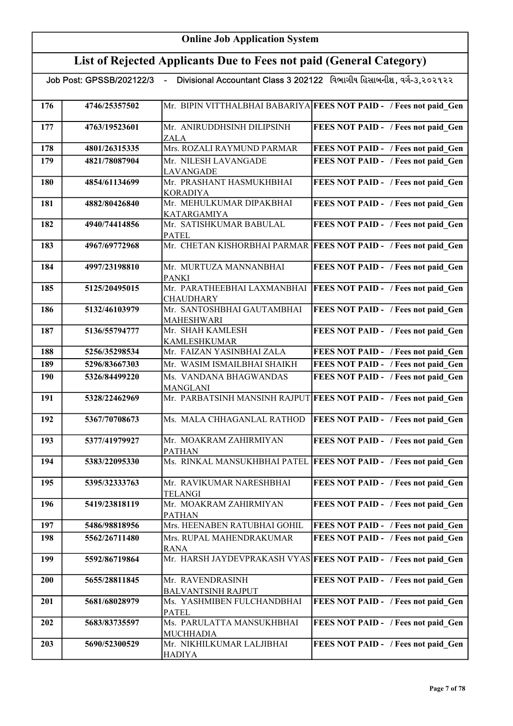|     | Job Post: GPSSB/202122/3 |                                             | Divisional Accountant Class 3 202122 વિભાગીય હિસાબનીશ, વર્ગ-૩,૨૦૨૧૨૨ |
|-----|--------------------------|---------------------------------------------|----------------------------------------------------------------------|
|     |                          |                                             |                                                                      |
| 176 | 4746/25357502            |                                             | Mr. BIPIN VITTHALBHAI BABARIYA FEES NOT PAID - / Fees not paid Gen   |
| 177 | 4763/19523601            | Mr. ANIRUDDHSINH DILIPSINH<br>ZALA          | FEES NOT PAID - / Fees not paid Gen                                  |
| 178 | 4801/26315335            | Mrs. ROZALI RAYMUND PARMAR                  | FEES NOT PAID - / Fees not paid Gen                                  |
| 179 | 4821/78087904            | Mr. NILESH LAVANGADE                        | FEES NOT PAID - / Fees not paid Gen                                  |
|     |                          | <b>LAVANGADE</b>                            |                                                                      |
| 180 | 4854/61134699            | Mr. PRASHANT HASMUKHBHAI<br><b>KORADIYA</b> | FEES NOT PAID - / Fees not paid Gen                                  |
| 181 | 4882/80426840            | Mr. MEHULKUMAR DIPAKBHAI<br>KATARGAMIYA     | FEES NOT PAID - / Fees not paid Gen                                  |
| 182 | 4940/74414856            | Mr. SATISHKUMAR BABULAL                     | FEES NOT PAID - / Fees not paid Gen                                  |
|     |                          | <b>PATEL</b>                                |                                                                      |
| 183 | 4967/69772968            |                                             | Mr. CHETAN KISHORBHAI PARMAR FEES NOT PAID - / Fees not paid Gen     |
| 184 | 4997/23198810            | Mr. MURTUZA MANNANBHAI                      | FEES NOT PAID - / Fees not paid Gen                                  |
|     |                          | <b>PANKI</b>                                |                                                                      |
| 185 | 5125/20495015            | Mr. PARATHEEBHAI LAXMANBHAI                 | <b>FEES NOT PAID - / Fees not paid_Gen</b>                           |
|     |                          | <b>CHAUDHARY</b>                            |                                                                      |
| 186 | 5132/46103979            | Mr. SANTOSHBHAI GAUTAMBHAI                  | FEES NOT PAID - / Fees not paid Gen                                  |
|     |                          | MAHESHWARI                                  |                                                                      |
| 187 | 5136/55794777            | Mr. SHAH KAMLESH                            | FEES NOT PAID - / Fees not paid Gen                                  |
|     |                          | <b>KAMLESHKUMAR</b>                         |                                                                      |
| 188 | 5256/35298534            | Mr. FAIZAN YASINBHAI ZALA                   | FEES NOT PAID - / Fees not paid_Gen                                  |
| 189 | 5296/83667303            | Mr. WASIM ISMAILBHAI SHAIKH                 | FEES NOT PAID - / Fees not paid Gen                                  |
| 190 | 5326/84499220            | Ms. VANDANA BHAGWANDAS<br><b>MANGLANI</b>   | FEES NOT PAID - / Fees not paid Gen                                  |
| 191 | 5328/22462969            |                                             | Mr. PARBATSINH MANSINH RAJPUT FEES NOT PAID - / Fees not paid Gen    |
| 192 | 5367/70708673            | Ms. MALA CHHAGANLAL RATHOD                  | <b>FEES NOT PAID - / Fees not paid Gen</b>                           |
| 193 | 5377/41979927            | Mr. MOAKRAM ZAHIRMIYAN                      | FEES NOT PAID - / Fees not paid Gen                                  |
|     |                          | <b>PATHAN</b>                               |                                                                      |
| 194 | 5383/22095330            |                                             | Ms. RINKAL MANSUKHBHAI PATEL FEES NOT PAID - / Fees not paid Gen     |
| 195 | 5395/32333763            | Mr. RAVIKUMAR NARESHBHAI<br><b>TELANGI</b>  | FEES NOT PAID - / Fees not paid Gen                                  |
| 196 | 5419/23818119            | Mr. MOAKRAM ZAHIRMIYAN                      | FEES NOT PAID - / Fees not paid Gen                                  |
|     |                          | <b>PATHAN</b>                               |                                                                      |
| 197 | 5486/98818956            | Mrs. HEENABEN RATUBHAI GOHIL                | FEES NOT PAID - / Fees not paid Gen                                  |
| 198 | 5562/26711480            | Mrs. RUPAL MAHENDRAKUMAR                    | FEES NOT PAID - / Fees not paid Gen                                  |
|     |                          | <b>RANA</b>                                 |                                                                      |
| 199 | 5592/86719864            |                                             | Mr. HARSH JAYDEVPRAKASH VYAS FEES NOT PAID - / Fees not paid Gen     |
| 200 | 5655/28811845            | Mr. RAVENDRASINH                            | FEES NOT PAID - / Fees not paid Gen                                  |
|     |                          | <b>BALVANTSINH RAJPUT</b>                   |                                                                      |
| 201 | 5681/68028979            | Ms. YASHMIBEN FULCHANDBHAI<br><b>PATEL</b>  | FEES NOT PAID - / Fees not paid Gen                                  |
| 202 | 5683/83735597            | Ms. PARULATTA MANSUKHBHAI                   | FEES NOT PAID - / Fees not paid Gen                                  |
|     |                          | MUCHHADIA                                   |                                                                      |
| 203 | 5690/52300529            | Mr. NIKHILKUMAR LALJIBHAI<br><b>HADIYA</b>  | FEES NOT PAID - / Fees not paid Gen                                  |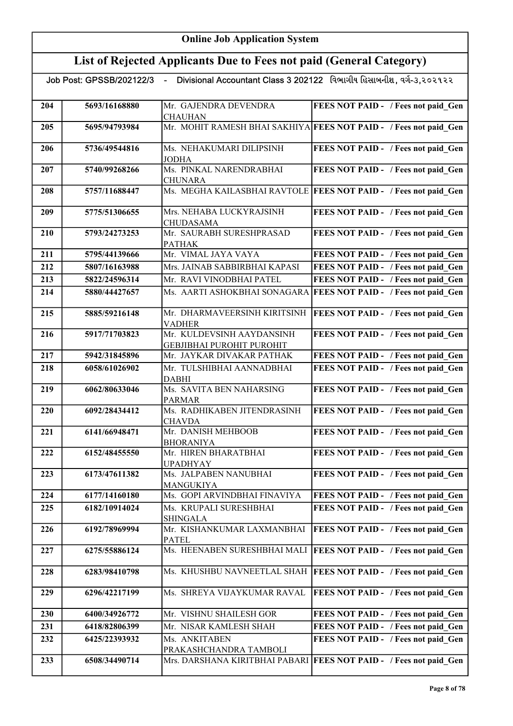| Divisional Accountant Class 3 202122 વિભાગીય હિસાબનીશ, વર્ગ-૩,૨૦૨૧૨૨<br>Job Post: GPSSB/202122/3 |               |                                                               |                                                                   |
|--------------------------------------------------------------------------------------------------|---------------|---------------------------------------------------------------|-------------------------------------------------------------------|
| 204                                                                                              | 5693/16168880 | Mr. GAJENDRA DEVENDRA<br><b>CHAUHAN</b>                       | FEES NOT PAID - / Fees not paid_Gen                               |
| 205                                                                                              | 5695/94793984 |                                                               | Mr. MOHIT RAMESH BHAI SAKHIYA FEES NOT PAID - / Fees not paid Gen |
| 206                                                                                              | 5736/49544816 | Ms. NEHAKUMARI DILIPSINH<br><b>JODHA</b>                      | FEES NOT PAID - / Fees not paid_Gen                               |
| 207                                                                                              | 5740/99268266 | Ms. PINKAL NARENDRABHAI<br><b>CHUNARA</b>                     | FEES NOT PAID - / Fees not paid Gen                               |
| 208                                                                                              | 5757/11688447 |                                                               | Ms. MEGHA KAILASBHAI RAVTOLE FEES NOT PAID - / Fees not paid Gen  |
| 209                                                                                              | 5775/51306655 | Mrs. NEHABA LUCKYRAJSINH<br><b>CHUDASAMA</b>                  | FEES NOT PAID - / Fees not paid Gen                               |
| 210                                                                                              | 5793/24273253 | Mr. SAURABH SURESHPRASAD<br><b>PATHAK</b>                     | FEES NOT PAID - / Fees not paid Gen                               |
| 211                                                                                              | 5795/44139666 | Mr. VIMAL JAYA VAYA                                           | FEES NOT PAID - / Fees not paid Gen                               |
| 212                                                                                              | 5807/16163988 | Mrs. JAINAB SABBIRBHAI KAPASI                                 | FEES NOT PAID - / Fees not paid Gen                               |
| 213                                                                                              | 5822/24596314 | Mr. RAVI VINODBHAI PATEL                                      | FEES NOT PAID - / Fees not paid Gen                               |
| 214                                                                                              | 5880/44427657 | Ms. AARTI ASHOKBHAI SONAGARA                                  | <b>FEES NOT PAID - / Fees not paid_Gen</b>                        |
| 215                                                                                              | 5885/59216148 | Mr. DHARMAVEERSINH KIRITSINH<br><b>VADHER</b>                 | FEES NOT PAID - / Fees not paid_Gen                               |
| 216                                                                                              | 5917/71703823 | Mr. KULDEVSINH AAYDANSINH<br><b>GEBJIBHAI PUROHIT PUROHIT</b> | FEES NOT PAID - / Fees not paid_Gen                               |
| 217                                                                                              | 5942/31845896 | Mr. JAYKAR DIVAKAR PATHAK                                     | FEES NOT PAID - / Fees not paid Gen                               |
| 218                                                                                              | 6058/61026902 | Mr. TULSHIBHAI AANNADBHAI<br><b>DABHI</b>                     | FEES NOT PAID - / Fees not paid Gen                               |
| 219                                                                                              | 6062/80633046 | Ms. SAVITA BEN NAHARSING<br><b>PARMAR</b>                     | FEES NOT PAID - / Fees not paid Gen                               |
| 220                                                                                              | 6092/28434412 | Ms. RADHIKABEN JITENDRASINH<br><b>CHAVDA</b>                  | FEES NOT PAID - / Fees not paid Gen                               |
| 221                                                                                              | 6141/66948471 | Mr. DANISH MEHBOOB<br><b>BHORANIYA</b>                        | FEES NOT PAID - / Fees not paid Gen                               |
| 222                                                                                              | 6152/48455550 | Mr. HIREN BHARATBHAI<br><b>UPADHYAY</b>                       | FEES NOT PAID - / Fees not paid Gen                               |
| 223                                                                                              | 6173/47611382 | Ms. JALPABEN NANUBHAI<br>MANGUKIYA                            | FEES NOT PAID - / Fees not paid Gen                               |
| 224                                                                                              | 6177/14160180 | Ms. GOPI ARVINDBHAI FINAVIYA                                  | FEES NOT PAID - / Fees not paid Gen                               |
| 225                                                                                              | 6182/10914024 | Ms. KRUPALI SURESHBHAI<br><b>SHINGALA</b>                     | FEES NOT PAID - / Fees not paid Gen                               |
| 226                                                                                              | 6192/78969994 | Mr. KISHANKUMAR LAXMANBHAI<br><b>PATEL</b>                    | FEES NOT PAID - / Fees not paid Gen                               |
| 227                                                                                              | 6275/55886124 | Ms. HEENABEN SURESHBHAI MALI                                  | <b>FEES NOT PAID - / Fees not paid Gen</b>                        |
| 228                                                                                              | 6283/98410798 | Ms. KHUSHBU NAVNEETLAL SHAH                                   | <b>FEES NOT PAID - / Fees not paid Gen</b>                        |
| 229                                                                                              | 6296/42217199 | Ms. SHREYA VIJAYKUMAR RAVAL                                   | FEES NOT PAID - / Fees not paid Gen                               |
| 230                                                                                              | 6400/34926772 | Mr. VISHNU SHAILESH GOR                                       | FEES NOT PAID - / Fees not paid Gen                               |
| 231                                                                                              | 6418/82806399 | Mr. NISAR KAMLESH SHAH                                        | FEES NOT PAID - / Fees not paid Gen                               |
| 232                                                                                              | 6425/22393932 | Ms. ANKITABEN<br>PRAKASHCHANDRA TAMBOLI                       | FEES NOT PAID - / Fees not paid_Gen                               |
| 233                                                                                              | 6508/34490714 | Mrs. DARSHANA KIRITBHAI PABARI                                | <b>FEES NOT PAID - / Fees not paid Gen</b>                        |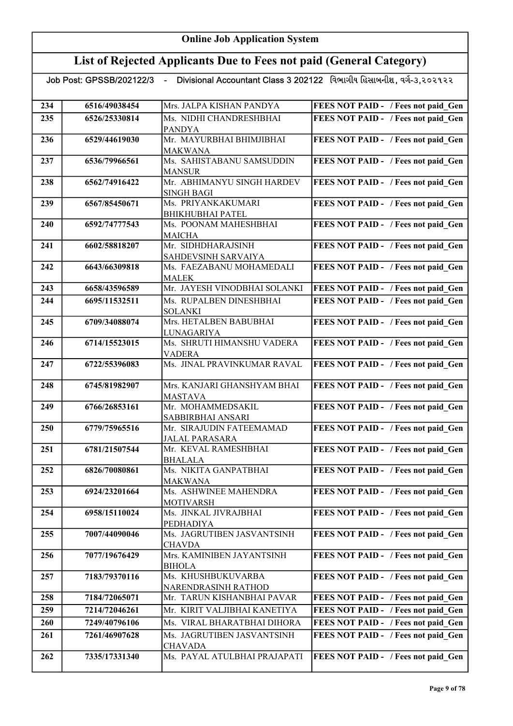# List of Rejected Applicants Due to Fees not paid (General Category)

| 234 | 6516/49038454 | Mrs. JALPA KISHAN PANDYA                    | FEES NOT PAID - / Fees not paid Gen |
|-----|---------------|---------------------------------------------|-------------------------------------|
|     |               | Ms. NIDHI CHANDRESHBHAI                     |                                     |
| 235 | 6526/25330814 |                                             | FEES NOT PAID - / Fees not paid Gen |
| 236 | 6529/44619030 | <b>PANDYA</b><br>Mr. MAYURBHAI BHIMJIBHAI   |                                     |
|     |               |                                             | FEES NOT PAID - / Fees not paid Gen |
|     |               | <b>MAKWANA</b><br>Ms. SAHISTABANU SAMSUDDIN |                                     |
| 237 | 6536/79966561 |                                             | FEES NOT PAID - / Fees not paid Gen |
| 238 | 6562/74916422 | <b>MANSUR</b><br>Mr. ABHIMANYU SINGH HARDEV | FEES NOT PAID - / Fees not paid Gen |
|     |               |                                             |                                     |
| 239 | 6567/85450671 | <b>SINGH BAGI</b><br>Ms. PRIYANKAKUMARI     | FEES NOT PAID - / Fees not paid Gen |
|     |               | <b>BHIKHUBHAI PATEL</b>                     |                                     |
| 240 | 6592/74777543 | Ms. POONAM MAHESHBHAI                       | FEES NOT PAID - / Fees not paid Gen |
|     |               | <b>MAICHA</b>                               |                                     |
| 241 | 6602/58818207 | Mr. SIDHDHARAJSINH                          | FEES NOT PAID - / Fees not paid Gen |
|     |               | SAHDEVSINH SARVAIYA                         |                                     |
| 242 | 6643/66309818 | Ms. FAEZABANU MOHAMEDALI                    | FEES NOT PAID - / Fees not paid Gen |
|     |               | <b>MALEK</b>                                |                                     |
| 243 | 6658/43596589 | Mr. JAYESH VINODBHAI SOLANKI                | FEES NOT PAID - / Fees not paid Gen |
| 244 | 6695/11532511 | Ms. RUPALBEN DINESHBHAI                     | FEES NOT PAID - / Fees not paid Gen |
|     |               | <b>SOLANKI</b>                              |                                     |
| 245 | 6709/34088074 | Mrs. HETALBEN BABUBHAI                      | FEES NOT PAID - / Fees not paid Gen |
|     |               | <b>LUNAGARIYA</b>                           |                                     |
| 246 | 6714/15523015 | Ms. SHRUTI HIMANSHU VADERA                  | FEES NOT PAID - / Fees not paid Gen |
|     |               | <b>VADERA</b>                               |                                     |
| 247 | 6722/55396083 | Ms. JINAL PRAVINKUMAR RAVAL                 | FEES NOT PAID - / Fees not paid Gen |
|     |               |                                             |                                     |
| 248 | 6745/81982907 | Mrs. KANJARI GHANSHYAM BHAI                 | FEES NOT PAID - / Fees not paid Gen |
|     |               | <b>MASTAVA</b>                              |                                     |
| 249 | 6766/26853161 | Mr. MOHAMMEDSAKIL                           | FEES NOT PAID - / Fees not paid Gen |
|     |               | SABBIRBHAI ANSARI                           |                                     |
| 250 | 6779/75965516 | Mr. SIRAJUDIN FATEEMAMAD                    | FEES NOT PAID - / Fees not paid Gen |
|     |               | <b>JALAL PARASARA</b>                       |                                     |
| 251 | 6781/21507544 | Mr. KEVAL RAMESHBHAI                        | FEES NOT PAID - / Fees not paid Gen |
|     |               | <b>BHALALA</b>                              |                                     |
| 252 | 6826/70080861 | Ms. NIKITA GANPATBHAI                       | FEES NOT PAID - / Fees not paid Gen |
|     |               | MAKWANA                                     |                                     |
| 253 | 6924/23201664 | Ms. ASHWINEE MAHENDRA                       | FEES NOT PAID - / Fees not paid Gen |
|     |               | <b>MOTIVARSH</b>                            |                                     |
| 254 | 6958/15110024 | Ms. JINKAL JIVRAJBHAI                       | FEES NOT PAID - / Fees not paid_Gen |
|     |               | PEDHADIYA                                   |                                     |
| 255 | 7007/44090046 | Ms. JAGRUTIBEN JASVANTSINH                  | FEES NOT PAID - / Fees not paid Gen |
| 256 | 7077/19676429 | <b>CHAVDA</b><br>Mrs. KAMINIBEN JAYANTSINH  |                                     |
|     |               | <b>BIHOLA</b>                               | FEES NOT PAID - / Fees not paid Gen |
| 257 | 7183/79370116 | Ms. KHUSHBUKUVARBA                          | FEES NOT PAID - / Fees not paid Gen |
|     |               | NARENDRASINH RATHOD                         |                                     |
| 258 | 7184/72065071 | Mr. TARUN KISHANBHAI PAVAR                  | FEES NOT PAID - / Fees not paid Gen |
|     |               | Mr. KIRIT VALJIBHAI KANETIYA                |                                     |
| 259 | 7214/72046261 |                                             | FEES NOT PAID - / Fees not paid Gen |
| 260 | 7249/40796106 | Ms. VIRAL BHARATBHAI DIHORA                 | FEES NOT PAID - / Fees not paid_Gen |
| 261 | 7261/46907628 | Ms. JAGRUTIBEN JASVANTSINH                  | FEES NOT PAID - / Fees not paid Gen |
|     |               | <b>CHAVADA</b>                              |                                     |
| 262 | 7335/17331340 | Ms. PAYAL ATULBHAI PRAJAPATI                | FEES NOT PAID - / Fees not paid Gen |
|     |               |                                             |                                     |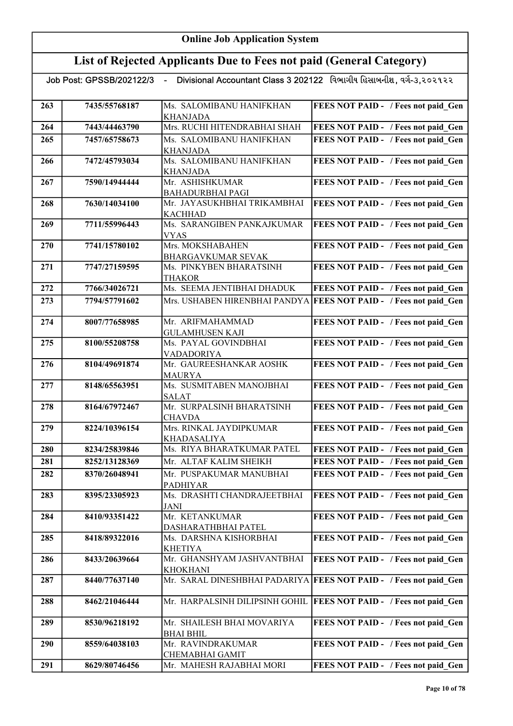| Job Post: GPSSB/202122/3    -    Divisional Accountant Class 3 202122   વિભાગીય હિસાબનીશ, વર્ગ-૩,૨૦૨૧૨૨ |               |                                              |                                            |
|---------------------------------------------------------------------------------------------------------|---------------|----------------------------------------------|--------------------------------------------|
| 263                                                                                                     | 7435/55768187 | Ms. SALOMIBANU HANIFKHAN                     | FEES NOT PAID - / Fees not paid Gen        |
|                                                                                                         |               | <b>KHANJADA</b>                              |                                            |
| 264                                                                                                     | 7443/44463790 | Mrs. RUCHI HITENDRABHAI SHAH                 | FEES NOT PAID - / Fees not paid Gen        |
| 265                                                                                                     | 7457/65758673 | Ms. SALOMIBANU HANIFKHAN                     | FEES NOT PAID - / Fees not paid Gen        |
|                                                                                                         |               | <b>KHANJADA</b>                              |                                            |
| 266                                                                                                     | 7472/45793034 | Ms. SALOMIBANU HANIFKHAN                     | FEES NOT PAID - / Fees not paid Gen        |
|                                                                                                         |               | <b>KHANJADA</b>                              |                                            |
| 267                                                                                                     | 7590/14944444 | Mr. ASHISHKUMAR                              | FEES NOT PAID - / Fees not paid Gen        |
|                                                                                                         |               | <b>BAHADURBHAI PAGI</b>                      |                                            |
| 268                                                                                                     | 7630/14034100 | Mr. JAYASUKHBHAI TRIKAMBHAI                  | FEES NOT PAID - / Fees not paid Gen        |
|                                                                                                         | 7711/55996443 | <b>KACHHAD</b><br>Ms. SARANGIBEN PANKAJKUMAR |                                            |
| 269                                                                                                     |               | <b>VYAS</b>                                  | FEES NOT PAID - / Fees not paid_Gen        |
| 270                                                                                                     | 7741/15780102 | Mrs. MOKSHABAHEN                             | FEES NOT PAID - / Fees not paid Gen        |
|                                                                                                         |               | BHARGAVKUMAR SEVAK                           |                                            |
| 271                                                                                                     | 7747/27159595 | Ms. PINKYBEN BHARATSINH                      | FEES NOT PAID - / Fees not paid Gen        |
|                                                                                                         |               | <b>THAKOR</b>                                |                                            |
| 272                                                                                                     | 7766/34026721 | Ms. SEEMA JENTIBHAI DHADUK                   | FEES NOT PAID - / Fees not paid Gen        |
| 273                                                                                                     | 7794/57791602 | Mrs. USHABEN HIRENBHAI PANDYA                | FEES NOT PAID - / Fees not paid Gen        |
|                                                                                                         |               |                                              |                                            |
| 274                                                                                                     | 8007/77658985 | Mr. ARIFMAHAMMAD                             | FEES NOT PAID - / Fees not paid Gen        |
|                                                                                                         |               | <b>GULAMHUSEN KAJI</b>                       |                                            |
| 275                                                                                                     | 8100/55208758 | Ms. PAYAL GOVINDBHAI                         | FEES NOT PAID - / Fees not paid Gen        |
| 276                                                                                                     | 8104/49691874 | <b>VADADORIYA</b><br>Mr. GAUREESHANKAR AOSHK | FEES NOT PAID - / Fees not paid Gen        |
|                                                                                                         |               | <b>MAURYA</b>                                |                                            |
| 277                                                                                                     | 8148/65563951 | Ms. SUSMITABEN MANOJBHAI                     | FEES NOT PAID - / Fees not paid Gen        |
|                                                                                                         |               | <b>SALAT</b>                                 |                                            |
| 278                                                                                                     | 8164/67972467 | Mr. SURPALSINH BHARATSINH                    | FEES NOT PAID - / Fees not paid Gen        |
|                                                                                                         |               | <b>CHAVDA</b>                                |                                            |
| 279                                                                                                     | 8224/10396154 | Mrs. RINKAL JAYDIPKUMAR                      | FEES NOT PAID - / Fees not paid Gen        |
|                                                                                                         |               | <b>KHADASALIYA</b>                           |                                            |
| 280                                                                                                     | 8234/25839846 | Ms. RIYA BHARATKUMAR PATEL                   | FEES NOT PAID - / Fees not paid Gen        |
| 281                                                                                                     | 8252/13128369 | Mr. ALTAF KALIM SHEIKH                       | <b>FEES NOT PAID - / Fees not paid Gen</b> |
| 282                                                                                                     | 8370/26048941 | Mr. PUSPAKUMAR MANUBHAI                      | FEES NOT PAID - / Fees not paid Gen        |
|                                                                                                         |               | <b>PADHIYAR</b>                              |                                            |
| 283                                                                                                     | 8395/23305923 | Ms. DRASHTI CHANDRAJEETBHAI<br><b>JANI</b>   | FEES NOT PAID - / Fees not paid Gen        |
| 284                                                                                                     | 8410/93351422 | Mr. KETANKUMAR                               | FEES NOT PAID - / Fees not paid_Gen        |
|                                                                                                         |               | DASHARATHBHAI PATEL                          |                                            |
| 285                                                                                                     | 8418/89322016 | Ms. DARSHNA KISHORBHAI                       | FEES NOT PAID - / Fees not paid Gen        |
|                                                                                                         |               | <b>KHETIYA</b>                               |                                            |
| 286                                                                                                     | 8433/20639664 | Mr. GHANSHYAM JASHVANTBHAI                   | FEES NOT PAID - / Fees not paid Gen        |
|                                                                                                         |               | <b>KHOKHANI</b>                              |                                            |
| 287                                                                                                     | 8440/77637140 | Mr. SARAL DINESHBHAI PADARIYA                | <b>FEES NOT PAID - / Fees not paid Gen</b> |
|                                                                                                         |               |                                              |                                            |
| 288                                                                                                     | 8462/21046444 | Mr. HARPALSINH DILIPSINH GOHIL               | <b>FEES NOT PAID - / Fees not paid Gen</b> |
| 289                                                                                                     | 8530/96218192 | Mr. SHAILESH BHAI MOVARIYA                   | FEES NOT PAID - / Fees not paid Gen        |
|                                                                                                         |               | <b>BHAI BHIL</b>                             |                                            |
| 290                                                                                                     | 8559/64038103 | Mr. RAVINDRAKUMAR                            | FEES NOT PAID - / Fees not paid Gen        |
|                                                                                                         |               | CHEMABHAI GAMIT                              |                                            |
| 291                                                                                                     | 8629/80746456 | Mr. MAHESH RAJABHAI MORI                     | FEES NOT PAID - / Fees not paid Gen        |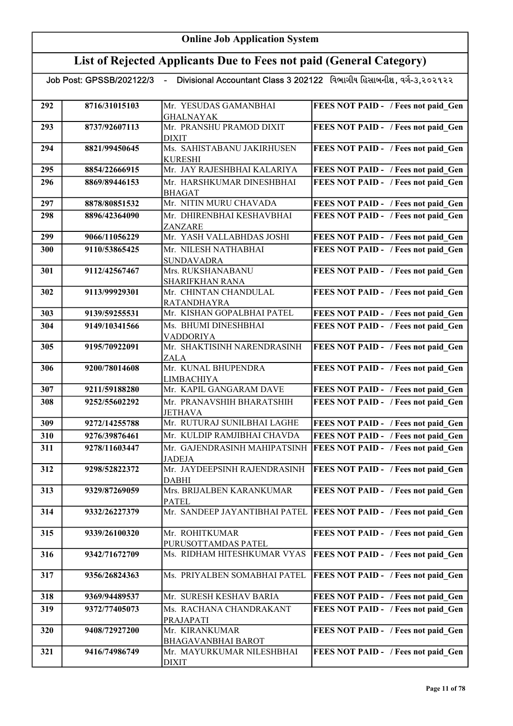# List of Rejected Applicants Due to Fees not paid (General Category)

|  | Job Post: GPSSB/202122/3 |  |
|--|--------------------------|--|

<u>.</u><br>2/3 - Divisional Accountant Class 3 202122 વિભાગીય હિસાબનીશ , વર્ગ-૩,૨૦૨૧૨૨

| 292 | 8716/31015103 | Mr. YESUDAS GAMANBHAI         | FEES NOT PAID - / Fees not paid Gen        |
|-----|---------------|-------------------------------|--------------------------------------------|
|     |               | <b>GHALNAYAK</b>              |                                            |
| 293 | 8737/92607113 | Mr. PRANSHU PRAMOD DIXIT      | FEES NOT PAID - / Fees not paid_Gen        |
|     |               | <b>DIXIT</b>                  |                                            |
| 294 | 8821/99450645 | Ms. SAHISTABANU JAKIRHUSEN    | FEES NOT PAID - / Fees not paid Gen        |
|     |               | <b>KURESHI</b>                |                                            |
| 295 | 8854/22666915 | Mr. JAY RAJESHBHAI KALARIYA   | FEES NOT PAID - / Fees not paid Gen        |
| 296 | 8869/89446153 | Mr. HARSHKUMAR DINESHBHAI     | FEES NOT PAID - / Fees not paid Gen        |
|     |               | <b>BHAGAT</b>                 |                                            |
| 297 | 8878/80851532 | Mr. NITIN MURU CHAVADA        | FEES NOT PAID - / Fees not paid Gen        |
| 298 | 8896/42364090 | Mr. DHIRENBHAI KESHAVBHAI     | FEES NOT PAID - / Fees not paid Gen        |
|     |               | ZANZARE                       |                                            |
| 299 | 9066/11056229 | Mr. YASH VALLABHDAS JOSHI     | FEES NOT PAID - / Fees not paid Gen        |
| 300 | 9110/53865425 | Mr. NILESH NATHABHAI          | FEES NOT PAID - / Fees not paid Gen        |
|     |               | <b>SUNDAVADRA</b>             |                                            |
| 301 | 9112/42567467 | Mrs. RUKSHANABANU             | FEES NOT PAID - / Fees not paid Gen        |
|     |               | <b>SHARIFKHAN RANA</b>        |                                            |
| 302 | 9113/99929301 | Mr. CHINTAN CHANDULAL         | FEES NOT PAID - / Fees not paid_Gen        |
|     |               | <b>RATANDHAYRA</b>            |                                            |
| 303 | 9139/59255531 | Mr. KISHAN GOPALBHAI PATEL    | FEES NOT PAID - / Fees not paid Gen        |
| 304 | 9149/10341566 | Ms. BHUMI DINESHBHAI          | FEES NOT PAID - / Fees not paid Gen        |
|     |               | <b>VADDORIYA</b>              |                                            |
| 305 | 9195/70922091 | Mr. SHAKTISINH NARENDRASINH   | FEES NOT PAID - / Fees not paid_Gen        |
|     |               | <b>ZALA</b>                   |                                            |
| 306 | 9200/78014608 | Mr. KUNAL BHUPENDRA           | FEES NOT PAID - / Fees not paid Gen        |
|     |               | <b>LIMBACHIYA</b>             |                                            |
| 307 | 9211/59188280 | Mr. KAPIL GANGARAM DAVE       | FEES NOT PAID - / Fees not paid Gen        |
| 308 | 9252/55602292 | Mr. PRANAVSHIH BHARATSHIH     | FEES NOT PAID - / Fees not paid Gen        |
|     |               | <b>JETHAVA</b>                |                                            |
| 309 | 9272/14255788 | Mr. RUTURAJ SUNILBHAI LAGHE   | FEES NOT PAID - / Fees not paid Gen        |
| 310 | 9276/39876461 | Mr. KULDIP RAMJIBHAI CHAVDA   | FEES NOT PAID - / Fees not paid Gen        |
| 311 | 9278/11603447 | Mr. GAJENDRASINH MAHIPATSINH  | FEES NOT PAID - / Fees not paid Gen        |
|     |               | <b>JADEJA</b>                 |                                            |
| 312 | 9298/52822372 | Mr. JAYDEEPSINH RAJENDRASINH  | FEES NOT PAID - / Fees not paid Gen        |
|     |               | <b>DABHI</b>                  |                                            |
| 313 | 9329/87269059 | Mrs. BRIJALBEN KARANKUMAR     | FEES NOT PAID - / Fees not paid Gen        |
|     |               | <b>PATEL</b>                  |                                            |
| 314 | 9332/26227379 | Mr. SANDEEP JAYANTIBHAI PATEL | FEES NOT PAID - / Fees not paid Gen        |
| 315 | 9339/26100320 | Mr. ROHITKUMAR                | FEES NOT PAID - / Fees not paid_Gen        |
|     |               | PURUSOTTAMDAS PATEL           |                                            |
| 316 | 9342/71672709 | Ms. RIDHAM HITESHKUMAR VYAS   | <b>FEES NOT PAID - / Fees not paid_Gen</b> |
|     |               |                               |                                            |
| 317 | 9356/26824363 | Ms. PRIYALBEN SOMABHAI PATEL  | FEES NOT PAID - / Fees not paid Gen        |
|     |               |                               |                                            |
| 318 | 9369/94489537 | Mr. SURESH KESHAV BARIA       | FEES NOT PAID - / Fees not paid Gen        |
| 319 | 9372/77405073 | Ms. RACHANA CHANDRAKANT       | FEES NOT PAID - / Fees not paid Gen        |
|     |               | PRAJAPATI                     |                                            |
| 320 | 9408/72927200 | Mr. KIRANKUMAR                | FEES NOT PAID - / Fees not paid Gen        |
|     |               | <b>BHAGAVANBHAI BAROT</b>     |                                            |
| 321 | 9416/74986749 | Mr. MAYURKUMAR NILESHBHAI     | FEES NOT PAID - / Fees not paid Gen        |
|     |               | <b>DIXIT</b>                  |                                            |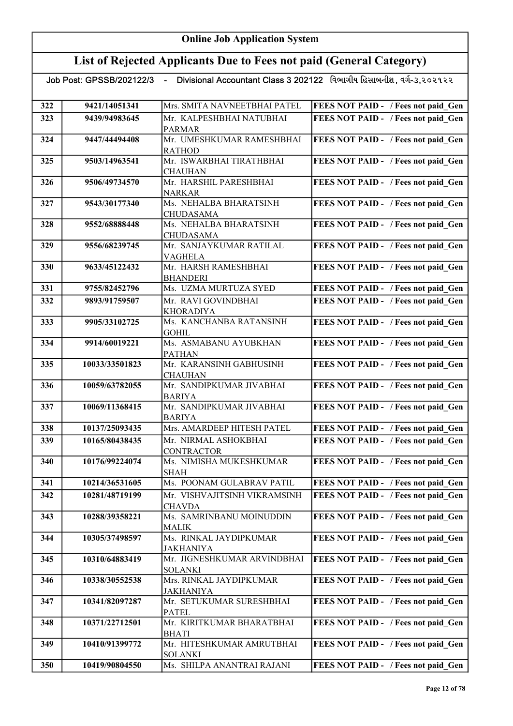# List of Rejected Applicants Due to Fees not paid (General Category)

| 322 | 9421/14051341  | Mrs. SMITA NAVNEETBHAI PATEL                 | FEES NOT PAID - / Fees not paid Gen |
|-----|----------------|----------------------------------------------|-------------------------------------|
| 323 | 9439/94983645  | Mr. KALPESHBHAI NATUBHAI                     | FEES NOT PAID - / Fees not paid Gen |
|     |                | <b>PARMAR</b>                                |                                     |
| 324 | 9447/44494408  | Mr. UMESHKUMAR RAMESHBHAI                    | FEES NOT PAID - / Fees not paid Gen |
|     |                | <b>RATHOD</b>                                |                                     |
| 325 | 9503/14963541  | Mr. ISWARBHAI TIRATHBHAI                     | FEES NOT PAID - / Fees not paid Gen |
|     |                | <b>CHAUHAN</b>                               |                                     |
| 326 | 9506/49734570  | Mr. HARSHIL PARESHBHAI                       | FEES NOT PAID - / Fees not paid Gen |
|     |                | <b>NARKAR</b>                                |                                     |
| 327 | 9543/30177340  | Ms. NEHALBA BHARATSINH                       | FEES NOT PAID - / Fees not paid Gen |
|     |                | <b>CHUDASAMA</b>                             |                                     |
| 328 | 9552/68888448  | Ms. NEHALBA BHARATSINH                       | FEES NOT PAID - / Fees not paid Gen |
|     |                | <b>CHUDASAMA</b>                             |                                     |
| 329 | 9556/68239745  | Mr. SANJAYKUMAR RATILAL                      | FEES NOT PAID - / Fees not paid Gen |
| 330 | 9633/45122432  | <b>VAGHELA</b><br>Mr. HARSH RAMESHBHAI       | FEES NOT PAID - / Fees not paid Gen |
|     |                | <b>BHANDERI</b>                              |                                     |
| 331 | 9755/82452796  | Ms. UZMA MURTUZA SYED                        | FEES NOT PAID - / Fees not paid Gen |
| 332 | 9893/91759507  | Mr. RAVI GOVINDBHAI                          | FEES NOT PAID - / Fees not paid Gen |
|     |                | <b>KHORADIYA</b>                             |                                     |
| 333 | 9905/33102725  | Ms. KANCHANBA RATANSINH                      | FEES NOT PAID - / Fees not paid_Gen |
|     |                | <b>GOHIL</b>                                 |                                     |
| 334 | 9914/60019221  | Ms. ASMABANU AYUBKHAN                        | FEES NOT PAID - / Fees not paid Gen |
|     |                | <b>PATHAN</b>                                |                                     |
| 335 | 10033/33501823 | Mr. KARANSINH GABHUSINH                      | FEES NOT PAID - / Fees not paid Gen |
|     |                | <b>CHAUHAN</b>                               |                                     |
| 336 | 10059/63782055 | Mr. SANDIPKUMAR JIVABHAI                     | FEES NOT PAID - / Fees not paid Gen |
|     |                | <b>BARIYA</b>                                |                                     |
| 337 | 10069/11368415 | Mr. SANDIPKUMAR JIVABHAI                     | FEES NOT PAID - / Fees not paid Gen |
|     |                | <b>BARIYA</b>                                |                                     |
| 338 | 10137/25093435 | Mrs. AMARDEEP HITESH PATEL                   | FEES NOT PAID - / Fees not paid Gen |
| 339 | 10165/80438435 | Mr. NIRMAL ASHOKBHAI                         | FEES NOT PAID - / Fees not paid Gen |
| 340 | 10176/99224074 | <b>CONTRACTOR</b><br>Ms. NIMISHA MUKESHKUMAR | FEES NOT PAID - / Fees not paid Gen |
|     |                | <b>SHAH</b>                                  |                                     |
| 341 | 10214/36531605 | Ms. POONAM GULABRAV PATIL                    | FEES NOT PAID - / Fees not paid_Gen |
| 342 | 10281/48719199 | Mr. VISHVAJITSINH VIKRAMSINH                 | FEES NOT PAID - / Fees not paid Gen |
|     |                | CHAVDA                                       |                                     |
| 343 | 10288/39358221 | Ms. SAMRINBANU MOINUDDIN                     | FEES NOT PAID - / Fees not paid Gen |
|     |                | <b>MALIK</b>                                 |                                     |
| 344 | 10305/37498597 | Ms. RINKAL JAYDIPKUMAR                       | FEES NOT PAID - / Fees not paid Gen |
|     |                | <b>JAKHANIYA</b>                             |                                     |
| 345 | 10310/64883419 | Mr. JIGNESHKUMAR ARVINDBHAI                  | FEES NOT PAID - / Fees not paid Gen |
|     |                | <b>SOLANKI</b>                               |                                     |
| 346 | 10338/30552538 | Mrs. RINKAL JAYDIPKUMAR                      | FEES NOT PAID - / Fees not paid Gen |
|     |                | <b>JAKHANIYA</b>                             |                                     |
| 347 | 10341/82097287 | Mr. SETUKUMAR SURESHBHAI                     | FEES NOT PAID - / Fees not paid Gen |
|     | 10371/22712501 | <b>PATEL</b><br>Mr. KIRITKUMAR BHARATBHAI    | FEES NOT PAID - / Fees not paid Gen |
| 348 |                | <b>BHATI</b>                                 |                                     |
| 349 | 10410/91399772 | Mr. HITESHKUMAR AMRUTBHAI                    | FEES NOT PAID - / Fees not paid Gen |
|     |                | <b>SOLANKI</b>                               |                                     |
| 350 | 10419/90804550 | Ms. SHILPA ANANTRAI RAJANI                   | FEES NOT PAID - / Fees not paid Gen |
|     |                |                                              |                                     |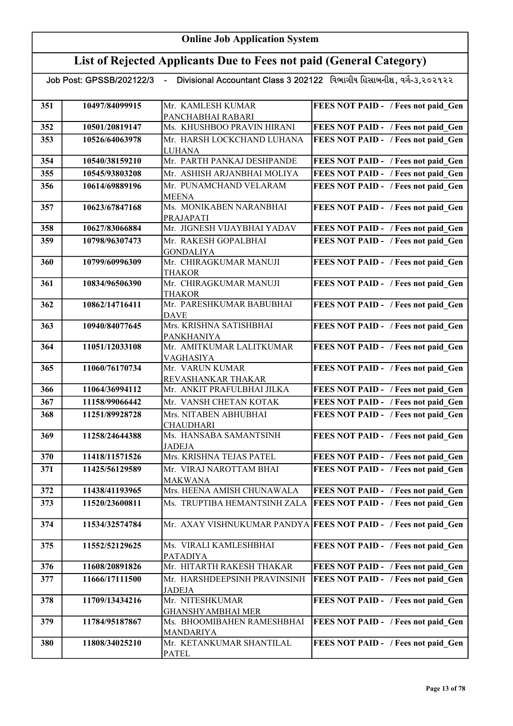# List of Rejected Applicants Due to Fees not paid (General Category)

| 351 | 10497/84099915 | Mr. KAMLESH KUMAR                             | FEES NOT PAID - / Fees not paid Gen                             |
|-----|----------------|-----------------------------------------------|-----------------------------------------------------------------|
|     |                | PANCHABHAI RABARI                             |                                                                 |
| 352 | 10501/20819147 | Ms. KHUSHBOO PRAVIN HIRANI                    | FEES NOT PAID - / Fees not paid Gen                             |
| 353 | 10526/64063978 | Mr. HARSH LOCKCHAND LUHANA                    | FEES NOT PAID - / Fees not paid Gen                             |
|     |                | <b>LUHANA</b>                                 |                                                                 |
| 354 | 10540/38159210 | Mr. PARTH PANKAJ DESHPANDE                    | FEES NOT PAID - / Fees not paid Gen                             |
| 355 | 10545/93803208 | Mr. ASHISH ARJANBHAI MOLIYA                   | FEES NOT PAID - / Fees not paid Gen                             |
| 356 | 10614/69889196 | Mr. PUNAMCHAND VELARAM                        | FEES NOT PAID - / Fees not paid Gen                             |
|     |                | <b>MEENA</b>                                  |                                                                 |
| 357 | 10623/67847168 | Ms. MONIKABEN NARANBHAI                       | FEES NOT PAID - / Fees not paid Gen                             |
|     |                | PRAJAPATI                                     |                                                                 |
| 358 | 10627/83066884 | Mr. JIGNESH VIJAYBHAI YADAV                   | FEES NOT PAID - / Fees not paid Gen                             |
| 359 | 10798/96307473 | Mr. RAKESH GOPALBHAI                          | FEES NOT PAID - / Fees not paid Gen                             |
| 360 | 10799/60996309 | <b>GONDALIYA</b><br>Mr. CHIRAGKUMAR MANUJI    | FEES NOT PAID - / Fees not paid Gen                             |
|     |                | THAKOR                                        |                                                                 |
| 361 | 10834/96506390 | Mr. CHIRAGKUMAR MANUJI                        | FEES NOT PAID - / Fees not paid Gen                             |
|     |                | <b>THAKOR</b>                                 |                                                                 |
| 362 | 10862/14716411 | Mr. PARESHKUMAR BABUBHAI                      | FEES NOT PAID - / Fees not paid Gen                             |
|     |                | <b>DAVE</b>                                   |                                                                 |
| 363 | 10940/84077645 | Mrs. KRISHNA SATISHBHAI                       | FEES NOT PAID - / Fees not paid Gen                             |
| 364 | 11051/12033108 | <b>PANKHANIYA</b><br>Mr. AMITKUMAR LALITKUMAR |                                                                 |
|     |                | VAGHASIYA                                     | FEES NOT PAID - / Fees not paid Gen                             |
| 365 | 11060/76170734 | Mr. VARUN KUMAR                               | FEES NOT PAID - / Fees not paid Gen                             |
|     |                | REVASHANKAR THAKAR                            |                                                                 |
| 366 | 11064/36994112 | Mr. ANKIT PRAFULBHAI JILKA                    | FEES NOT PAID - / Fees not paid Gen                             |
| 367 | 11158/99066442 | Mr. VANSH CHETAN KOTAK                        | <b>FEES NOT PAID - / Fees not paid Gen</b>                      |
| 368 | 11251/89928728 | Mrs. NITABEN ABHUBHAI                         | FEES NOT PAID - / Fees not paid Gen                             |
|     |                | <b>CHAUDHARI</b>                              |                                                                 |
| 369 | 11258/24644388 | Ms. HANSABA SAMANTSINH                        | FEES NOT PAID - / Fees not paid Gen                             |
| 370 | 11418/11571526 | <b>JADEJA</b><br>Mrs. KRISHNA TEJAS PATEL     | FEES NOT PAID - / Fees not paid Gen                             |
| 371 | 11425/56129589 | Mr. VIRAJ NAROTTAM BHAI                       | FEES NOT PAID - / Fees not paid Gen                             |
|     |                | <b>MAKWANA</b>                                |                                                                 |
| 372 | 11438/41193965 | Mrs. HEENA AMISH CHUNAWALA                    | FEES NOT PAID - / Fees not paid Gen                             |
| 373 | 11520/23600811 | Ms. TRUPTIBA HEMANTSINH ZALA                  | <b>FEES NOT PAID - / Fees not paid Gen</b>                      |
|     |                |                                               |                                                                 |
| 374 | 11534/32574784 |                                               | Mr. AXAY VISHNUKUMAR PANDYA FEES NOT PAID - / Fees not paid Gen |
|     |                |                                               |                                                                 |
| 375 | 11552/52129625 | Ms. VIRALI KAMLESHBHAI                        | FEES NOT PAID - / Fees not paid Gen                             |
| 376 | 11608/20891826 | <b>PATADIYA</b><br>Mr. HITARTH RAKESH THAKAR  | FEES NOT PAID - / Fees not paid Gen                             |
| 377 | 11666/17111500 | Mr. HARSHDEEPSINH PRAVINSINH                  | FEES NOT PAID - / Fees not paid Gen                             |
|     |                | <b>JADEJA</b>                                 |                                                                 |
| 378 | 11709/13434216 | Mr. NITESHKUMAR                               | FEES NOT PAID - / Fees not paid Gen                             |
|     |                | <b>GHANSHYAMBHAI MER</b>                      |                                                                 |
| 379 | 11784/95187867 | Ms. BHOOMIBAHEN RAMESHBHAI                    | FEES NOT PAID - / Fees not paid Gen                             |
|     |                | MANDARIYA                                     |                                                                 |
| 380 | 11808/34025210 | Mr. KETANKUMAR SHANTILAL                      | FEES NOT PAID - / Fees not paid Gen                             |
|     |                | <b>PATEL</b>                                  |                                                                 |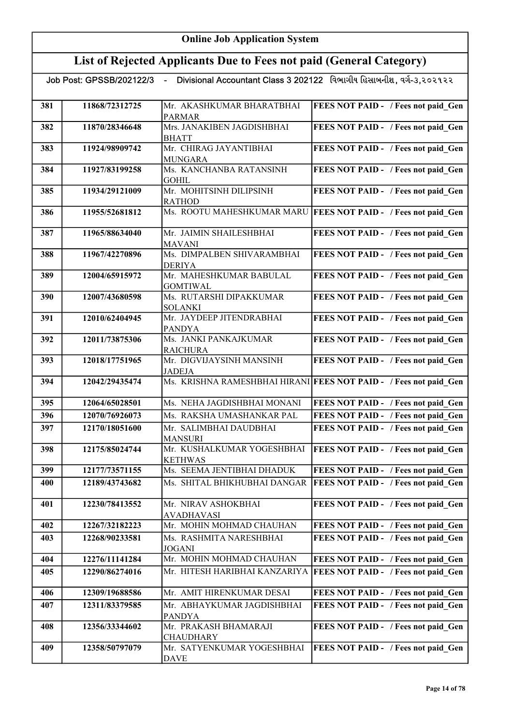| Job Post: GPSSB/202122/3 |  | Divisional Accountant Class 3 202122 વિભાગીય હિસાબનીશ, વર્ગ-૩,૨૦૨૧૨૨ |  |  |
|--------------------------|--|----------------------------------------------------------------------|--|--|
|--------------------------|--|----------------------------------------------------------------------|--|--|

| 381 | 11868/72312725 | Mr. AKASHKUMAR BHARATBHAI<br><b>PARMAR</b>   | <b>FEES NOT PAID - / Fees not paid Gen</b>                         |
|-----|----------------|----------------------------------------------|--------------------------------------------------------------------|
| 382 | 11870/28346648 | Mrs. JANAKIBEN JAGDISHBHAI<br><b>BHATT</b>   | FEES NOT PAID - / Fees not paid Gen                                |
| 383 | 11924/98909742 | Mr. CHIRAG JAYANTIBHAI<br><b>MUNGARA</b>     | FEES NOT PAID - / Fees not paid Gen                                |
| 384 | 11927/83199258 | Ms. KANCHANBA RATANSINH<br><b>GOHIL</b>      | FEES NOT PAID - / Fees not paid Gen                                |
| 385 | 11934/29121009 | Mr. MOHITSINH DILIPSINH<br><b>RATHOD</b>     | FEES NOT PAID - / Fees not paid Gen                                |
| 386 | 11955/52681812 |                                              | Ms. ROOTU MAHESHKUMAR MARU FEES NOT PAID - / Fees not paid Gen     |
| 387 | 11965/88634040 | Mr. JAIMIN SHAILESHBHAI<br>MAVANI            | FEES NOT PAID - / Fees not paid Gen                                |
| 388 | 11967/42270896 | Ms. DIMPALBEN SHIVARAMBHAI<br><b>DERIYA</b>  | FEES NOT PAID - / Fees not paid Gen                                |
| 389 | 12004/65915972 | Mr. MAHESHKUMAR BABULAL<br><b>GOMTIWAL</b>   | FEES NOT PAID - / Fees not paid_Gen                                |
| 390 | 12007/43680598 | Ms. RUTARSHI DIPAKKUMAR<br><b>SOLANKI</b>    | FEES NOT PAID - / Fees not paid Gen                                |
| 391 | 12010/62404945 | Mr. JAYDEEP JITENDRABHAI<br><b>PANDYA</b>    | FEES NOT PAID - / Fees not paid Gen                                |
| 392 | 12011/73875306 | Ms. JANKI PANKAJKUMAR<br><b>RAICHURA</b>     | FEES NOT PAID - / Fees not paid Gen                                |
| 393 | 12018/17751965 | Mr. DIGVIJAYSINH MANSINH<br><b>JADEJA</b>    | FEES NOT PAID - / Fees not paid Gen                                |
| 394 | 12042/29435474 |                                              | Ms. KRISHNA RAMESHBHAI HIRANI FEES NOT PAID - / Fees not paid Gen  |
| 395 | 12064/65028501 | Ms. NEHA JAGDISHBHAI MONANI                  | FEES NOT PAID - / Fees not paid Gen                                |
| 396 | 12070/76926073 | Ms. RAKSHA UMASHANKAR PAL                    | FEES NOT PAID - / Fees not paid Gen                                |
| 397 | 12170/18051600 | Mr. SALIMBHAI DAUDBHAI<br><b>MANSURI</b>     | FEES NOT PAID - / Fees not paid Gen                                |
| 398 | 12175/85024744 | Mr. KUSHALKUMAR YOGESHBHAI<br><b>KETHWAS</b> | <b>FEES NOT PAID - / Fees not paid Gen</b>                         |
| 399 | 12177/73571155 | Ms. SEEMA JENTIBHAI DHADUK                   | FEES NOT PAID - / Fees not paid Gen                                |
| 400 | 12189/43743682 |                                              | Ms. SHITAL BHIKHUBHAI DANGAR   FEES NOT PAID - / Fees not paid Gen |
| 401 | 12230/78413552 | Mr. NIRAV ASHOKBHAI<br><b>AVADHAVASI</b>     | FEES NOT PAID - / Fees not paid Gen                                |
| 402 | 12267/32182223 | Mr. MOHIN MOHMAD CHAUHAN                     | FEES NOT PAID - / Fees not paid Gen                                |
| 403 | 12268/90233581 | Ms. RASHMITA NARESHBHAI<br><b>JOGANI</b>     | FEES NOT PAID - / Fees not paid Gen                                |
| 404 | 12276/11141284 | Mr. MOHIN MOHMAD CHAUHAN                     | FEES NOT PAID - / Fees not paid Gen                                |
| 405 | 12290/86274016 | Mr. HITESH HARIBHAI KANZARIYA                | <b>FEES NOT PAID - / Fees not paid Gen</b>                         |
| 406 | 12309/19688586 | Mr. AMIT HIRENKUMAR DESAI                    | FEES NOT PAID - / Fees not paid Gen                                |
| 407 | 12311/83379585 | Mr. ABHAYKUMAR JAGDISHBHAI<br><b>PANDYA</b>  | FEES NOT PAID - / Fees not paid Gen                                |
| 408 | 12356/33344602 | Mr. PRAKASH BHAMARAJI<br><b>CHAUDHARY</b>    | FEES NOT PAID - / Fees not paid Gen                                |
| 409 | 12358/50797079 | Mr. SATYENKUMAR YOGESHBHAI<br>DAVE           | FEES NOT PAID - / Fees not paid Gen                                |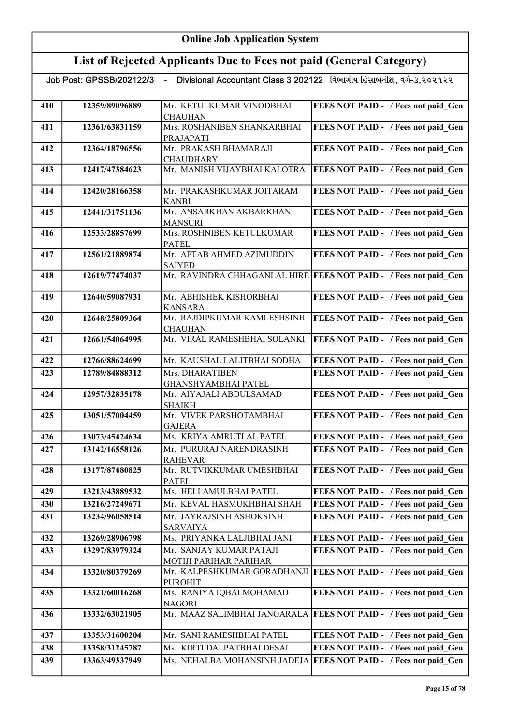| Job Post: GPSSB/202122/3 |  | Divisional Accountant Class 3 202122   વિભાગીય હિસાબનીશ, વર્ગ-૩,૨૦૨૧૨૨ |  |  |
|--------------------------|--|------------------------------------------------------------------------|--|--|
|--------------------------|--|------------------------------------------------------------------------|--|--|

| 410 | 12359/89096889 | Mr. KETULKUMAR VINODBHAI                  | FEES NOT PAID - / Fees not paid Gen                                |
|-----|----------------|-------------------------------------------|--------------------------------------------------------------------|
|     |                | <b>CHAUHAN</b>                            |                                                                    |
| 411 | 12361/63831159 | Mrs. ROSHANIBEN SHANKARBHAI<br>PRAJAPATI  | FEES NOT PAID - / Fees not paid Gen                                |
| 412 | 12364/18796556 | Mr. PRAKASH BHAMARAJI                     | FEES NOT PAID - / Fees not paid Gen                                |
|     |                | <b>CHAUDHARY</b>                          |                                                                    |
| 413 | 12417/47384623 | Mr. MANISH VIJAYBHAI KALOTRA              | FEES NOT PAID - / Fees not paid Gen                                |
| 414 | 12420/28166358 | Mr. PRAKASHKUMAR JOITARAM                 | FEES NOT PAID - / Fees not paid Gen                                |
|     |                | <b>KANBI</b>                              |                                                                    |
| 415 | 12441/31751136 | Mr. ANSARKHAN AKBARKHAN<br><b>MANSURI</b> | FEES NOT PAID - / Fees not paid Gen                                |
| 416 | 12533/28857699 | Mrs. ROSHNIBEN KETULKUMAR                 | FEES NOT PAID - / Fees not paid Gen                                |
|     |                | <b>PATEL</b>                              |                                                                    |
| 417 | 12561/21889874 | Mr. AFTAB AHMED AZIMUDDIN                 | FEES NOT PAID - / Fees not paid Gen                                |
|     |                | <b>SAIYED</b>                             |                                                                    |
| 418 | 12619/77474037 |                                           | Mr. RAVINDRA CHHAGANLAL HIRE   FEES NOT PAID - / Fees not paid_Gen |
| 419 | 12640/59087931 | Mr. ABHISHEK KISHORBHAI                   | FEES NOT PAID - / Fees not paid Gen                                |
|     |                | <b>KANSARA</b>                            |                                                                    |
| 420 | 12648/25809364 | Mr. RAJDIPKUMAR KAMLESHSINH               | FEES NOT PAID - / Fees not paid Gen                                |
|     |                | <b>CHAUHAN</b>                            |                                                                    |
| 421 | 12661/54064995 | Mr. VIRAL RAMESHBHAI SOLANKI              | FEES NOT PAID - / Fees not paid_Gen                                |
| 422 | 12766/88624699 | Mr. KAUSHAL LALITBHAI SODHA               | FEES NOT PAID - / Fees not paid Gen                                |
| 423 | 12789/84888312 | Mrs. DHARATIBEN                           | FEES NOT PAID - / Fees not paid Gen                                |
|     |                | <b>GHANSHYAMBHAI PATEL</b>                |                                                                    |
| 424 | 12957/32835178 | Mr. AIYAJALI ABDULSAMAD                   | FEES NOT PAID - / Fees not paid Gen                                |
|     |                | <b>SHAIKH</b>                             |                                                                    |
| 425 | 13051/57004459 | Mr. VIVEK PARSHOTAMBHAI<br><b>GAJERA</b>  | FEES NOT PAID - / Fees not paid Gen                                |
| 426 | 13073/45424634 | Ms. KRIYA AMRUTLAL PATEL                  | FEES NOT PAID - / Fees not paid Gen                                |
| 427 | 13142/16558126 | Mr. PURURAJ NARENDRASINH                  | FEES NOT PAID - / Fees not paid Gen                                |
|     |                | <b>RAHEVAR</b>                            |                                                                    |
| 428 | 13177/87480825 | Mr. RUTVIKKUMAR UMESHBHAI                 | FEES NOT PAID - / Fees not paid Gen                                |
|     |                | <b>PATEL</b>                              |                                                                    |
| 429 | 13213/43889532 | Ms. HELI AMULBHAI PATEL                   | FEES NOT PAID - / Fees not paid Gen                                |
| 430 | 13216/27249671 | Mr. KEVAL HASMUKHBHAI SHAH                | FEES NOT PAID - / Fees not paid Gen                                |
| 431 | 13234/96058514 | Mr. JAYRAJSINH ASHOKSINH                  | FEES NOT PAID - / Fees not paid Gen                                |
|     |                | <b>SARVAIYA</b>                           |                                                                    |
| 432 | 13269/28906798 | Ms. PRIYANKA LALJIBHAI JANI               | FEES NOT PAID - / Fees not paid Gen                                |
| 433 | 13297/83979324 | Mr. SANJAY KUMAR PATAJI                   | FEES NOT PAID - / Fees not paid Gen                                |
|     |                | MOTIJI PARIHAR PARIHAR                    |                                                                    |
| 434 | 13320/80379269 | Mr. KALPESHKUMAR GORADHANJI               | <b>FEES NOT PAID - / Fees not paid Gen</b>                         |
|     |                | <b>PUROHIT</b>                            |                                                                    |
| 435 | 13321/60016268 | Ms. RANIYA IQBALMOHAMAD                   | FEES NOT PAID - / Fees not paid Gen                                |
|     |                | NAGORI                                    |                                                                    |
| 436 | 13332/63021905 |                                           | Mr. MAAZ SALIMBHAI JANGARALA   FEES NOT PAID - / Fees not paid Gen |
| 437 | 13353/31600204 | Mr. SANI RAMESHBHAI PATEL                 | FEES NOT PAID - / Fees not paid Gen                                |
| 438 | 13358/31245787 | Ms. KIRTI DALPATBHAI DESAI                | FEES NOT PAID - / Fees not paid Gen                                |
| 439 | 13363/49337949 | Ms. NEHALBA MOHANSINH JADEJA              | <b>FEES NOT PAID - / Fees not paid Gen</b>                         |
|     |                |                                           |                                                                    |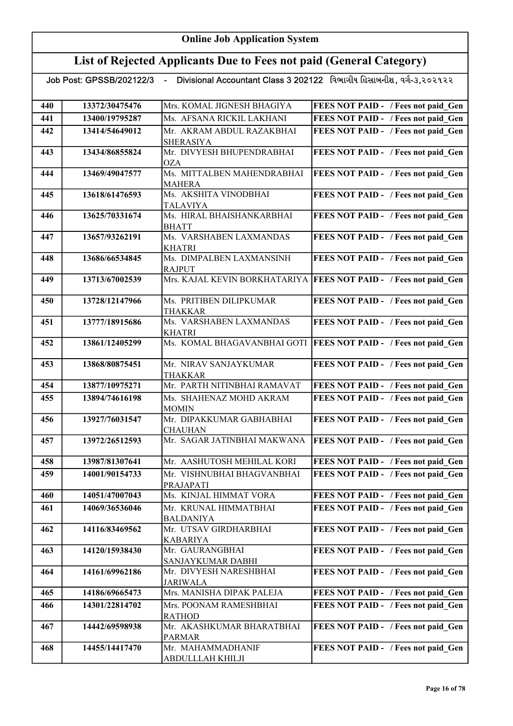# List of Rejected Applicants Due to Fees not paid (General Category)

| 440 | 13372/30475476 | Mrs. KOMAL JIGNESH BHAGIYA                     | FEES NOT PAID - / Fees not paid Gen        |
|-----|----------------|------------------------------------------------|--------------------------------------------|
| 441 | 13400/19795287 | Ms. AFSANA RICKIL LAKHANI                      | FEES NOT PAID - / Fees not paid Gen        |
| 442 | 13414/54649012 | Mr. AKRAM ABDUL RAZAKBHAI                      | FEES NOT PAID - / Fees not paid Gen        |
|     |                | <b>SHERASIYA</b>                               |                                            |
| 443 | 13434/86855824 | Mr. DIVYESH BHUPENDRABHAI                      | FEES NOT PAID - / Fees not paid_Gen        |
|     |                | <b>OZA</b>                                     |                                            |
| 444 | 13469/49047577 | Ms. MITTALBEN MAHENDRABHAI                     | FEES NOT PAID - / Fees not paid_Gen        |
|     |                | MAHERA                                         |                                            |
| 445 | 13618/61476593 | Ms. AKSHITA VINODBHAI                          | FEES NOT PAID - / Fees not paid Gen        |
|     |                | <b>TALAVIYA</b>                                |                                            |
| 446 | 13625/70331674 | Ms. HIRAL BHAISHANKARBHAI                      | FEES NOT PAID - / Fees not paid_Gen        |
|     |                | <b>BHATT</b>                                   |                                            |
| 447 | 13657/93262191 | Ms. VARSHABEN LAXMANDAS                        | FEES NOT PAID - / Fees not paid_Gen        |
|     |                | <b>KHATRI</b>                                  |                                            |
| 448 | 13686/66534845 | Ms. DIMPALBEN LAXMANSINH                       | FEES NOT PAID - / Fees not paid_Gen        |
|     |                | <b>RAJPUT</b><br>Mrs. KAJAL KEVIN BORKHATARIYA |                                            |
| 449 | 13713/67002539 |                                                | <b>FEES NOT PAID - / Fees not paid Gen</b> |
| 450 | 13728/12147966 | Ms. PRITIBEN DILIPKUMAR                        | FEES NOT PAID - / Fees not paid Gen        |
|     |                | <b>THAKKAR</b>                                 |                                            |
| 451 | 13777/18915686 | Ms. VARSHABEN LAXMANDAS                        | FEES NOT PAID - / Fees not paid Gen        |
|     |                | <b>KHATRI</b>                                  |                                            |
| 452 | 13861/12405299 | Ms. KOMAL BHAGAVANBHAI GOTI                    | <b>FEES NOT PAID - / Fees not paid Gen</b> |
|     |                |                                                |                                            |
| 453 | 13868/80875451 | Mr. NIRAV SANJAYKUMAR                          | FEES NOT PAID - / Fees not paid Gen        |
|     |                | <b>THAKKAR</b>                                 |                                            |
| 454 | 13877/10975271 | Mr. PARTH NITINBHAI RAMAVAT                    | FEES NOT PAID - / Fees not paid Gen        |
| 455 | 13894/74616198 | Ms. SHAHENAZ MOHD AKRAM                        | FEES NOT PAID - / Fees not paid Gen        |
|     |                | <b>MOMIN</b>                                   |                                            |
| 456 | 13927/76031547 | Mr. DIPAKKUMAR GABHABHAI                       | FEES NOT PAID - / Fees not paid Gen        |
|     |                | <b>CHAUHAN</b>                                 |                                            |
| 457 | 13972/26512593 | Mr. SAGAR JATINBHAI MAKWANA                    | FEES NOT PAID - / Fees not paid Gen        |
|     |                |                                                |                                            |
| 458 | 13987/81307641 | Mr. AASHUTOSH MEHILAL KORI                     | FEES NOT PAID - / Fees not paid Gen        |
| 459 | 14001/90154733 | Mr. VISHNUBHAI BHAGVANBHAI                     | FEES NOT PAID - / Fees not paid Gen        |
|     |                | PRAJAPATI                                      |                                            |
| 460 | 14051/47007043 | Ms. KINJAL HIMMAT VORA                         | FEES NOT PAID - / Fees not paid Gen        |
| 461 | 14069/36536046 | Mr. KRUNAL HIMMATBHAI                          | FEES NOT PAID - / Fees not paid Gen        |
|     |                | <b>BALDANIYA</b>                               |                                            |
| 462 | 14116/83469562 | Mr. UTSAV GIRDHARBHAI                          | FEES NOT PAID - / Fees not paid Gen        |
|     |                | <b>KABARIYA</b>                                |                                            |
| 463 | 14120/15938430 | Mr. GAURANGBHAI                                | FEES NOT PAID - / Fees not paid Gen        |
|     |                | SANJAYKUMAR DABHI                              |                                            |
| 464 | 14161/69962186 | Mr. DIVYESH NARESHBHAI                         | FEES NOT PAID - / Fees not paid Gen        |
|     |                | <b>JARIWALA</b>                                |                                            |
| 465 | 14186/69665473 | Mrs. MANISHA DIPAK PALEJA                      | FEES NOT PAID - / Fees not paid Gen        |
| 466 | 14301/22814702 | Mrs. POONAM RAMESHBHAI                         | FEES NOT PAID - / Fees not paid Gen        |
|     |                | <b>RATHOD</b>                                  |                                            |
| 467 | 14442/69598938 | Mr. AKASHKUMAR BHARATBHAI                      | FEES NOT PAID - / Fees not paid Gen        |
|     |                | <b>PARMAR</b>                                  |                                            |
| 468 | 14455/14417470 | Mr. MAHAMMADHANIF                              | FEES NOT PAID - / Fees not paid Gen        |
|     |                | ABDULLLAH KHILJI                               |                                            |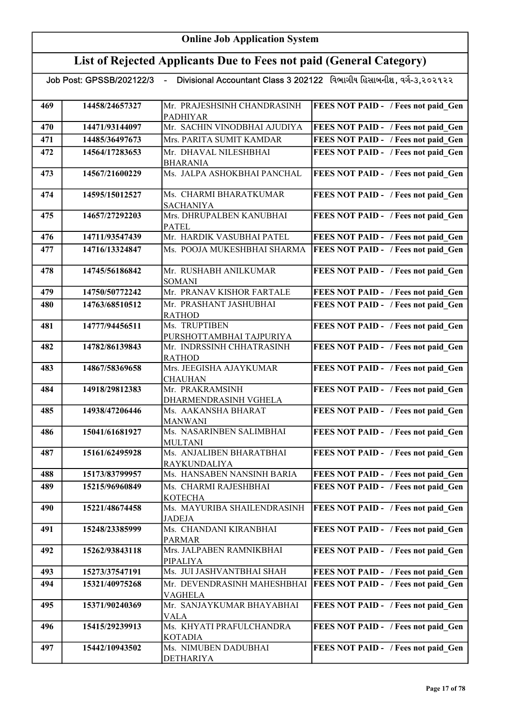|     |                | Job Post: GPSSB/202122/3  - Divisional Accountant Class 3 202122   વિભાગીય હિસાબનીશ, વગે-૩,૨૦૨૧૨૨ |                                     |
|-----|----------------|---------------------------------------------------------------------------------------------------|-------------------------------------|
| 469 | 14458/24657327 | Mr. PRAJESHSINH CHANDRASINH<br><b>PADHIYAR</b>                                                    | FEES NOT PAID - / Fees not paid Gen |
| 470 | 14471/93144097 | Mr. SACHIN VINODBHAI AJUDIYA                                                                      | FEES NOT PAID - / Fees not paid Gen |
| 471 | 14485/36497673 | Mrs. PARITA SUMIT KAMDAR                                                                          | FEES NOT PAID - / Fees not paid Gen |
| 472 | 14564/17283653 | Mr. DHAVAL NILESHBHAI<br><b>BHARANIA</b>                                                          | FEES NOT PAID - / Fees not paid Gen |
| 473 | 14567/21600229 | Ms. JALPA ASHOKBHAI PANCHAL                                                                       | FEES NOT PAID - / Fees not paid Gen |
| 474 | 14595/15012527 | Ms. CHARMI BHARATKUMAR<br><b>SACHANIYA</b>                                                        | FEES NOT PAID - / Fees not paid Gen |
| 475 | 14657/27292203 | Mrs. DHRUPALBEN KANUBHAI<br><b>PATEL</b>                                                          | FEES NOT PAID - / Fees not paid Gen |
| 476 | 14711/93547439 | Mr. HARDIK VASUBHAI PATEL                                                                         | FEES NOT PAID - / Fees not paid Gen |
| 477 | 14716/13324847 | Ms. POOJA MUKESHBHAI SHARMA                                                                       | FEES NOT PAID - / Fees not paid Gen |
| 478 | 14745/56186842 | Mr. RUSHABH ANILKUMAR<br><b>SOMANI</b>                                                            | FEES NOT PAID - / Fees not paid Gen |
| 479 | 14750/50772242 | Mr. PRANAV KISHOR FARTALE                                                                         | FEES NOT PAID - / Fees not paid_Gen |
| 480 | 14763/68510512 | Mr. PRASHANT JASHUBHAI<br><b>RATHOD</b>                                                           | FEES NOT PAID - / Fees not paid Gen |
| 481 | 14777/94456511 | Ms. TRUPTIBEN<br>PURSHOTTAMBHAI TAJPURIYA                                                         | FEES NOT PAID - / Fees not paid Gen |
| 482 | 14782/86139843 | Mr. INDRSSINH CHHATRASINH<br><b>RATHOD</b>                                                        | FEES NOT PAID - / Fees not paid Gen |
| 483 | 14867/58369658 | Mrs. JEEGISHA AJAYKUMAR<br><b>CHAUHAN</b>                                                         | FEES NOT PAID - / Fees not paid Gen |
| 484 | 14918/29812383 | Mr. PRAKRAMSINH<br>DHARMENDRASINH VGHELA                                                          | FEES NOT PAID - / Fees not paid Gen |
| 485 | 14938/47206446 | Ms. AAKANSHA BHARAT<br><b>MANWANI</b>                                                             | FEES NOT PAID - / Fees not paid Gen |
| 486 | 15041/61681927 | Ms. NASARINBEN SALIMBHAI<br><b>MULTANI</b>                                                        | FEES NOT PAID - / Fees not paid Gen |
| 487 | 15161/62495928 | Ms. ANJALIBEN BHARATBHAI<br>RAYKUNDALIYA                                                          | FEES NOT PAID - / Fees not paid_Gen |
| 488 | 15173/83799957 | Ms. HANSABEN NANSINH BARIA                                                                        | FEES NOT PAID - / Fees not paid Gen |
| 489 | 15215/96960849 | Ms. CHARMI RAJESHBHAI<br><b>KOTECHA</b>                                                           | FEES NOT PAID - / Fees not paid Gen |
| 490 | 15221/48674458 | Ms. MAYURIBA SHAILENDRASINH<br><b>JADEJA</b>                                                      | FEES NOT PAID - / Fees not paid Gen |
| 491 | 15248/23385999 | Ms. CHANDANI KIRANBHAI<br><b>PARMAR</b>                                                           | FEES NOT PAID - / Fees not paid Gen |
| 492 | 15262/93843118 | Mrs. JALPABEN RAMNIKBHAI<br>PIPALIYA                                                              | FEES NOT PAID - / Fees not paid Gen |
| 493 | 15273/37547191 | Ms. JUI JASHVANTBHAI SHAH                                                                         | FEES NOT PAID - / Fees not paid Gen |
| 494 | 15321/40975268 | Mr. DEVENDRASINH MAHESHBHAI<br>VAGHELA                                                            | FEES NOT PAID - / Fees not paid Gen |
| 495 | 15371/90240369 | Mr. SANJAYKUMAR BHAYABHAI<br>VALA                                                                 | FEES NOT PAID - / Fees not paid Gen |
| 496 | 15415/29239913 | Ms. KHYATI PRAFULCHANDRA<br><b>KOTADIA</b>                                                        | FEES NOT PAID - / Fees not paid Gen |
| 497 | 15442/10943502 | Ms. NIMUBEN DADUBHAI<br>DETHARIYA                                                                 | FEES NOT PAID - / Fees not paid Gen |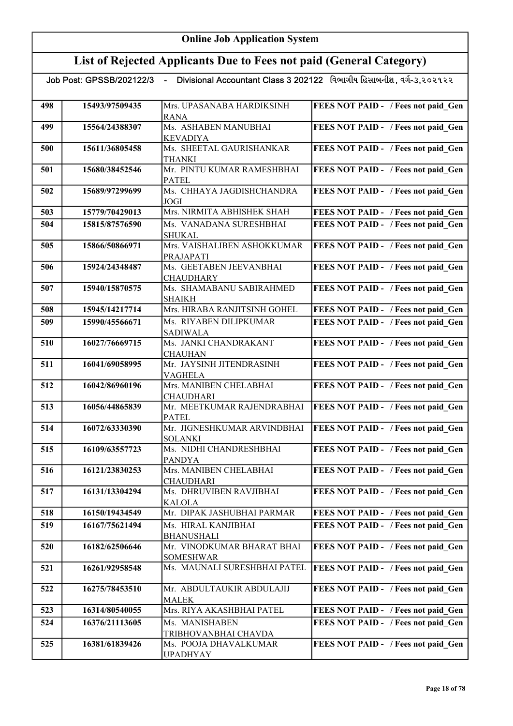| List of Rejected Applicants Due to Fees not paid (General Category) |                            |                                                |                                                                      |
|---------------------------------------------------------------------|----------------------------|------------------------------------------------|----------------------------------------------------------------------|
|                                                                     | Job Post: GPSSB/202122/3 - |                                                | Divisional Accountant Class 3 202122 વિભાગીય હિસાબનીશ, વર્ગ-૩,૨૦૨૧૨૨ |
| 498                                                                 | 15493/97509435             | Mrs. UPASANABA HARDIKSINH<br><b>RANA</b>       | FEES NOT PAID - / Fees not paid Gen                                  |
| 499                                                                 | 15564/24388307             | Ms. ASHABEN MANUBHAI<br><b>KEVADIYA</b>        | FEES NOT PAID - / Fees not paid Gen                                  |
| 500                                                                 | 15611/36805458             | Ms. SHEETAL GAURISHANKAR<br><b>THANKI</b>      | FEES NOT PAID - / Fees not paid Gen                                  |
| 501                                                                 | 15680/38452546             | Mr. PINTU KUMAR RAMESHBHAI<br><b>PATEL</b>     | FEES NOT PAID - / Fees not paid Gen                                  |
| 502                                                                 | 15689/97299699             | Ms. CHHAYA JAGDISHCHANDRA<br>JOGI              | FEES NOT PAID - / Fees not paid Gen                                  |
| 503                                                                 | 15779/70429013             | Mrs. NIRMITA ABHISHEK SHAH                     | FEES NOT PAID - / Fees not paid_Gen                                  |
| 504                                                                 | 15815/87576590             | Ms. VANADANA SURESHBHAI<br><b>SHUKAL</b>       | FEES NOT PAID - / Fees not paid Gen                                  |
| 505                                                                 | 15866/50866971             | Mrs. VAISHALIBEN ASHOKKUMAR<br>PRAJAPATI       | FEES NOT PAID - / Fees not paid Gen                                  |
| 506                                                                 | 15924/24348487             | Ms. GEETABEN JEEVANBHAI<br><b>CHAUDHARY</b>    | FEES NOT PAID - / Fees not paid Gen                                  |
| 507                                                                 | 15940/15870575             | Ms. SHAMABANU SABIRAHMED<br><b>SHAIKH</b>      | FEES NOT PAID - / Fees not paid Gen                                  |
| 508                                                                 | 15945/14217714             | Mrs. HIRABA RANJITSINH GOHEL                   | FEES NOT PAID - / Fees not paid Gen                                  |
| 509                                                                 | 15990/45566671             | Ms. RIYABEN DILIPKUMAR<br><b>SADIWALA</b>      | FEES NOT PAID - / Fees not paid Gen                                  |
| 510                                                                 | 16027/76669715             | Ms. JANKI CHANDRAKANT<br>CHAUHAN               | FEES NOT PAID - / Fees not paid Gen                                  |
| 511                                                                 | 16041/69058995             | Mr. JAYSINH JITENDRASINH<br>VAGHELA            | FEES NOT PAID - / Fees not paid Gen                                  |
| 512                                                                 | 16042/86960196             | Mrs. MANIBEN CHELABHAI<br><b>CHAUDHARI</b>     | FEES NOT PAID - / Fees not paid Gen                                  |
| 513                                                                 | 16056/44865839             | Mr. MEETKUMAR RAJENDRABHAI<br><b>PATEL</b>     | FEES NOT PAID - / Fees not paid Gen                                  |
| 514                                                                 | 16072/63330390             | Mr. JIGNESHKUMAR ARVINDBHAI<br><b>SOLANKI</b>  | FEES NOT PAID - / Fees not paid Gen                                  |
| 515                                                                 | 16109/63557723             | Ms. NIDHI CHANDRESHBHAI<br><b>PANDYA</b>       | FEES NOT PAID - / Fees not paid Gen                                  |
| 516                                                                 | 16121/23830253             | Mrs. MANIBEN CHELABHAI<br>CHAUDHARI            | FEES NOT PAID - / Fees not paid Gen                                  |
| 517                                                                 | 16131/13304294             | Ms. DHRUVIBEN RAVJIBHAI<br><b>KALOLA</b>       | FEES NOT PAID - / Fees not paid Gen                                  |
| 518                                                                 | 16150/19434549             | Mr. DIPAK JASHUBHAI PARMAR                     | FEES NOT PAID - / Fees not paid Gen                                  |
| 519                                                                 | 16167/75621494             | Ms. HIRAL KANJIBHAI<br><b>BHANUSHALI</b>       | FEES NOT PAID - / Fees not paid Gen                                  |
| 520                                                                 | 16182/62506646             | Mr. VINODKUMAR BHARAT BHAI<br><b>SOMESHWAR</b> | FEES NOT PAID - / Fees not paid Gen                                  |
| 521                                                                 | 16261/92958548             | Ms. MAUNALI SURESHBHAI PATEL                   | FEES NOT PAID - / Fees not paid Gen                                  |
| 522                                                                 | 16275/78453510             | Mr. ABDULTAUKIR ABDULAJIJ<br><b>MALEK</b>      | FEES NOT PAID - / Fees not paid Gen                                  |
| 523                                                                 | 16314/80540055             | Mrs. RIYA AKASHBHAI PATEL                      | FEES NOT PAID - / Fees not paid Gen                                  |
| 524                                                                 | 16376/21113605             | Ms. MANISHABEN<br>TRIBHOVANBHAI CHAVDA         | FEES NOT PAID - / Fees not paid Gen                                  |

525 16381/61839426 Ms. POOJA DHAVALKUMAR

UPADHYAY

FEES NOT PAID - / Fees not paid\_Gen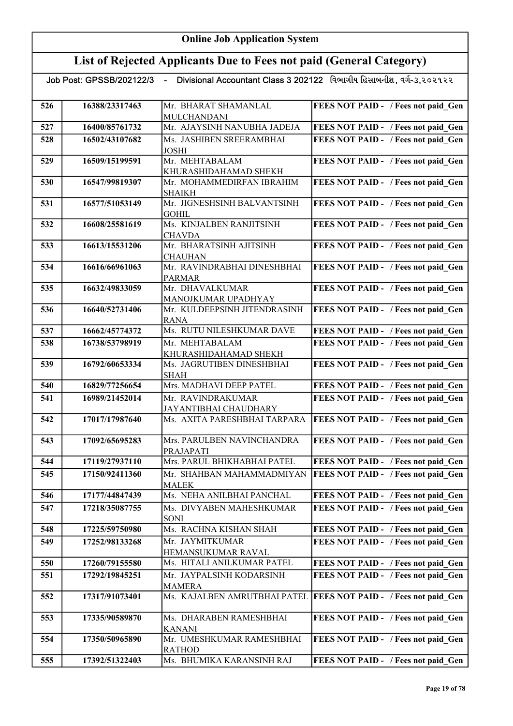# List of Rejected Applicants Due to Fees not paid (General Category)

| 526 | 16388/23317463 | Mr. BHARAT SHAMANLAL                       | FEES NOT PAID - / Fees not paid Gen        |
|-----|----------------|--------------------------------------------|--------------------------------------------|
| 527 | 16400/85761732 | MULCHANDANI<br>Mr. AJAYSINH NANUBHA JADEJA | FEES NOT PAID - / Fees not paid Gen        |
|     |                |                                            |                                            |
| 528 | 16502/43107682 | Ms. JASHIBEN SREERAMBHAI<br><b>JOSHI</b>   | FEES NOT PAID - / Fees not paid Gen        |
| 529 | 16509/15199591 | Mr. MEHTABALAM                             | FEES NOT PAID - / Fees not paid Gen        |
|     |                | KHURASHIDAHAMAD SHEKH                      |                                            |
| 530 | 16547/99819307 | Mr. MOHAMMEDIRFAN IBRAHIM<br><b>SHAIKH</b> | FEES NOT PAID - / Fees not paid Gen        |
| 531 | 16577/51053149 | Mr. JIGNESHSINH BALVANTSINH                | FEES NOT PAID - / Fees not paid Gen        |
|     |                | GOHIL                                      |                                            |
| 532 | 16608/25581619 | Ms. KINJALBEN RANJITSINH                   | FEES NOT PAID - / Fees not paid_Gen        |
|     |                | <b>CHAVDA</b>                              |                                            |
| 533 | 16613/15531206 | Mr. BHARATSINH AJITSINH                    | FEES NOT PAID - / Fees not paid Gen        |
|     |                | <b>CHAUHAN</b>                             |                                            |
| 534 | 16616/66961063 | Mr. RAVINDRABHAI DINESHBHAI                | FEES NOT PAID - / Fees not paid_Gen        |
| 535 | 16632/49833059 | <b>PARMAR</b><br>Mr. DHAVALKUMAR           | FEES NOT PAID - / Fees not paid Gen        |
|     |                | MANOJKUMAR UPADHYAY                        |                                            |
| 536 | 16640/52731406 | Mr. KULDEEPSINH JITENDRASINH               | FEES NOT PAID - / Fees not paid Gen        |
|     |                | <b>RANA</b>                                |                                            |
| 537 | 16662/45774372 | Ms. RUTU NILESHKUMAR DAVE                  | FEES NOT PAID - / Fees not paid Gen        |
| 538 | 16738/53798919 | Mr. MEHTABALAM                             | FEES NOT PAID - / Fees not paid Gen        |
|     |                | KHURASHIDAHAMAD SHEKH                      |                                            |
| 539 | 16792/60653334 | Ms. JAGRUTIBEN DINESHBHAI                  | FEES NOT PAID - / Fees not paid Gen        |
|     |                | <b>SHAH</b>                                |                                            |
| 540 | 16829/77256654 | Mrs. MADHAVI DEEP PATEL                    | FEES NOT PAID - / Fees not paid Gen        |
| 541 | 16989/21452014 | Mr. RAVINDRAKUMAR                          | FEES NOT PAID - / Fees not paid Gen        |
|     |                | JAYANTIBHAI CHAUDHARY                      |                                            |
| 542 | 17017/17987640 | Ms. AXITA PARESHBHAI TARPARA               | <b>FEES NOT PAID - / Fees not paid Gen</b> |
| 543 | 17092/65695283 | Mrs. PARULBEN NAVINCHANDRA                 | FEES NOT PAID - / Fees not paid Gen        |
|     |                | PRAJAPATI                                  |                                            |
| 544 | 17119/27937110 | Mrs. PARUL BHIKHABHAI PATEL                | FEES NOT PAID - / Fees not paid Gen        |
| 545 | 17150/92411360 | Mr. SHAHBAN MAHAMMADMIYAN                  | <b>FEES NOT PAID - / Fees not paid Gen</b> |
|     |                | <b>MALEK</b>                               |                                            |
| 546 | 17177/44847439 | Ms. NEHA ANILBHAI PANCHAL                  | FEES NOT PAID - / Fees not paid Gen        |
| 547 | 17218/35087755 | Ms. DIVYABEN MAHESHKUMAR<br><b>SONI</b>    | FEES NOT PAID - / Fees not paid Gen        |
| 548 | 17225/59750980 | Ms. RACHNA KISHAN SHAH                     | FEES NOT PAID - / Fees not paid Gen        |
| 549 | 17252/98133268 | Mr. JAYMITKUMAR                            | FEES NOT PAID - / Fees not paid Gen        |
|     |                | HEMANSUKUMAR RAVAL                         |                                            |
| 550 | 17260/79155580 | Ms. HITALI ANILKUMAR PATEL                 | FEES NOT PAID - / Fees not paid Gen        |
| 551 | 17292/19845251 | Mr. JAYPALSINH KODARSINH                   | FEES NOT PAID - / Fees not paid Gen        |
|     |                | <b>MAMERA</b>                              |                                            |
| 552 | 17317/91073401 | Ms. KAJALBEN AMRUTBHAI PATEL               | <b>FEES NOT PAID - / Fees not paid Gen</b> |
|     |                |                                            |                                            |
| 553 | 17335/90589870 | Ms. DHARABEN RAMESHBHAI                    | FEES NOT PAID - / Fees not paid Gen        |
| 554 |                | <b>KANANI</b><br>Mr. UMESHKUMAR RAMESHBHAI |                                            |
|     | 17350/50965890 | <b>RATHOD</b>                              | FEES NOT PAID - / Fees not paid Gen        |
| 555 | 17392/51322403 | Ms. BHUMIKA KARANSINH RAJ                  | FEES NOT PAID - / Fees not paid Gen        |
|     |                |                                            |                                            |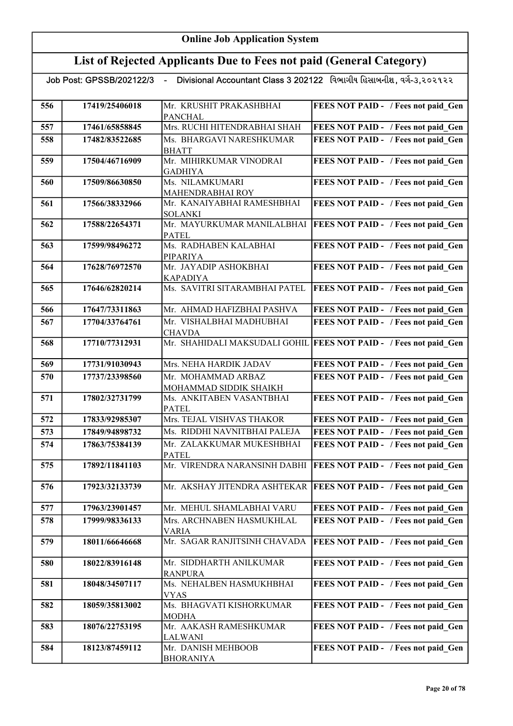# List of Rejected Applicants Due to Fees not paid (General Category)

| 556 | 17419/25406018 | Mr. KRUSHIT PRAKASHBHAI                        | FEES NOT PAID - / Fees not paid Gen                                |
|-----|----------------|------------------------------------------------|--------------------------------------------------------------------|
| 557 | 17461/65858845 | <b>PANCHAL</b><br>Mrs. RUCHI HITENDRABHAI SHAH | FEES NOT PAID - / Fees not paid Gen                                |
|     |                |                                                |                                                                    |
| 558 | 17482/83522685 | Ms. BHARGAVI NARESHKUMAR                       | FEES NOT PAID - / Fees not paid Gen                                |
| 559 | 17504/46716909 | <b>BHATT</b><br>Mr. MIHIRKUMAR VINODRAI        | FEES NOT PAID - / Fees not paid Gen                                |
|     |                | <b>GADHIYA</b>                                 |                                                                    |
| 560 | 17509/86630850 | Ms. NILAMKUMARI                                | FEES NOT PAID - / Fees not paid Gen                                |
|     |                | MAHENDRABHAI ROY                               |                                                                    |
| 561 | 17566/38332966 | Mr. KANAIYABHAI RAMESHBHAI                     | FEES NOT PAID - / Fees not paid_Gen                                |
|     |                | <b>SOLANKI</b>                                 |                                                                    |
| 562 | 17588/22654371 | Mr. MAYURKUMAR MANILALBHAI                     | <b>FEES NOT PAID - / Fees not paid_Gen</b>                         |
|     |                | <b>PATEL</b>                                   |                                                                    |
| 563 | 17599/98496272 | Ms. RADHABEN KALABHAI                          | FEES NOT PAID - / Fees not paid_Gen                                |
|     |                | PIPARIYA                                       |                                                                    |
| 564 | 17628/76972570 | Mr. JAYADIP ASHOKBHAI                          | FEES NOT PAID - / Fees not paid Gen                                |
|     |                | KAPADIYA<br>Ms. SAVITRI SITARAMBHAI PATEL      |                                                                    |
| 565 | 17646/62820214 |                                                | FEES NOT PAID - / Fees not paid Gen                                |
| 566 | 17647/73311863 | Mr. AHMAD HAFIZBHAI PASHVA                     | FEES NOT PAID - / Fees not paid Gen                                |
| 567 | 17704/33764761 | Mr. VISHALBHAI MADHUBHAI                       | FEES NOT PAID - / Fees not paid_Gen                                |
|     |                | <b>CHAVDA</b>                                  |                                                                    |
| 568 | 17710/77312931 | Mr. SHAHIDALI MAKSUDALI GOHIL                  | <b>FEES NOT PAID - / Fees not paid Gen</b>                         |
|     |                |                                                |                                                                    |
| 569 | 17731/91030943 | Mrs. NEHA HARDIK JADAV                         | FEES NOT PAID - / Fees not paid Gen                                |
| 570 | 17737/23398560 | Mr. MOHAMMAD ARBAZ                             | FEES NOT PAID - / Fees not paid Gen                                |
|     |                | MOHAMMAD SIDDIK SHAIKH                         |                                                                    |
| 571 | 17802/32731799 | Ms. ANKITABEN VASANTBHAI                       | FEES NOT PAID - / Fees not paid Gen                                |
|     |                | <b>PATEL</b>                                   |                                                                    |
| 572 | 17833/92985307 | Mrs. TEJAL VISHVAS THAKOR                      | FEES NOT PAID - / Fees not paid Gen                                |
| 573 | 17849/94898732 | Ms. RIDDHI NAVNITBHAI PALEJA                   | FEES NOT PAID - / Fees not paid Gen                                |
| 574 | 17863/75384139 | Mr. ZALAKKUMAR MUKESHBHAI<br><b>PATEL</b>      | FEES NOT PAID - / Fees not paid Gen                                |
| 575 | 17892/11841103 | Mr. VIRENDRA NARANSINH DABHI                   | FEES NOT PAID - / Fees not paid Gen                                |
|     |                |                                                |                                                                    |
| 576 | 17923/32133739 |                                                | Mr. AKSHAY JITENDRA ASHTEKAR   FEES NOT PAID - / Fees not paid Gen |
|     |                |                                                |                                                                    |
| 577 | 17963/23901457 | Mr. MEHUL SHAMLABHAI VARU                      | FEES NOT PAID - / Fees not paid Gen                                |
| 578 | 17999/98336133 | Mrs. ARCHNABEN HASMUKHLAL                      | FEES NOT PAID - / Fees not paid Gen                                |
|     |                | <b>VARIA</b>                                   |                                                                    |
| 579 | 18011/66646668 | Mr. SAGAR RANJITSINH CHAVADA                   | FEES NOT PAID - / Fees not paid Gen                                |
| 580 | 18022/83916148 | Mr. SIDDHARTH ANILKUMAR                        | FEES NOT PAID - / Fees not paid Gen                                |
|     |                | <b>RANPURA</b>                                 |                                                                    |
| 581 | 18048/34507117 | Ms. NEHALBEN HASMUKHBHAI                       | FEES NOT PAID - / Fees not paid Gen                                |
|     |                | VYAS                                           |                                                                    |
| 582 | 18059/35813002 | Ms. BHAGVATI KISHORKUMAR                       | FEES NOT PAID - / Fees not paid Gen                                |
|     |                | <b>MODHA</b>                                   |                                                                    |
| 583 | 18076/22753195 | Mr. AAKASH RAMESHKUMAR                         | FEES NOT PAID - / Fees not paid Gen                                |
|     |                | LALWANI                                        |                                                                    |
| 584 | 18123/87459112 | Mr. DANISH MEHBOOB                             | FEES NOT PAID - / Fees not paid Gen                                |
|     |                | <b>BHORANIYA</b>                               |                                                                    |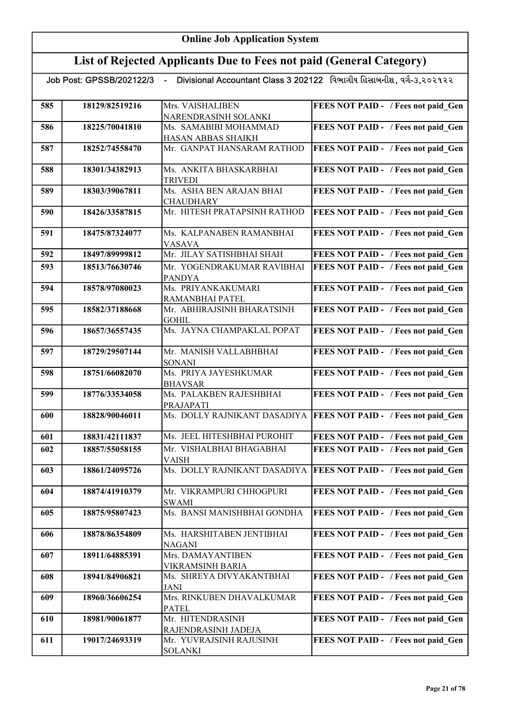# List of Rejected Applicants Due to Fees not paid (General Category)

| 585 | 18129/82519216 | Mrs. VAISHALIBEN                          | FEES NOT PAID - / Fees not paid Gen        |
|-----|----------------|-------------------------------------------|--------------------------------------------|
|     |                | NARENDRASINH SOLANKI                      |                                            |
| 586 | 18225/70041810 | Ms. SAMABIBI MOHAMMAD                     | FEES NOT PAID - / Fees not paid Gen        |
|     |                | HASAN ABBAS SHAIKH                        |                                            |
| 587 | 18252/74558470 | Mr. GANPAT HANSARAM RATHOD                | FEES NOT PAID - / Fees not paid Gen        |
| 588 | 18301/34382913 | Ms. ANKITA BHASKARBHAI<br><b>TRIVEDI</b>  | FEES NOT PAID - / Fees not paid Gen        |
| 589 | 18303/39067811 | Ms. ASHA BEN ARAJAN BHAI                  | FEES NOT PAID - / Fees not paid Gen        |
|     |                | <b>CHAUDHARY</b>                          |                                            |
| 590 | 18426/33587815 | Mr. HITESH PRATAPSINH RATHOD              | FEES NOT PAID - / Fees not paid Gen        |
| 591 | 18475/87324077 | Ms. KALPANABEN RAMANBHAI                  | FEES NOT PAID - / Fees not paid Gen        |
|     |                | VASAVA                                    |                                            |
| 592 | 18497/89999812 | Mr. JILAY SATISHBHAI SHAH                 | FEES NOT PAID - / Fees not paid Gen        |
| 593 | 18513/76630746 | Mr. YOGENDRAKUMAR RAVIBHAI                | FEES NOT PAID - / Fees not paid Gen        |
|     |                | <b>PANDYA</b>                             |                                            |
| 594 | 18578/97080023 | Ms. PRIYANKAKUMARI<br>RAMANBHAI PATEL     | FEES NOT PAID - / Fees not paid Gen        |
| 595 | 18582/37188668 | Mr. ABHIRAJSINH BHARATSINH                | FEES NOT PAID - / Fees not paid Gen        |
|     |                | <b>GOHIL</b>                              |                                            |
| 596 | 18657/36557435 | Ms. JAYNA CHAMPAKLAL POPAT                | FEES NOT PAID - / Fees not paid Gen        |
| 597 | 18729/29507144 | Mr. MANISH VALLABHBHAI                    | FEES NOT PAID - / Fees not paid Gen        |
|     |                | <b>SONANI</b>                             |                                            |
| 598 | 18751/66082070 | Ms. PRIYA JAYESHKUMAR                     | FEES NOT PAID - / Fees not paid Gen        |
|     |                | <b>BHAVSAR</b>                            |                                            |
| 599 | 18776/33534058 | Ms. PALAKBEN RAJESHBHAI                   | FEES NOT PAID - / Fees not paid Gen        |
| 600 | 18828/90046011 | PRAJAPATI<br>Ms. DOLLY RAJNIKANT DASADIYA | <b>FEES NOT PAID - / Fees not paid Gen</b> |
|     |                |                                           |                                            |
| 601 | 18831/42111837 | Ms. JEEL HITESHBHAI PUROHIT               | FEES NOT PAID - / Fees not paid_Gen        |
| 602 | 18857/55058155 | Mr. VISHALBHAI BHAGABHAI                  | FEES NOT PAID - / Fees not paid Gen        |
|     |                | VAISH                                     |                                            |
| 603 | 18861/24095726 | Ms. DOLLY RAJNIKANT DASADIYA              | <b>FEES NOT PAID - / Fees not paid Gen</b> |
|     |                |                                           |                                            |
| 604 | 18874/41910379 | Mr. VIKRAMPURI CHHOGPURI                  | FEES NOT PAID - / Fees not paid Gen        |
| 605 | 18875/95807423 | SWAMI<br>Ms. BANSI MANISHBHAI GONDHA      | FEES NOT PAID - / Fees not paid Gen        |
|     |                |                                           |                                            |
| 606 | 18878/86354809 | Ms. HARSHITABEN JENTIBHAI                 | FEES NOT PAID - / Fees not paid Gen        |
|     |                | <b>NAGANI</b>                             |                                            |
| 607 | 18911/64885391 | Mrs. DAMAYANTIBEN                         | FEES NOT PAID - / Fees not paid Gen        |
|     |                | VIKRAMSINH BARIA                          |                                            |
| 608 | 18941/84906821 | Ms. SHREYA DIVYAKANTBHAI                  | FEES NOT PAID - / Fees not paid Gen        |
|     | 18960/36606254 | <b>JANI</b><br>Mrs. RINKUBEN DHAVALKUMAR  | FEES NOT PAID - / Fees not paid Gen        |
| 609 |                | <b>PATEL</b>                              |                                            |
| 610 | 18981/90061877 | Mr. HITENDRASINH                          | FEES NOT PAID - / Fees not paid_Gen        |
|     |                | RAJENDRASINH JADEJA                       |                                            |
| 611 | 19017/24693319 | Mr. YUVRAJSINH RAJUSINH                   | FEES NOT PAID - / Fees not paid Gen        |
|     |                | <b>SOLANKI</b>                            |                                            |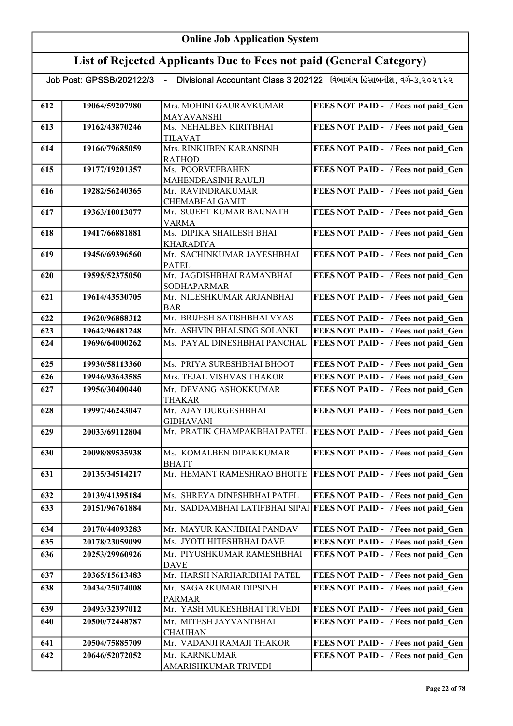# List of Rejected Applicants Due to Fees not paid (General Category)

| 612 | 19064/59207980 | Mrs. MOHINI GAURAVKUMAR                  | FEES NOT PAID - / Fees not paid Gen                                |
|-----|----------------|------------------------------------------|--------------------------------------------------------------------|
|     |                | MAYAVANSHI                               |                                                                    |
| 613 | 19162/43870246 | Ms. NEHALBEN KIRITBHAI                   | FEES NOT PAID - / Fees not paid Gen                                |
|     |                | <b>TILAVAT</b>                           |                                                                    |
| 614 | 19166/79685059 | Mrs. RINKUBEN KARANSINH<br><b>RATHOD</b> | FEES NOT PAID - / Fees not paid Gen                                |
| 615 | 19177/19201357 | Ms. POORVEEBAHEN                         | FEES NOT PAID - / Fees not paid Gen                                |
|     |                | MAHENDRASINH RAULJI                      |                                                                    |
| 616 | 19282/56240365 | Mr. RAVINDRAKUMAR                        | FEES NOT PAID - / Fees not paid Gen                                |
|     |                | CHEMABHAI GAMIT                          |                                                                    |
| 617 | 19363/10013077 | Mr. SUJEET KUMAR BAIJNATH                | FEES NOT PAID - / Fees not paid_Gen                                |
|     |                | VARMA                                    |                                                                    |
| 618 | 19417/66881881 | Ms. DIPIKA SHAILESH BHAI                 | FEES NOT PAID - / Fees not paid_Gen                                |
|     |                | KHARADIYA                                |                                                                    |
| 619 | 19456/69396560 | Mr. SACHINKUMAR JAYESHBHAI               | FEES NOT PAID - / Fees not paid Gen                                |
|     |                | <b>PATEL</b>                             |                                                                    |
| 620 | 19595/52375050 | Mr. JAGDISHBHAI RAMANBHAI                | FEES NOT PAID - / Fees not paid Gen                                |
|     |                | <b>SODHAPARMAR</b>                       |                                                                    |
| 621 | 19614/43530705 | Mr. NILESHKUMAR ARJANBHAI                | FEES NOT PAID - / Fees not paid Gen                                |
| 622 | 19620/96888312 | BAR<br>Mr. BRIJESH SATISHBHAI VYAS       | FEES NOT PAID - / Fees not paid Gen                                |
| 623 | 19642/96481248 | Mr. ASHVIN BHALSING SOLANKI              | FEES NOT PAID - / Fees not paid Gen                                |
|     |                |                                          |                                                                    |
| 624 | 19696/64000262 | Ms. PAYAL DINESHBHAI PANCHAL             | FEES NOT PAID - / Fees not paid Gen                                |
| 625 | 19930/58113360 | Ms. PRIYA SURESHBHAI BHOOT               | FEES NOT PAID - / Fees not paid Gen                                |
| 626 | 19946/93643585 | Mrs. TEJAL VISHVAS THAKOR                | FEES NOT PAID - / Fees not paid Gen                                |
| 627 | 19956/30400440 | Mr. DEVANG ASHOKKUMAR                    | FEES NOT PAID - / Fees not paid Gen                                |
|     |                | <b>THAKAR</b>                            |                                                                    |
| 628 | 19997/46243047 | Mr. AJAY DURGESHBHAI                     | FEES NOT PAID - / Fees not paid Gen                                |
|     |                | <b>GIDHAVANI</b>                         |                                                                    |
| 629 | 20033/69112804 | Mr. PRATIK CHAMPAKBHAI PATEL             | <b>FEES NOT PAID - / Fees not paid Gen</b>                         |
| 630 | 20098/89535938 | Ms. KOMALBEN DIPAKKUMAR                  | FEES NOT PAID - / Fees not paid Gen                                |
|     |                | <b>BHATT</b>                             |                                                                    |
| 631 | 20135/34514217 | Mr. HEMANT RAMESHRAO BHOITE              | <b>FEES NOT PAID - / Fees not paid Gen</b>                         |
|     |                |                                          |                                                                    |
| 632 | 20139/41395184 | Ms. SHREYA DINESHBHAI PATEL              | FEES NOT PAID - / Fees not paid Gen                                |
| 633 | 20151/96761884 |                                          | Mr. SADDAMBHAI LATIFBHAI SIPAI FEES NOT PAID - / Fees not paid Gen |
|     |                |                                          |                                                                    |
| 634 | 20170/44093283 | Mr. MAYUR KANJIBHAI PANDAV               | FEES NOT PAID - / Fees not paid Gen                                |
| 635 | 20178/23059099 | Ms. JYOTI HITESHBHAI DAVE                | FEES NOT PAID - / Fees not paid Gen                                |
| 636 | 20253/29960926 | Mr. PIYUSHKUMAR RAMESHBHAI               | FEES NOT PAID - / Fees not paid Gen                                |
|     |                | <b>DAVE</b>                              |                                                                    |
| 637 | 20365/15613483 | Mr. HARSH NARHARIBHAI PATEL              | FEES NOT PAID - / Fees not paid Gen                                |
| 638 | 20434/25074008 | Mr. SAGARKUMAR DIPSINH                   | FEES NOT PAID - / Fees not paid Gen                                |
|     |                | <b>PARMAR</b>                            |                                                                    |
| 639 | 20493/32397012 | Mr. YASH MUKESHBHAI TRIVEDI              | FEES NOT PAID - / Fees not paid Gen                                |
| 640 | 20500/72448787 | Mr. MITESH JAYVANTBHAI                   | FEES NOT PAID - / Fees not paid Gen                                |
|     |                | <b>CHAUHAN</b>                           |                                                                    |
| 641 | 20504/75885709 | Mr. VADANJI RAMAJI THAKOR                | FEES NOT PAID - / Fees not paid Gen                                |
| 642 | 20646/52072052 | Mr. KARNKUMAR                            | FEES NOT PAID - / Fees not paid Gen                                |
|     |                | AMARISHKUMAR TRIVEDI                     |                                                                    |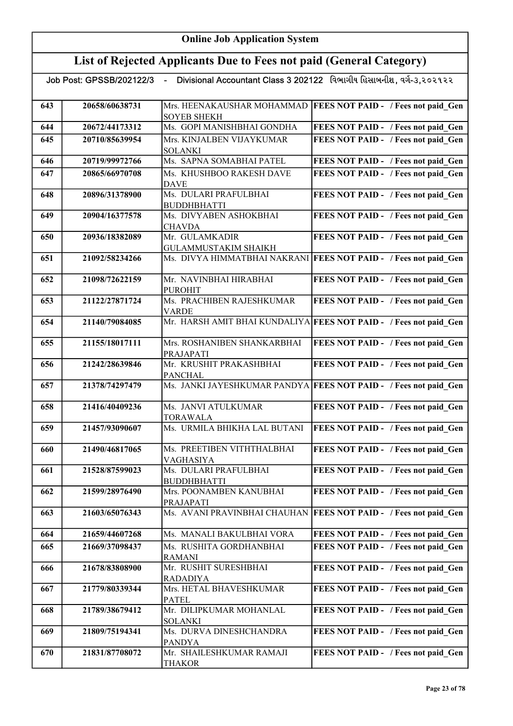| Divisional Accountant Class 3 202122 વિભાગીય હિસાબનીશ, વર્ગ-૩,૨૦૨૧૨૨<br>Job Post: GPSSB/202122/3<br>$\sim$ |                |                                                  |                                                                   |
|------------------------------------------------------------------------------------------------------------|----------------|--------------------------------------------------|-------------------------------------------------------------------|
| 643                                                                                                        | 20658/60638731 | Mrs. HEENAKAUSHAR MOHAMMAD<br><b>SOYEB SHEKH</b> | <b>FEES NOT PAID - / Fees not paid Gen</b>                        |
| 644                                                                                                        | 20672/44173312 | Ms. GOPI MANISHBHAI GONDHA                       | FEES NOT PAID - / Fees not paid Gen                               |
| 645                                                                                                        | 20710/85639954 | Mrs. KINJALBEN VIJAYKUMAR<br><b>SOLANKI</b>      | FEES NOT PAID - / Fees not paid Gen                               |
| 646                                                                                                        | 20719/99972766 | Ms. SAPNA SOMABHAI PATEL                         | FEES NOT PAID - / Fees not paid Gen                               |
| 647                                                                                                        | 20865/66970708 | Ms. KHUSHBOO RAKESH DAVE<br><b>DAVE</b>          | FEES NOT PAID - / Fees not paid Gen                               |
| 648                                                                                                        | 20896/31378900 | Ms. DULARI PRAFULBHAI<br><b>BUDDHBHATTI</b>      | FEES NOT PAID - / Fees not paid Gen                               |
| 649                                                                                                        | 20904/16377578 | Ms. DIVYABEN ASHOKBHAI<br><b>CHAVDA</b>          | FEES NOT PAID - / Fees not paid Gen                               |
| 650                                                                                                        | 20936/18382089 | Mr. GULAMKADIR<br><b>GULAMMUSTAKIM SHAIKH</b>    | FEES NOT PAID - / Fees not paid Gen                               |
| 651                                                                                                        | 21092/58234266 |                                                  | Ms. DIVYA HIMMATBHAI NAKRANI FEES NOT PAID - / Fees not paid Gen  |
| 652                                                                                                        | 21098/72622159 | Mr. NAVINBHAI HIRABHAI<br><b>PUROHIT</b>         | FEES NOT PAID - / Fees not paid Gen                               |
| 653                                                                                                        | 21122/27871724 | Ms. PRACHIBEN RAJESHKUMAR<br><b>VARDE</b>        | FEES NOT PAID - / Fees not paid Gen                               |
| 654                                                                                                        | 21140/79084085 |                                                  | Mr. HARSH AMIT BHAI KUNDALIYA FEES NOT PAID - / Fees not paid Gen |
| 655                                                                                                        | 21155/18017111 | Mrs. ROSHANIBEN SHANKARBHAI<br>PRAJAPATI         | FEES NOT PAID - / Fees not paid Gen                               |
| 656                                                                                                        | 21242/28639846 | Mr. KRUSHIT PRAKASHBHAI<br><b>PANCHAL</b>        | FEES NOT PAID - / Fees not paid Gen                               |
| 657                                                                                                        | 21378/74297479 |                                                  | Ms. JANKI JAYESHKUMAR PANDYA FEES NOT PAID - / Fees not paid_Gen  |
| 658                                                                                                        | 21416/40409236 | Ms. JANVI ATULKUMAR<br><b>TORAWALA</b>           | FEES NOT PAID - / Fees not paid_Gen                               |
| 659                                                                                                        | 21457/93090607 | Ms. URMILA BHIKHA LAL BUTANI                     | FEES NOT PAID - / Fees not paid Gen                               |
| 660                                                                                                        | 21490/46817065 | Ms. PREETIBEN VITHTHALBHAI<br>VAGHASIYA          | FEES NOT PAID - / Fees not paid Gen                               |
| 661                                                                                                        | 21528/87599023 | Ms. DULARI PRAFULBHAI<br><b>BUDDHBHATTI</b>      | FEES NOT PAID - / Fees not paid Gen                               |
| 662                                                                                                        | 21599/28976490 | Mrs. POONAMBEN KANUBHAI<br>PRAJAPATI             | FEES NOT PAID - / Fees not paid Gen                               |
| 663                                                                                                        | 21603/65076343 | Ms. AVANI PRAVINBHAI CHAUHAN                     | <b>FEES NOT PAID - / Fees not paid Gen</b>                        |
| 664                                                                                                        | 21659/44607268 | Ms. MANALI BAKULBHAI VORA                        | FEES NOT PAID - / Fees not paid Gen                               |
| 665                                                                                                        | 21669/37098437 | Ms. RUSHITA GORDHANBHAI<br><b>RAMANI</b>         | FEES NOT PAID - / Fees not paid_Gen                               |
| 666                                                                                                        | 21678/83808900 | Mr. RUSHIT SURESHBHAI<br><b>RADADIYA</b>         | FEES NOT PAID - / Fees not paid Gen                               |
| 667                                                                                                        | 21779/80339344 | Mrs. HETAL BHAVESHKUMAR<br><b>PATEL</b>          | FEES NOT PAID - / Fees not paid Gen                               |
| 668                                                                                                        | 21789/38679412 | Mr. DILIPKUMAR MOHANLAL<br><b>SOLANKI</b>        | FEES NOT PAID - / Fees not paid Gen                               |
| 669                                                                                                        | 21809/75194341 | Ms. DURVA DINESHCHANDRA<br><b>PANDYA</b>         | FEES NOT PAID - / Fees not paid_Gen                               |
| 670                                                                                                        | 21831/87708072 | Mr. SHAILESHKUMAR RAMAJI<br><b>THAKOR</b>        | FEES NOT PAID - / Fees not paid Gen                               |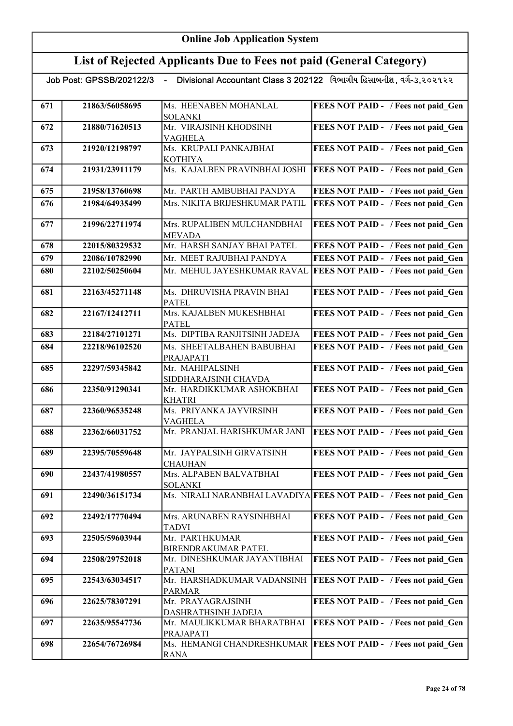# List of Rejected Applicants Due to Fees not paid (General Category)

|  | Job Post: GPSSB/202122/3 |  |
|--|--------------------------|--|

| 671 | 21863/56058695 | Ms. HEENABEN MOHANLAL                    | FEES NOT PAID - / Fees not paid Gen                               |
|-----|----------------|------------------------------------------|-------------------------------------------------------------------|
|     |                | <b>SOLANKI</b>                           |                                                                   |
| 672 | 21880/71620513 | Mr. VIRAJSINH KHODSINH                   | FEES NOT PAID - / Fees not paid Gen                               |
|     |                | VAGHELA                                  |                                                                   |
| 673 | 21920/12198797 | Ms. KRUPALI PANKAJBHAI<br><b>KOTHIYA</b> | FEES NOT PAID - / Fees not paid Gen                               |
| 674 | 21931/23911179 | Ms. KAJALBEN PRAVINBHAI JOSHI            | <b>FEES NOT PAID - / Fees not paid Gen</b>                        |
|     |                |                                          |                                                                   |
| 675 | 21958/13760698 | Mr. PARTH AMBUBHAI PANDYA                | FEES NOT PAID - / Fees not paid Gen                               |
| 676 | 21984/64935499 | Mrs. NIKITA BRIJESHKUMAR PATIL           | FEES NOT PAID - / Fees not paid Gen                               |
| 677 | 21996/22711974 | Mrs. RUPALIBEN MULCHANDBHAI              | FEES NOT PAID - / Fees not paid_Gen                               |
|     |                | <b>MEVADA</b>                            |                                                                   |
| 678 | 22015/80329532 | Mr. HARSH SANJAY BHAI PATEL              | FEES NOT PAID - / Fees not paid Gen                               |
| 679 | 22086/10782990 | Mr. MEET RAJUBHAI PANDYA                 | FEES NOT PAID - / Fees not paid Gen                               |
|     |                |                                          |                                                                   |
| 680 | 22102/50250604 | Mr. MEHUL JAYESHKUMAR RAVAL              | <b>FEES NOT PAID - / Fees not paid Gen</b>                        |
| 681 | 22163/45271148 | Ms. DHRUVISHA PRAVIN BHAI                | FEES NOT PAID - / Fees not paid Gen                               |
|     |                | <b>PATEL</b>                             |                                                                   |
| 682 | 22167/12412711 | Mrs. KAJALBEN MUKESHBHAI                 | FEES NOT PAID - / Fees not paid Gen                               |
|     |                | <b>PATEL</b>                             |                                                                   |
| 683 | 22184/27101271 | Ms. DIPTIBA RANJITSINH JADEJA            | FEES NOT PAID - / Fees not paid Gen                               |
| 684 | 22218/96102520 | Ms. SHEETALBAHEN BABUBHAI                | FEES NOT PAID - / Fees not paid Gen                               |
|     |                | PRAJAPATI                                |                                                                   |
| 685 | 22297/59345842 | Mr. MAHIPALSINH                          | FEES NOT PAID - / Fees not paid_Gen                               |
|     |                | SIDDHARAJSINH CHAVDA                     |                                                                   |
| 686 | 22350/91290341 | Mr. HARDIKKUMAR ASHOKBHAI                | FEES NOT PAID - / Fees not paid_Gen                               |
|     |                | <b>KHATRI</b>                            |                                                                   |
| 687 | 22360/96535248 | Ms. PRIYANKA JAYVIRSINH                  | FEES NOT PAID - / Fees not paid_Gen                               |
|     |                | VAGHELA                                  |                                                                   |
| 688 | 22362/66031752 | Mr. PRANJAL HARISHKUMAR JANI             | FEES NOT PAID - / Fees not paid_Gen                               |
|     | 22395/70559648 | Mr. JAYPALSINH GIRVATSINH                |                                                                   |
| 689 |                | <b>CHAUHAN</b>                           | FEES NOT PAID - / Fees not paid Gen                               |
| 690 | 22437/41980557 | Mrs. ALPABEN BALVATBHAI                  | FEES NOT PAID - / Fees not paid Gen                               |
|     |                | <b>SOLANKI</b>                           |                                                                   |
| 691 | 22490/36151734 |                                          | Ms. NIRALI NARANBHAI LAVADIYA FEES NOT PAID - / Fees not paid Gen |
|     |                |                                          |                                                                   |
| 692 | 22492/17770494 | Mrs. ARUNABEN RAYSINHBHAI                | FEES NOT PAID - / Fees not paid Gen                               |
|     |                | <b>TADVI</b>                             |                                                                   |
| 693 | 22505/59603944 | Mr. PARTHKUMAR                           | FEES NOT PAID - / Fees not paid Gen                               |
|     |                | <b>BIRENDRAKUMAR PATEL</b>               |                                                                   |
| 694 | 22508/29752018 | Mr. DINESHKUMAR JAYANTIBHAI              | FEES NOT PAID - / Fees not paid Gen                               |
|     |                | <b>PATANI</b>                            |                                                                   |
| 695 | 22543/63034517 | Mr. HARSHADKUMAR VADANSINH               | <b>FEES NOT PAID - / Fees not paid Gen</b>                        |
|     |                | <b>PARMAR</b>                            |                                                                   |
| 696 | 22625/78307291 | Mr. PRAYAGRAJSINH                        | FEES NOT PAID - / Fees not paid_Gen                               |
|     |                | DASHRATHSINH JADEJA                      |                                                                   |
| 697 | 22635/95547736 | Mr. MAULIKKUMAR BHARATBHAI               | FEES NOT PAID - / Fees not paid_Gen                               |
|     |                | PRAJAPATI                                |                                                                   |
| 698 | 22654/76726984 | Ms. HEMANGI CHANDRESHKUMAR               | <b>FEES NOT PAID - / Fees not paid Gen</b>                        |
|     |                | <u>RANA</u>                              |                                                                   |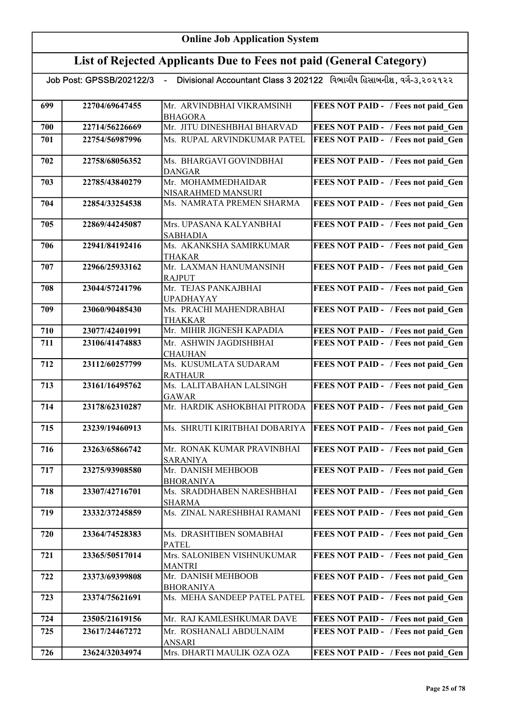| Divisional Accountant Class 3 202122 વિભાગીય હિસાબનીશ, વર્ગ-૩,૨૦૨૧૨૨<br>Job Post: GPSSB/202122/3 - |                |                                               |                                            |
|----------------------------------------------------------------------------------------------------|----------------|-----------------------------------------------|--------------------------------------------|
| 699                                                                                                | 22704/69647455 | Mr. ARVINDBHAI VIKRAMSINH                     | FEES NOT PAID - / Fees not paid Gen        |
| 700                                                                                                | 22714/56226669 | <b>BHAGORA</b><br>Mr. JITU DINESHBHAI BHARVAD | FEES NOT PAID - / Fees not paid Gen        |
|                                                                                                    |                |                                               |                                            |
| 701                                                                                                | 22754/56987996 | Ms. RUPAL ARVINDKUMAR PATEL                   | FEES NOT PAID - / Fees not paid Gen        |
| 702                                                                                                | 22758/68056352 | Ms. BHARGAVI GOVINDBHAI<br><b>DANGAR</b>      | FEES NOT PAID - / Fees not paid Gen        |
| 703                                                                                                | 22785/43840279 | Mr. MOHAMMEDHAIDAR                            | FEES NOT PAID - / Fees not paid_Gen        |
|                                                                                                    |                | NISARAHMED MANSURI                            |                                            |
| 704                                                                                                | 22854/33254538 | Ms. NAMRATA PREMEN SHARMA                     | FEES NOT PAID - / Fees not paid Gen        |
| 705                                                                                                | 22869/44245087 | Mrs. UPASANA KALYANBHAI<br><b>SABHADIA</b>    | FEES NOT PAID - / Fees not paid Gen        |
| 706                                                                                                | 22941/84192416 | Ms. AKANKSHA SAMIRKUMAR<br><b>THAKAR</b>      | FEES NOT PAID - / Fees not paid Gen        |
| 707                                                                                                | 22966/25933162 | Mr. LAXMAN HANUMANSINH<br><b>RAJPUT</b>       | FEES NOT PAID - / Fees not paid Gen        |
| 708                                                                                                | 23044/57241796 | Mr. TEJAS PANKAJBHAI<br><b>UPADHAYAY</b>      | FEES NOT PAID - / Fees not paid Gen        |
| 709                                                                                                | 23060/90485430 | Ms. PRACHI MAHENDRABHAI<br>THAKKAR            | FEES NOT PAID - / Fees not paid Gen        |
| 710                                                                                                | 23077/42401991 | Mr. MIHIR JIGNESH KAPADIA                     | FEES NOT PAID - / Fees not paid Gen        |
| 711                                                                                                | 23106/41474883 | Mr. ASHWIN JAGDISHBHAI                        | FEES NOT PAID - / Fees not paid Gen        |
|                                                                                                    |                | <b>CHAUHAN</b>                                |                                            |
| 712                                                                                                | 23112/60257799 | Ms. KUSUMLATA SUDARAM<br><b>RATHAUR</b>       | FEES NOT PAID - / Fees not paid Gen        |
| 713                                                                                                | 23161/16495762 | Ms. LALITABAHAN LALSINGH<br><b>GAWAR</b>      | FEES NOT PAID - / Fees not paid Gen        |
| 714                                                                                                | 23178/62310287 | Mr. HARDIK ASHOKBHAI PITRODA                  | FEES NOT PAID - / Fees not paid Gen        |
| 715                                                                                                | 23239/19460913 | Ms. SHRUTI KIRITBHAI DOBARIYA                 | <b>FEES NOT PAID - / Fees not paid Gen</b> |
| 716                                                                                                | 23263/65866742 | Mr. RONAK KUMAR PRAVINBHAI<br><b>SARANIYA</b> | FEES NOT PAID - / Fees not paid Gen        |
| 717                                                                                                | 23275/93908580 | Mr. DANISH MEHBOOB<br><b>BHORANIYA</b>        | FEES NOT PAID - / Fees not paid Gen        |
| 718                                                                                                | 23307/42716701 | Ms. SRADDHABEN NARESHBHAI<br><b>SHARMA</b>    | FEES NOT PAID - / Fees not paid Gen        |
| 719                                                                                                | 23332/37245859 | Ms. ZINAL NARESHBHAI RAMANI                   | FEES NOT PAID - / Fees not paid Gen        |
| 720                                                                                                | 23364/74528383 | Ms. DRASHTIBEN SOMABHAI<br><b>PATEL</b>       | FEES NOT PAID - / Fees not paid Gen        |
| 721                                                                                                | 23365/50517014 | Mrs. SALONIBEN VISHNUKUMAR<br><b>MANTRI</b>   | FEES NOT PAID - / Fees not paid Gen        |
| 722                                                                                                | 23373/69399808 | Mr. DANISH MEHBOOB<br><b>BHORANIYA</b>        | FEES NOT PAID - / Fees not paid Gen        |
| 723                                                                                                | 23374/75621691 | Ms. MEHA SANDEEP PATEL PATEL                  | FEES NOT PAID - / Fees not paid Gen        |
| 724                                                                                                | 23505/21619156 | Mr. RAJ KAMLESHKUMAR DAVE                     | FEES NOT PAID - / Fees not paid Gen        |
| 725                                                                                                | 23617/24467272 | Mr. ROSHANALI ABDULNAIM                       | FEES NOT PAID - / Fees not paid Gen        |
|                                                                                                    |                | <b>ANSARI</b>                                 |                                            |
| 726                                                                                                | 23624/32034974 | Mrs. DHARTI MAULIK OZA OZA                    | FEES NOT PAID - / Fees not paid Gen        |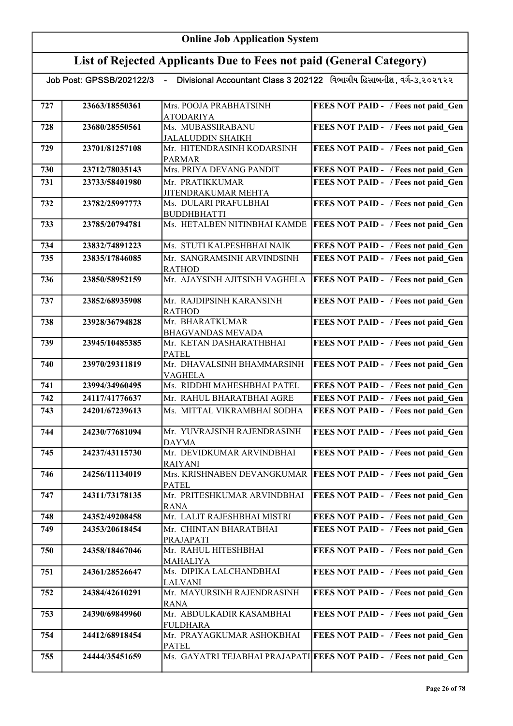# List of Rejected Applicants Due to Fees not paid (General Category)

| 727 | 23663/18550361 | Mrs. POOJA PRABHATSINH                                 | FEES NOT PAID - / Fees not paid Gen                                |
|-----|----------------|--------------------------------------------------------|--------------------------------------------------------------------|
|     |                | <b>ATODARIYA</b>                                       |                                                                    |
| 728 | 23680/28550561 | Ms. MUBASSIRABANU                                      | FEES NOT PAID - / Fees not paid Gen                                |
| 729 | 23701/81257108 | <b>JALALUDDIN SHAIKH</b><br>Mr. HITENDRASINH KODARSINH | FEES NOT PAID - / Fees not paid Gen                                |
|     |                | <b>PARMAR</b>                                          |                                                                    |
| 730 | 23712/78035143 | Mrs. PRIYA DEVANG PANDIT                               | FEES NOT PAID - / Fees not paid Gen                                |
| 731 | 23733/58401980 | Mr. PRATIKKUMAR                                        | FEES NOT PAID - / Fees not paid Gen                                |
|     |                | JITENDRAKUMAR MEHTA                                    |                                                                    |
| 732 | 23782/25997773 | Ms. DULARI PRAFULBHAI                                  | FEES NOT PAID - / Fees not paid_Gen                                |
|     |                | <b>BUDDHBHATTI</b>                                     |                                                                    |
| 733 | 23785/20794781 | Ms. HETALBEN NITINBHAI KAMDE                           | FEES NOT PAID - / Fees not paid Gen                                |
|     |                |                                                        |                                                                    |
| 734 | 23832/74891223 | Ms. STUTI KALPESHBHAI NAIK                             | FEES NOT PAID - / Fees not paid Gen                                |
| 735 | 23835/17846085 | Mr. SANGRAMSINH ARVINDSINH                             | FEES NOT PAID - / Fees not paid Gen                                |
|     |                | <b>RATHOD</b>                                          |                                                                    |
| 736 | 23850/58952159 | Mr. AJAYSINH AJITSINH VAGHELA                          | FEES NOT PAID - / Fees not paid Gen                                |
|     |                |                                                        |                                                                    |
| 737 | 23852/68935908 | Mr. RAJDIPSINH KARANSINH                               | FEES NOT PAID - / Fees not paid Gen                                |
| 738 | 23928/36794828 | <b>RATHOD</b><br>Mr. BHARATKUMAR                       | FEES NOT PAID - / Fees not paid Gen                                |
|     |                | <b>BHAGVANDAS MEVADA</b>                               |                                                                    |
| 739 | 23945/10485385 | Mr. KETAN DASHARATHBHAI                                | FEES NOT PAID - / Fees not paid Gen                                |
|     |                | <b>PATEL</b>                                           |                                                                    |
| 740 | 23970/29311819 | Mr. DHAVALSINH BHAMMARSINH                             | FEES NOT PAID - / Fees not paid Gen                                |
|     |                | <b>VAGHELA</b>                                         |                                                                    |
| 741 | 23994/34960495 | Ms. RIDDHI MAHESHBHAI PATEL                            | FEES NOT PAID - / Fees not paid Gen                                |
| 742 | 24117/41776637 | Mr. RAHUL BHARATBHAI AGRE                              | FEES NOT PAID - / Fees not paid Gen                                |
| 743 | 24201/67239613 | Ms. MITTAL VIKRAMBHAI SODHA                            | FEES NOT PAID - / Fees not paid Gen                                |
|     |                |                                                        |                                                                    |
| 744 | 24230/77681094 | Mr. YUVRAJSINH RAJENDRASINH                            | FEES NOT PAID - / Fees not paid Gen                                |
| 745 | 24237/43115730 | <b>DAYMA</b><br>Mr. DEVIDKUMAR ARVINDBHAI              | FEES NOT PAID - / Fees not paid Gen                                |
|     |                | <b>RAIYANI</b>                                         |                                                                    |
| 746 | 24256/11134019 |                                                        | Mrs. KRISHNABEN DEVANGKUMAR   FEES NOT PAID - / Fees not paid Gen  |
|     |                | <b>PATEL</b>                                           |                                                                    |
| 747 | 24311/73178135 | Mr. PRITESHKUMAR ARVINDBHAI                            | <b>FEES NOT PAID - / Fees not paid Gen</b>                         |
|     |                | <b>RANA</b>                                            |                                                                    |
| 748 | 24352/49208458 | Mr. LALIT RAJESHBHAI MISTRI                            | FEES NOT PAID - / Fees not paid Gen                                |
| 749 | 24353/20618454 | Mr. CHINTAN BHARATBHAI                                 | FEES NOT PAID - / Fees not paid_Gen                                |
|     |                | PRAJAPATI                                              |                                                                    |
| 750 | 24358/18467046 | Mr. RAHUL HITESHBHAI                                   | FEES NOT PAID - / Fees not paid Gen                                |
|     |                | <b>MAHALIYA</b>                                        |                                                                    |
| 751 | 24361/28526647 | Ms. DIPIKA LALCHANDBHAI<br><b>LALVANI</b>              | FEES NOT PAID - / Fees not paid Gen                                |
| 752 | 24384/42610291 | Mr. MAYURSINH RAJENDRASINH                             | FEES NOT PAID - / Fees not paid Gen                                |
|     |                | <b>RANA</b>                                            |                                                                    |
| 753 | 24390/69849960 | Mr. ABDULKADIR KASAMBHAI                               | FEES NOT PAID - / Fees not paid Gen                                |
|     |                | <b>FULDHARA</b>                                        |                                                                    |
| 754 | 24412/68918454 | Mr. PRAYAGKUMAR ASHOKBHAI                              | FEES NOT PAID - / Fees not paid Gen                                |
|     |                | <b>PATEL</b>                                           |                                                                    |
| 755 | 24444/35451659 |                                                        | Ms. GAYATRI TEJABHAI PRAJAPATI FEES NOT PAID - / Fees not paid Gen |
|     |                |                                                        |                                                                    |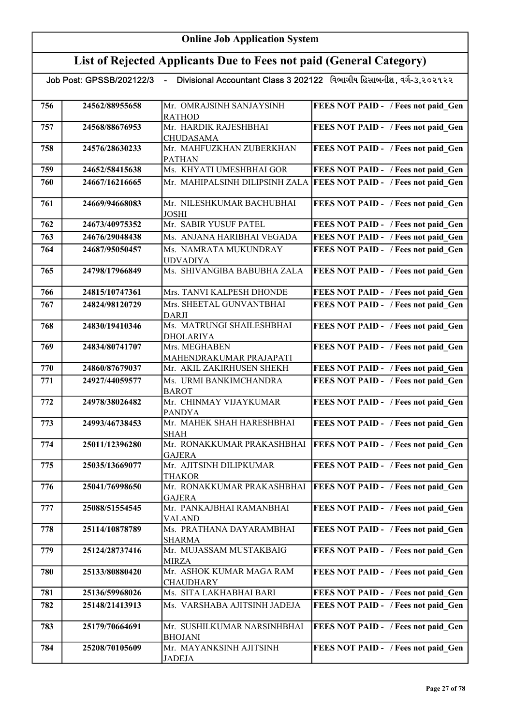| Divisional Accountant Class 3 202122 વિભાગીય હિસાબનીશ, વર્ગ-૩,૨૦૨૧૨૨<br>Job Post: GPSSB/202122/3<br>$\sim$ $-$ |                |                                               |                                     |
|----------------------------------------------------------------------------------------------------------------|----------------|-----------------------------------------------|-------------------------------------|
| 756                                                                                                            | 24562/88955658 | Mr. OMRAJSINH SANJAYSINH<br><b>RATHOD</b>     | FEES NOT PAID - / Fees not paid Gen |
| 757                                                                                                            | 24568/88676953 | Mr. HARDIK RAJESHBHAI<br><b>CHUDASAMA</b>     | FEES NOT PAID - / Fees not paid_Gen |
| 758                                                                                                            | 24576/28630233 | Mr. MAHFUZKHAN ZUBERKHAN<br><b>PATHAN</b>     | FEES NOT PAID - / Fees not paid Gen |
| 759                                                                                                            | 24652/58415638 | Ms. KHYATI UMESHBHAI GOR                      | FEES NOT PAID - / Fees not paid_Gen |
| 760                                                                                                            | 24667/16216665 | Mr. MAHIPALSINH DILIPSINH ZALA                | FEES NOT PAID - / Fees not paid Gen |
| 761                                                                                                            | 24669/94668083 | Mr. NILESHKUMAR BACHUBHAI<br><b>JOSHI</b>     | FEES NOT PAID - / Fees not paid Gen |
| 762                                                                                                            | 24673/40975352 | Mr. SABIR YUSUF PATEL                         | FEES NOT PAID - / Fees not paid Gen |
| 763                                                                                                            | 24676/29048438 | Ms. ANJANA HARIBHAI VEGADA                    | FEES NOT PAID - / Fees not paid Gen |
| 764                                                                                                            | 24687/95050457 | Ms. NAMRATA MUKUNDRAY<br><b>UDVADIYA</b>      | FEES NOT PAID - / Fees not paid Gen |
| 765                                                                                                            | 24798/17966849 | Ms. SHIVANGIBA BABUBHA ZALA                   | FEES NOT PAID - / Fees not paid Gen |
| 766                                                                                                            | 24815/10747361 | Mrs. TANVI KALPESH DHONDE                     | FEES NOT PAID - / Fees not paid Gen |
| 767                                                                                                            | 24824/98120729 | Mrs. SHEETAL GUNVANTBHAI<br><b>DARJI</b>      | FEES NOT PAID - / Fees not paid Gen |
| 768                                                                                                            | 24830/19410346 | Ms. MATRUNGI SHAILESHBHAI<br><b>DHOLARIYA</b> | FEES NOT PAID - / Fees not paid Gen |
| 769                                                                                                            | 24834/80741707 | Mrs. MEGHABEN<br>MAHENDRAKUMAR PRAJAPATI      | FEES NOT PAID - / Fees not paid Gen |
| 770                                                                                                            | 24860/87679037 | Mr. AKIL ZAKIRHUSEN SHEKH                     | FEES NOT PAID - / Fees not paid Gen |
| 771                                                                                                            | 24927/44059577 | Ms. URMI BANKIMCHANDRA<br><b>BAROT</b>        | FEES NOT PAID - / Fees not paid Gen |
| 772                                                                                                            | 24978/38026482 | Mr. CHINMAY VIJAYKUMAR<br><b>PANDYA</b>       | FEES NOT PAID - / Fees not paid_Gen |
| 773                                                                                                            | 24993/46738453 | Mr. MAHEK SHAH HARESHBHAI<br><b>SHAH</b>      | FEES NOT PAID - / Fees not paid Gen |
| 774                                                                                                            | 25011/12396280 | Mr. RONAKKUMAR PRAKASHBHAI<br>IGAJERA         | FEES NOT PAID - / Fees not paid Gen |
| 775                                                                                                            | 25035/13669077 | Mr. AJITSINH DILIPKUMAR<br><b>THAKOR</b>      | FEES NOT PAID - / Fees not paid Gen |
| 776                                                                                                            | 25041/76998650 | Mr. RONAKKUMAR PRAKASHBHAI<br><b>GAJERA</b>   | FEES NOT PAID - / Fees not paid Gen |
| 777                                                                                                            | 25088/51554545 | Mr. PANKAJBHAI RAMANBHAI<br><b>VALAND</b>     | FEES NOT PAID - / Fees not paid Gen |
| 778                                                                                                            | 25114/10878789 | Ms. PRATHANA DAYARAMBHAI<br><b>SHARMA</b>     | FEES NOT PAID - / Fees not paid Gen |
| 779                                                                                                            | 25124/28737416 | Mr. MUJASSAM MUSTAKBAIG<br><b>MIRZA</b>       | FEES NOT PAID - / Fees not paid Gen |
| 780                                                                                                            | 25133/80880420 | Mr. ASHOK KUMAR MAGA RAM<br><b>CHAUDHARY</b>  | FEES NOT PAID - / Fees not paid Gen |
| 781                                                                                                            | 25136/59968026 | Ms. SITA LAKHABHAI BARI                       | FEES NOT PAID - / Fees not paid Gen |
| 782                                                                                                            | 25148/21413913 | Ms. VARSHABA AJITSINH JADEJA                  | FEES NOT PAID - / Fees not paid Gen |
| 783                                                                                                            | 25179/70664691 | Mr. SUSHILKUMAR NARSINHBHAI<br><b>BHOJANI</b> | FEES NOT PAID - / Fees not paid Gen |
| 784                                                                                                            | 25208/70105609 | Mr. MAYANKSINH AJITSINH<br><b>JADEJA</b>      | FEES NOT PAID - / Fees not paid Gen |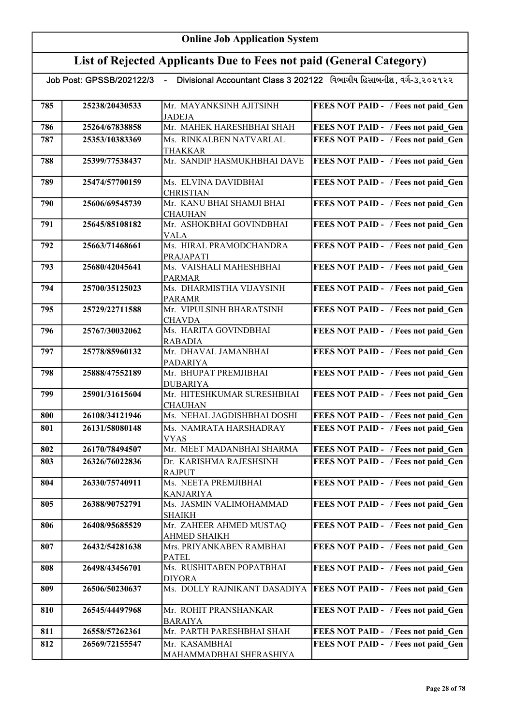# List of Rejected Applicants Due to Fees not paid (General Category)

| 785 | 25238/20430533 | Mr. MAYANKSINH AJITSINH<br><b>JADEJA</b>   | FEES NOT PAID - / Fees not paid Gen        |
|-----|----------------|--------------------------------------------|--------------------------------------------|
| 786 | 25264/67838858 | Mr. MAHEK HARESHBHAI SHAH                  | FEES NOT PAID - / Fees not paid Gen        |
| 787 | 25353/10383369 | Ms. RINKALBEN NATVARLAL                    | FEES NOT PAID - / Fees not paid Gen        |
|     |                | <b>THAKKAR</b>                             |                                            |
| 788 | 25399/77538437 | Mr. SANDIP HASMUKHBHAI DAVE                | <b>FEES NOT PAID - / Fees not paid Gen</b> |
|     |                |                                            |                                            |
| 789 | 25474/57700159 | Ms. ELVINA DAVIDBHAI                       | FEES NOT PAID - / Fees not paid Gen        |
|     |                | <b>CHRISTIAN</b>                           |                                            |
| 790 | 25606/69545739 | Mr. KANU BHAI SHAMJI BHAI                  | FEES NOT PAID - / Fees not paid Gen        |
|     |                | <b>CHAUHAN</b><br>Mr. ASHOKBHAI GOVINDBHAI |                                            |
| 791 | 25645/85108182 | <b>VALA</b>                                | FEES NOT PAID - / Fees not paid_Gen        |
| 792 | 25663/71468661 | Ms. HIRAL PRAMODCHANDRA                    | FEES NOT PAID - / Fees not paid_Gen        |
|     |                | PRAJAPATI                                  |                                            |
| 793 | 25680/42045641 | Ms. VAISHALI MAHESHBHAI                    | FEES NOT PAID - / Fees not paid Gen        |
|     |                | <b>PARMAR</b>                              |                                            |
| 794 | 25700/35125023 | Ms. DHARMISTHA VIJAYSINH                   | FEES NOT PAID - / Fees not paid_Gen        |
|     |                | <b>PARAMR</b>                              |                                            |
| 795 | 25729/22711588 | Mr. VIPULSINH BHARATSINH                   | FEES NOT PAID - / Fees not paid_Gen        |
|     |                | <b>CHAVDA</b><br>Ms. HARITA GOVINDBHAI     |                                            |
| 796 | 25767/30032062 | <b>RABADIA</b>                             | FEES NOT PAID - / Fees not paid Gen        |
| 797 | 25778/85960132 | Mr. DHAVAL JAMANBHAI                       | FEES NOT PAID - / Fees not paid Gen        |
|     |                | <b>PADARIYA</b>                            |                                            |
| 798 | 25888/47552189 | Mr. BHUPAT PREMJIBHAI                      | FEES NOT PAID - / Fees not paid Gen        |
|     |                | <b>DUBARIYA</b>                            |                                            |
| 799 | 25901/31615604 | Mr. HITESHKUMAR SURESHBHAI                 | FEES NOT PAID - / Fees not paid Gen        |
|     |                | <b>CHAUHAN</b>                             |                                            |
| 800 | 26108/34121946 | Ms. NEHAL JAGDISHBHAI DOSHI                | FEES NOT PAID - / Fees not paid Gen        |
| 801 | 26131/58080148 | Ms. NAMRATA HARSHADRAY                     | FEES NOT PAID - / Fees not paid Gen        |
|     |                | <b>VYAS</b>                                |                                            |
| 802 | 26170/78494507 | Mr. MEET MADANBHAI SHARMA                  | FEES NOT PAID - / Fees not paid Gen        |
| 803 | 26326/76022836 | Dr. KARISHMA RAJESHSINH                    | FEES NOT PAID - / Fees not paid Gen        |
| 804 | 26330/75740911 | <b>RAJPUT</b><br>Ms. NEETA PREMJIBHAI      | FEES NOT PAID - / Fees not paid Gen        |
|     |                | <b>KANJARIYA</b>                           |                                            |
| 805 | 26388/90752791 | Ms. JASMIN VALIMOHAMMAD                    | FEES NOT PAID - / Fees not paid Gen        |
|     |                | <b>SHAIKH</b>                              |                                            |
| 806 | 26408/95685529 | Mr. ZAHEER AHMED MUSTAQ                    | FEES NOT PAID - / Fees not paid Gen        |
|     |                | <b>AHMED SHAIKH</b>                        |                                            |
| 807 | 26432/54281638 | Mrs. PRIYANKABEN RAMBHAI                   | FEES NOT PAID - / Fees not paid Gen        |
|     |                | <b>PATEL</b>                               |                                            |
| 808 | 26498/43456701 | Ms. RUSHITABEN POPATBHAI<br><b>DIYORA</b>  | FEES NOT PAID - / Fees not paid Gen        |
| 809 | 26506/50230637 | Ms. DOLLY RAJNIKANT DASADIYA               | <b>FEES NOT PAID - / Fees not paid Gen</b> |
|     |                |                                            |                                            |
| 810 | 26545/44497968 | Mr. ROHIT PRANSHANKAR                      | FEES NOT PAID - / Fees not paid Gen        |
|     |                | <b>BARAIYA</b>                             |                                            |
| 811 | 26558/57262361 | Mr. PARTH PARESHBHAI SHAH                  | FEES NOT PAID - / Fees not paid Gen        |
| 812 | 26569/72155547 | Mr. KASAMBHAI                              | FEES NOT PAID - / Fees not paid Gen        |
|     |                | MAHAMMADBHAI SHERASHIYA                    |                                            |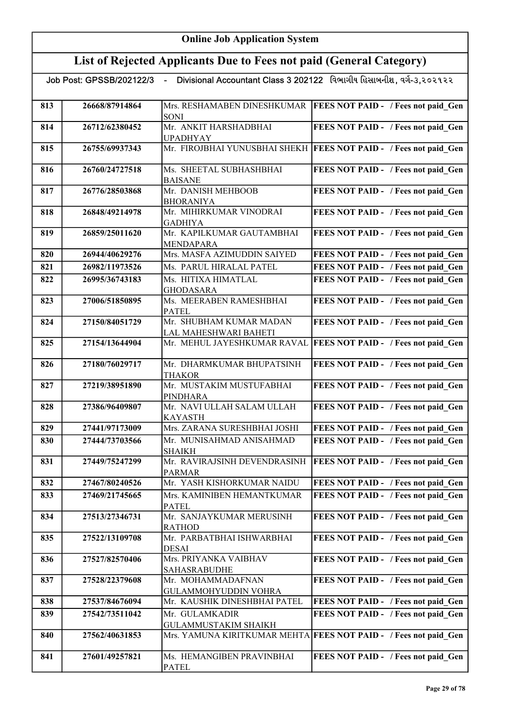|     |                | Job Post: GPSSB/202122/3   -    Divisional Accountant Class 3 202122   વિભાગીય હિસાબનીશ, વગે-૩,૨૦૨૧૨૨ |                                                                    |
|-----|----------------|-------------------------------------------------------------------------------------------------------|--------------------------------------------------------------------|
| 813 | 26668/87914864 | Mrs. RESHAMABEN DINESHKUMAR<br><b>SONI</b>                                                            | <b>FEES NOT PAID - / Fees not paid_Gen</b>                         |
| 814 | 26712/62380452 | Mr. ANKIT HARSHADBHAI<br><b>UPADHYAY</b>                                                              | FEES NOT PAID - / Fees not paid Gen                                |
| 815 | 26755/69937343 |                                                                                                       | Mr. FIROJBHAI YUNUSBHAI SHEKH FEES NOT PAID - / Fees not paid Gen  |
| 816 | 26760/24727518 | Ms. SHEETAL SUBHASHBHAI<br><b>BAISANE</b>                                                             | FEES NOT PAID - / Fees not paid Gen                                |
| 817 | 26776/28503868 | Mr. DANISH MEHBOOB<br><b>BHORANIYA</b>                                                                | FEES NOT PAID - / Fees not paid Gen                                |
| 818 | 26848/49214978 | Mr. MIHIRKUMAR VINODRAI<br><b>GADHIYA</b>                                                             | FEES NOT PAID - / Fees not paid Gen                                |
| 819 | 26859/25011620 | Mr. KAPILKUMAR GAUTAMBHAI<br><b>MENDAPARA</b>                                                         | FEES NOT PAID - / Fees not paid Gen                                |
| 820 | 26944/40629276 | Mrs. MASFA AZIMUDDIN SAIYED                                                                           | FEES NOT PAID - / Fees not paid Gen                                |
| 821 | 26982/11973526 | Ms. PARUL HIRALAL PATEL                                                                               | FEES NOT PAID - / Fees not paid Gen                                |
| 822 | 26995/36743183 | Ms. HITIXA HIMATLAL<br><b>GHODASARA</b>                                                               | FEES NOT PAID - / Fees not paid Gen                                |
| 823 | 27006/51850895 | Ms. MEERABEN RAMESHBHAI<br><b>PATEL</b>                                                               | FEES NOT PAID - / Fees not paid Gen                                |
| 824 | 27150/84051729 | Mr. SHUBHAM KUMAR MADAN<br>LAL MAHESHWARI BAHETI                                                      | FEES NOT PAID - / Fees not paid Gen                                |
| 825 | 27154/13644904 |                                                                                                       | Mr. MEHUL JAYESHKUMAR RAVAL FEES NOT PAID - / Fees not paid Gen    |
| 826 | 27180/76029717 | Mr. DHARMKUMAR BHUPATSINH<br><b>THAKOR</b>                                                            | FEES NOT PAID - / Fees not paid Gen                                |
| 827 | 27219/38951890 | Mr. MUSTAKIM MUSTUFABHAI<br><b>PINDHARA</b>                                                           | FEES NOT PAID - / Fees not paid Gen                                |
| 828 | 27386/96409807 | Mr. NAVI ULLAH SALAM ULLAH<br><b>KAYASTH</b>                                                          | FEES NOT PAID - / Fees not paid Gen                                |
| 829 | 27441/97173009 | Mrs. ZARANA SURESHBHAI JOSHI                                                                          | FEES NOT PAID - / Fees not paid Gen                                |
| 830 | 27444/73703566 | Mr. MUNISAHMAD ANISAHMAD<br><b>SHAIKH</b>                                                             | FEES NOT PAID - / Fees not paid Gen                                |
| 831 | 27449/75247299 | <b>PARMAR</b>                                                                                         | Mr. RAVIRAJSINH DEVENDRASINH   FEES NOT PAID - / Fees not paid Gen |
| 832 | 27467/80240526 | Mr. YASH KISHORKUMAR NAIDU                                                                            | FEES NOT PAID - / Fees not paid Gen                                |
| 833 | 27469/21745665 | Mrs. KAMINIBEN HEMANTKUMAR<br><b>PATEL</b>                                                            | FEES NOT PAID - / Fees not paid Gen                                |
| 834 | 27513/27346731 | Mr. SANJAYKUMAR MERUSINH<br><b>RATHOD</b>                                                             | FEES NOT PAID - / Fees not paid Gen                                |
| 835 | 27522/13109708 | Mr. PARBATBHAI ISHWARBHAI<br><b>DESAI</b>                                                             | FEES NOT PAID - / Fees not paid Gen                                |
| 836 | 27527/82570406 | Mrs. PRIYANKA VAIBHAV<br><b>SAHASRABUDHE</b>                                                          | FEES NOT PAID - / Fees not paid Gen                                |
| 837 | 27528/22379608 | Mr. MOHAMMADAFNAN<br>GULAMMOHYUDDIN VOHRA                                                             | FEES NOT PAID - / Fees not paid Gen                                |
| 838 | 27537/84676094 | Mr. KAUSHIK DINESHBHAI PATEL                                                                          | FEES NOT PAID - / Fees not paid_Gen                                |
| 839 | 27542/73511042 | Mr. GULAMKADIR<br><b>GULAMMUSTAKIM SHAIKH</b>                                                         | FEES NOT PAID - / Fees not paid Gen                                |
| 840 | 27562/40631853 |                                                                                                       | Mrs. YAMUNA KIRITKUMAR MEHTA FEES NOT PAID - / Fees not paid_Gen   |
| 841 | 27601/49257821 | Ms. HEMANGIBEN PRAVINBHAI<br><b>PATEL</b>                                                             | FEES NOT PAID - / Fees not paid Gen                                |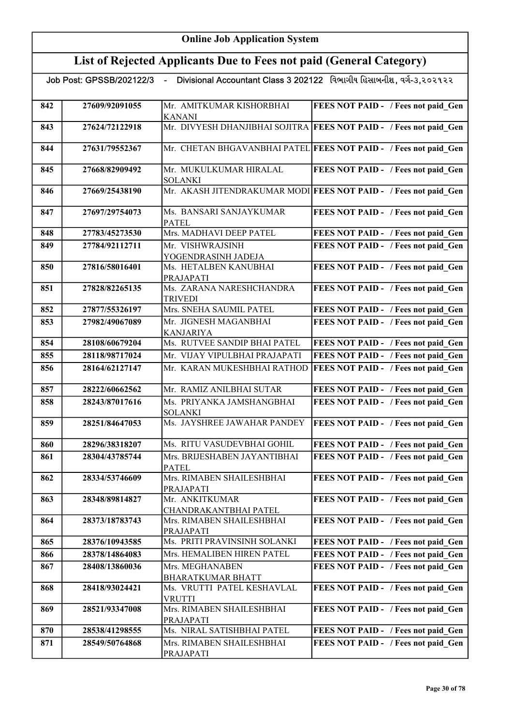# List of Rejected Applicants Due to Fees not paid (General Category)

.

| Divisional Accountant Class 3 202122 વિભાગીય હિસાબનીશ, વર્ગ-૩.૨૦૨૧૨૨<br>Job Post: GPSSB/202122/3<br>$\sim$ |                |                                            |                                                                    |  |
|------------------------------------------------------------------------------------------------------------|----------------|--------------------------------------------|--------------------------------------------------------------------|--|
|                                                                                                            |                |                                            |                                                                    |  |
| 842                                                                                                        | 27609/92091055 | Mr. AMITKUMAR KISHORBHAI                   | FEES NOT PAID - / Fees not paid_Gen                                |  |
| 843                                                                                                        | 27624/72122918 | <b>KANANI</b>                              | Mr. DIVYESH DHANJIBHAI SOJITRA FEES NOT PAID - / Fees not paid Gen |  |
|                                                                                                            |                |                                            |                                                                    |  |
| 844                                                                                                        | 27631/79552367 |                                            | Mr. CHETAN BHGAVANBHAI PATEL FEES NOT PAID - / Fees not paid Gen   |  |
| 845                                                                                                        | 27668/82909492 | Mr. MUKULKUMAR HIRALAL                     | FEES NOT PAID - / Fees not paid Gen                                |  |
|                                                                                                            |                | <b>SOLANKI</b>                             |                                                                    |  |
| 846                                                                                                        | 27669/25438190 |                                            | Mr. AKASH JITENDRAKUMAR MODI FEES NOT PAID - / Fees not paid Gen   |  |
| 847                                                                                                        | 27697/29754073 | Ms. BANSARI SANJAYKUMAR                    | FEES NOT PAID - / Fees not paid_Gen                                |  |
|                                                                                                            |                | <b>PATEL</b>                               |                                                                    |  |
| 848                                                                                                        | 27783/45273530 | Mrs. MADHAVI DEEP PATEL                    | FEES NOT PAID - / Fees not paid Gen                                |  |
| 849                                                                                                        | 27784/92112711 | Mr. VISHWRAJSINH<br>YOGENDRASINH JADEJA    | FEES NOT PAID - / Fees not paid Gen                                |  |
| 850                                                                                                        | 27816/58016401 | Ms. HETALBEN KANUBHAI                      | FEES NOT PAID - / Fees not paid Gen                                |  |
|                                                                                                            |                | PRAJAPATI                                  |                                                                    |  |
| 851                                                                                                        | 27828/82265135 | Ms. ZARANA NARESHCHANDRA<br><b>TRIVEDI</b> | FEES NOT PAID - / Fees not paid Gen                                |  |
| 852                                                                                                        | 27877/55326197 | Mrs. SNEHA SAUMIL PATEL                    | FEES NOT PAID - / Fees not paid Gen                                |  |
| 853                                                                                                        | 27982/49067089 | Mr. JIGNESH MAGANBHAI                      | FEES NOT PAID - / Fees not paid Gen                                |  |
|                                                                                                            |                | <b>KANJARIYA</b>                           |                                                                    |  |
| 854                                                                                                        | 28108/60679204 | Ms. RUTVEE SANDIP BHAI PATEL               | FEES NOT PAID - / Fees not paid Gen                                |  |
| 855                                                                                                        | 28118/98717024 | Mr. VIJAY VIPULBHAI PRAJAPATI              | FEES NOT PAID - / Fees not paid Gen                                |  |
| 856                                                                                                        | 28164/62127147 | Mr. KARAN MUKESHBHAI RATHOD                | FEES NOT PAID - / Fees not paid Gen                                |  |
| 857                                                                                                        | 28222/60662562 | Mr. RAMIZ ANILBHAI SUTAR                   | FEES NOT PAID - / Fees not paid Gen                                |  |
| 858                                                                                                        | 28243/87017616 | Ms. PRIYANKA JAMSHANGBHAI                  | FEES NOT PAID - / Fees not paid Gen                                |  |
|                                                                                                            |                | <b>SOLANKI</b>                             |                                                                    |  |
| 859                                                                                                        | 28251/84647053 | Ms. JAYSHREE JAWAHAR PANDEY                | FEES NOT PAID - / Fees not paid Gen                                |  |
| 860                                                                                                        | 28296/38318207 | Ms. RITU VASUDEVBHAI GOHIL                 | FEES NOT PAID - / Fees not paid_Gen                                |  |
| 861                                                                                                        | 28304/43785744 | Mrs. BRIJESHABEN JAYANTIBHAI               | <b>FEES NOT PAID - / Fees not paid Gen</b>                         |  |
|                                                                                                            |                | <b>PATEL</b>                               |                                                                    |  |
| 862                                                                                                        | 28334/53746609 | Mrs. RIMABEN SHAILESHBHAI<br>PRAJAPATI     | FEES NOT PAID - / Fees not paid Gen                                |  |
| 863                                                                                                        | 28348/89814827 | Mr. ANKITKUMAR                             | FEES NOT PAID - / Fees not paid Gen                                |  |
|                                                                                                            |                | CHANDRAKANTBHAI PATEL                      |                                                                    |  |
| 864                                                                                                        | 28373/18783743 | Mrs. RIMABEN SHAILESHBHAI<br>PRAJAPATI     | FEES NOT PAID - / Fees not paid Gen                                |  |
| 865                                                                                                        | 28376/10943585 | Ms. PRITI PRAVINSINH SOLANKI               | FEES NOT PAID - / Fees not paid Gen                                |  |
| 866                                                                                                        | 28378/14864083 | Mrs. HEMALIBEN HIREN PATEL                 | FEES NOT PAID - / Fees not paid Gen                                |  |
| 867                                                                                                        | 28408/13860036 | Mrs. MEGHANABEN                            | FEES NOT PAID - / Fees not paid Gen                                |  |
|                                                                                                            |                | <b>BHARATKUMAR BHATT</b>                   |                                                                    |  |
| 868                                                                                                        | 28418/93024421 | Ms. VRUTTI PATEL KESHAVLAL                 | FEES NOT PAID - / Fees not paid Gen                                |  |
|                                                                                                            |                | <b>VRUTTI</b>                              |                                                                    |  |
| 869                                                                                                        | 28521/93347008 | Mrs. RIMABEN SHAILESHBHAI                  | FEES NOT PAID - / Fees not paid_Gen                                |  |
| 870                                                                                                        | 28538/41298555 | PRAJAPATI<br>Ms. NIRAL SATISHBHAI PATEL    | FEES NOT PAID - / Fees not paid Gen                                |  |
| 871                                                                                                        | 28549/50764868 | Mrs. RIMABEN SHAILESHBHAI                  | FEES NOT PAID - / Fees not paid Gen                                |  |
|                                                                                                            |                | PRAJAPATI                                  |                                                                    |  |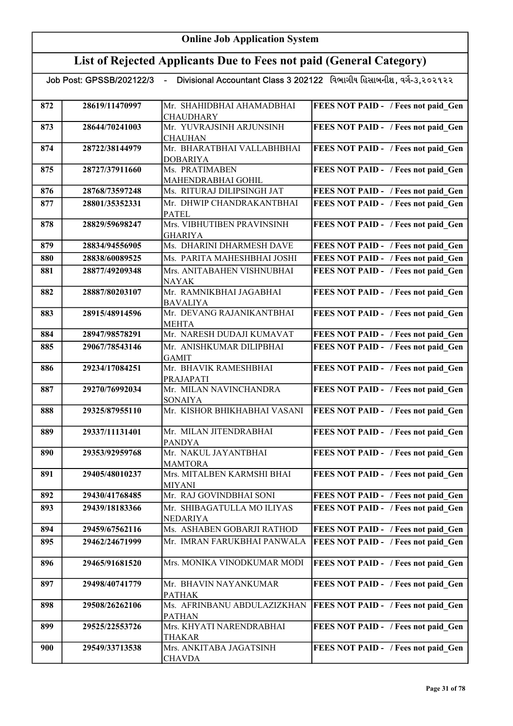|     | Job Post: GPSSB/202122/3 |                                              | Divisional Accountant Class 3 202122 વિભાગીય હિસાબનીશ, વર્ગ-૩,૨૦૨૧૨૨ |
|-----|--------------------------|----------------------------------------------|----------------------------------------------------------------------|
|     |                          |                                              |                                                                      |
| 872 | 28619/11470997           | Mr. SHAHIDBHAI AHAMADBHAI                    | FEES NOT PAID - / Fees not paid_Gen                                  |
| 873 | 28644/70241003           | <b>CHAUDHARY</b><br>Mr. YUVRAJSINH ARJUNSINH | FEES NOT PAID - / Fees not paid Gen                                  |
|     |                          | <b>CHAUHAN</b>                               |                                                                      |
| 874 | 28722/38144979           | Mr. BHARATBHAI VALLABHBHAI                   | FEES NOT PAID - / Fees not paid Gen                                  |
|     |                          | <b>DOBARIYA</b>                              |                                                                      |
| 875 | 28727/37911660           | Ms. PRATIMABEN                               | FEES NOT PAID - / Fees not paid Gen                                  |
|     |                          | MAHENDRABHAI GOHIL                           |                                                                      |
| 876 | 28768/73597248           | Ms. RITURAJ DILIPSINGH JAT                   | FEES NOT PAID - / Fees not paid Gen                                  |
| 877 | 28801/35352331           | Mr. DHWIP CHANDRAKANTBHAI                    | FEES NOT PAID - / Fees not paid Gen                                  |
| 878 | 28829/59698247           | <b>PATEL</b><br>Mrs. VIBHUTIBEN PRAVINSINH   | FEES NOT PAID - / Fees not paid Gen                                  |
|     |                          | <b>GHARIYA</b>                               |                                                                      |
| 879 | 28834/94556905           | Ms. DHARINI DHARMESH DAVE                    | FEES NOT PAID - / Fees not paid Gen                                  |
| 880 | 28838/60089525           | Ms. PARITA MAHESHBHAI JOSHI                  | FEES NOT PAID - / Fees not paid Gen                                  |
| 881 | 28877/49209348           | Mrs. ANITABAHEN VISHNUBHAI                   | FEES NOT PAID - / Fees not paid Gen                                  |
|     |                          | <b>NAYAK</b>                                 |                                                                      |
| 882 | 28887/80203107           | Mr. RAMNIKBHAI JAGABHAI                      | FEES NOT PAID - / Fees not paid Gen                                  |
|     |                          | <b>BAVALIYA</b>                              |                                                                      |
| 883 | 28915/48914596           | Mr. DEVANG RAJANIKANTBHAI                    | FEES NOT PAID - / Fees not paid Gen                                  |
|     |                          | <b>MEHTA</b>                                 |                                                                      |
| 884 | 28947/98578291           | Mr. NARESH DUDAJI KUMAVAT                    | FEES NOT PAID - / Fees not paid Gen                                  |
| 885 | 29067/78543146           | Mr. ANISHKUMAR DILIPBHAI                     | FEES NOT PAID - / Fees not paid Gen                                  |
| 886 | 29234/17084251           | <b>GAMIT</b><br>Mr. BHAVIK RAMESHBHAI        | FEES NOT PAID - / Fees not paid Gen                                  |
|     |                          | PRAJAPATI                                    |                                                                      |
| 887 | 29270/76992034           | Mr. MILAN NAVINCHANDRA                       | FEES NOT PAID - / Fees not paid Gen                                  |
|     |                          | <b>SONAIYA</b>                               |                                                                      |
| 888 | 29325/87955110           | Mr. KISHOR BHIKHABHAI VASANI                 | FEES NOT PAID - / Fees not paid Gen                                  |
|     |                          |                                              |                                                                      |
| 889 | 29337/11131401           | Mr. MILAN JITENDRABHAI<br><b>PANDYA</b>      | FEES NOT PAID - / Fees not paid Gen                                  |
| 890 | 29353/92959768           | Mr. NAKUL JAYANTBHAI                         | FEES NOT PAID - / Fees not paid Gen                                  |
|     |                          | <b>MAMTORA</b>                               |                                                                      |
| 891 | 29405/48010237           | Mrs. MITALBEN KARMSHI BHAI                   | FEES NOT PAID - / Fees not paid Gen                                  |
|     |                          | <b>MIYANI</b>                                |                                                                      |
| 892 | 29430/41768485           | Mr. RAJ GOVINDBHAI SONI                      | FEES NOT PAID - / Fees not paid Gen                                  |
| 893 | 29439/18183366           | Mr. SHIBAGATULLA MO ILIYAS                   | FEES NOT PAID - / Fees not paid Gen                                  |
|     |                          | <b>NEDARIYA</b>                              |                                                                      |
| 894 | 29459/67562116           | Ms. ASHABEN GOBARJI RATHOD                   | FEES NOT PAID - / Fees not paid Gen                                  |
| 895 | 29462/24671999           | Mr. IMRAN FARUKBHAI PANWALA                  | FEES NOT PAID - / Fees not paid Gen                                  |
| 896 | 29465/91681520           | Mrs. MONIKA VINODKUMAR MODI                  | FEES NOT PAID - / Fees not paid Gen                                  |
|     |                          |                                              |                                                                      |
| 897 | 29498/40741779           | Mr. BHAVIN NAYANKUMAR                        | FEES NOT PAID - / Fees not paid Gen                                  |
|     |                          | <b>PATHAK</b>                                |                                                                      |
| 898 | 29508/26262106           | Ms. AFRINBANU ABDULAZIZKHAN                  | <b>FEES NOT PAID - / Fees not paid Gen</b>                           |
| 899 |                          | <b>PATHAN</b><br>Mrs. KHYATI NARENDRABHAI    |                                                                      |
|     | 29525/22553726           | <b>THAKAR</b>                                | FEES NOT PAID - / Fees not paid Gen                                  |
| 900 | 29549/33713538           | Mrs. ANKITABA JAGATSINH                      | FEES NOT PAID - / Fees not paid Gen                                  |
|     |                          | <b>CHAVDA</b>                                |                                                                      |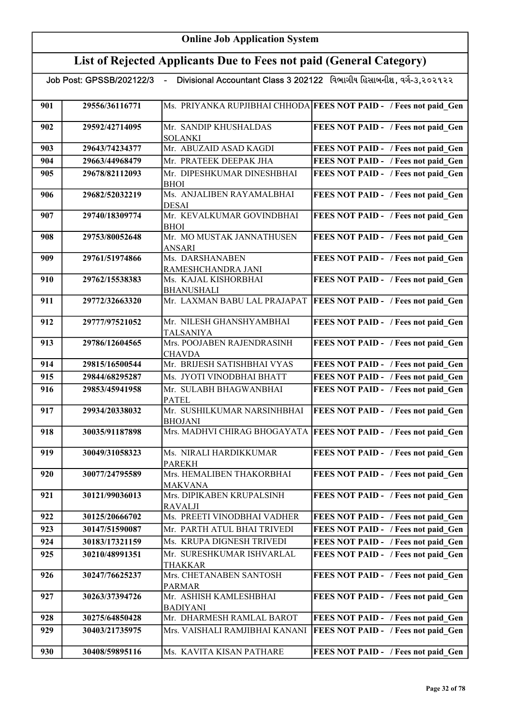| Divisional Accountant Class 3 202122 વિભાગીય હિસાબનીશ, વર્ગ-૩,૨૦૨૧૨૨<br>Job Post: GPSSB/202122/3 - |                                                                   |                                              |                                                                    |  |
|----------------------------------------------------------------------------------------------------|-------------------------------------------------------------------|----------------------------------------------|--------------------------------------------------------------------|--|
|                                                                                                    | Ms. PRIYANKA RUPJIBHAI CHHODA FEES NOT PAID - / Fees not paid Gen |                                              |                                                                    |  |
| 901                                                                                                | 29556/36116771                                                    |                                              |                                                                    |  |
| 902                                                                                                | 29592/42714095                                                    | Mr. SANDIP KHUSHALDAS                        | FEES NOT PAID - / Fees not paid Gen                                |  |
|                                                                                                    |                                                                   | <b>SOLANKI</b>                               |                                                                    |  |
| 903                                                                                                | 29643/74234377                                                    | Mr. ABUZAID ASAD KAGDI                       | FEES NOT PAID - / Fees not paid Gen                                |  |
| 904                                                                                                | 29663/44968479                                                    | Mr. PRATEEK DEEPAK JHA                       | FEES NOT PAID - / Fees not paid Gen                                |  |
| 905                                                                                                | 29678/82112093                                                    | Mr. DIPESHKUMAR DINESHBHAI                   | FEES NOT PAID - / Fees not paid Gen                                |  |
| 906                                                                                                | 29682/52032219                                                    | <b>BHOI</b><br>Ms. ANJALIBEN RAYAMALBHAI     | FEES NOT PAID - / Fees not paid Gen                                |  |
|                                                                                                    |                                                                   | DESAI                                        |                                                                    |  |
| 907                                                                                                | 29740/18309774                                                    | Mr. KEVALKUMAR GOVINDBHAI                    | FEES NOT PAID - / Fees not paid Gen                                |  |
|                                                                                                    |                                                                   | <b>BHOI</b>                                  |                                                                    |  |
| 908                                                                                                | 29753/80052648                                                    | Mr. MO MUSTAK JANNATHUSEN                    | FEES NOT PAID - / Fees not paid Gen                                |  |
|                                                                                                    |                                                                   | ANSARI                                       |                                                                    |  |
| 909                                                                                                | 29761/51974866                                                    | Ms. DARSHANABEN<br>RAMESHCHANDRA JANI        | FEES NOT PAID - / Fees not paid Gen                                |  |
| 910                                                                                                | 29762/15538383                                                    | Ms. KAJAL KISHORBHAI                         | FEES NOT PAID - / Fees not paid Gen                                |  |
|                                                                                                    |                                                                   | <b>BHANUSHALI</b>                            |                                                                    |  |
| 911                                                                                                | 29772/32663320                                                    | Mr. LAXMAN BABU LAL PRAJAPAT                 | <b>FEES NOT PAID - / Fees not paid Gen</b>                         |  |
| 912                                                                                                | 29777/97521052                                                    | Mr. NILESH GHANSHYAMBHAI                     | FEES NOT PAID - / Fees not paid Gen                                |  |
|                                                                                                    |                                                                   | TALSANIYA                                    |                                                                    |  |
| 913                                                                                                | 29786/12604565                                                    | Mrs. POOJABEN RAJENDRASINH                   | FEES NOT PAID - / Fees not paid Gen                                |  |
|                                                                                                    |                                                                   | <b>CHAVDA</b>                                |                                                                    |  |
| 914                                                                                                | 29815/16500544                                                    | Mr. BRIJESH SATISHBHAI VYAS                  | FEES NOT PAID - / Fees not paid Gen                                |  |
| 915                                                                                                | 29844/68295287                                                    | Ms. JYOTI VINODBHAI BHATT                    | FEES NOT PAID - / Fees not paid Gen                                |  |
| 916                                                                                                | 29853/45941958                                                    | Mr. SULABH BHAGWANBHAI                       | FEES NOT PAID - / Fees not paid Gen                                |  |
| 917                                                                                                | 29934/20338032                                                    | <b>PATEL</b><br>Mr. SUSHILKUMAR NARSINHBHAI  | FEES NOT PAID - / Fees not paid Gen                                |  |
|                                                                                                    |                                                                   | <b>BHOJANI</b>                               |                                                                    |  |
| 918                                                                                                | 30035/91187898                                                    |                                              | Mrs. MADHVI CHIRAG BHOGAYATA   FEES NOT PAID - / Fees not paid Gen |  |
| 919                                                                                                | 30049/31058323                                                    | Ms. NIRALI HARDIKKUMAR                       | FEES NOT PAID - / Fees not paid Gen                                |  |
|                                                                                                    |                                                                   | <b>PAREKH</b>                                |                                                                    |  |
| 920                                                                                                | 30077/24795589                                                    | Mrs. HEMALIBEN THAKORBHAI                    | FEES NOT PAID - / Fees not paid Gen                                |  |
|                                                                                                    |                                                                   | <b>MAKVANA</b>                               |                                                                    |  |
| 921                                                                                                | 30121/99036013                                                    | Mrs. DIPIKABEN KRUPALSINH<br><b>RAVALJI</b>  | FEES NOT PAID - / Fees not paid Gen                                |  |
| 922                                                                                                | 30125/20666702                                                    | Ms. PREETI VINODBHAI VADHER                  | FEES NOT PAID - / Fees not paid Gen                                |  |
| 923                                                                                                | 30147/51590087                                                    | Mr. PARTH ATUL BHAI TRIVEDI                  | FEES NOT PAID - / Fees not paid Gen                                |  |
| 924                                                                                                | 30183/17321159                                                    | Ms. KRUPA DIGNESH TRIVEDI                    | FEES NOT PAID - / Fees not paid Gen                                |  |
| 925                                                                                                | 30210/48991351                                                    | Mr. SURESHKUMAR ISHVARLAL                    | FEES NOT PAID - / Fees not paid Gen                                |  |
|                                                                                                    |                                                                   | THAKKAR                                      |                                                                    |  |
| 926                                                                                                | 30247/76625237                                                    | Mrs. CHETANABEN SANTOSH                      | FEES NOT PAID - / Fees not paid Gen                                |  |
|                                                                                                    |                                                                   | <b>PARMAR</b>                                |                                                                    |  |
| 927                                                                                                | 30263/37394726                                                    | Mr. ASHISH KAMLESHBHAI                       | FEES NOT PAID - / Fees not paid Gen                                |  |
|                                                                                                    | 30275/64850428                                                    | <b>BADIYANI</b><br>Mr. DHARMESH RAMLAL BAROT |                                                                    |  |
| 928                                                                                                |                                                                   |                                              | FEES NOT PAID - / Fees not paid Gen                                |  |
| 929                                                                                                | 30403/21735975                                                    | Mrs. VAISHALI RAMJIBHAI KANANI               | <b>FEES NOT PAID - / Fees not paid Gen</b>                         |  |
| 930                                                                                                | 30408/59895116                                                    | Ms. KAVITA KISAN PATHARE                     | FEES NOT PAID - / Fees not paid Gen                                |  |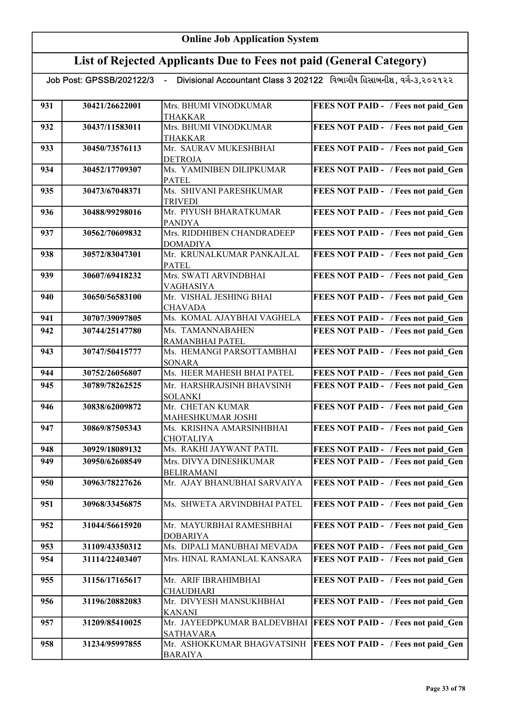# List of Rejected Applicants Due to Fees not paid (General Category)

| 931 | 30421/26622001 | Mrs. BHUMI VINODKUMAR                   | FEES NOT PAID - / Fees not paid Gen        |
|-----|----------------|-----------------------------------------|--------------------------------------------|
|     |                | <b>THAKKAR</b>                          |                                            |
| 932 | 30437/11583011 | Mrs. BHUMI VINODKUMAR<br><b>THAKKAR</b> | FEES NOT PAID - / Fees not paid_Gen        |
| 933 | 30450/73576113 | Mr. SAURAV MUKESHBHAI                   | FEES NOT PAID - / Fees not paid Gen        |
|     |                | <b>DETROJA</b>                          |                                            |
| 934 | 30452/17709307 | Ms. YAMINIBEN DILIPKUMAR                | FEES NOT PAID - / Fees not paid Gen        |
|     |                | <b>PATEL</b>                            |                                            |
| 935 | 30473/67048371 | Ms. SHIVANI PARESHKUMAR                 | FEES NOT PAID - / Fees not paid Gen        |
|     |                | <b>TRIVEDI</b>                          |                                            |
| 936 | 30488/99298016 | Mr. PIYUSH BHARATKUMAR                  | FEES NOT PAID - / Fees not paid Gen        |
|     |                | PANDYA                                  |                                            |
| 937 | 30562/70609832 | Mrs. RIDDHIBEN CHANDRADEEP              | FEES NOT PAID - / Fees not paid Gen        |
|     |                | <b>DOMADIYA</b>                         |                                            |
| 938 | 30572/83047301 | Mr. KRUNALKUMAR PANKAJLAL               | FEES NOT PAID - / Fees not paid Gen        |
|     |                | <b>PATEL</b>                            |                                            |
| 939 | 30607/69418232 | Mrs. SWATI ARVINDBHAI                   | FEES NOT PAID - / Fees not paid Gen        |
|     |                | VAGHASIYA<br>Mr. VISHAL JESHING BHAI    |                                            |
| 940 | 30650/56583100 | <b>CHAVADA</b>                          | FEES NOT PAID - / Fees not paid Gen        |
| 941 | 30707/39097805 | Ms. KOMAL AJAYBHAI VAGHELA              | FEES NOT PAID - / Fees not paid Gen        |
| 942 | 30744/25147780 | Ms. TAMANNABAHEN                        | FEES NOT PAID - / Fees not paid Gen        |
|     |                | RAMANBHAI PATEL                         |                                            |
| 943 | 30747/50415777 | Ms. HEMANGI PARSOTTAMBHAI               | FEES NOT PAID - / Fees not paid Gen        |
|     |                | <b>SONARA</b>                           |                                            |
| 944 | 30752/26056807 | Ms. HEER MAHESH BHAI PATEL              | FEES NOT PAID - / Fees not paid Gen        |
| 945 | 30789/78262525 | Mr. HARSHRAJSINH BHAVSINH               | FEES NOT PAID - / Fees not paid Gen        |
|     |                | <b>SOLANKI</b>                          |                                            |
| 946 | 30838/62009872 | Mr. CHETAN KUMAR                        | FEES NOT PAID - / Fees not paid Gen        |
|     |                | MAHESHKUMAR JOSHI                       |                                            |
| 947 | 30869/87505343 | Ms. KRISHNA AMARSINHBHAI                | FEES NOT PAID - / Fees not paid Gen        |
|     |                | <b>CHOTALIYA</b>                        |                                            |
| 948 | 30929/18089132 | Ms. RAKHI JAYWANT PATIL                 | FEES NOT PAID - / Fees not paid Gen        |
| 949 | 30950/62608549 | Mrs. DIVYA DINESHKUMAR                  | FEES NOT PAID - / Fees not paid Gen        |
|     |                | <b>BELIRAMANI</b>                       |                                            |
| 950 | 30963/78227626 | Mr. AJAY BHANUBHAI SARVAIYA             | <b>FEES NOT PAID -</b> / Fees not paid Gen |
| 951 | 30968/33456875 | Ms. SHWETA ARVINDBHAI PATEL             | FEES NOT PAID - / Fees not paid Gen        |
|     |                |                                         |                                            |
| 952 | 31044/56615920 | Mr. MAYURBHAI RAMESHBHAI                | FEES NOT PAID - / Fees not paid Gen        |
|     |                | <b>DOBARIYA</b>                         |                                            |
| 953 | 31109/43350312 | Ms. DIPALI MANUBHAI MEVADA              | FEES NOT PAID - / Fees not paid Gen        |
| 954 | 31114/22403407 | Mrs. HINAL RAMANLAL KANSARA             | FEES NOT PAID - / Fees not paid Gen        |
|     |                |                                         |                                            |
| 955 | 31156/17165617 | Mr. ARIF IBRAHIMBHAI                    | FEES NOT PAID - / Fees not paid Gen        |
|     |                | CHAUDHARI                               |                                            |
| 956 | 31196/20882083 | Mr. DIVYESH MANSUKHBHAI                 | FEES NOT PAID - / Fees not paid Gen        |
|     |                | <b>KANANI</b>                           |                                            |
| 957 | 31209/85410025 | Mr. JAYEEDPKUMAR BALDEVBHAI             | <b>FEES NOT PAID - / Fees not paid Gen</b> |
|     |                | <b>SATHAVARA</b>                        |                                            |
| 958 | 31234/95997855 | Mr. ASHOKKUMAR BHAGVATSINH              | <b>FEES NOT PAID - / Fees not paid Gen</b> |
|     |                | <b>BARAIYA</b>                          |                                            |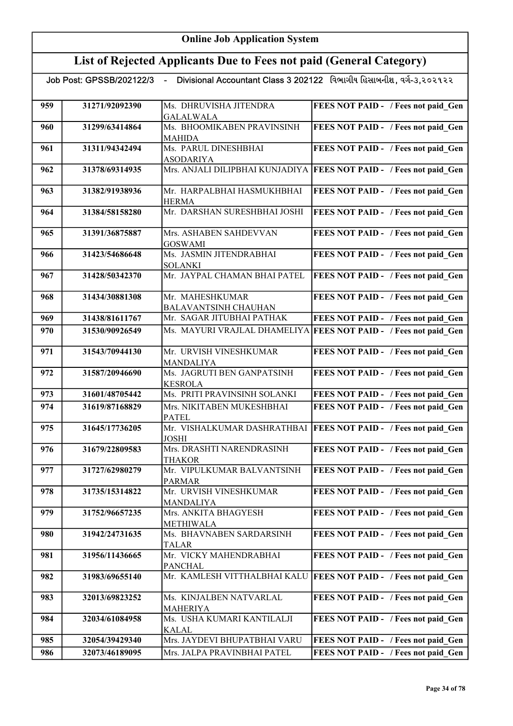#### List of Rejected Applicants Due to Fees not paid (General Category)

| 959 | 31271/92092390 | Ms. DHRUVISHA JITENDRA                      | FEES NOT PAID - / Fees not paid Gen                                 |
|-----|----------------|---------------------------------------------|---------------------------------------------------------------------|
|     |                | <b>GALALWALA</b>                            |                                                                     |
| 960 | 31299/63414864 | Ms. BHOOMIKABEN PRAVINSINH<br><b>MAHIDA</b> | FEES NOT PAID - / Fees not paid Gen                                 |
| 961 | 31311/94342494 | Ms. PARUL DINESHBHAI                        | FEES NOT PAID - / Fees not paid Gen                                 |
|     |                | <b>ASODARIYA</b>                            |                                                                     |
| 962 | 31378/69314935 |                                             | Mrs. ANJALI DILIPBHAI KUNJADIYA FEES NOT PAID - / Fees not paid_Gen |
|     |                |                                             |                                                                     |
| 963 | 31382/91938936 | Mr. HARPALBHAI HASMUKHBHAI                  | FEES NOT PAID - / Fees not paid Gen                                 |
|     |                | <b>HERMA</b>                                |                                                                     |
| 964 | 31384/58158280 | Mr. DARSHAN SURESHBHAI JOSHI                | FEES NOT PAID - / Fees not paid Gen                                 |
|     |                |                                             |                                                                     |
| 965 | 31391/36875887 | Mrs. ASHABEN SAHDEVVAN                      | FEES NOT PAID - / Fees not paid Gen                                 |
|     |                | <b>GOSWAMI</b>                              |                                                                     |
| 966 | 31423/54686648 | Ms. JASMIN JITENDRABHAI                     | FEES NOT PAID - / Fees not paid Gen                                 |
|     |                | <b>SOLANKI</b>                              |                                                                     |
| 967 | 31428/50342370 | Mr. JAYPAL CHAMAN BHAI PATEL                | <b>FEES NOT PAID - / Fees not paid_Gen</b>                          |
|     |                |                                             |                                                                     |
| 968 | 31434/30881308 | Mr. MAHESHKUMAR                             | FEES NOT PAID - / Fees not paid Gen                                 |
|     |                | <b>BALAVANTSINH CHAUHAN</b>                 |                                                                     |
| 969 | 31438/81611767 | Mr. SAGAR JITUBHAI PATHAK                   | FEES NOT PAID - / Fees not paid Gen                                 |
|     |                |                                             |                                                                     |
| 970 | 31530/90926549 |                                             | Ms. MAYURI VRAJLAL DHAMELIYA FEES NOT PAID - / Fees not paid Gen    |
|     |                |                                             |                                                                     |
| 971 | 31543/70944130 | Mr. URVISH VINESHKUMAR                      | FEES NOT PAID - / Fees not paid Gen                                 |
|     |                | <b>MANDALIYA</b>                            |                                                                     |
| 972 | 31587/20946690 | Ms. JAGRUTI BEN GANPATSINH                  | FEES NOT PAID - / Fees not paid Gen                                 |
|     |                | <b>KESROLA</b>                              |                                                                     |
| 973 | 31601/48705442 | Ms. PRITI PRAVINSINH SOLANKI                | FEES NOT PAID - / Fees not paid Gen                                 |
| 974 | 31619/87168829 | Mrs. NIKITABEN MUKESHBHAI                   | FEES NOT PAID - / Fees not paid Gen                                 |
|     |                | <b>PATEL</b>                                |                                                                     |
| 975 | 31645/17736205 | Mr. VISHALKUMAR DASHRATHBAI                 | <b>FEES NOT PAID - / Fees not paid Gen</b>                          |
|     |                | <b>JOSHI</b>                                |                                                                     |
| 976 | 31679/22809583 | Mrs. DRASHTI NARENDRASINH                   | FEES NOT PAID - / Fees not paid Gen                                 |
|     |                | <b>THAKOR</b>                               |                                                                     |
| 977 | 31727/62980279 | Mr. VIPULKUMAR BALVANTSINH                  | FEES NOT PAID - / Fees not paid Gen                                 |
|     |                | <b>PARMAR</b>                               |                                                                     |
| 978 | 31735/15314822 | Mr. URVISH VINESHKUMAR                      | FEES NOT PAID - / Fees not paid Gen                                 |
|     |                | MANDALIYA                                   |                                                                     |
| 979 | 31752/96657235 | Mrs. ANKITA BHAGYESH                        | FEES NOT PAID - / Fees not paid Gen                                 |
|     |                | METHIWALA                                   |                                                                     |
| 980 | 31942/24731635 | Ms. BHAVNABEN SARDARSINH                    | FEES NOT PAID - / Fees not paid Gen                                 |
|     |                | TALAR                                       |                                                                     |
| 981 | 31956/11436665 | Mr. VICKY MAHENDRABHAI                      | FEES NOT PAID - / Fees not paid Gen                                 |
|     |                | <b>PANCHAL</b>                              |                                                                     |
| 982 | 31983/69655140 | Mr. KAMLESH VITTHALBHAI KALU                | <b>FEES NOT PAID - / Fees not paid Gen</b>                          |
|     |                |                                             |                                                                     |
| 983 | 32013/69823252 | Ms. KINJALBEN NATVARLAL                     | FEES NOT PAID - / Fees not paid Gen                                 |
|     |                | <b>MAHERIYA</b>                             |                                                                     |
| 984 | 32034/61084958 | Ms. USHA KUMARI KANTILALJI                  | FEES NOT PAID - / Fees not paid Gen                                 |
|     |                | <b>KALAL</b>                                |                                                                     |
| 985 | 32054/39429340 | Mrs. JAYDEVI BHUPATBHAI VARU                | FEES NOT PAID - / Fees not paid Gen                                 |
| 986 | 32073/46189095 | Mrs. JALPA PRAVINBHAI PATEL                 | FEES NOT PAID - / Fees not paid Gen                                 |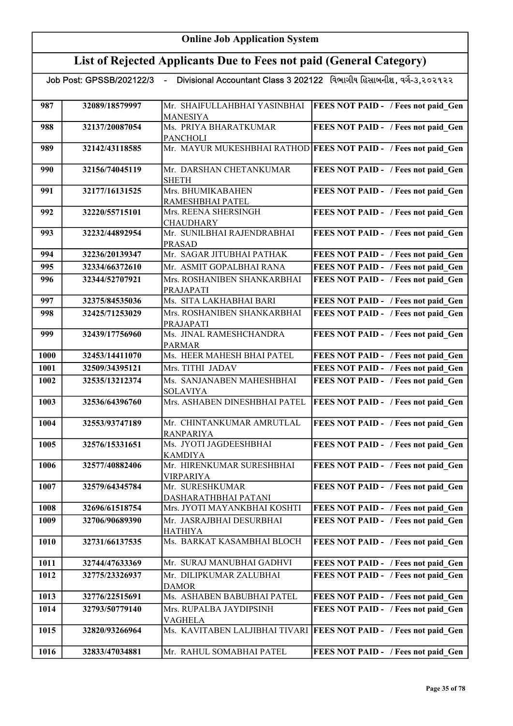| Divisional Accountant Class 3 202122 વિભાગીય હિસાબનીશ, વર્ગ-૩,૨૦૨૧૨૨<br>Job Post: GPSSB/202122/3<br>$\sim$ |                |                                                |                                                                 |  |  |
|------------------------------------------------------------------------------------------------------------|----------------|------------------------------------------------|-----------------------------------------------------------------|--|--|
|                                                                                                            |                |                                                |                                                                 |  |  |
| 987                                                                                                        | 32089/18579997 | Mr. SHAIFULLAHBHAI YASINBHAI                   | FEES NOT PAID - / Fees not paid Gen                             |  |  |
|                                                                                                            |                | <b>MANESIYA</b>                                |                                                                 |  |  |
| 988                                                                                                        | 32137/20087054 | Ms. PRIYA BHARATKUMAR                          | FEES NOT PAID - / Fees not paid Gen                             |  |  |
|                                                                                                            |                | <b>PANCHOLI</b>                                |                                                                 |  |  |
| 989                                                                                                        | 32142/43118585 |                                                | Mr. MAYUR MUKESHBHAI RATHOD FEES NOT PAID - / Fees not paid_Gen |  |  |
| 990                                                                                                        | 32156/74045119 | Mr. DARSHAN CHETANKUMAR                        | FEES NOT PAID - / Fees not paid Gen                             |  |  |
|                                                                                                            |                | <b>SHETH</b>                                   |                                                                 |  |  |
| 991                                                                                                        | 32177/16131525 | Mrs. BHUMIKABAHEN                              | FEES NOT PAID - / Fees not paid Gen                             |  |  |
|                                                                                                            |                | RAMESHBHAI PATEL                               |                                                                 |  |  |
| 992                                                                                                        | 32220/55715101 | Mrs. REENA SHERSINGH                           | FEES NOT PAID - / Fees not paid Gen                             |  |  |
|                                                                                                            | 32232/44892954 | <b>CHAUDHARY</b><br>Mr. SUNILBHAI RAJENDRABHAI |                                                                 |  |  |
| 993                                                                                                        |                | <b>PRASAD</b>                                  | FEES NOT PAID - / Fees not paid Gen                             |  |  |
| 994                                                                                                        | 32236/20139347 | Mr. SAGAR JITUBHAI PATHAK                      | FEES NOT PAID - / Fees not paid Gen                             |  |  |
| 995                                                                                                        | 32334/66372610 | Mr. ASMIT GOPALBHAI RANA                       | FEES NOT PAID - / Fees not paid Gen                             |  |  |
| 996                                                                                                        | 32344/52707921 | Mrs. ROSHANIBEN SHANKARBHAI                    | FEES NOT PAID - / Fees not paid Gen                             |  |  |
|                                                                                                            |                | PRAJAPATI                                      |                                                                 |  |  |
| 997                                                                                                        | 32375/84535036 | Ms. SITA LAKHABHAI BARI                        | FEES NOT PAID - / Fees not paid Gen                             |  |  |
| 998                                                                                                        | 32425/71253029 | Mrs. ROSHANIBEN SHANKARBHAI                    | FEES NOT PAID - / Fees not paid Gen                             |  |  |
|                                                                                                            |                | PRAJAPATI                                      |                                                                 |  |  |
| 999                                                                                                        | 32439/17756960 | Ms. JINAL RAMESHCHANDRA                        | FEES NOT PAID - / Fees not paid Gen                             |  |  |
|                                                                                                            |                | <b>PARMAR</b>                                  |                                                                 |  |  |
| <b>1000</b>                                                                                                | 32453/14411070 | Ms. HEER MAHESH BHAI PATEL                     | FEES NOT PAID - / Fees not paid Gen                             |  |  |
| 1001                                                                                                       | 32509/34395121 | Mrs. TITHI JADAV                               | FEES NOT PAID - / Fees not paid Gen                             |  |  |
| 1002                                                                                                       | 32535/13212374 | Ms. SANJANABEN MAHESHBHAI<br><b>SOLAVIYA</b>   | FEES NOT PAID - / Fees not paid Gen                             |  |  |
| 1003                                                                                                       | 32536/64396760 | Mrs. ASHABEN DINESHBHAI PATEL                  | FEES NOT PAID - / Fees not paid Gen                             |  |  |
|                                                                                                            |                |                                                |                                                                 |  |  |
| 1004                                                                                                       | 32553/93747189 | Mr. CHINTANKUMAR AMRUTLAL                      | FEES NOT PAID - / Fees not paid Gen                             |  |  |
|                                                                                                            |                | <b>RANPARIYA</b>                               |                                                                 |  |  |
| 1005                                                                                                       | 32576/15331651 | Ms. JYOTI JAGDEESHBHAI<br>KAMDIYA              | FEES NOT PAID - / Fees not paid Gen                             |  |  |
| 1006                                                                                                       | 32577/40882406 | Mr. HIRENKUMAR SURESHBHAI                      | FEES NOT PAID - / Fees not paid Gen                             |  |  |
|                                                                                                            |                | <b>VIRPARIYA</b>                               |                                                                 |  |  |
| 1007                                                                                                       | 32579/64345784 | Mr. SURESHKUMAR                                | FEES NOT PAID - / Fees not paid Gen                             |  |  |
|                                                                                                            |                | DASHARATHBHAI PATANI                           |                                                                 |  |  |
| 1008                                                                                                       | 32696/61518754 | Mrs. JYOTI MAYANKBHAI KOSHTI                   | FEES NOT PAID - / Fees not paid Gen                             |  |  |
| 1009                                                                                                       | 32706/90689390 | Mr. JASRAJBHAI DESURBHAI                       | FEES NOT PAID - / Fees not paid Gen                             |  |  |
| 1010                                                                                                       | 32731/66137535 | <b>HATHIYA</b><br>Ms. BARKAT KASAMBHAI BLOCH   | FEES NOT PAID - / Fees not paid Gen                             |  |  |
|                                                                                                            |                |                                                |                                                                 |  |  |
| 1011                                                                                                       | 32744/47633369 | Mr. SURAJ MANUBHAI GADHVI                      | FEES NOT PAID - / Fees not paid Gen                             |  |  |
| 1012                                                                                                       | 32775/23326937 | Mr. DILIPKUMAR ZALUBHAI                        | FEES NOT PAID - / Fees not paid Gen                             |  |  |
|                                                                                                            |                | <b>DAMOR</b>                                   |                                                                 |  |  |
| 1013                                                                                                       | 32776/22515691 | Ms. ASHABEN BABUBHAI PATEL                     | FEES NOT PAID - / Fees not paid Gen                             |  |  |
| 1014                                                                                                       | 32793/50779140 | Mrs. RUPALBA JAYDIPSINH                        | FEES NOT PAID - / Fees not paid Gen                             |  |  |
|                                                                                                            |                | <b>VAGHELA</b>                                 |                                                                 |  |  |
| 1015                                                                                                       | 32820/93266964 | Ms. KAVITABEN LALJIBHAI TIVARI                 | <b>FEES NOT PAID - / Fees not paid Gen</b>                      |  |  |
| 1016                                                                                                       | 32833/47034881 | Mr. RAHUL SOMABHAI PATEL                       | FEES NOT PAID - / Fees not paid Gen                             |  |  |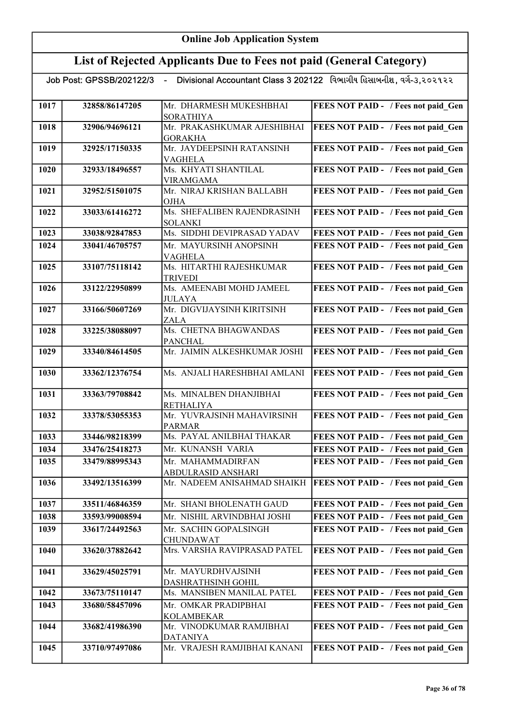| Job Post: GPSSB/202122/3  - Divisional Accountant Class 3 202122   વિભાગીય હિસાબનીશ , વર્ગ-૩,૨૦૨૧૨૨ |                |                                               |                                            |  |
|-----------------------------------------------------------------------------------------------------|----------------|-----------------------------------------------|--------------------------------------------|--|
| 1017                                                                                                | 32858/86147205 | Mr. DHARMESH MUKESHBHAI<br><b>SORATHIYA</b>   | FEES NOT PAID - / Fees not paid Gen        |  |
| 1018                                                                                                | 32906/94696121 | Mr. PRAKASHKUMAR AJESHIBHAI<br><b>GORAKHA</b> | FEES NOT PAID - / Fees not paid_Gen        |  |
| 1019                                                                                                | 32925/17150335 | Mr. JAYDEEPSINH RATANSINH<br><b>VAGHELA</b>   | FEES NOT PAID - / Fees not paid_Gen        |  |
| 1020                                                                                                | 32933/18496557 | Ms. KHYATI SHANTILAL<br><b>VIRAMGAMA</b>      | FEES NOT PAID - / Fees not paid_Gen        |  |
| 1021                                                                                                | 32952/51501075 | Mr. NIRAJ KRISHAN BALLABH<br><b>OJHA</b>      | FEES NOT PAID - / Fees not paid Gen        |  |
| 1022                                                                                                | 33033/61416272 | Ms. SHEFALIBEN RAJENDRASINH<br><b>SOLANKI</b> | FEES NOT PAID - / Fees not paid Gen        |  |
| 1023                                                                                                | 33038/92847853 | Ms. SIDDHI DEVIPRASAD YADAV                   | FEES NOT PAID - / Fees not paid Gen        |  |
| 1024                                                                                                | 33041/46705757 | Mr. MAYURSINH ANOPSINH<br><b>VAGHELA</b>      | FEES NOT PAID - / Fees not paid Gen        |  |
| 1025                                                                                                | 33107/75118142 | Ms. HITARTHI RAJESHKUMAR<br><b>TRIVEDI</b>    | FEES NOT PAID - / Fees not paid Gen        |  |
| 1026                                                                                                | 33122/22950899 | Ms. AMEENABI MOHD JAMEEL<br><b>JULAYA</b>     | FEES NOT PAID - / Fees not paid Gen        |  |
| 1027                                                                                                | 33166/50607269 | Mr. DIGVIJAYSINH KIRITSINH<br><b>ZALA</b>     | FEES NOT PAID - / Fees not paid Gen        |  |
| 1028                                                                                                | 33225/38088097 | Ms. CHETNA BHAGWANDAS<br><b>PANCHAL</b>       | FEES NOT PAID - / Fees not paid Gen        |  |
| 1029                                                                                                | 33340/84614505 | Mr. JAIMIN ALKESHKUMAR JOSHI                  | FEES NOT PAID - / Fees not paid Gen        |  |
| 1030                                                                                                | 33362/12376754 | Ms. ANJALI HARESHBHAI AMLANI                  | FEES NOT PAID - / Fees not paid Gen        |  |
| 1031                                                                                                | 33363/79708842 | Ms. MINALBEN DHANJIBHAI<br><b>RETHALIYA</b>   | FEES NOT PAID - / Fees not paid Gen        |  |
| 1032                                                                                                | 33378/53055353 | Mr. YUVRAJSINH MAHAVIRSINH<br><b>PARMAR</b>   | FEES NOT PAID - / Fees not paid Gen        |  |
| 1033                                                                                                | 33446/98218399 | Ms. PAYAL ANILBHAI THAKAR                     | FEES NOT PAID - / Fees not paid Gen        |  |
| 1034                                                                                                | 33476/25418273 | Mr. KUNANSH VARIA                             | FEES NOT PAID - / Fees not paid Gen        |  |
| 1035                                                                                                | 33479/88995343 | Mr. MAHAMMADIRFAN<br>ABDULRASID ANSHARI       | FEES NOT PAID - / Fees not paid Gen        |  |
| 1036                                                                                                | 33492/13516399 | Mr. NADEEM ANISAHMAD SHAIKH                   | <b>FEES NOT PAID - / Fees not paid Gen</b> |  |
| 1037                                                                                                | 33511/46846359 | Mr. SHANI BHOLENATH GAUD                      | FEES NOT PAID - / Fees not paid Gen        |  |
| 1038                                                                                                | 33593/99008594 | Mr. NISHIL ARVINDBHAI JOSHI                   | FEES NOT PAID - / Fees not paid Gen        |  |
| 1039                                                                                                | 33617/24492563 | Mr. SACHIN GOPALSINGH<br><b>CHUNDAWAT</b>     | FEES NOT PAID - / Fees not paid Gen        |  |
| 1040                                                                                                | 33620/37882642 | Mrs. VARSHA RAVIPRASAD PATEL                  | FEES NOT PAID - / Fees not paid Gen        |  |
| 1041                                                                                                | 33629/45025791 | Mr. MAYURDHVAJSINH<br>DASHRATHSINH GOHIL      | FEES NOT PAID - / Fees not paid Gen        |  |
| 1042                                                                                                | 33673/75110147 | Ms. MANSIBEN MANILAL PATEL                    | FEES NOT PAID - / Fees not paid Gen        |  |
| 1043                                                                                                | 33680/58457096 | Mr. OMKAR PRADIPBHAI<br><b>KOLAMBEKAR</b>     | FEES NOT PAID - / Fees not paid Gen        |  |
| 1044                                                                                                | 33682/41986390 | Mr. VINODKUMAR RAMJIBHAI<br><b>DATANIYA</b>   | FEES NOT PAID - / Fees not paid Gen        |  |
| 1045                                                                                                | 33710/97497086 | Mr. VRAJESH RAMJIBHAI KANANI                  | FEES NOT PAID - / Fees not paid Gen        |  |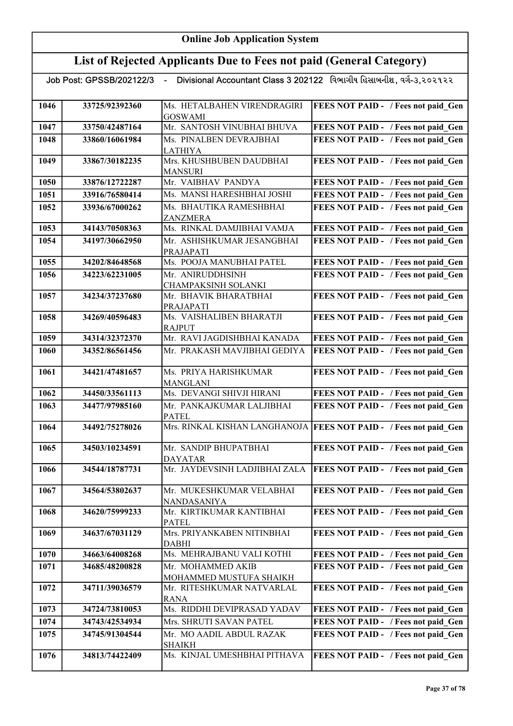|      | Job Post: GPSSB/202122/3 | $\sim 100$                                     | Divisional Accountant Class 3 202122 વિભાગીય હિસાબનીશ, વર્ગ-૩,૨૦૨૧૨૨ |
|------|--------------------------|------------------------------------------------|----------------------------------------------------------------------|
| 1046 | 33725/92392360           | Ms. HETALBAHEN VIRENDRAGIRI<br><b>GOSWAMI</b>  | FEES NOT PAID - / Fees not paid Gen                                  |
| 1047 | 33750/42487164           | Mr. SANTOSH VINUBHAI BHUVA                     | FEES NOT PAID - / Fees not paid Gen                                  |
| 1048 | 33860/16061984           | Ms. PINALBEN DEVRAJBHAI                        | FEES NOT PAID - / Fees not paid Gen                                  |
|      |                          | <b>LATHIYA</b>                                 |                                                                      |
| 1049 | 33867/30182235           | Mrs. KHUSHBUBEN DAUDBHAI                       | FEES NOT PAID - / Fees not paid Gen                                  |
|      |                          | <b>MANSURI</b>                                 |                                                                      |
| 1050 | 33876/12722287           | Mr. VAIBHAV PANDYA                             | FEES NOT PAID - / Fees not paid Gen                                  |
| 1051 | 33916/76580414           | Ms. MANSI HARESHBHAI JOSHI                     | FEES NOT PAID - / Fees not paid Gen                                  |
| 1052 | 33936/67000262           | Ms. BHAUTIKA RAMESHBHAI                        | FEES NOT PAID - / Fees not paid Gen                                  |
|      |                          | ZANZMERA<br>Ms. RINKAL DAMJIBHAI VAMJA         |                                                                      |
| 1053 | 34143/70508363           |                                                | FEES NOT PAID - / Fees not paid Gen                                  |
| 1054 | 34197/30662950           | Mr. ASHISHKUMAR JESANGBHAI<br><b>PRAJAPATI</b> | FEES NOT PAID - / Fees not paid Gen                                  |
| 1055 | 34202/84648568           | Ms. POOJA MANUBHAI PATEL                       | FEES NOT PAID - / Fees not paid Gen                                  |
| 1056 | 34223/62231005           | Mr. ANIRUDDHSINH                               | FEES NOT PAID - / Fees not paid Gen                                  |
|      |                          | CHAMPAKSINH SOLANKI                            |                                                                      |
| 1057 | 34234/37237680           | Mr. BHAVIK BHARATBHAI                          | FEES NOT PAID - / Fees not paid Gen                                  |
| 1058 | 34269/40596483           | PRAJAPATI<br>Ms. VAISHALIBEN BHARATJI          | FEES NOT PAID - / Fees not paid Gen                                  |
|      |                          | <b>RAJPUT</b>                                  |                                                                      |
| 1059 | 34314/32372370           | Mr. RAVI JAGDISHBHAI KANADA                    | FEES NOT PAID - / Fees not paid Gen                                  |
| 1060 | 34352/86561456           | Mr. PRAKASH MAVJIBHAI GEDIYA                   | FEES NOT PAID - / Fees not paid Gen                                  |
|      |                          |                                                |                                                                      |
| 1061 | 34421/47481657           | Ms. PRIYA HARISHKUMAR                          | FEES NOT PAID - / Fees not paid Gen                                  |
|      |                          | <b>MANGLANI</b>                                |                                                                      |
| 1062 | 34450/33561113           | Ms. DEVANGI SHIVJI HIRANI                      | FEES NOT PAID - / Fees not paid Gen                                  |
| 1063 | 34477/97985160           | Mr. PANKAJKUMAR LALJIBHAI<br><b>PATEL</b>      | FEES NOT PAID - / Fees not paid Gen                                  |
| 1064 | 34492/75278026           |                                                | Mrs. RINKAL KISHAN LANGHANOJA FEES NOT PAID - / Fees not paid_Gen    |
| 1065 | 34503/10234591           | Mr. SANDIP BHUPATBHAI                          | FEES NOT PAID - / Fees not paid Gen                                  |
|      |                          | <b>DAYATAR</b>                                 |                                                                      |
| 1066 | 34544/18787731           | Mr. JAYDEVSINH LADJIBHAI ZALA                  | <b>FEES NOT PAID - / Fees not paid Gen</b>                           |
| 1067 | 34564/53802637           | Mr. MUKESHKUMAR VELABHAI                       | FEES NOT PAID - / Fees not paid Gen                                  |
|      |                          | <b>NANDASANIYA</b>                             |                                                                      |
| 1068 | 34620/75999233           | Mr. KIRTIKUMAR KANTIBHAI<br><b>PATEL</b>       | FEES NOT PAID - / Fees not paid Gen                                  |
| 1069 | 34637/67031129           | Mrs. PRIYANKABEN NITINBHAI                     | FEES NOT PAID - / Fees not paid Gen                                  |
|      |                          | <b>DABHI</b>                                   |                                                                      |
| 1070 | 34663/64008268           | Ms. MEHRAJBANU VALI KOTHI                      | FEES NOT PAID - / Fees not paid_Gen                                  |
| 1071 | 34685/48200828           | Mr. MOHAMMED AKIB                              | FEES NOT PAID - / Fees not paid Gen                                  |
|      |                          | MOHAMMED MUSTUFA SHAIKH                        |                                                                      |
| 1072 | 34711/39036579           | Mr. RITESHKUMAR NATVARLAL<br><b>RANA</b>       | FEES NOT PAID - / Fees not paid Gen                                  |
| 1073 | 34724/73810053           | Ms. RIDDHI DEVIPRASAD YADAV                    | FEES NOT PAID - / Fees not paid Gen                                  |
| 1074 | 34743/42534934           | Mrs. SHRUTI SAVAN PATEL                        | FEES NOT PAID - / Fees not paid Gen                                  |
| 1075 | 34745/91304544           | Mr. MO AADIL ABDUL RAZAK                       | FEES NOT PAID - / Fees not paid Gen                                  |
|      |                          | <b>SHAIKH</b>                                  |                                                                      |
| 1076 | 34813/74422409           | Ms. KINJAL UMESHBHAI PITHAVA                   | FEES NOT PAID - / Fees not paid Gen                                  |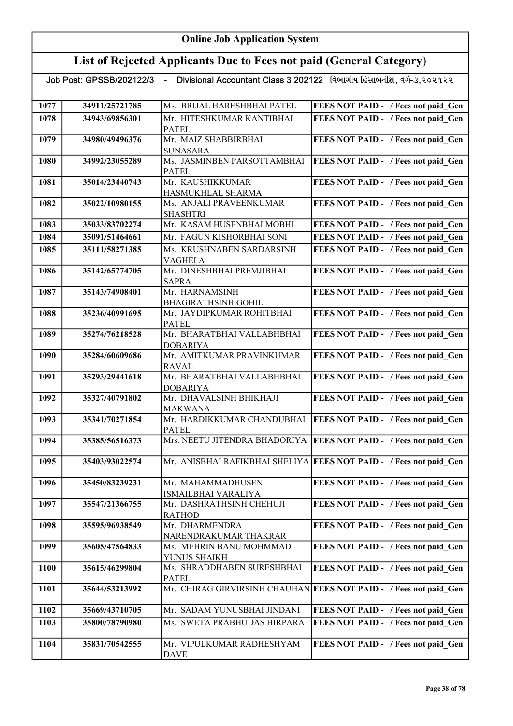## List of Rejected Applicants Due to Fees not paid (General Category)

| 1077 | 34911/25721785 | Ms. BRIJAL HARESHBHAI PATEL                    | FEES NOT PAID - / Fees not paid Gen                                |
|------|----------------|------------------------------------------------|--------------------------------------------------------------------|
|      |                |                                                |                                                                    |
| 1078 | 34943/69856301 | Mr. HITESHKUMAR KANTIBHAI                      | FEES NOT PAID - / Fees not paid Gen                                |
|      |                | <b>PATEL</b><br>Mr. MAIZ SHABBIRBHAI           |                                                                    |
| 1079 | 34980/49496376 |                                                | FEES NOT PAID - / Fees not paid Gen                                |
| 1080 | 34992/23055289 | <b>SUNASARA</b><br>Ms. JASMINBEN PARSOTTAMBHAI | FEES NOT PAID - / Fees not paid Gen                                |
|      |                | <b>PATEL</b>                                   |                                                                    |
| 1081 | 35014/23440743 | Mr. KAUSHIKKUMAR                               | FEES NOT PAID - / Fees not paid Gen                                |
|      |                | HASMUKHLAL SHARMA                              |                                                                    |
| 1082 | 35022/10980155 | Ms. ANJALI PRAVEENKUMAR                        | FEES NOT PAID - / Fees not paid Gen                                |
|      |                | <b>SHASHTRI</b>                                |                                                                    |
| 1083 | 35033/83702274 | Mr. KASAM HUSENBHAI MOBHI                      | FEES NOT PAID - / Fees not paid Gen                                |
| 1084 | 35091/51464661 | Mr. FAGUN KISHORBHAI SONI                      | FEES NOT PAID - / Fees not paid Gen                                |
|      |                |                                                |                                                                    |
| 1085 | 35111/58271385 | Ms. KRUSHNABEN SARDARSINH                      | FEES NOT PAID - / Fees not paid Gen                                |
|      |                | VAGHELA<br>Mr. DINESHBHAI PREMJIBHAI           |                                                                    |
| 1086 | 35142/65774705 |                                                | FEES NOT PAID - / Fees not paid_Gen                                |
| 1087 | 35143/74908401 | <b>SAPRA</b><br>Mr. HARNAMSINH                 | FEES NOT PAID - / Fees not paid Gen                                |
|      |                | <b>BHAGIRATHSINH GOHIL</b>                     |                                                                    |
| 1088 | 35236/40991695 | Mr. JAYDIPKUMAR ROHITBHAI                      | FEES NOT PAID - / Fees not paid Gen                                |
|      |                | PATEL                                          |                                                                    |
| 1089 | 35274/76218528 | Mr. BHARATBHAI VALLABHBHAI                     | FEES NOT PAID - / Fees not paid Gen                                |
|      |                | <b>DOBARIYA</b>                                |                                                                    |
| 1090 | 35284/60609686 | Mr. AMITKUMAR PRAVINKUMAR                      | FEES NOT PAID - / Fees not paid Gen                                |
|      |                | <b>RAVAL</b>                                   |                                                                    |
| 1091 | 35293/29441618 | Mr. BHARATBHAI VALLABHBHAI                     | FEES NOT PAID - / Fees not paid Gen                                |
|      |                | <b>DOBARIYA</b>                                |                                                                    |
| 1092 | 35327/40791802 | Mr. DHAVALSINH BHIKHAJI                        | FEES NOT PAID - / Fees not paid Gen                                |
|      |                | <b>MAKWANA</b>                                 |                                                                    |
| 1093 | 35341/70271854 | Mr. HARDIKKUMAR CHANDUBHAI                     | <b>FEES NOT PAID - / Fees not paid Gen</b>                         |
|      |                | <b>PATEL</b>                                   |                                                                    |
| 1094 | 35385/56516373 | Mrs. NEETU JITENDRA BHADORIYA                  | <b>FEES NOT PAID - / Fees not paid Gen</b>                         |
|      |                |                                                |                                                                    |
| 1095 | 35403/93022574 |                                                | Mr. ANISBHAI RAFIKBHAI SHELIYA FEES NOT PAID - / Fees not paid Gen |
| 1096 | 35450/83239231 | Mr. MAHAMMADHUSEN                              | <b>FEES NOT PAID - / Fees not paid Gen</b>                         |
|      |                | ISMAILBHAI VARALIYA                            |                                                                    |
| 1097 | 35547/21366755 | Mr. DASHRATHSINH CHEHUJI                       | FEES NOT PAID - / Fees not paid Gen                                |
|      |                | <b>RATHOD</b>                                  |                                                                    |
| 1098 | 35595/96938549 | Mr. DHARMENDRA                                 | FEES NOT PAID - / Fees not paid Gen                                |
|      |                | NARENDRAKUMAR THAKRAR                          |                                                                    |
| 1099 | 35605/47564833 | Ms. MEHRIN BANU MOHMMAD                        | FEES NOT PAID - / Fees not paid Gen                                |
|      |                | YUNUS SHAIKH                                   |                                                                    |
| 1100 | 35615/46299804 | Ms. SHRADDHABEN SURESHBHAI                     | FEES NOT PAID - / Fees not paid Gen                                |
|      |                | PATEL                                          |                                                                    |
| 1101 | 35644/53213992 | Mr. CHIRAG GIRVIRSINH CHAUHAN                  | <b>FEES NOT PAID - / Fees not paid Gen</b>                         |
|      |                |                                                |                                                                    |
| 1102 | 35669/43710705 | Mr. SADAM YUNUSBHAI JINDANI                    | FEES NOT PAID - / Fees not paid Gen                                |
| 1103 | 35800/78790980 | Ms. SWETA PRABHUDAS HIRPARA                    | FEES NOT PAID - / Fees not paid Gen                                |
|      |                |                                                |                                                                    |
| 1104 | 35831/70542555 | Mr. VIPULKUMAR RADHESHYAM                      | FEES NOT PAID - / Fees not paid Gen                                |
|      |                | <b>DAVE</b>                                    |                                                                    |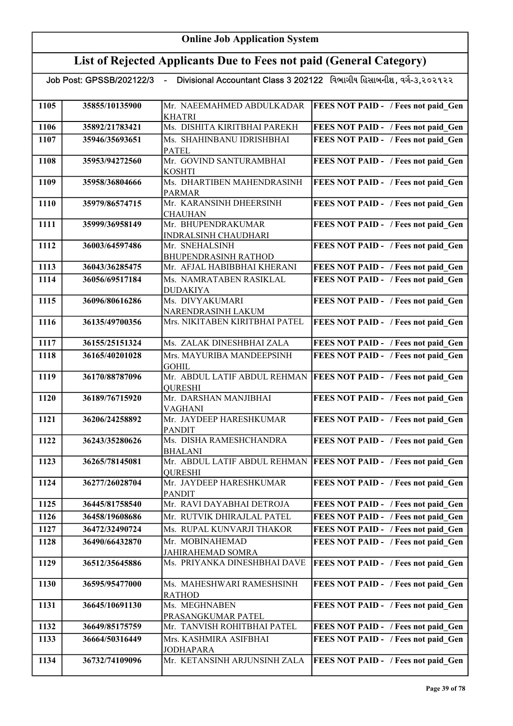| Job Post: GPSSB/202122/3 - |                | Divisional Accountant Class 3 202122 વિભાગીય હિસાબનીશ, વર્ગ-૩,૨૦૨૧૨૨ |                                                                    |
|----------------------------|----------------|----------------------------------------------------------------------|--------------------------------------------------------------------|
| 1105                       | 35855/10135900 | Mr. NAEEMAHMED ABDULKADAR                                            | <b>FEES NOT PAID - / Fees not paid Gen</b>                         |
|                            |                | <b>KHATRI</b>                                                        |                                                                    |
| 1106                       | 35892/21783421 | Ms. DISHITA KIRITBHAI PAREKH                                         | FEES NOT PAID - / Fees not paid Gen                                |
| 1107                       | 35946/35693651 | Ms. SHAHINBANU IDRISHBHAI                                            | FEES NOT PAID - / Fees not paid Gen                                |
|                            |                | <b>PATEL</b>                                                         |                                                                    |
| 1108                       | 35953/94272560 | Mr. GOVIND SANTURAMBHAI                                              | FEES NOT PAID - / Fees not paid Gen                                |
|                            |                | <b>KOSHTI</b>                                                        |                                                                    |
| 1109                       | 35958/36804666 | Ms. DHARTIBEN MAHENDRASINH<br><b>PARMAR</b>                          | FEES NOT PAID - / Fees not paid_Gen                                |
| 1110                       | 35979/86574715 | Mr. KARANSINH DHEERSINH                                              | FEES NOT PAID - / Fees not paid Gen                                |
|                            |                | <b>CHAUHAN</b>                                                       |                                                                    |
| 1111                       | 35999/36958149 | Mr. BHUPENDRAKUMAR                                                   | FEES NOT PAID - / Fees not paid Gen                                |
|                            |                | INDRALSINH CHAUDHARI                                                 |                                                                    |
| 1112                       | 36003/64597486 | Mr. SNEHALSINH                                                       | FEES NOT PAID - / Fees not paid Gen                                |
|                            |                | <b>BHUPENDRASINH RATHOD</b>                                          |                                                                    |
| 1113                       | 36043/36285475 | Mr. AFJAL HABIBBHAI KHERANI                                          | FEES NOT PAID - / Fees not paid Gen                                |
| 1114                       | 36056/69517184 | Ms. NAMRATABEN RASIKLAL                                              | FEES NOT PAID - / Fees not paid Gen                                |
| 1115                       | 36096/80616286 | <b>DUDAKIYA</b><br>Ms. DIVYAKUMARI                                   | FEES NOT PAID - / Fees not paid Gen                                |
|                            |                | NARENDRASINH LAKUM                                                   |                                                                    |
| 1116                       | 36135/49700356 | Mrs. NIKITABEN KIRITBHAI PATEL                                       | <b>FEES NOT PAID - / Fees not paid Gen</b>                         |
|                            |                |                                                                      |                                                                    |
| 1117                       | 36155/25151324 | Ms. ZALAK DINESHBHAI ZALA                                            | FEES NOT PAID - / Fees not paid Gen                                |
| 1118                       | 36165/40201028 | Mrs. MAYURIBA MANDEEPSINH                                            | FEES NOT PAID - / Fees not paid Gen                                |
|                            |                | <b>GOHIL</b>                                                         |                                                                    |
| 1119                       | 36170/88787096 | Mr. ABDUL LATIF ABDUL REHMAN                                         | <b>FEES NOT PAID - / Fees not paid_Gen</b>                         |
|                            |                | <b>QURESHI</b>                                                       |                                                                    |
| 1120                       | 36189/76715920 | Mr. DARSHAN MANJIBHAI<br><b>VAGHANI</b>                              | FEES NOT PAID - / Fees not paid_Gen                                |
| 1121                       | 36206/24258892 | Mr. JAYDEEP HARESHKUMAR                                              | FEES NOT PAID - / Fees not paid_Gen                                |
|                            |                | <b>PANDIT</b>                                                        |                                                                    |
| 1122                       | 36243/35280626 | Ms. DISHA RAMESHCHANDRA                                              | FEES NOT PAID - / Fees not paid_Gen                                |
|                            |                | <b>BHALANI</b>                                                       |                                                                    |
| 1123                       | 36265/78145081 |                                                                      | Mr. ABDUL LATIF ABDUL REHMAN   FEES NOT PAID - / Fees not paid Gen |
|                            |                | <b>OURESHI</b>                                                       |                                                                    |
| 1124                       | 36277/26028704 | Mr. JAYDEEP HARESHKUMAR<br><b>PANDIT</b>                             | FEES NOT PAID - / Fees not paid Gen                                |
| 1125                       | 36445/81758540 | Mr. RAVI DAYABHAI DETROJA                                            | FEES NOT PAID - / Fees not paid Gen                                |
| 1126                       | 36458/19608686 | Mr. RUTVIK DHIRAJLAL PATEL                                           | FEES NOT PAID - / Fees not paid Gen                                |
| 1127                       | 36472/32490724 | Ms. RUPAL KUNVARJI THAKOR                                            | FEES NOT PAID - / Fees not paid Gen                                |
| 1128                       | 36490/66432870 | Mr. MOBINAHEMAD                                                      | FEES NOT PAID - / Fees not paid Gen                                |
|                            |                | JAHIRAHEMAD SOMRA                                                    |                                                                    |
| 1129                       | 36512/35645886 | Ms. PRIYANKA DINESHBHAI DAVE                                         | FEES NOT PAID - / Fees not paid Gen                                |
|                            |                |                                                                      |                                                                    |
| 1130                       | 36595/95477000 | Ms. MAHESHWARI RAMESHSINH                                            | FEES NOT PAID - / Fees not paid Gen                                |
|                            |                | <b>RATHOD</b>                                                        |                                                                    |
| 1131                       | 36645/10691130 | Ms. MEGHNABEN                                                        | FEES NOT PAID - / Fees not paid Gen                                |
| 1132                       | 36649/85175759 | PRASANGKUMAR PATEL<br>Mr. TANVISH ROHITBHAI PATEL                    | FEES NOT PAID - / Fees not paid Gen                                |
| 1133                       | 36664/50316449 | Mrs. KASHMIRA ASIFBHAI                                               | FEES NOT PAID - / Fees not paid Gen                                |
|                            |                | <b>JODHAPARA</b>                                                     |                                                                    |
| 1134                       | 36732/74109096 | Mr. KETANSINH ARJUNSINH ZALA                                         | <b>FEES NOT PAID - / Fees not paid Gen</b>                         |
|                            |                |                                                                      |                                                                    |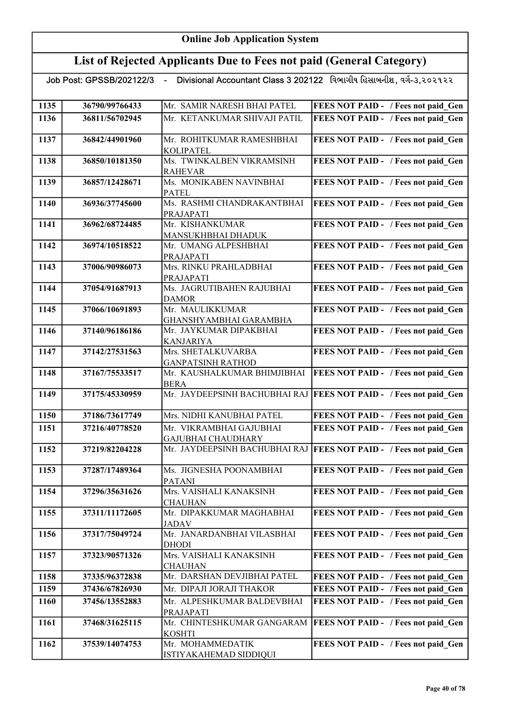## List of Rejected Applicants Due to Fees not paid (General Category)

| 1135 | 36790/99766433 | Mr. SAMIR NARESH BHAI PATEL                                | FEES NOT PAID - / Fees not paid Gen        |
|------|----------------|------------------------------------------------------------|--------------------------------------------|
| 1136 | 36811/56702945 | Mr. KETANKUMAR SHIVAJI PATIL                               | FEES NOT PAID - / Fees not paid Gen        |
|      |                |                                                            |                                            |
| 1137 | 36842/44901960 | Mr. ROHITKUMAR RAMESHBHAI                                  | FEES NOT PAID - / Fees not paid Gen        |
|      |                | <b>KOLIPATEL</b>                                           |                                            |
| 1138 | 36850/10181350 | Ms. TWINKALBEN VIKRAMSINH                                  | FEES NOT PAID - / Fees not paid Gen        |
|      |                | <b>RAHEVAR</b>                                             |                                            |
| 1139 | 36857/12428671 | Ms. MONIKABEN NAVINBHAI                                    | FEES NOT PAID - / Fees not paid Gen        |
|      |                | <b>PATEL</b>                                               |                                            |
| 1140 | 36936/37745600 | Ms. RASHMI CHANDRAKANTBHAI                                 | FEES NOT PAID - / Fees not paid Gen        |
|      |                | PRAJAPATI                                                  |                                            |
| 1141 | 36962/68724485 | Mr. KISHANKUMAR                                            | FEES NOT PAID - / Fees not paid_Gen        |
|      |                | MANSUKHBHAI DHADUK                                         |                                            |
| 1142 | 36974/10518522 | Mr. UMANG ALPESHBHAI                                       | FEES NOT PAID - / Fees not paid Gen        |
|      |                | PRAJAPATI                                                  |                                            |
| 1143 | 37006/90986073 | Mrs. RINKU PRAHLADBHAI                                     | FEES NOT PAID - / Fees not paid Gen        |
|      |                | PRAJAPATI                                                  |                                            |
| 1144 | 37054/91687913 | Ms. JAGRUTIBAHEN RAJUBHAI                                  | FEES NOT PAID - / Fees not paid Gen        |
|      |                | <b>DAMOR</b>                                               |                                            |
| 1145 | 37066/10691893 | Mr. MAULIKKUMAR                                            | FEES NOT PAID - / Fees not paid Gen        |
|      |                | GHANSHYAMBHAI GARAMBHA                                     |                                            |
| 1146 | 37140/96186186 | Mr. JAYKUMAR DIPAKBHAI                                     | FEES NOT PAID - / Fees not paid Gen        |
|      |                | <b>KANJARIYA</b>                                           |                                            |
| 1147 | 37142/27531563 | Mrs. SHETALKUVARBA                                         | FEES NOT PAID - / Fees not paid Gen        |
|      |                | <b>GANPATSINH RATHOD</b>                                   |                                            |
| 1148 | 37167/75533517 | Mr. KAUSHALKUMAR BHIMJIBHAI                                | FEES NOT PAID - / Fees not paid Gen        |
| 1149 | 37175/45330959 | <b>BERA</b><br>Mr. JAYDEEPSINH BACHUBHAI RAJ               | <b>FEES NOT PAID - / Fees not paid Gen</b> |
|      |                |                                                            |                                            |
| 1150 | 37186/73617749 | Mrs. NIDHI KANUBHAI PATEL                                  | FEES NOT PAID - / Fees not paid Gen        |
|      |                |                                                            |                                            |
| 1151 | 37216/40778520 | Mr. VIKRAMBHAI GAJUBHAI                                    | FEES NOT PAID - / Fees not paid Gen        |
| 1152 | 37219/82204228 | <b>GAJUBHAI CHAUDHARY</b><br>Mr. JAYDEEPSINH BACHUBHAI RAJ | <b>FEES NOT PAID - / Fees not paid Gen</b> |
|      |                |                                                            |                                            |
| 1153 | 37287/17489364 | Ms. JIGNESHA POONAMBHAI                                    | FEES NOT PAID - / Fees not paid Gen        |
|      |                | PATANI                                                     |                                            |
| 1154 | 37296/35631626 | Mrs. VAISHALI KANAKSINH                                    | FEES NOT PAID - / Fees not paid Gen        |
|      |                | <b>CHAUHAN</b>                                             |                                            |
| 1155 | 37311/11172605 | Mr. DIPAKKUMAR MAGHABHAI                                   | FEES NOT PAID - / Fees not paid Gen        |
|      |                | JADAV                                                      |                                            |
| 1156 | 37317/75049724 | Mr. JANARDANBHAI VILASBHAI                                 | FEES NOT PAID - / Fees not paid Gen        |
|      |                | DHODI                                                      |                                            |
| 1157 | 37323/90571326 | Mrs. VAISHALI KANAKSINH                                    | FEES NOT PAID - / Fees not paid Gen        |
|      |                | <b>CHAUHAN</b>                                             |                                            |
| 1158 | 37335/96372838 | Mr. DARSHAN DEVJIBHAI PATEL                                | FEES NOT PAID - / Fees not paid Gen        |
| 1159 | 37436/67826930 | Mr. DIPAJI JORAJI THAKOR                                   | FEES NOT PAID - / Fees not paid_Gen        |
| 1160 | 37456/13552883 | Mr. ALPESHKUMAR BALDEVBHAI                                 | FEES NOT PAID - / Fees not paid Gen        |
|      |                | PRAJAPATI                                                  |                                            |
| 1161 | 37468/31625115 | Mr. CHINTESHKUMAR GANGARAM                                 | <b>FEES NOT PAID - / Fees not paid_Gen</b> |
|      |                | <b>KOSHTI</b>                                              |                                            |
| 1162 | 37539/14074753 | Mr. MOHAMMEDATIK                                           | FEES NOT PAID - / Fees not paid Gen        |
|      |                | ISTIYAKAHEMAD SIDDIQUI                                     |                                            |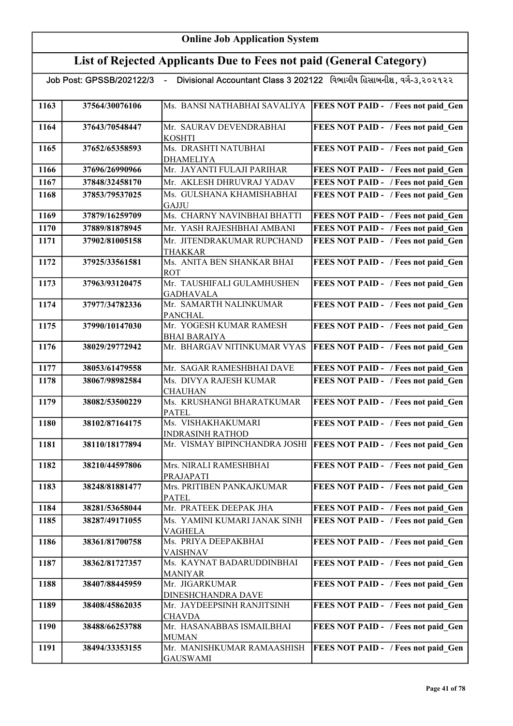| Divisional Accountant Class 3 202122 વિભાગીય હિસાબનીશ , વર્ગ-૩,૨૦૨૧૨૨<br>Job Post: GPSSB/202122/3 - |                |                                                          |                                            |
|-----------------------------------------------------------------------------------------------------|----------------|----------------------------------------------------------|--------------------------------------------|
| 1163                                                                                                | 37564/30076106 | Ms. BANSI NATHABHAI SAVALIYA                             | <b>FEES NOT PAID - / Fees not paid Gen</b> |
|                                                                                                     |                |                                                          |                                            |
| 1164                                                                                                | 37643/70548447 | Mr. SAURAV DEVENDRABHAI                                  | FEES NOT PAID - / Fees not paid Gen        |
|                                                                                                     |                | <b>KOSHTI</b>                                            |                                            |
| 1165                                                                                                | 37652/65358593 | Ms. DRASHTI NATUBHAI                                     | FEES NOT PAID - / Fees not paid Gen        |
| 1166                                                                                                | 37696/26990966 | <b>DHAMELIYA</b><br>Mr. JAYANTI FULAJI PARIHAR           | FEES NOT PAID - / Fees not paid Gen        |
| 1167                                                                                                | 37848/32458170 | Mr. AKLESH DHRUVRAJ YADAV                                | FEES NOT PAID - / Fees not paid Gen        |
| 1168                                                                                                | 37853/79537025 | Ms. GULSHANA KHAMISHABHAI                                | FEES NOT PAID - / Fees not paid Gen        |
|                                                                                                     |                | GAJJU                                                    |                                            |
| 1169                                                                                                | 37879/16259709 | Ms. CHARNY NAVINBHAI BHATTI                              | FEES NOT PAID - / Fees not paid Gen        |
| 1170                                                                                                | 37889/81878945 | Mr. YASH RAJESHBHAI AMBANI                               | FEES NOT PAID - / Fees not paid Gen        |
| 1171                                                                                                | 37902/81005158 | Mr. JITENDRAKUMAR RUPCHAND                               | FEES NOT PAID - / Fees not paid Gen        |
|                                                                                                     |                | <b>THAKKAR</b>                                           |                                            |
| 1172                                                                                                | 37925/33561581 | Ms. ANITA BEN SHANKAR BHAI<br><b>ROT</b>                 | FEES NOT PAID - / Fees not paid Gen        |
| 1173                                                                                                | 37963/93120475 | Mr. TAUSHIFALI GULAMHUSHEN                               | FEES NOT PAID - / Fees not paid Gen        |
|                                                                                                     |                | <b>GADHAVALA</b>                                         |                                            |
| 1174                                                                                                | 37977/34782336 | Mr. SAMARTH NALINKUMAR                                   | FEES NOT PAID - / Fees not paid Gen        |
|                                                                                                     |                | <b>PANCHAL</b><br>Mr. YOGESH KUMAR RAMESH                |                                            |
| 1175                                                                                                | 37990/10147030 | <b>BHAI BARAIYA</b>                                      | FEES NOT PAID - / Fees not paid Gen        |
| 1176                                                                                                | 38029/29772942 | Mr. BHARGAV NITINKUMAR VYAS                              | FEES NOT PAID - / Fees not paid Gen        |
|                                                                                                     |                |                                                          |                                            |
| 1177                                                                                                | 38053/61479558 | Mr. SAGAR RAMESHBHAI DAVE                                | FEES NOT PAID - / Fees not paid Gen        |
| 1178                                                                                                | 38067/98982584 | Ms. DIVYA RAJESH KUMAR<br><b>CHAUHAN</b>                 | FEES NOT PAID - / Fees not paid Gen        |
| 1179                                                                                                | 38082/53500229 | Ms. KRUSHANGI BHARATKUMAR                                | FEES NOT PAID - / Fees not paid_Gen        |
|                                                                                                     |                | <b>PATEL</b>                                             |                                            |
| 1180                                                                                                | 38102/87164175 | Ms. VISHAKHAKUMARI                                       | FEES NOT PAID - / Fees not paid Gen        |
| 1181                                                                                                | 38110/18177894 | <b>INDRASINH RATHOD</b><br>Mr. VISMAY BIPINCHANDRA JOSHI | FEES NOT PAID - / Fees not paid Gen        |
|                                                                                                     |                |                                                          |                                            |
| 1182                                                                                                | 38210/44597806 | Mrs. NIRALI RAMESHBHAI                                   | FEES NOT PAID - / Fees not paid Gen        |
|                                                                                                     |                | PRAJAPATI                                                |                                            |
| 1183                                                                                                | 38248/81881477 | Mrs. PRITIBEN PANKAJKUMAR<br><b>PATEL</b>                | FEES NOT PAID - / Fees not paid Gen        |
| 1184                                                                                                | 38281/53658044 | Mr. PRATEEK DEEPAK JHA                                   | FEES NOT PAID - / Fees not paid Gen        |
| 1185                                                                                                | 38287/49171055 | Ms. YAMINI KUMARI JANAK SINH                             | FEES NOT PAID - / Fees not paid Gen        |
|                                                                                                     |                | VAGHELA                                                  |                                            |
| 1186                                                                                                | 38361/81700758 | Ms. PRIYA DEEPAKBHAI                                     | FEES NOT PAID - / Fees not paid Gen        |
|                                                                                                     |                | VAISHNAV                                                 |                                            |
| 1187                                                                                                | 38362/81727357 | Ms. KAYNAT BADARUDDINBHAI<br><b>MANIYAR</b>              | FEES NOT PAID - / Fees not paid Gen        |
| 1188                                                                                                | 38407/88445959 | Mr. JIGARKUMAR                                           | FEES NOT PAID - / Fees not paid Gen        |
|                                                                                                     |                | DINESHCHANDRA DAVE                                       |                                            |
| 1189                                                                                                | 38408/45862035 | Mr. JAYDEEPSINH RANJITSINH                               | FEES NOT PAID - / Fees not paid Gen        |
| 1190                                                                                                | 38488/66253788 | CHAVDA<br>Mr. HASANABBAS ISMAILBHAI                      | FEES NOT PAID - / Fees not paid Gen        |
|                                                                                                     |                | <b>MUMAN</b>                                             |                                            |
| 1191                                                                                                | 38494/33353155 | Mr. MANISHKUMAR RAMAASHISH                               | FEES NOT PAID - / Fees not paid_Gen        |
|                                                                                                     |                | <b>GAUSWAMI</b>                                          |                                            |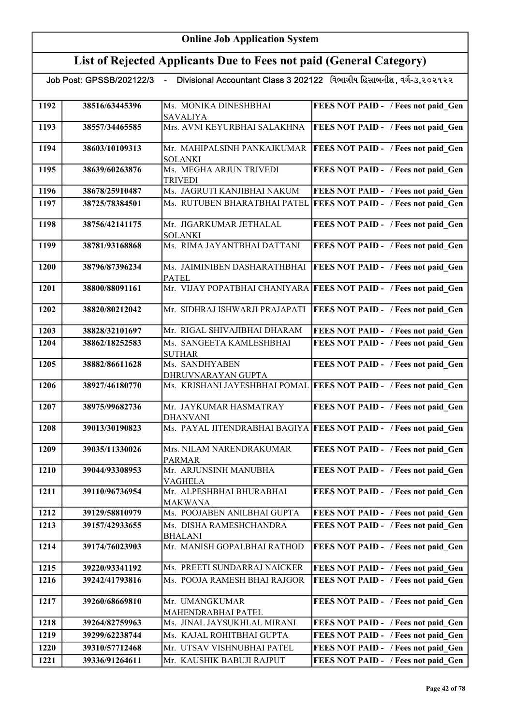## List of Rejected Applicants Due to Fees not paid (General Category)

| 1192 | 38516/63445396 | Ms. MONIKA DINESHBHAI                            | FEES NOT PAID - / Fees not paid Gen                               |
|------|----------------|--------------------------------------------------|-------------------------------------------------------------------|
|      |                | <b>SAVALIYA</b>                                  |                                                                   |
| 1193 | 38557/34465585 | Mrs. AVNI KEYURBHAI SALAKHNA                     | FEES NOT PAID - / Fees not paid Gen                               |
|      |                |                                                  |                                                                   |
| 1194 | 38603/10109313 | Mr. MAHIPALSINH PANKAJKUMAR                      | <b>FEES NOT PAID - / Fees not paid Gen</b>                        |
|      |                | <b>SOLANKI</b>                                   |                                                                   |
| 1195 | 38639/60263876 | Ms. MEGHA ARJUN TRIVEDI                          | FEES NOT PAID - / Fees not paid Gen                               |
|      |                | <b>TRIVEDI</b>                                   |                                                                   |
| 1196 | 38678/25910487 | Ms. JAGRUTI KANJIBHAI NAKUM                      | FEES NOT PAID - / Fees not paid Gen                               |
| 1197 | 38725/78384501 | Ms. RUTUBEN BHARATBHAI PATEL                     | <b>FEES NOT PAID - / Fees not paid Gen</b>                        |
|      |                |                                                  |                                                                   |
| 1198 | 38756/42141175 | Mr. JIGARKUMAR JETHALAL                          | FEES NOT PAID - / Fees not paid Gen                               |
|      |                | <b>SOLANKI</b>                                   |                                                                   |
| 1199 | 38781/93168868 | Ms. RIMA JAYANTBHAI DATTANI                      | FEES NOT PAID - / Fees not paid Gen                               |
|      |                |                                                  |                                                                   |
| 1200 | 38796/87396234 | Ms. JAIMINIBEN DASHARATHBHAI                     | <b>FEES NOT PAID - / Fees not paid Gen</b>                        |
|      |                | <b>PATEL</b>                                     |                                                                   |
| 1201 | 38800/88091161 |                                                  | Mr. VIJAY POPATBHAI CHANIYARA FEES NOT PAID - / Fees not paid Gen |
|      |                |                                                  |                                                                   |
| 1202 | 38820/80212042 | Mr. SIDHRAJ ISHWARJI PRAJAPATI                   | FEES NOT PAID - / Fees not paid Gen                               |
|      |                |                                                  |                                                                   |
| 1203 | 38828/32101697 | Mr. RIGAL SHIVAJIBHAI DHARAM                     | FEES NOT PAID - / Fees not paid Gen                               |
| 1204 | 38862/18252583 | Ms. SANGEETA KAMLESHBHAI                         | FEES NOT PAID - / Fees not paid Gen                               |
|      |                | <b>SUTHAR</b>                                    |                                                                   |
| 1205 | 38882/86611628 | Ms. SANDHYABEN                                   | FEES NOT PAID - / Fees not paid Gen                               |
|      |                | DHRUVNARAYAN GUPTA                               |                                                                   |
| 1206 | 38927/46180770 | Ms. KRISHANI JAYESHBHAI POMAL                    | <b>FEES NOT PAID - / Fees not paid Gen</b>                        |
|      |                |                                                  |                                                                   |
| 1207 | 38975/99682736 | Mr. JAYKUMAR HASMATRAY                           | FEES NOT PAID - / Fees not paid Gen                               |
| 1208 | 39013/30190823 | <b>DHANVANI</b><br>Ms. PAYAL JITENDRABHAI BAGIYA | <b>FEES NOT PAID - / Fees not paid Gen</b>                        |
|      |                |                                                  |                                                                   |
| 1209 | 39035/11330026 | Mrs. NILAM NARENDRAKUMAR                         | FEES NOT PAID - / Fees not paid Gen                               |
|      |                | <b>PARMAR</b>                                    |                                                                   |
| 1210 | 39044/93308953 | Mr. ARJUNSINH MANUBHA                            | FEES NOT PAID - / Fees not paid Gen                               |
|      |                | VAGHELA                                          |                                                                   |
| 1211 | 39110/96736954 | Mr. ALPESHBHAI BHURABHAI                         | FEES NOT PAID - / Fees not paid Gen                               |
|      |                | <b>MAKWANA</b>                                   |                                                                   |
| 1212 | 39129/58810979 | Ms. POOJABEN ANILBHAI GUPTA                      | FEES NOT PAID - / Fees not paid Gen                               |
| 1213 | 39157/42933655 | Ms. DISHA RAMESHCHANDRA                          | FEES NOT PAID - / Fees not paid Gen                               |
|      |                | <b>BHALANI</b>                                   |                                                                   |
| 1214 | 39174/76023903 | Mr. MANISH GOPALBHAI RATHOD                      | FEES NOT PAID - / Fees not paid Gen                               |
|      |                |                                                  |                                                                   |
| 1215 | 39220/93341192 | Ms. PREETI SUNDARRAJ NAICKER                     | FEES NOT PAID - / Fees not paid Gen                               |
| 1216 | 39242/41793816 | Ms. POOJA RAMESH BHAI RAJGOR                     | FEES NOT PAID - / Fees not paid Gen                               |
|      |                |                                                  |                                                                   |
| 1217 | 39260/68669810 | Mr. UMANGKUMAR                                   | FEES NOT PAID - / Fees not paid Gen                               |
|      |                | MAHENDRABHAI PATEL                               |                                                                   |
| 1218 | 39264/82759963 | Ms. JINAL JAYSUKHLAL MIRANI                      | FEES NOT PAID - / Fees not paid Gen                               |
| 1219 | 39299/62238744 | Ms. KAJAL ROHITBHAI GUPTA                        | FEES NOT PAID - / Fees not paid Gen                               |
| 1220 | 39310/57712468 | Mr. UTSAV VISHNUBHAI PATEL                       | FEES NOT PAID - / Fees not paid Gen                               |
| 1221 | 39336/91264611 | Mr. KAUSHIK BABUJI RAJPUT                        | FEES NOT PAID - / Fees not paid Gen                               |
|      |                |                                                  |                                                                   |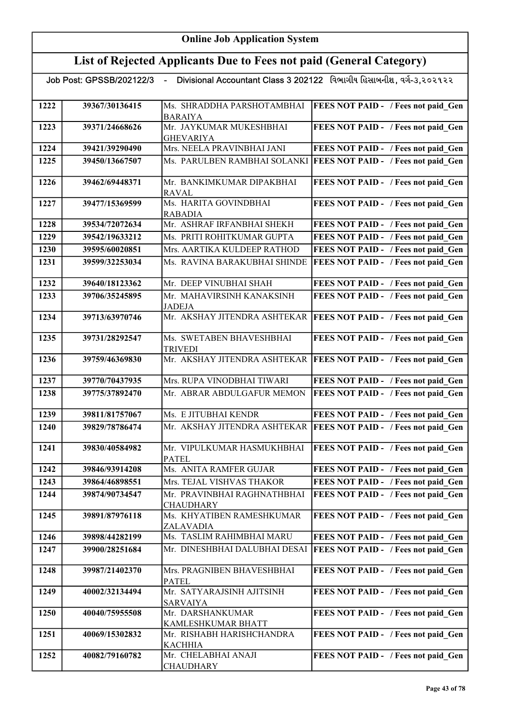| Job Post: GPSSB/202122/3 - Divisional Accountant Class 3 202122 વિભાગીય હિસાબનીશ, વર્ગ-૩,૨૦૨૧૨૨ |                |                                                 |                                            |
|-------------------------------------------------------------------------------------------------|----------------|-------------------------------------------------|--------------------------------------------|
| 1222                                                                                            | 39367/30136415 | Ms. SHRADDHA PARSHOTAMBHAI<br><b>BARAIYA</b>    | FEES NOT PAID - / Fees not paid Gen        |
| 1223                                                                                            | 39371/24668626 | Mr. JAYKUMAR MUKESHBHAI<br><b>GHEVARIYA</b>     | FEES NOT PAID - / Fees not paid_Gen        |
| 1224                                                                                            | 39421/39290490 | Mrs. NEELA PRAVINBHAI JANI                      | FEES NOT PAID - / Fees not paid Gen        |
| 1225                                                                                            | 39450/13667507 | Ms. PARULBEN RAMBHAI SOLANKI                    | <b>FEES NOT PAID - / Fees not paid Gen</b> |
| 1226                                                                                            | 39462/69448371 | Mr. BANKIMKUMAR DIPAKBHAI<br><b>RAVAL</b>       | FEES NOT PAID - / Fees not paid_Gen        |
| 1227                                                                                            | 39477/15369599 | Ms. HARITA GOVINDBHAI<br><b>RABADIA</b>         | FEES NOT PAID - / Fees not paid Gen        |
| 1228                                                                                            | 39534/72072634 | Mr. ASHRAF IRFANBHAI SHEKH                      | FEES NOT PAID - / Fees not paid Gen        |
| 1229                                                                                            | 39542/19633212 | Ms. PRITI ROHITKUMAR GUPTA                      | FEES NOT PAID - / Fees not paid Gen        |
| 1230                                                                                            | 39595/60020851 | Mrs. AARTIKA KULDEEP RATHOD                     | FEES NOT PAID - / Fees not paid Gen        |
| 1231                                                                                            | 39599/32253034 | Ms. RAVINA BARAKUBHAI SHINDE                    | <b>FEES NOT PAID - / Fees not paid Gen</b> |
| 1232                                                                                            | 39640/18123362 | Mr. DEEP VINUBHAI SHAH                          | FEES NOT PAID - / Fees not paid Gen        |
| 1233                                                                                            | 39706/35245895 | Mr. MAHAVIRSINH KANAKSINH<br><b>JADEJA</b>      | FEES NOT PAID - / Fees not paid Gen        |
| 1234                                                                                            | 39713/63970746 | Mr. AKSHAY JITENDRA ASHTEKAR                    | <b>FEES NOT PAID - / Fees not paid Gen</b> |
| 1235                                                                                            | 39731/28292547 | Ms. SWETABEN BHAVESHBHAI<br><b>TRIVEDI</b>      | FEES NOT PAID - / Fees not paid Gen        |
| 1236                                                                                            | 39759/46369830 | Mr. AKSHAY JITENDRA ASHTEKAR                    | <b>FEES NOT PAID - / Fees not paid Gen</b> |
| 1237                                                                                            | 39770/70437935 | Mrs. RUPA VINODBHAI TIWARI                      | FEES NOT PAID - / Fees not paid Gen        |
| 1238                                                                                            | 39775/37892470 | Mr. ABRAR ABDULGAFUR MEMON                      | FEES NOT PAID - / Fees not paid Gen        |
| 1239                                                                                            | 39811/81757067 | Ms. E JITUBHAI KENDR                            | FEES NOT PAID - / Fees not paid Gen        |
| 1240                                                                                            | 39829/78786474 | Mr. AKSHAY JITENDRA ASHTEKAR                    | <b>FEES NOT PAID - / Fees not paid_Gen</b> |
| 1241                                                                                            | 39830/40584982 | Mr. VIPULKUMAR HASMUKHBHAI<br><b>PATEL</b>      | FEES NOT PAID - / Fees not paid Gen        |
| 1242                                                                                            | 39846/93914208 | Ms. ANITA RAMFER GUJAR                          | FEES NOT PAID - / Fees not paid Gen        |
| 1243                                                                                            | 39864/46898551 | Mrs. TEJAL VISHVAS THAKOR                       | FEES NOT PAID - / Fees not paid Gen        |
| 1244                                                                                            | 39874/90734547 | Mr. PRAVINBHAI RAGHNATHBHAI<br><b>CHAUDHARY</b> | FEES NOT PAID - / Fees not paid Gen        |
| 1245                                                                                            | 39891/87976118 | Ms. KHYATIBEN RAMESHKUMAR<br><b>ZALAVADIA</b>   | FEES NOT PAID - / Fees not paid_Gen        |
| 1246                                                                                            | 39898/44282199 | Ms. TASLIM RAHIMBHAI MARU                       | FEES NOT PAID - / Fees not paid Gen        |
| 1247                                                                                            | 39900/28251684 | Mr. DINESHBHAI DALUBHAI DESAI                   | <b>FEES NOT PAID - / Fees not paid Gen</b> |
| 1248                                                                                            | 39987/21402370 | Mrs. PRAGNIBEN BHAVESHBHAI<br><b>PATEL</b>      | FEES NOT PAID - / Fees not paid Gen        |
| 1249                                                                                            | 40002/32134494 | Mr. SATYARAJSINH AJITSINH<br><b>SARVAIYA</b>    | FEES NOT PAID - / Fees not paid Gen        |
| 1250                                                                                            | 40040/75955508 | Mr. DARSHANKUMAR<br>KAMLESHKUMAR BHATT          | FEES NOT PAID - / Fees not paid Gen        |
| 1251                                                                                            | 40069/15302832 | Mr. RISHABH HARISHCHANDRA<br><b>KACHHIA</b>     | FEES NOT PAID - / Fees not paid Gen        |
| 1252                                                                                            | 40082/79160782 | Mr. CHELABHAI ANAJI<br><b>CHAUDHARY</b>         | FEES NOT PAID - / Fees not paid Gen        |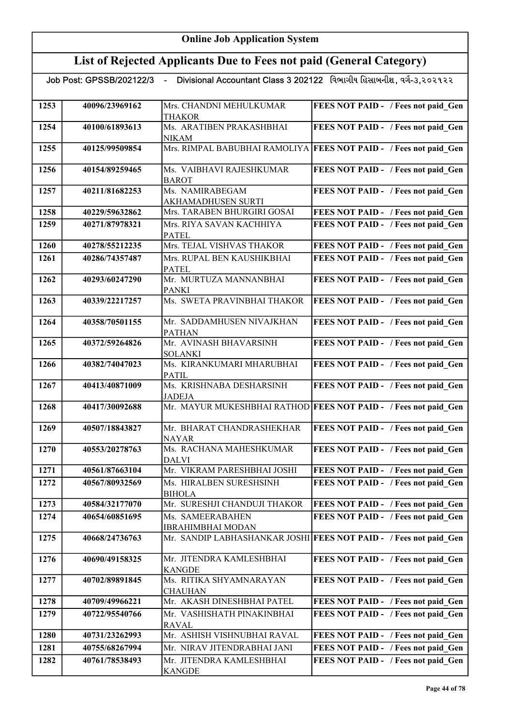## List of Rejected Applicants Due to Fees not paid (General Category)

| 1253 | 40096/23969162 | Mrs. CHANDNI MEHULKUMAR                      | FEES NOT PAID - / Fees not paid Gen                               |
|------|----------------|----------------------------------------------|-------------------------------------------------------------------|
|      |                | <b>THAKOR</b>                                |                                                                   |
| 1254 | 40100/61893613 | Ms. ARATIBEN PRAKASHBHAI                     | FEES NOT PAID - / Fees not paid Gen                               |
|      |                | <b>NIKAM</b>                                 |                                                                   |
| 1255 | 40125/99509854 |                                              | Mrs. RIMPAL BABUBHAI RAMOLIYA FEES NOT PAID - / Fees not paid Gen |
|      |                |                                              |                                                                   |
| 1256 | 40154/89259465 | Ms. VAIBHAVI RAJESHKUMAR                     | FEES NOT PAID - / Fees not paid Gen                               |
|      |                | <b>BAROT</b>                                 |                                                                   |
| 1257 | 40211/81682253 | Ms. NAMIRABEGAM                              | FEES NOT PAID - / Fees not paid Gen                               |
|      |                | AKHAMADHUSEN SURTI                           |                                                                   |
| 1258 | 40229/59632862 | Mrs. TARABEN BHURGIRI GOSAI                  | FEES NOT PAID - / Fees not paid Gen                               |
| 1259 | 40271/87978321 | Mrs. RIYA SAVAN KACHHIYA                     | FEES NOT PAID - / Fees not paid Gen                               |
|      |                | <b>PATEL</b>                                 |                                                                   |
| 1260 | 40278/55212235 | Mrs. TEJAL VISHVAS THAKOR                    | FEES NOT PAID - / Fees not paid Gen                               |
| 1261 | 40286/74357487 | Mrs. RUPAL BEN KAUSHIKBHAI                   | FEES NOT PAID - / Fees not paid Gen                               |
|      |                | <b>PATEL</b>                                 |                                                                   |
| 1262 | 40293/60247290 | Mr. MURTUZA MANNANBHAI                       | FEES NOT PAID - / Fees not paid Gen                               |
|      |                | <b>PANKI</b>                                 |                                                                   |
| 1263 | 40339/22217257 | Ms. SWETA PRAVINBHAI THAKOR                  | FEES NOT PAID - / Fees not paid Gen                               |
|      |                |                                              |                                                                   |
| 1264 | 40358/70501155 | Mr. SADDAMHUSEN NIVAJKHAN                    | FEES NOT PAID - / Fees not paid Gen                               |
|      |                | <b>PATHAN</b>                                |                                                                   |
| 1265 | 40372/59264826 | Mr. AVINASH BHAVARSINH                       | FEES NOT PAID - / Fees not paid_Gen                               |
|      |                | <b>SOLANKI</b>                               |                                                                   |
| 1266 | 40382/74047023 | Ms. KIRANKUMARI MHARUBHAI                    | FEES NOT PAID - / Fees not paid Gen                               |
|      |                | <b>PATIL</b>                                 |                                                                   |
| 1267 | 40413/40871009 | Ms. KRISHNABA DESHARSINH                     | FEES NOT PAID - / Fees not paid Gen                               |
|      |                | <b>JADEJA</b>                                |                                                                   |
| 1268 | 40417/30092688 |                                              | Mr. MAYUR MUKESHBHAI RATHOD FEES NOT PAID - / Fees not paid Gen   |
|      |                |                                              |                                                                   |
| 1269 | 40507/18843827 | Mr. BHARAT CHANDRASHEKHAR                    | FEES NOT PAID - / Fees not paid Gen                               |
|      |                | <b>NAYAR</b><br>Ms. RACHANA MAHESHKUMAR      |                                                                   |
| 1270 | 40553/20278763 |                                              | FEES NOT PAID - / Fees not paid Gen                               |
| 1271 | 40561/87663104 | <b>DALVI</b><br>Mr. VIKRAM PARESHBHAI JOSHI  | FEES NOT PAID - / Fees not paid Gen                               |
|      |                |                                              |                                                                   |
| 1272 | 40567/80932569 | Ms. HIRALBEN SURESHSINH                      | <b>FEES NOT PAID - / Fees not paid Gen</b>                        |
|      |                | <b>BIHOLA</b>                                |                                                                   |
| 1273 | 40584/32177070 | Mr. SURESHJI CHANDUJI THAKOR                 | FEES NOT PAID - / Fees not paid Gen                               |
| 1274 | 40654/60851695 | Ms. SAMEERABAHEN                             | FEES NOT PAID - / Fees not paid Gen                               |
|      |                | <b>IBRAHIMBHAI MODAN</b>                     |                                                                   |
| 1275 | 40668/24736763 |                                              | Mr. SANDIP LABHASHANKAR JOSHI FEES NOT PAID - / Fees not paid Gen |
|      |                |                                              |                                                                   |
| 1276 | 40690/49158325 | Mr. JITENDRA KAMLESHBHAI                     | FEES NOT PAID - / Fees not paid Gen                               |
|      |                | <b>KANGDE</b>                                |                                                                   |
| 1277 | 40702/89891845 | Ms. RITIKA SHYAMNARAYAN                      | FEES NOT PAID - / Fees not paid Gen                               |
|      |                | <b>CHAUHAN</b><br>Mr. AKASH DINESHBHAI PATEL |                                                                   |
| 1278 | 40709/49966221 |                                              | FEES NOT PAID - / Fees not paid Gen                               |
| 1279 | 40722/95540766 | Mr. VASHISHATH PINAKINBHAI                   | FEES NOT PAID - / Fees not paid Gen                               |
|      |                | <b>RAVAL</b>                                 |                                                                   |
| 1280 | 40731/23262993 | Mr. ASHISH VISHNUBHAI RAVAL                  | FEES NOT PAID - / Fees not paid Gen                               |
| 1281 | 40755/68267994 | Mr. NIRAV JITENDRABHAI JANI                  | FEES NOT PAID - / Fees not paid Gen                               |
| 1282 | 40761/78538493 | Mr. JITENDRA KAMLESHBHAI                     | FEES NOT PAID - / Fees not paid Gen                               |
|      |                | <b>KANGDE</b>                                |                                                                   |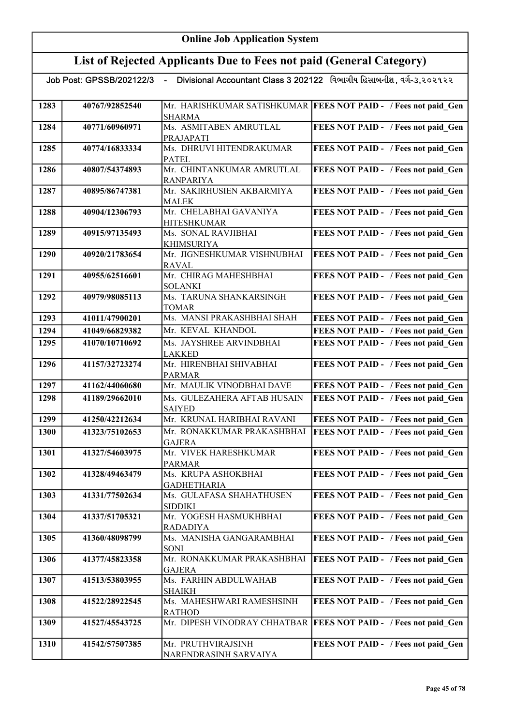|      |                | Job Post: GPSSB/202122/3  - Divisional Accountant Class 3 202122   વિભાગીય હિસાબનીશ , વગે-૩,૨૦૨૧૨૨ |                                                                   |
|------|----------------|----------------------------------------------------------------------------------------------------|-------------------------------------------------------------------|
| 1283 | 40767/92852540 |                                                                                                    | Mr. HARISHKUMAR SATISHKUMAR   FEES NOT PAID - / Fees not paid Gen |
|      |                | <b>SHARMA</b>                                                                                      |                                                                   |
| 1284 | 40771/60960971 | Ms. ASMITABEN AMRUTLAL                                                                             | FEES NOT PAID - / Fees not paid Gen                               |
|      |                | PRAJAPATI                                                                                          |                                                                   |
| 1285 | 40774/16833334 | Ms. DHRUVI HITENDRAKUMAR                                                                           | FEES NOT PAID - / Fees not paid Gen                               |
|      |                | PATEL                                                                                              |                                                                   |
| 1286 | 40807/54374893 | Mr. CHINTANKUMAR AMRUTLAL                                                                          | FEES NOT PAID - / Fees not paid Gen                               |
| 1287 | 40895/86747381 | <b>RANPARIYA</b><br>Mr. SAKIRHUSIEN AKBARMIYA                                                      | FEES NOT PAID - / Fees not paid Gen                               |
|      |                | <b>MALEK</b>                                                                                       |                                                                   |
| 1288 | 40904/12306793 | Mr. CHELABHAI GAVANIYA                                                                             | FEES NOT PAID - / Fees not paid_Gen                               |
|      |                | <b>HITESHKUMAR</b>                                                                                 |                                                                   |
| 1289 | 40915/97135493 | Ms. SONAL RAVJIBHAI                                                                                | FEES NOT PAID - / Fees not paid Gen                               |
|      |                | <b>KHIMSURIYA</b>                                                                                  |                                                                   |
| 1290 | 40920/21783654 | Mr. JIGNESHKUMAR VISHNUBHAI                                                                        | FEES NOT PAID - / Fees not paid Gen                               |
|      |                | <b>RAVAL</b><br>Mr. CHIRAG MAHESHBHAI                                                              |                                                                   |
| 1291 | 40955/62516601 | <b>SOLANKI</b>                                                                                     | FEES NOT PAID - / Fees not paid Gen                               |
| 1292 | 40979/98085113 | Ms. TARUNA SHANKARSINGH                                                                            | FEES NOT PAID - / Fees not paid Gen                               |
|      |                | <b>TOMAR</b>                                                                                       |                                                                   |
| 1293 | 41011/47900201 | Ms. MANSI PRAKASHBHAI SHAH                                                                         | FEES NOT PAID - / Fees not paid Gen                               |
| 1294 | 41049/66829382 | Mr. KEVAL KHANDOL                                                                                  | FEES NOT PAID - / Fees not paid Gen                               |
| 1295 | 41070/10710692 | Ms. JAYSHREE ARVINDBHAI                                                                            | FEES NOT PAID - / Fees not paid Gen                               |
|      |                | <b>LAKKED</b>                                                                                      |                                                                   |
| 1296 | 41157/32723274 | Mr. HIRENBHAI SHIVABHAI                                                                            | FEES NOT PAID - / Fees not paid_Gen                               |
|      |                | <b>PARMAR</b>                                                                                      |                                                                   |
| 1297 | 41162/44060680 | Mr. MAULIK VINODBHAI DAVE                                                                          | FEES NOT PAID - / Fees not paid Gen                               |
| 1298 | 41189/29662010 | Ms. GULEZAHERA AFTAB HUSAIN<br><b>SAIYED</b>                                                       | FEES NOT PAID - / Fees not paid Gen                               |
| 1299 | 41250/42212634 | Mr. KRUNAL HARIBHAI RAVANI                                                                         | FEES NOT PAID - / Fees not paid Gen                               |
| 1300 | 41323/75102653 | Mr. RONAKKUMAR PRAKASHBHAI                                                                         | FEES NOT PAID - / Fees not paid Gen                               |
|      |                | <b>GAJERA</b>                                                                                      |                                                                   |
| 1301 | 41327/54603975 | Mr. VIVEK HARESHKUMAR                                                                              | FEES NOT PAID - / Fees not paid Gen                               |
|      |                | PARMAR                                                                                             |                                                                   |
| 1302 | 41328/49463479 | Ms. KRUPA ASHOKBHAI                                                                                | FEES NOT PAID - / Fees not paid Gen                               |
|      |                | <b>GADHETHARIA</b>                                                                                 |                                                                   |
| 1303 | 41331/77502634 | Ms. GULAFASA SHAHATHUSEN<br><b>SIDDIKI</b>                                                         | FEES NOT PAID - / Fees not paid Gen                               |
| 1304 | 41337/51705321 | Mr. YOGESH HASMUKHBHAI                                                                             | FEES NOT PAID - / Fees not paid Gen                               |
|      |                | RADADIYA                                                                                           |                                                                   |
| 1305 | 41360/48098799 | Ms. MANISHA GANGARAMBHAI                                                                           | FEES NOT PAID - / Fees not paid Gen                               |
|      |                | SONI                                                                                               |                                                                   |
| 1306 | 41377/45823358 | Mr. RONAKKUMAR PRAKASHBHAI                                                                         | FEES NOT PAID - / Fees not paid Gen                               |
|      |                | <b>GAJERA</b><br>Ms. FARHIN ABDULWAHAB                                                             |                                                                   |
| 1307 | 41513/53803955 | <b>SHAIKH</b>                                                                                      | FEES NOT PAID - / Fees not paid Gen                               |
| 1308 | 41522/28922545 | Ms. MAHESHWARI RAMESHSINH                                                                          | FEES NOT PAID - / Fees not paid Gen                               |
|      |                | <b>RATHOD</b>                                                                                      |                                                                   |
| 1309 | 41527/45543725 | Mr. DIPESH VINODRAY CHHATBAR                                                                       | <b>FEES NOT PAID - / Fees not paid Gen</b>                        |
|      |                |                                                                                                    |                                                                   |
| 1310 | 41542/57507385 | Mr. PRUTHVIRAJSINH                                                                                 | FEES NOT PAID - / Fees not paid Gen                               |
|      |                | NARENDRASINH SARVAIYA                                                                              |                                                                   |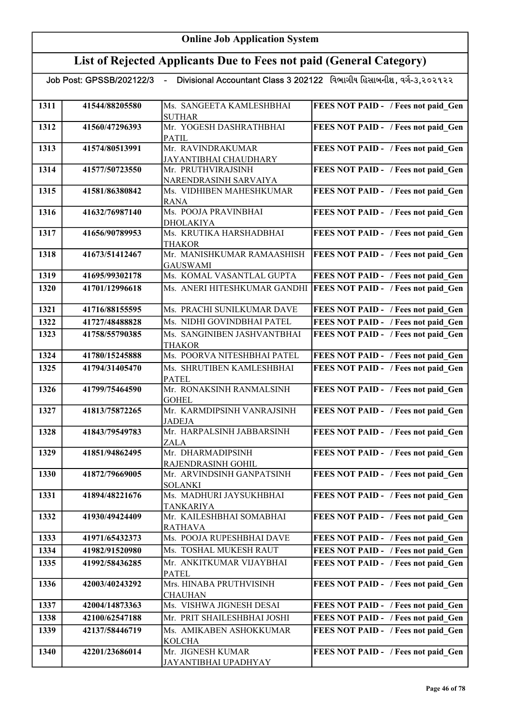| Divisional Accountant Class 3 202122 વિભાગીય હિસાબનીશ, વર્ગ-૩,૨૦૨૧૨૨<br>Job Post: GPSSB/202122/3 - |                |                                                   |                                            |
|----------------------------------------------------------------------------------------------------|----------------|---------------------------------------------------|--------------------------------------------|
|                                                                                                    |                |                                                   |                                            |
| 1311                                                                                               | 41544/88205580 | Ms. SANGEETA KAMLESHBHAI<br><b>SUTHAR</b>         | FEES NOT PAID - / Fees not paid Gen        |
| 1312                                                                                               | 41560/47296393 | Mr. YOGESH DASHRATHBHAI<br><b>PATIL</b>           | FEES NOT PAID - / Fees not paid_Gen        |
| 1313                                                                                               | 41574/80513991 | Mr. RAVINDRAKUMAR<br>JAYANTIBHAI CHAUDHARY        | FEES NOT PAID - / Fees not paid Gen        |
| 1314                                                                                               | 41577/50723550 | Mr. PRUTHVIRAJSINH                                | FEES NOT PAID - / Fees not paid Gen        |
| 1315                                                                                               | 41581/86380842 | NARENDRASINH SARVAIYA<br>Ms. VIDHIBEN MAHESHKUMAR | FEES NOT PAID - / Fees not paid Gen        |
|                                                                                                    |                | RANA<br>Ms. POOJA PRAVINBHAI                      |                                            |
| 1316                                                                                               | 41632/76987140 | <b>DHOLAKIYA</b>                                  | FEES NOT PAID - / Fees not paid Gen        |
| 1317                                                                                               | 41656/90789953 | Ms. KRUTIKA HARSHADBHAI                           | FEES NOT PAID - / Fees not paid Gen        |
|                                                                                                    |                | <b>THAKOR</b>                                     |                                            |
| 1318                                                                                               | 41673/51412467 | Mr. MANISHKUMAR RAMAASHISH                        | FEES NOT PAID - / Fees not paid Gen        |
|                                                                                                    |                | <b>GAUSWAMI</b>                                   |                                            |
| 1319                                                                                               | 41695/99302178 | Ms. KOMAL VASANTLAL GUPTA                         | FEES NOT PAID - / Fees not paid Gen        |
| 1320                                                                                               | 41701/12996618 | Ms. ANERI HITESHKUMAR GANDHI                      | FEES NOT PAID - / Fees not paid Gen        |
| 1321                                                                                               | 41716/88155595 | Ms. PRACHI SUNILKUMAR DAVE                        | FEES NOT PAID - / Fees not paid Gen        |
| 1322                                                                                               | 41727/48488828 | Ms. NIDHI GOVINDBHAI PATEL                        | FEES NOT PAID - / Fees not paid Gen        |
| 1323                                                                                               | 41758/55790385 | Ms. SANGINIBEN JASHVANTBHAI<br><b>THAKOR</b>      | FEES NOT PAID - / Fees not paid Gen        |
| 1324                                                                                               | 41780/15245888 | Ms. POORVA NITESHBHAI PATEL                       | FEES NOT PAID - / Fees not paid Gen        |
| 1325                                                                                               | 41794/31405470 | Ms. SHRUTIBEN KAMLESHBHAI                         | FEES NOT PAID - / Fees not paid Gen        |
|                                                                                                    |                | <b>PATEL</b>                                      |                                            |
| 1326                                                                                               | 41799/75464590 | Mr. RONAKSINH RANMALSINH<br><b>GOHEL</b>          | FEES NOT PAID - / Fees not paid Gen        |
| 1327                                                                                               | 41813/75872265 | Mr. KARMDIPSINH VANRAJSINH                        | FEES NOT PAID - / Fees not paid Gen        |
|                                                                                                    |                | <b>JADEJA</b>                                     |                                            |
| 1328                                                                                               | 41843/79549783 | Mr. HARPALSINH JABBARSINH                         | FEES NOT PAID - / Fees not paid Gen        |
|                                                                                                    |                | <b>ZALA</b>                                       |                                            |
| 1329                                                                                               | 41851/94862495 | Mr. DHARMADIPSINH<br>RAJENDRASINH GOHIL           | <b>FEES NOT PAID - / Fees not paid Gen</b> |
| 1330                                                                                               | 41872/79669005 | Mr. ARVINDSINH GANPATSINH<br><b>SOLANKI</b>       | FEES NOT PAID - / Fees not paid Gen        |
| 1331                                                                                               | 41894/48221676 | Ms. MADHURI JAYSUKHBHAI                           | FEES NOT PAID - / Fees not paid_Gen        |
|                                                                                                    |                | <b>TANKARIYA</b>                                  |                                            |
| 1332                                                                                               | 41930/49424409 | Mr. KAILESHBHAI SOMABHAI                          | FEES NOT PAID - / Fees not paid Gen        |
|                                                                                                    |                | <b>RATHAVA</b>                                    |                                            |
| 1333                                                                                               | 41971/65432373 | Ms. POOJA RUPESHBHAI DAVE                         | FEES NOT PAID - / Fees not paid Gen        |
| 1334                                                                                               | 41982/91520980 | Ms. TOSHAL MUKESH RAUT                            | FEES NOT PAID - / Fees not paid Gen        |
| 1335                                                                                               | 41992/58436285 | Mr. ANKITKUMAR VIJAYBHAI<br><b>PATEL</b>          | FEES NOT PAID - / Fees not paid Gen        |
| 1336                                                                                               | 42003/40243292 | Mrs. HINABA PRUTHVISINH<br><b>CHAUHAN</b>         | FEES NOT PAID - / Fees not paid Gen        |
| 1337                                                                                               | 42004/14873363 | Ms. VISHWA JIGNESH DESAI                          | FEES NOT PAID - / Fees not paid Gen        |
| 1338                                                                                               | 42100/62547188 | Mr. PRIT SHAILESHBHAI JOSHI                       | FEES NOT PAID - / Fees not paid Gen        |
| 1339                                                                                               | 42137/58446719 | Ms. AMIKABEN ASHOKKUMAR                           | FEES NOT PAID - / Fees not paid Gen        |
|                                                                                                    |                | <b>KOLCHA</b>                                     |                                            |
| 1340                                                                                               | 42201/23686014 | Mr. JIGNESH KUMAR<br>JAYANTIBHAI UPADHYAY         | FEES NOT PAID - / Fees not paid Gen        |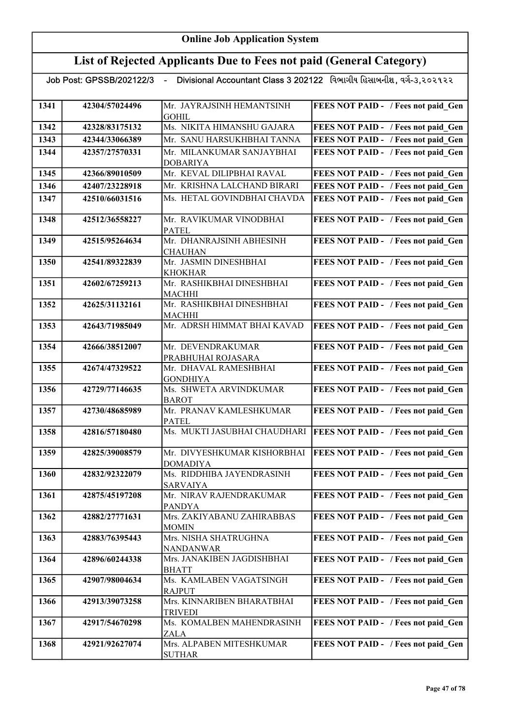| Job Post: GPSSB/202122/3 |                | $\sim$                                         | Divisional Accountant Class 3 202122 વિભાગીય હિસાબનીશ, વર્ગ-૩.૨૦૨૧૨૨ |
|--------------------------|----------------|------------------------------------------------|----------------------------------------------------------------------|
| 1341                     | 42304/57024496 | Mr. JAYRAJSINH HEMANTSINH<br><b>GOHIL</b>      | FEES NOT PAID - / Fees not paid Gen                                  |
| 1342                     | 42328/83175132 | Ms. NIKITA HIMANSHU GAJARA                     | FEES NOT PAID - / Fees not paid Gen                                  |
| 1343                     | 42344/33066389 | Mr. SANU HARSUKHBHAI TANNA                     | FEES NOT PAID - / Fees not paid Gen                                  |
| 1344                     | 42357/27570331 | Mr. MILANKUMAR SANJAYBHAI<br><b>DOBARIYA</b>   | FEES NOT PAID - / Fees not paid Gen                                  |
| 1345                     | 42366/89010509 | Mr. KEVAL DILIPBHAI RAVAL                      | FEES NOT PAID - / Fees not paid Gen                                  |
| 1346                     | 42407/23228918 | Mr. KRISHNA LALCHAND BIRARI                    | FEES NOT PAID - / Fees not paid Gen                                  |
| 1347                     | 42510/66031516 | Ms. HETAL GOVINDBHAI CHAVDA                    | FEES NOT PAID - / Fees not paid Gen                                  |
| 1348                     | 42512/36558227 | Mr. RAVIKUMAR VINODBHAI<br><b>PATEL</b>        | FEES NOT PAID - / Fees not paid_Gen                                  |
| 1349                     | 42515/95264634 | Mr. DHANRAJSINH ABHESINH<br><b>CHAUHAN</b>     | FEES NOT PAID - / Fees not paid_Gen                                  |
| 1350                     | 42541/89322839 | Mr. JASMIN DINESHBHAI<br><b>KHOKHAR</b>        | FEES NOT PAID - / Fees not paid_Gen                                  |
| 1351                     | 42602/67259213 | Mr. RASHIKBHAI DINESHBHAI<br><b>MACHHI</b>     | FEES NOT PAID - / Fees not paid Gen                                  |
| 1352                     | 42625/31132161 | Mr. RASHIKBHAI DINESHBHAI<br><b>MACHHI</b>     | FEES NOT PAID - / Fees not paid Gen                                  |
| 1353                     | 42643/71985049 | Mr. ADRSH HIMMAT BHAI KAVAD                    | FEES NOT PAID - / Fees not paid Gen                                  |
| 1354                     | 42666/38512007 | Mr. DEVENDRAKUMAR<br>PRABHUHAI ROJASARA        | FEES NOT PAID - / Fees not paid Gen                                  |
| 1355                     | 42674/47329522 | Mr. DHAVAL RAMESHBHAI<br><b>GONDHIYA</b>       | FEES NOT PAID - / Fees not paid Gen                                  |
| 1356                     | 42729/77146635 | Ms. SHWETA ARVINDKUMAR<br><b>BAROT</b>         | FEES NOT PAID - / Fees not paid Gen                                  |
| 1357                     | 42730/48685989 | Mr. PRANAV KAMLESHKUMAR<br><b>PATEL</b>        | FEES NOT PAID - / Fees not paid Gen                                  |
| 1358                     | 42816/57180480 | Ms. MUKTI JASUBHAI CHAUDHARI                   | <b>FEES NOT PAID - / Fees not paid Gen</b>                           |
| 1359                     | 42825/39008579 | Mr. DIVYESHKUMAR KISHORBHAI<br><b>DOMADIYA</b> | <b>FEES NOT PAID - / Fees not paid Gen</b>                           |
| 1360                     | 42832/92322079 | Ms. RIDDHIBA JAYENDRASINH<br><b>SARVAIYA</b>   | FEES NOT PAID - / Fees not paid Gen                                  |
| 1361                     | 42875/45197208 | Mr. NIRAV RAJENDRAKUMAR<br><b>PANDYA</b>       | FEES NOT PAID - / Fees not paid Gen                                  |
| 1362                     | 42882/27771631 | Mrs. ZAKIYABANU ZAHIRABBAS<br><b>MOMIN</b>     | FEES NOT PAID - / Fees not paid Gen                                  |
| 1363                     | 42883/76395443 | Mrs. NISHA SHATRUGHNA<br><b>NANDANWAR</b>      | FEES NOT PAID - / Fees not paid Gen                                  |
| 1364                     | 42896/60244338 | Mrs. JANAKIBEN JAGDISHBHAI<br><b>BHATT</b>     | FEES NOT PAID - / Fees not paid Gen                                  |
| 1365                     | 42907/98004634 | Ms. KAMLABEN VAGATSINGH<br><b>RAJPUT</b>       | FEES NOT PAID - / Fees not paid Gen                                  |
| 1366                     | 42913/39073258 | Mrs. KINNARIBEN BHARATBHAI<br><b>TRIVEDI</b>   | FEES NOT PAID - / Fees not paid Gen                                  |
| 1367                     | 42917/54670298 | Ms. KOMALBEN MAHENDRASINH<br>ZALA              | FEES NOT PAID - / Fees not paid Gen                                  |
| 1368                     | 42921/92627074 | Mrs. ALPABEN MITESHKUMAR<br><b>SUTHAR</b>      | FEES NOT PAID - / Fees not paid Gen                                  |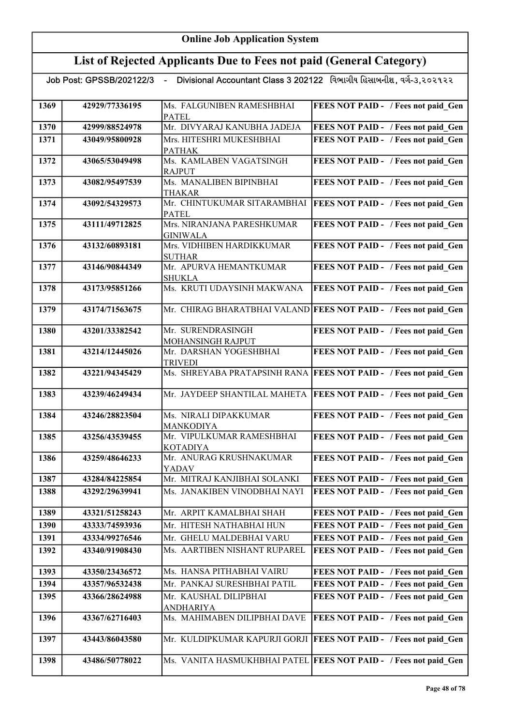### List of Rejected Applicants Due to Fees not paid (General Category)

| 1369 | 42929/77336195 | Ms. FALGUNIBEN RAMESHBHAI<br><b>PATEL</b>    | FEES NOT PAID - / Fees not paid Gen                                 |
|------|----------------|----------------------------------------------|---------------------------------------------------------------------|
| 1370 | 42999/88524978 | Mr. DIVYARAJ KANUBHA JADEJA                  | FEES NOT PAID - / Fees not paid Gen                                 |
| 1371 | 43049/95800928 | Mrs. HITESHRI MUKESHBHAI                     | FEES NOT PAID - / Fees not paid Gen                                 |
|      |                | <b>PATHAK</b>                                |                                                                     |
| 1372 | 43065/53049498 | Ms. KAMLABEN VAGATSINGH                      | FEES NOT PAID - / Fees not paid Gen                                 |
|      |                | <b>RAJPUT</b>                                |                                                                     |
| 1373 | 43082/95497539 | Ms. MANALIBEN BIPINBHAI                      | FEES NOT PAID - / Fees not paid Gen                                 |
| 1374 | 43092/54329573 | <b>THAKAR</b><br>Mr. CHINTUKUMAR SITARAMBHAI | FEES NOT PAID - / Fees not paid Gen                                 |
|      |                | <b>PATEL</b>                                 |                                                                     |
| 1375 | 43111/49712825 | Mrs. NIRANJANA PARESHKUMAR                   | FEES NOT PAID - / Fees not paid Gen                                 |
|      |                | <b>GINIWALA</b>                              |                                                                     |
| 1376 | 43132/60893181 | Mrs. VIDHIBEN HARDIKKUMAR<br><b>SUTHAR</b>   | FEES NOT PAID - / Fees not paid_Gen                                 |
| 1377 | 43146/90844349 | Mr. APURVA HEMANTKUMAR                       | FEES NOT PAID - / Fees not paid Gen                                 |
|      |                | <b>SHUKLA</b>                                |                                                                     |
| 1378 | 43173/95851266 | Ms. KRUTI UDAYSINH MAKWANA                   | FEES NOT PAID - / Fees not paid_Gen                                 |
| 1379 | 43174/71563675 |                                              | Mr. CHIRAG BHARATBHAI VALAND FEES NOT PAID - / Fees not paid Gen    |
|      |                |                                              |                                                                     |
| 1380 | 43201/33382542 | Mr. SURENDRASINGH                            | FEES NOT PAID - / Fees not paid Gen                                 |
|      |                | MOHANSINGH RAJPUT                            |                                                                     |
| 1381 | 43214/12445026 | Mr. DARSHAN YOGESHBHAI                       | FEES NOT PAID - / Fees not paid Gen                                 |
| 1382 | 43221/94345429 | <b>TRIVEDI</b>                               | Ms. SHREYABA PRATAPSINH RANA FEES NOT PAID - / Fees not paid Gen    |
|      |                |                                              |                                                                     |
| 1383 | 43239/46249434 | Mr. JAYDEEP SHANTILAL MAHETA                 | FEES NOT PAID - / Fees not paid Gen                                 |
| 1384 | 43246/28823504 | Ms. NIRALI DIPAKKUMAR                        | FEES NOT PAID - / Fees not paid Gen                                 |
|      |                | <b>MANKODIYA</b>                             |                                                                     |
| 1385 | 43256/43539455 | Mr. VIPULKUMAR RAMESHBHAI                    | FEES NOT PAID - / Fees not paid Gen                                 |
| 1386 | 43259/48646233 | <b>KOTADIYA</b><br>Mr. ANURAG KRUSHNAKUMAR   | FEES NOT PAID - / Fees not paid Gen                                 |
|      |                | YADAV                                        |                                                                     |
| 1387 | 43284/84225854 | Mr. MITRAJ KANJIBHAI SOLANKI                 | FEES NOT PAID - / Fees not paid_Gen                                 |
| 1388 | 43292/29639941 | Ms. JANAKIBEN VINODBHAI NAYI                 | FEES NOT PAID - / Fees not paid Gen                                 |
|      |                |                                              |                                                                     |
| 1389 | 43321/51258243 | Mr. ARPIT KAMALBHAI SHAH                     | FEES NOT PAID - / Fees not paid Gen                                 |
| 1390 | 43333/74593936 | Mr. HITESH NATHABHAI HUN                     | FEES NOT PAID - / Fees not paid Gen                                 |
| 1391 | 43334/99276546 | Mr. GHELU MALDEBHAI VARU                     | FEES NOT PAID - / Fees not paid Gen                                 |
| 1392 | 43340/91908430 | Ms. AARTIBEN NISHANT RUPAREL                 | FEES NOT PAID - / Fees not paid Gen                                 |
| 1393 | 43350/23436572 | Ms. HANSA PITHABHAI VAIRU                    | FEES NOT PAID - / Fees not paid Gen                                 |
| 1394 | 43357/96532438 | Mr. PANKAJ SURESHBHAI PATIL                  | FEES NOT PAID - / Fees not paid Gen                                 |
| 1395 | 43366/28624988 | Mr. KAUSHAL DILIPBHAI                        | FEES NOT PAID - / Fees not paid Gen                                 |
|      |                | <b>ANDHARIYA</b>                             |                                                                     |
| 1396 | 43367/62716403 | Ms. MAHIMABEN DILIPBHAI DAVE                 | FEES NOT PAID - / Fees not paid Gen                                 |
| 1397 | 43443/86043580 |                                              | Mr. KULDIPKUMAR KAPURJI GORJI   FEES NOT PAID - / Fees not paid Gen |
| 1398 | 43486/50778022 |                                              | Ms. VANITA HASMUKHBHAI PATEL FEES NOT PAID - / Fees not paid Gen    |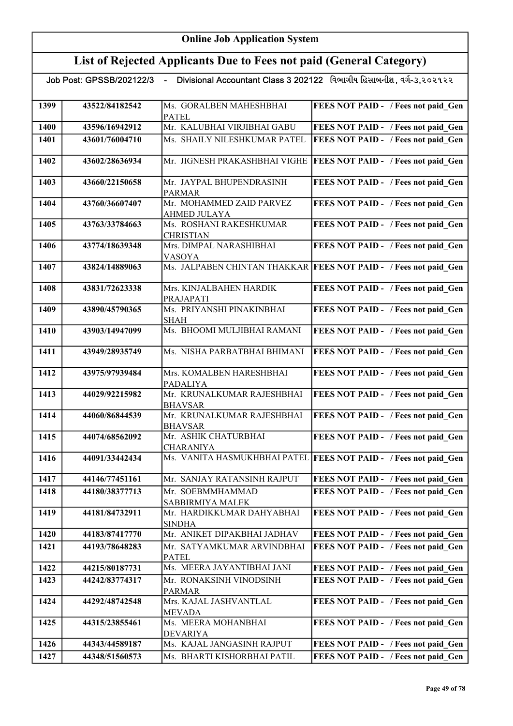|      |                | Job Post: GPSSB/202122/3 - Divisional Accountant Class 3 202122 વિભાગીય હિસાબનીશ, વર્ગ-૩,૨૦૨૧૨૨ |                                                                  |
|------|----------------|-------------------------------------------------------------------------------------------------|------------------------------------------------------------------|
| 1399 | 43522/84182542 | Ms. GORALBEN MAHESHBHAI<br><b>PATEL</b>                                                         | FEES NOT PAID - / Fees not paid Gen                              |
| 1400 | 43596/16942912 | Mr. KALUBHAI VIRJIBHAI GABU                                                                     | FEES NOT PAID - / Fees not paid Gen                              |
| 1401 | 43601/76004710 | Ms. SHAILY NILESHKUMAR PATEL                                                                    | FEES NOT PAID - / Fees not paid Gen                              |
| 1402 | 43602/28636934 | Mr. JIGNESH PRAKASHBHAI VIGHE                                                                   | FEES NOT PAID - / Fees not paid_Gen                              |
| 1403 | 43660/22150658 | Mr. JAYPAL BHUPENDRASINH<br><b>PARMAR</b>                                                       | FEES NOT PAID - / Fees not paid Gen                              |
| 1404 | 43760/36607407 | Mr. MOHAMMED ZAID PARVEZ<br>AHMED JULAYA                                                        | FEES NOT PAID - / Fees not paid Gen                              |
| 1405 | 43763/33784663 | Ms. ROSHANI RAKESHKUMAR<br><b>CHRISTIAN</b>                                                     | FEES NOT PAID - / Fees not paid_Gen                              |
| 1406 | 43774/18639348 | Mrs. DIMPAL NARASHIBHAI<br><b>VASOYA</b>                                                        | FEES NOT PAID - / Fees not paid Gen                              |
| 1407 | 43824/14889063 |                                                                                                 | Ms. JALPABEN CHINTAN THAKKAR FEES NOT PAID - / Fees not paid Gen |
| 1408 | 43831/72623338 | Mrs. KINJALBAHEN HARDIK<br>PRAJAPATI                                                            | FEES NOT PAID - / Fees not paid Gen                              |
| 1409 | 43890/45790365 | Ms. PRIYANSHI PINAKINBHAI<br><b>SHAH</b>                                                        | FEES NOT PAID - / Fees not paid Gen                              |
| 1410 | 43903/14947099 | Ms. BHOOMI MULJIBHAI RAMANI                                                                     | FEES NOT PAID - / Fees not paid Gen                              |
| 1411 | 43949/28935749 | Ms. NISHA PARBATBHAI BHIMANI                                                                    | FEES NOT PAID - / Fees not paid Gen                              |
| 1412 | 43975/97939484 | Mrs. KOMALBEN HARESHBHAI<br><b>PADALIYA</b>                                                     | FEES NOT PAID - / Fees not paid Gen                              |
| 1413 | 44029/92215982 | Mr. KRUNALKUMAR RAJESHBHAI<br><b>BHAVSAR</b>                                                    | FEES NOT PAID - / Fees not paid Gen                              |
| 1414 | 44060/86844539 | Mr. KRUNALKUMAR RAJESHBHAI<br><b>BHAVSAR</b>                                                    | FEES NOT PAID - / Fees not paid Gen                              |
| 1415 | 44074/68562092 | Mr. ASHIK CHATURBHAI<br><b>CHARANIYA</b>                                                        | FEES NOT PAID - / Fees not paid Gen                              |
| 1416 | 44091/33442434 |                                                                                                 | Ms. VANITA HASMUKHBHAI PATEL FEES NOT PAID - / Fees not paid Gen |
| 1417 | 44146/77451161 | Mr. SANJAY RATANSINH RAJPUT                                                                     | FEES NOT PAID - / Fees not paid Gen                              |
| 1418 | 44180/38377713 | Mr. SOEBMMHAMMAD<br>SABBIRMIYA MALEK                                                            | FEES NOT PAID - / Fees not paid Gen                              |
| 1419 | 44181/84732911 | Mr. HARDIKKUMAR DAHYABHAI<br><b>SINDHA</b>                                                      | FEES NOT PAID - / Fees not paid Gen                              |
| 1420 | 44183/87417770 | Mr. ANIKET DIPAKBHAI JADHAV                                                                     | FEES NOT PAID - / Fees not paid Gen                              |
| 1421 | 44193/78648283 | Mr. SATYAMKUMAR ARVINDBHAI<br><b>PATEL</b>                                                      | FEES NOT PAID - / Fees not paid Gen                              |
| 1422 | 44215/80187731 | Ms. MEERA JAYANTIBHAI JANI                                                                      | FEES NOT PAID - / Fees not paid Gen                              |
| 1423 | 44242/83774317 | Mr. RONAKSINH VINODSINH<br><b>PARMAR</b>                                                        | FEES NOT PAID - / Fees not paid Gen                              |
| 1424 | 44292/48742548 | Mrs. KAJAL JASHVANTLAL<br><b>MEVADA</b>                                                         | FEES NOT PAID - / Fees not paid Gen                              |
| 1425 | 44315/23855461 | Ms. MEERA MOHANBHAI<br><b>DEVARIYA</b>                                                          | FEES NOT PAID - / Fees not paid_Gen                              |
| 1426 | 44343/44589187 | Ms. KAJAL JANGASINH RAJPUT                                                                      | FEES NOT PAID - / Fees not paid Gen                              |
| 1427 | 44348/51560573 | Ms. BHARTI KISHORBHAI PATIL                                                                     | FEES NOT PAID - / Fees not paid Gen                              |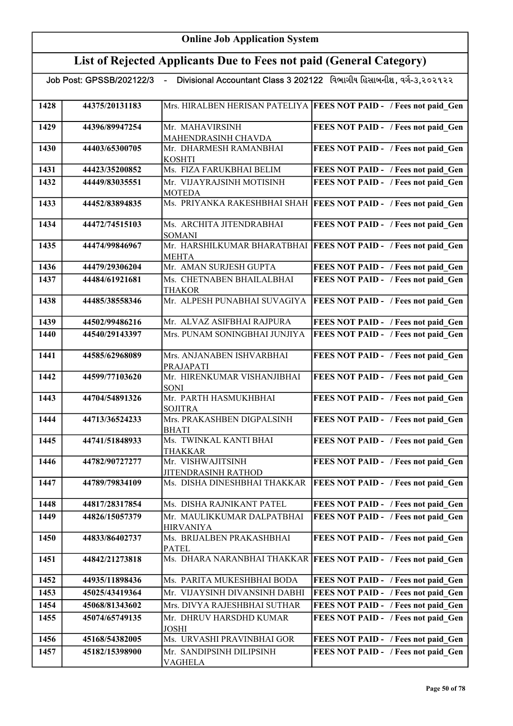|      | Job Post: GPSSB/202122/3 - |                                                | Divisional Accountant Class 3 202122 વિભાગીય હિસાબનીશ, વર્ગ-૩,૨૦૨૧૨૨ |
|------|----------------------------|------------------------------------------------|----------------------------------------------------------------------|
| 1428 | 44375/20131183             |                                                | Mrs. HIRALBEN HERISAN PATELIYA   FEES NOT PAID - / Fees not paid Gen |
| 1429 | 44396/89947254             | Mr. MAHAVIRSINH<br>MAHENDRASINH CHAVDA         | FEES NOT PAID - / Fees not paid Gen                                  |
| 1430 | 44403/65300705             | Mr. DHARMESH RAMANBHAI<br><b>KOSHTI</b>        | FEES NOT PAID - / Fees not paid Gen                                  |
| 1431 | 44423/35200852             | Ms. FIZA FARUKBHAI BELIM                       | FEES NOT PAID - / Fees not paid Gen                                  |
| 1432 | 44449/83035551             | Mr. VIJAYRAJSINH MOTISINH<br><b>MOTEDA</b>     | FEES NOT PAID - / Fees not paid Gen                                  |
| 1433 | 44452/83894835             | Ms. PRIYANKA RAKESHBHAI SHAH                   | <b>FEES NOT PAID - / Fees not paid Gen</b>                           |
| 1434 | 44472/74515103             | Ms. ARCHITA JITENDRABHAI<br><b>SOMANI</b>      | FEES NOT PAID - / Fees not paid Gen                                  |
| 1435 | 44474/99846967             | <b>MEHTA</b>                                   | Mr. HARSHILKUMAR BHARATBHAI   FEES NOT PAID - / Fees not paid Gen    |
| 1436 | 44479/29306204             | Mr. AMAN SURJESH GUPTA                         | FEES NOT PAID - / Fees not paid Gen                                  |
| 1437 | 44484/61921681             | Ms. CHETNABEN BHAILALBHAI<br><b>THAKOR</b>     | FEES NOT PAID - / Fees not paid Gen                                  |
| 1438 | 44485/38558346             | Mr. ALPESH PUNABHAI SUVAGIYA                   | <b>FEES NOT PAID - / Fees not paid Gen</b>                           |
| 1439 | 44502/99486216             | Mr. ALVAZ ASIFBHAI RAJPURA                     | FEES NOT PAID - / Fees not paid Gen                                  |
| 1440 | 44540/29143397             | Mrs. PUNAM SONINGBHAI JUNJIYA                  | FEES NOT PAID - / Fees not paid_Gen                                  |
| 1441 | 44585/62968089             | Mrs. ANJANABEN ISHVARBHAI<br>PRAJAPATI         | FEES NOT PAID - / Fees not paid Gen                                  |
| 1442 | 44599/77103620             | Mr. HIRENKUMAR VISHANJIBHAI<br><b>SONI</b>     | FEES NOT PAID - / Fees not paid Gen                                  |
| 1443 | 44704/54891326             | Mr. PARTH HASMUKHBHAI<br><b>SOJITRA</b>        | FEES NOT PAID - / Fees not paid Gen                                  |
| 1444 | 44713/36524233             | Mrs. PRAKASHBEN DIGPALSINH<br><b>BHATI</b>     | FEES NOT PAID - / Fees not paid Gen                                  |
| 1445 | 44741/51848933             | Ms. TWINKAL KANTI BHAI<br>THAKKAR              | FEES NOT PAID - / Fees not paid Gen                                  |
| 1446 | 44782/90727277             | Mr. VISHWAJITSINH<br>JITENDRASINH RATHOD       | FEES NOT PAID - / Fees not paid_Gen                                  |
| 1447 | 44789/79834109             | Ms. DISHA DINESHBHAI THAKKAR                   | <b>FEES NOT PAID - / Fees not paid Gen</b>                           |
| 1448 | 44817/28317854             | Ms. DISHA RAJNIKANT PATEL                      | FEES NOT PAID - / Fees not paid Gen                                  |
| 1449 | 44826/15057379             | Mr. MAULIKKUMAR DALPATBHAI<br><b>HIRVANIYA</b> | FEES NOT PAID - / Fees not paid Gen                                  |
| 1450 | 44833/86402737             | Ms. BRIJALBEN PRAKASHBHAI<br><b>PATEL</b>      | FEES NOT PAID - / Fees not paid Gen                                  |
| 1451 | 44842/21273818             |                                                | Ms. DHARA NARANBHAI THAKKAR   FEES NOT PAID - / Fees not paid_Gen    |
| 1452 | 44935/11898436             | Ms. PARITA MUKESHBHAI BODA                     | FEES NOT PAID - / Fees not paid Gen                                  |
| 1453 | 45025/43419364             | Mr. VIJAYSINH DIVANSINH DABHI                  | FEES NOT PAID - / Fees not paid Gen                                  |
| 1454 | 45068/81343602             | Mrs. DIVYA RAJESHBHAI SUTHAR                   | FEES NOT PAID - / Fees not paid Gen                                  |
| 1455 | 45074/65749135             | Mr. DHRUV HARSDHD KUMAR<br><b>JOSHI</b>        | FEES NOT PAID - / Fees not paid Gen                                  |
| 1456 | 45168/54382005             | Ms. URVASHI PRAVINBHAI GOR                     | FEES NOT PAID - / Fees not paid Gen                                  |
| 1457 | 45182/15398900             | Mr. SANDIPSINH DILIPSINH<br>VAGHELA            | FEES NOT PAID - / Fees not paid Gen                                  |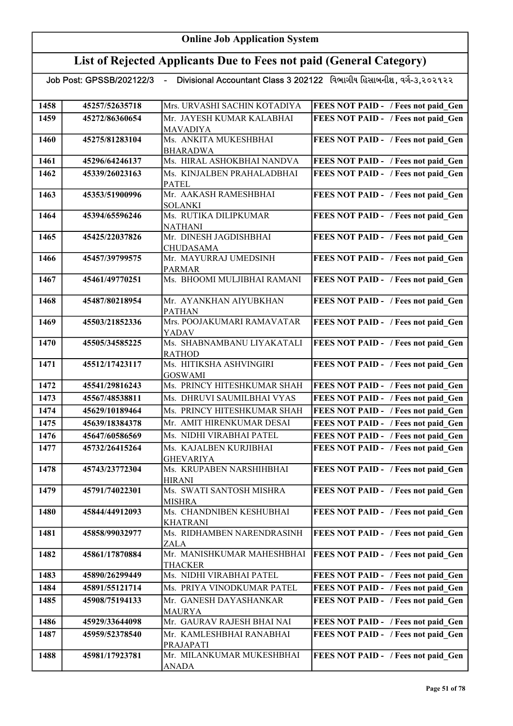## List of Rejected Applicants Due to Fees not paid (General Category)

| Mr. JAYESH KUMAR KALABHAI<br>FEES NOT PAID - / Fees not paid Gen<br>1459<br>45272/86360654<br><b>MAVADIYA</b><br>Ms. ANKITA MUKESHBHAI<br>FEES NOT PAID - / Fees not paid Gen<br>1460<br>45275/81283104<br><b>BHARADWA</b><br>Ms. HIRAL ASHOKBHAI NANDVA<br>FEES NOT PAID - / Fees not paid Gen<br>1461<br>45296/64246137<br>Ms. KINJALBEN PRAHALADBHAI<br>FEES NOT PAID - / Fees not paid Gen<br>1462<br>45339/26023163<br><b>PATEL</b><br>Mr. AAKASH RAMESHBHAI<br>FEES NOT PAID - / Fees not paid Gen<br>1463<br>45353/51900996<br><b>SOLANKI</b><br>Ms. RUTIKA DILIPKUMAR<br>FEES NOT PAID - / Fees not paid Gen<br>1464<br>45394/65596246<br><b>NATHANI</b><br>FEES NOT PAID - / Fees not paid_Gen<br>Mr. DINESH JAGDISHBHAI<br>1465<br>45425/22037826<br><b>CHUDASAMA</b><br>Mr. MAYURRAJ UMEDSINH<br>FEES NOT PAID - / Fees not paid_Gen<br>1466<br>45457/39799575<br><b>PARMAR</b><br>Ms. BHOOMI MULJIBHAI RAMANI<br>FEES NOT PAID - / Fees not paid Gen<br>1467<br>45461/49770251<br>FEES NOT PAID - / Fees not paid Gen<br>1468<br>45487/80218954<br>Mr. AYANKHAN AIYUBKHAN<br><b>PATHAN</b><br>Mrs. POOJAKUMARI RAMAVATAR<br>FEES NOT PAID - / Fees not paid Gen<br>1469<br>45503/21852336<br><b>YADAV</b><br>Ms. SHABNAMBANU LIYAKATALI<br>45505/34585225<br>FEES NOT PAID - / Fees not paid Gen<br>1470<br><b>RATHOD</b><br>FEES NOT PAID - / Fees not paid Gen | <b>FEES NOT PAID - / Fees not paid Gen</b> | Mrs. URVASHI SACHIN KOTADIYA<br>45257/52635718 | 1458 |
|------------------------------------------------------------------------------------------------------------------------------------------------------------------------------------------------------------------------------------------------------------------------------------------------------------------------------------------------------------------------------------------------------------------------------------------------------------------------------------------------------------------------------------------------------------------------------------------------------------------------------------------------------------------------------------------------------------------------------------------------------------------------------------------------------------------------------------------------------------------------------------------------------------------------------------------------------------------------------------------------------------------------------------------------------------------------------------------------------------------------------------------------------------------------------------------------------------------------------------------------------------------------------------------------------------------------------------------------------------------------------|--------------------------------------------|------------------------------------------------|------|
|                                                                                                                                                                                                                                                                                                                                                                                                                                                                                                                                                                                                                                                                                                                                                                                                                                                                                                                                                                                                                                                                                                                                                                                                                                                                                                                                                                              |                                            |                                                |      |
|                                                                                                                                                                                                                                                                                                                                                                                                                                                                                                                                                                                                                                                                                                                                                                                                                                                                                                                                                                                                                                                                                                                                                                                                                                                                                                                                                                              |                                            |                                                |      |
|                                                                                                                                                                                                                                                                                                                                                                                                                                                                                                                                                                                                                                                                                                                                                                                                                                                                                                                                                                                                                                                                                                                                                                                                                                                                                                                                                                              |                                            |                                                |      |
|                                                                                                                                                                                                                                                                                                                                                                                                                                                                                                                                                                                                                                                                                                                                                                                                                                                                                                                                                                                                                                                                                                                                                                                                                                                                                                                                                                              |                                            |                                                |      |
|                                                                                                                                                                                                                                                                                                                                                                                                                                                                                                                                                                                                                                                                                                                                                                                                                                                                                                                                                                                                                                                                                                                                                                                                                                                                                                                                                                              |                                            |                                                |      |
|                                                                                                                                                                                                                                                                                                                                                                                                                                                                                                                                                                                                                                                                                                                                                                                                                                                                                                                                                                                                                                                                                                                                                                                                                                                                                                                                                                              |                                            |                                                |      |
|                                                                                                                                                                                                                                                                                                                                                                                                                                                                                                                                                                                                                                                                                                                                                                                                                                                                                                                                                                                                                                                                                                                                                                                                                                                                                                                                                                              |                                            |                                                |      |
|                                                                                                                                                                                                                                                                                                                                                                                                                                                                                                                                                                                                                                                                                                                                                                                                                                                                                                                                                                                                                                                                                                                                                                                                                                                                                                                                                                              |                                            |                                                |      |
|                                                                                                                                                                                                                                                                                                                                                                                                                                                                                                                                                                                                                                                                                                                                                                                                                                                                                                                                                                                                                                                                                                                                                                                                                                                                                                                                                                              |                                            |                                                |      |
|                                                                                                                                                                                                                                                                                                                                                                                                                                                                                                                                                                                                                                                                                                                                                                                                                                                                                                                                                                                                                                                                                                                                                                                                                                                                                                                                                                              |                                            |                                                |      |
|                                                                                                                                                                                                                                                                                                                                                                                                                                                                                                                                                                                                                                                                                                                                                                                                                                                                                                                                                                                                                                                                                                                                                                                                                                                                                                                                                                              |                                            |                                                |      |
|                                                                                                                                                                                                                                                                                                                                                                                                                                                                                                                                                                                                                                                                                                                                                                                                                                                                                                                                                                                                                                                                                                                                                                                                                                                                                                                                                                              |                                            |                                                |      |
|                                                                                                                                                                                                                                                                                                                                                                                                                                                                                                                                                                                                                                                                                                                                                                                                                                                                                                                                                                                                                                                                                                                                                                                                                                                                                                                                                                              |                                            |                                                |      |
|                                                                                                                                                                                                                                                                                                                                                                                                                                                                                                                                                                                                                                                                                                                                                                                                                                                                                                                                                                                                                                                                                                                                                                                                                                                                                                                                                                              |                                            |                                                |      |
|                                                                                                                                                                                                                                                                                                                                                                                                                                                                                                                                                                                                                                                                                                                                                                                                                                                                                                                                                                                                                                                                                                                                                                                                                                                                                                                                                                              |                                            |                                                |      |
|                                                                                                                                                                                                                                                                                                                                                                                                                                                                                                                                                                                                                                                                                                                                                                                                                                                                                                                                                                                                                                                                                                                                                                                                                                                                                                                                                                              |                                            |                                                |      |
|                                                                                                                                                                                                                                                                                                                                                                                                                                                                                                                                                                                                                                                                                                                                                                                                                                                                                                                                                                                                                                                                                                                                                                                                                                                                                                                                                                              |                                            |                                                |      |
|                                                                                                                                                                                                                                                                                                                                                                                                                                                                                                                                                                                                                                                                                                                                                                                                                                                                                                                                                                                                                                                                                                                                                                                                                                                                                                                                                                              |                                            |                                                |      |
|                                                                                                                                                                                                                                                                                                                                                                                                                                                                                                                                                                                                                                                                                                                                                                                                                                                                                                                                                                                                                                                                                                                                                                                                                                                                                                                                                                              |                                            |                                                |      |
|                                                                                                                                                                                                                                                                                                                                                                                                                                                                                                                                                                                                                                                                                                                                                                                                                                                                                                                                                                                                                                                                                                                                                                                                                                                                                                                                                                              |                                            |                                                |      |
|                                                                                                                                                                                                                                                                                                                                                                                                                                                                                                                                                                                                                                                                                                                                                                                                                                                                                                                                                                                                                                                                                                                                                                                                                                                                                                                                                                              |                                            |                                                |      |
|                                                                                                                                                                                                                                                                                                                                                                                                                                                                                                                                                                                                                                                                                                                                                                                                                                                                                                                                                                                                                                                                                                                                                                                                                                                                                                                                                                              |                                            | Ms. HITIKSHA ASHVINGIRI<br>45512/17423117      | 1471 |
| <b>GOSWAMI</b>                                                                                                                                                                                                                                                                                                                                                                                                                                                                                                                                                                                                                                                                                                                                                                                                                                                                                                                                                                                                                                                                                                                                                                                                                                                                                                                                                               |                                            |                                                |      |
| Ms. PRINCY HITESHKUMAR SHAH<br>1472<br>45541/29816243<br><b>FEES NOT PAID - / Fees not paid Gen</b>                                                                                                                                                                                                                                                                                                                                                                                                                                                                                                                                                                                                                                                                                                                                                                                                                                                                                                                                                                                                                                                                                                                                                                                                                                                                          |                                            |                                                |      |
| 1473<br>Ms. DHRUVI SAUMILBHAI VYAS<br>FEES NOT PAID - / Fees not paid Gen<br>45567/48538811                                                                                                                                                                                                                                                                                                                                                                                                                                                                                                                                                                                                                                                                                                                                                                                                                                                                                                                                                                                                                                                                                                                                                                                                                                                                                  |                                            |                                                |      |
| Ms. PRINCY HITESHKUMAR SHAH<br>FEES NOT PAID - / Fees not paid Gen<br>1474<br>45629/10189464                                                                                                                                                                                                                                                                                                                                                                                                                                                                                                                                                                                                                                                                                                                                                                                                                                                                                                                                                                                                                                                                                                                                                                                                                                                                                 |                                            |                                                |      |
| FEES NOT PAID - / Fees not paid Gen<br>1475<br>Mr. AMIT HIRENKUMAR DESAI<br>45639/18384378                                                                                                                                                                                                                                                                                                                                                                                                                                                                                                                                                                                                                                                                                                                                                                                                                                                                                                                                                                                                                                                                                                                                                                                                                                                                                   |                                            |                                                |      |
| FEES NOT PAID - / Fees not paid Gen<br>Ms. NIDHI VIRABHAI PATEL<br>1476<br>45647/60586569                                                                                                                                                                                                                                                                                                                                                                                                                                                                                                                                                                                                                                                                                                                                                                                                                                                                                                                                                                                                                                                                                                                                                                                                                                                                                    |                                            |                                                |      |
| FEES NOT PAID - / Fees not paid Gen<br>Ms. KAJALBEN KURJIBHAI<br>1477<br>45732/26415264                                                                                                                                                                                                                                                                                                                                                                                                                                                                                                                                                                                                                                                                                                                                                                                                                                                                                                                                                                                                                                                                                                                                                                                                                                                                                      |                                            |                                                |      |
| <b>GHEVARIYA</b>                                                                                                                                                                                                                                                                                                                                                                                                                                                                                                                                                                                                                                                                                                                                                                                                                                                                                                                                                                                                                                                                                                                                                                                                                                                                                                                                                             |                                            |                                                |      |
| FEES NOT PAID - / Fees not paid Gen<br>45743/23772304<br>Ms. KRUPABEN NARSHIHBHAI<br>1478                                                                                                                                                                                                                                                                                                                                                                                                                                                                                                                                                                                                                                                                                                                                                                                                                                                                                                                                                                                                                                                                                                                                                                                                                                                                                    |                                            |                                                |      |
| <b>HIRANI</b>                                                                                                                                                                                                                                                                                                                                                                                                                                                                                                                                                                                                                                                                                                                                                                                                                                                                                                                                                                                                                                                                                                                                                                                                                                                                                                                                                                |                                            |                                                |      |
| 1479<br>45791/74022301<br>Ms. SWATI SANTOSH MISHRA<br>FEES NOT PAID - / Fees not paid Gen                                                                                                                                                                                                                                                                                                                                                                                                                                                                                                                                                                                                                                                                                                                                                                                                                                                                                                                                                                                                                                                                                                                                                                                                                                                                                    |                                            |                                                |      |
| <b>MISHRA</b><br>FEES NOT PAID - / Fees not paid Gen<br>1480<br>Ms. CHANDNIBEN KESHUBHAI<br>45844/44912093                                                                                                                                                                                                                                                                                                                                                                                                                                                                                                                                                                                                                                                                                                                                                                                                                                                                                                                                                                                                                                                                                                                                                                                                                                                                   |                                            |                                                |      |
| <b>KHATRANI</b>                                                                                                                                                                                                                                                                                                                                                                                                                                                                                                                                                                                                                                                                                                                                                                                                                                                                                                                                                                                                                                                                                                                                                                                                                                                                                                                                                              |                                            |                                                |      |
| Ms. RIDHAMBEN NARENDRASINH<br>1481<br>FEES NOT PAID - / Fees not paid_Gen<br>45858/99032977                                                                                                                                                                                                                                                                                                                                                                                                                                                                                                                                                                                                                                                                                                                                                                                                                                                                                                                                                                                                                                                                                                                                                                                                                                                                                  |                                            |                                                |      |
| ZALA                                                                                                                                                                                                                                                                                                                                                                                                                                                                                                                                                                                                                                                                                                                                                                                                                                                                                                                                                                                                                                                                                                                                                                                                                                                                                                                                                                         |                                            |                                                |      |
| Mr. MANISHKUMAR MAHESHBHAI<br>45861/17870884<br>FEES NOT PAID - / Fees not paid Gen<br>1482                                                                                                                                                                                                                                                                                                                                                                                                                                                                                                                                                                                                                                                                                                                                                                                                                                                                                                                                                                                                                                                                                                                                                                                                                                                                                  |                                            |                                                |      |
| <b>THACKER</b>                                                                                                                                                                                                                                                                                                                                                                                                                                                                                                                                                                                                                                                                                                                                                                                                                                                                                                                                                                                                                                                                                                                                                                                                                                                                                                                                                               |                                            |                                                |      |
| Ms. NIDHI VIRABHAI PATEL<br>45890/26299449<br>FEES NOT PAID - / Fees not paid Gen<br>1483                                                                                                                                                                                                                                                                                                                                                                                                                                                                                                                                                                                                                                                                                                                                                                                                                                                                                                                                                                                                                                                                                                                                                                                                                                                                                    |                                            |                                                |      |
| FEES NOT PAID - / Fees not paid Gen<br>Ms. PRIYA VINODKUMAR PATEL<br>1484<br>45891/55121714                                                                                                                                                                                                                                                                                                                                                                                                                                                                                                                                                                                                                                                                                                                                                                                                                                                                                                                                                                                                                                                                                                                                                                                                                                                                                  |                                            |                                                |      |
| Mr. GANESH DAYASHANKAR<br>FEES NOT PAID - / Fees not paid Gen<br>1485<br>45908/75194133                                                                                                                                                                                                                                                                                                                                                                                                                                                                                                                                                                                                                                                                                                                                                                                                                                                                                                                                                                                                                                                                                                                                                                                                                                                                                      |                                            |                                                |      |
| <b>MAURYA</b>                                                                                                                                                                                                                                                                                                                                                                                                                                                                                                                                                                                                                                                                                                                                                                                                                                                                                                                                                                                                                                                                                                                                                                                                                                                                                                                                                                |                                            |                                                |      |
| Mr. GAURAV RAJESH BHAI NAI<br>1486<br>FEES NOT PAID - / Fees not paid Gen<br>45929/33644098                                                                                                                                                                                                                                                                                                                                                                                                                                                                                                                                                                                                                                                                                                                                                                                                                                                                                                                                                                                                                                                                                                                                                                                                                                                                                  |                                            |                                                |      |
| Mr. KAMLESHBHAI RANABHAI<br>FEES NOT PAID - / Fees not paid Gen<br>1487<br>45959/52378540                                                                                                                                                                                                                                                                                                                                                                                                                                                                                                                                                                                                                                                                                                                                                                                                                                                                                                                                                                                                                                                                                                                                                                                                                                                                                    |                                            |                                                |      |
| PRAJAPATI<br>Mr. MILANKUMAR MUKESHBHAI<br>FEES NOT PAID - / Fees not paid Gen<br>1488<br>45981/17923781                                                                                                                                                                                                                                                                                                                                                                                                                                                                                                                                                                                                                                                                                                                                                                                                                                                                                                                                                                                                                                                                                                                                                                                                                                                                      |                                            |                                                |      |
| <b>ANADA</b>                                                                                                                                                                                                                                                                                                                                                                                                                                                                                                                                                                                                                                                                                                                                                                                                                                                                                                                                                                                                                                                                                                                                                                                                                                                                                                                                                                 |                                            |                                                |      |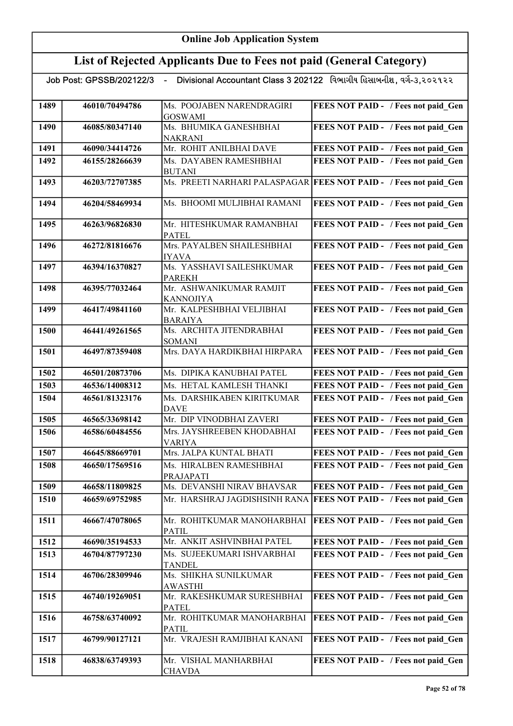## List of Rejected Applicants Due to Fees not paid (General Category)

| 1489 | 46010/70494786 | Ms. POOJABEN NARENDRAGIRI<br><b>GOSWAMI</b> | FEES NOT PAID - / Fees not paid Gen                                 |
|------|----------------|---------------------------------------------|---------------------------------------------------------------------|
| 1490 | 46085/80347140 | Ms. BHUMIKA GANESHBHAI                      | FEES NOT PAID - / Fees not paid Gen                                 |
|      |                | <b>NAKRANI</b><br>Mr. ROHIT ANILBHAI DAVE   | FEES NOT PAID - / Fees not paid Gen                                 |
| 1491 | 46090/34414726 |                                             |                                                                     |
| 1492 | 46155/28266639 | Ms. DAYABEN RAMESHBHAI<br><b>BUTANI</b>     | FEES NOT PAID - / Fees not paid Gen                                 |
| 1493 | 46203/72707385 |                                             | Ms. PREETI NARHARI PALASPAGAR   FEES NOT PAID - / Fees not paid_Gen |
| 1494 | 46204/58469934 | Ms. BHOOMI MULJIBHAI RAMANI                 | FEES NOT PAID - / Fees not paid Gen                                 |
| 1495 | 46263/96826830 | Mr. HITESHKUMAR RAMANBHAI<br><b>PATEL</b>   | FEES NOT PAID - / Fees not paid_Gen                                 |
| 1496 | 46272/81816676 | Mrs. PAYALBEN SHAILESHBHAI<br><b>IYAVA</b>  | FEES NOT PAID - / Fees not paid Gen                                 |
| 1497 | 46394/16370827 | Ms. YASSHAVI SAILESHKUMAR<br><b>PAREKH</b>  | FEES NOT PAID - / Fees not paid Gen                                 |
| 1498 | 46395/77032464 | Mr. ASHWANIKUMAR RAMJIT<br><b>KANNOJIYA</b> | FEES NOT PAID - / Fees not paid Gen                                 |
| 1499 | 46417/49841160 | Mr. KALPESHBHAI VELJIBHAI<br><b>BARAIYA</b> | FEES NOT PAID - / Fees not paid Gen                                 |
| 1500 | 46441/49261565 | Ms. ARCHITA JITENDRABHAI<br><b>SOMANI</b>   | FEES NOT PAID - / Fees not paid_Gen                                 |
| 1501 | 46497/87359408 | Mrs. DAYA HARDIKBHAI HIRPARA                | FEES NOT PAID - / Fees not paid Gen                                 |
| 1502 | 46501/20873706 | Ms. DIPIKA KANUBHAI PATEL                   | FEES NOT PAID - / Fees not paid Gen                                 |
| 1503 | 46536/14008312 | Ms. HETAL KAMLESH THANKI                    | FEES NOT PAID - / Fees not paid Gen                                 |
| 1504 | 46561/81323176 | Ms. DARSHIKABEN KIRITKUMAR<br><b>DAVE</b>   | FEES NOT PAID - / Fees not paid Gen                                 |
| 1505 | 46565/33698142 | Mr. DIP VINODBHAI ZAVERI                    | FEES NOT PAID - / Fees not paid Gen                                 |
| 1506 | 46586/60484556 | Mrs. JAYSHREEBEN KHODABHAI                  | FEES NOT PAID - / Fees not paid Gen                                 |
| 1507 | 46645/88669701 | <b>VARIYA</b><br>Mrs. JALPA KUNTAL BHATI    | FEES NOT PAID - / Fees not paid Gen                                 |
|      | 46650/17569516 | Ms. HIRALBEN RAMESHBHAI                     | FEES NOT PAID - / Fees not paid Gen                                 |
| 1508 |                | <b>PRAJAPATI</b>                            |                                                                     |
| 1509 | 46658/11809825 | Ms. DEVANSHI NIRAV BHAVSAR                  | FEES NOT PAID - / Fees not paid Gen                                 |
| 1510 | 46659/69752985 |                                             | Mr. HARSHRAJ JAGDISHSINH RANA FEES NOT PAID - / Fees not paid Gen   |
| 1511 | 46667/47078065 | Mr. ROHITKUMAR MANOHARBHAI<br><b>PATIL</b>  | <b>FEES NOT PAID - / Fees not paid Gen</b>                          |
| 1512 | 46690/35194533 | Mr. ANKIT ASHVINBHAI PATEL                  | FEES NOT PAID - / Fees not paid Gen                                 |
| 1513 | 46704/87797230 | Ms. SUJEEKUMARI ISHVARBHAI<br><b>TANDEL</b> | FEES NOT PAID - / Fees not paid Gen                                 |
| 1514 | 46706/28309946 | Ms. SHIKHA SUNILKUMAR<br><b>AWASTHI</b>     | FEES NOT PAID - / Fees not paid Gen                                 |
| 1515 | 46740/19269051 | Mr. RAKESHKUMAR SURESHBHAI<br><b>PATEL</b>  | FEES NOT PAID - / Fees not paid Gen                                 |
| 1516 | 46758/63740092 | Mr. ROHITKUMAR MANOHARBHAI<br><b>PATIL</b>  | FEES NOT PAID - / Fees not paid Gen                                 |
| 1517 | 46799/90127121 | Mr. VRAJESH RAMJIBHAI KANANI                | FEES NOT PAID - / Fees not paid Gen                                 |
| 1518 | 46838/63749393 | Mr. VISHAL MANHARBHAI<br><b>CHAVDA</b>      | FEES NOT PAID - / Fees not paid Gen                                 |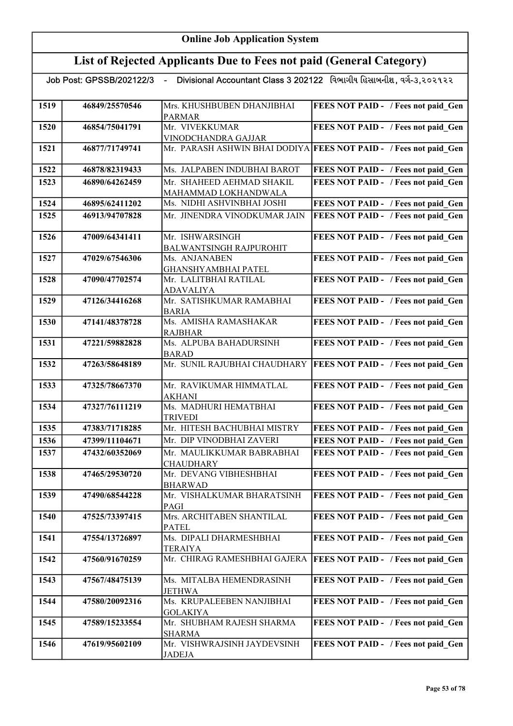|      |                | Job Post: GPSSB/202122/3   -    Divisional Accountant Class 3 202122   વિભાગીય હિસાબનીશ, વર્ગ-૩,૨૦૨૧૨૨ |                                                                   |
|------|----------------|--------------------------------------------------------------------------------------------------------|-------------------------------------------------------------------|
| 1519 | 46849/25570546 | Mrs. KHUSHBUBEN DHANJIBHAI<br><b>PARMAR</b>                                                            | FEES NOT PAID - / Fees not paid Gen                               |
| 1520 | 46854/75041791 | Mr. VIVEKKUMAR<br>VINODCHANDRA GAJJAR                                                                  | FEES NOT PAID - / Fees not paid Gen                               |
| 1521 | 46877/71749741 |                                                                                                        | Mr. PARASH ASHWIN BHAI DODIYA FEES NOT PAID - / Fees not paid Gen |
| 1522 | 46878/82319433 | Ms. JALPABEN INDUBHAI BAROT                                                                            | FEES NOT PAID - / Fees not paid Gen                               |
| 1523 | 46890/64262459 | Mr. SHAHEED AEHMAD SHAKIL                                                                              | FEES NOT PAID - / Fees not paid Gen                               |
|      |                | MAHAMMAD LOKHANDWALA                                                                                   |                                                                   |
| 1524 | 46895/62411202 | Ms. NIDHI ASHVINBHAI JOSHI                                                                             | FEES NOT PAID - / Fees not paid Gen                               |
| 1525 | 46913/94707828 | Mr. JINENDRA VINODKUMAR JAIN                                                                           | FEES NOT PAID - / Fees not paid Gen                               |
| 1526 | 47009/64341411 | Mr. ISHWARSINGH                                                                                        | FEES NOT PAID - / Fees not paid Gen                               |
|      |                | <b>BALWANTSINGH RAJPUROHIT</b>                                                                         |                                                                   |
| 1527 | 47029/67546306 | Ms. ANJANABEN                                                                                          | FEES NOT PAID - / Fees not paid Gen                               |
| 1528 | 47090/47702574 | GHANSHYAMBHAI PATEL<br>Mr. LALITBHAI RATILAL                                                           | FEES NOT PAID - / Fees not paid Gen                               |
|      |                | <b>ADAVALIYA</b>                                                                                       |                                                                   |
| 1529 | 47126/34416268 | Mr. SATISHKUMAR RAMABHAI                                                                               | FEES NOT PAID - / Fees not paid Gen                               |
|      |                | <b>BARIA</b>                                                                                           |                                                                   |
| 1530 | 47141/48378728 | Ms. AMISHA RAMASHAKAR<br><b>RAJBHAR</b>                                                                | FEES NOT PAID - / Fees not paid Gen                               |
| 1531 | 47221/59882828 | Ms. ALPUBA BAHADURSINH                                                                                 | FEES NOT PAID - / Fees not paid Gen                               |
|      |                | <b>BARAD</b>                                                                                           |                                                                   |
| 1532 | 47263/58648189 | Mr. SUNIL RAJUBHAI CHAUDHARY                                                                           | <b>FEES NOT PAID - / Fees not paid Gen</b>                        |
| 1533 | 47325/78667370 | Mr. RAVIKUMAR HIMMATLAL<br><b>AKHANI</b>                                                               | FEES NOT PAID - / Fees not paid Gen                               |
| 1534 | 47327/76111219 | Ms. MADHURI HEMATBHAI<br><b>TRIVEDI</b>                                                                | FEES NOT PAID - / Fees not paid Gen                               |
| 1535 | 47383/71718285 | Mr. HITESH BACHUBHAI MISTRY                                                                            | FEES NOT PAID - / Fees not paid Gen                               |
| 1536 | 47399/11104671 | Mr. DIP VINODBHAI ZAVERI                                                                               | FEES NOT PAID - / Fees not paid Gen                               |
| 1537 | 47432/60352069 | Mr. MAULIKKUMAR BABRABHAI                                                                              | FEES NOT PAID - / Fees not paid Gen                               |
|      |                | <b>CHAUDHARY</b>                                                                                       |                                                                   |
| 1538 | 47465/29530720 | Mr. DEVANG VIBHESHBHAI<br><b>BHARWAD</b>                                                               | FEES NOT PAID - / Fees not paid_Gen                               |
| 1539 | 47490/68544228 | Mr. VISHALKUMAR BHARATSINH<br>PAGI                                                                     | FEES NOT PAID - / Fees not paid_Gen                               |
| 1540 | 47525/73397415 | Mrs. ARCHITABEN SHANTILAL                                                                              | FEES NOT PAID - / Fees not paid Gen                               |
| 1541 | 47554/13726897 | <b>PATEL</b><br>Ms. DIPALI DHARMESHBHAI                                                                | FEES NOT PAID - / Fees not paid Gen                               |
|      |                | <b>TERAIYA</b>                                                                                         |                                                                   |
| 1542 | 47560/91670259 | Mr. CHIRAG RAMESHBHAI GAJERA                                                                           | <b>FEES NOT PAID - / Fees not paid Gen</b>                        |
| 1543 | 47567/48475139 | Ms. MITALBA HEMENDRASINH                                                                               | FEES NOT PAID - / Fees not paid_Gen                               |
|      |                | <b>JETHWA</b>                                                                                          |                                                                   |
| 1544 | 47580/20092316 | Ms. KRUPALEEBEN NANJIBHAI<br><b>GOLAKIYA</b>                                                           | FEES NOT PAID - / Fees not paid Gen                               |
| 1545 | 47589/15233554 | Mr. SHUBHAM RAJESH SHARMA                                                                              | FEES NOT PAID - / Fees not paid Gen                               |
|      |                | <b>SHARMA</b>                                                                                          |                                                                   |
| 1546 | 47619/95602109 | Mr. VISHWRAJSINH JAYDEVSINH<br><b>JADEJA</b>                                                           | FEES NOT PAID - / Fees not paid Gen                               |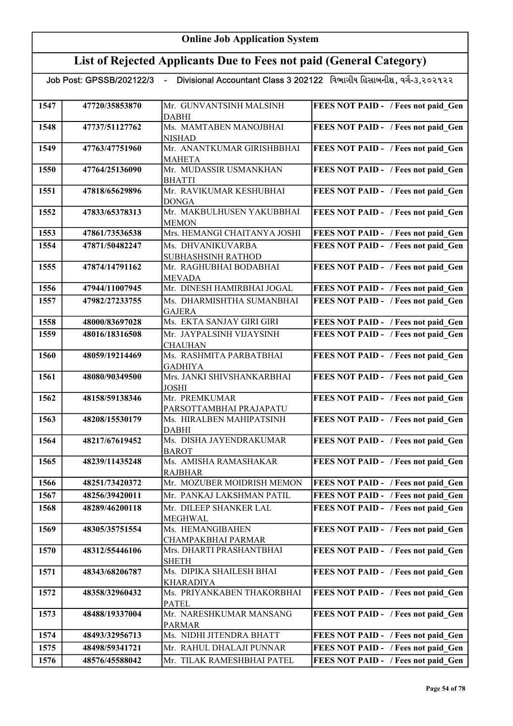## List of Rejected Applicants Due to Fees not paid (General Category)

| 1547 | 47720/35853870 | Mr. GUNVANTSINH MALSINH                   | FEES NOT PAID - / Fees not paid Gen        |
|------|----------------|-------------------------------------------|--------------------------------------------|
|      |                | <b>DABHI</b>                              |                                            |
| 1548 | 47737/51127762 | Ms. MAMTABEN MANOJBHAI                    | FEES NOT PAID - / Fees not paid Gen        |
|      |                | <b>NISHAD</b>                             |                                            |
| 1549 | 47763/47751960 | Mr. ANANTKUMAR GIRISHBBHAI                | FEES NOT PAID - / Fees not paid Gen        |
|      |                | <b>MAHETA</b>                             |                                            |
| 1550 | 47764/25136090 | Mr. MUDASSIR USMANKHAN                    | FEES NOT PAID - / Fees not paid Gen        |
|      |                | <b>BHATTI</b>                             |                                            |
| 1551 | 47818/65629896 | Mr. RAVIKUMAR KESHUBHAI                   | FEES NOT PAID - / Fees not paid Gen        |
| 1552 | 47833/65378313 | <b>DONGA</b><br>Mr. MAKBULHUSEN YAKUBBHAI |                                            |
|      |                | <b>MEMON</b>                              | FEES NOT PAID - / Fees not paid Gen        |
| 1553 | 47861/73536538 | Mrs. HEMANGI CHAITANYA JOSHI              | FEES NOT PAID - / Fees not paid Gen        |
| 1554 | 47871/50482247 | Ms. DHVANIKUVARBA                         | FEES NOT PAID - / Fees not paid Gen        |
|      |                | <b>SUBHASHSINH RATHOD</b>                 |                                            |
| 1555 | 47874/14791162 | Mr. RAGHUBHAI BODABHAI                    | FEES NOT PAID - / Fees not paid Gen        |
|      |                | <b>MEVADA</b>                             |                                            |
| 1556 | 47944/11007945 | Mr. DINESH HAMIRBHAI JOGAL                | FEES NOT PAID - / Fees not paid_Gen        |
| 1557 | 47982/27233755 | Ms. DHARMISHTHA SUMANBHAI                 | FEES NOT PAID - / Fees not paid Gen        |
|      |                | <b>GAJERA</b>                             |                                            |
| 1558 | 48000/83697028 | Ms. EKTA SANJAY GIRI GIRI                 | FEES NOT PAID - / Fees not paid Gen        |
| 1559 | 48016/18316508 | Mr. JAYPALSINH VIJAYSINH                  | FEES NOT PAID - / Fees not paid Gen        |
|      | 48059/19214469 | <b>CHAUHAN</b><br>Ms. RASHMITA PARBATBHAI |                                            |
| 1560 |                | <b>GADHIYA</b>                            | FEES NOT PAID - / Fees not paid Gen        |
| 1561 | 48080/90349500 | Mrs. JANKI SHIVSHANKARBHAI                | FEES NOT PAID - / Fees not paid Gen        |
|      |                | <b>JOSHI</b>                              |                                            |
| 1562 | 48158/59138346 | Mr. PREMKUMAR                             | FEES NOT PAID - / Fees not paid Gen        |
|      |                | PARSOTTAMBHAI PRAJAPATU                   |                                            |
| 1563 | 48208/15530179 | Ms. HIRALBEN MAHIPATSINH                  | FEES NOT PAID - / Fees not paid Gen        |
|      |                | <b>DABHI</b><br>Ms. DISHA JAYENDRAKUMAR   |                                            |
| 1564 | 48217/67619452 | <b>BAROT</b>                              | FEES NOT PAID - / Fees not paid Gen        |
| 1565 | 48239/11435248 | Ms. AMISHA RAMASHAKAR                     | FEES NOT PAID - / Fees not paid Gen        |
|      |                | <b>RAJBHAR</b>                            |                                            |
| 1566 | 48251/73420372 | Mr. MOZUBER MOIDRISH MEMON                | <b>FEES NOT PAID - / Fees not paid Gen</b> |
| 1567 | 48256/39420011 | Mr. PANKAJ LAKSHMAN PATIL                 | FEES NOT PAID - / Fees not paid Gen        |
| 1568 | 48289/46200118 | Mr. DILEEP SHANKER LAL                    | FEES NOT PAID - / Fees not paid Gen        |
|      |                | <b>MEGHWAL</b>                            |                                            |
| 1569 | 48305/35751554 | Ms. HEMANGIBAHEN                          | FEES NOT PAID - / Fees not paid_Gen        |
|      |                | CHAMPAKBHAI PARMAR                        |                                            |
| 1570 | 48312/55446106 | Mrs. DHARTI PRASHANTBHAI                  | FEES NOT PAID - / Fees not paid Gen        |
| 1571 | 48343/68206787 | <b>SHETH</b><br>Ms. DIPIKA SHAILESH BHAI  | FEES NOT PAID - / Fees not paid Gen        |
|      |                | <b>KHARADIYA</b>                          |                                            |
| 1572 | 48358/32960432 | Ms. PRIYANKABEN THAKORBHAI                | FEES NOT PAID - / Fees not paid Gen        |
|      |                | <b>PATEL</b>                              |                                            |
| 1573 | 48488/19337004 | Mr. NARESHKUMAR MANSANG                   | FEES NOT PAID - / Fees not paid Gen        |
|      |                | <b>PARMAR</b>                             |                                            |
| 1574 | 48493/32956713 | Ms. NIDHI JITENDRA BHATT                  | FEES NOT PAID - / Fees not paid Gen        |
| 1575 | 48498/59341721 | Mr. RAHUL DHALAJI PUNNAR                  | FEES NOT PAID - / Fees not paid Gen        |
| 1576 | 48576/45588042 | Mr. TILAK RAMESHBHAI PATEL                | FEES NOT PAID - / Fees not paid Gen        |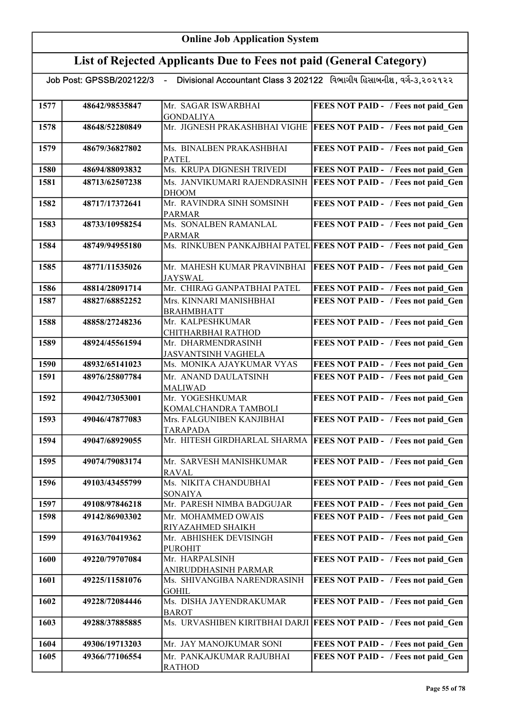## List of Rejected Applicants Due to Fees not paid (General Category)

| 1577 | 48642/98535847 | Mr. SAGAR ISWARBHAI                       | FEES NOT PAID - / Fees not paid Gen                                |
|------|----------------|-------------------------------------------|--------------------------------------------------------------------|
|      |                | <b>GONDALIYA</b>                          |                                                                    |
| 1578 | 48648/52280849 | Mr. JIGNESH PRAKASHBHAI VIGHE             | <b>FEES NOT PAID - / Fees not paid_Gen</b>                         |
|      |                |                                           |                                                                    |
| 1579 | 48679/36827802 | Ms. BINALBEN PRAKASHBHAI                  |                                                                    |
|      |                |                                           | FEES NOT PAID - / Fees not paid Gen                                |
| 1580 | 48694/88093832 | <b>PATEL</b><br>Ms. KRUPA DIGNESH TRIVEDI |                                                                    |
|      |                |                                           | FEES NOT PAID - / Fees not paid Gen                                |
| 1581 | 48713/62507238 | Ms. JANVIKUMARI RAJENDRASINH              | <b>FEES NOT PAID - / Fees not paid_Gen</b>                         |
|      |                | <b>DHOOM</b>                              |                                                                    |
| 1582 | 48717/17372641 | Mr. RAVINDRA SINH SOMSINH                 | FEES NOT PAID - / Fees not paid Gen                                |
|      |                | <b>PARMAR</b>                             |                                                                    |
| 1583 | 48733/10958254 | Ms. SONALBEN RAMANLAL                     | FEES NOT PAID - / Fees not paid Gen                                |
|      |                | <b>PARMAR</b>                             |                                                                    |
| 1584 | 48749/94955180 |                                           | Ms. RINKUBEN PANKAJBHAI PATEL FEES NOT PAID - / Fees not paid Gen  |
|      |                |                                           |                                                                    |
| 1585 | 48771/11535026 | Mr. MAHESH KUMAR PRAVINBHAI               | <b>FEES NOT PAID - / Fees not paid Gen</b>                         |
|      |                | JAYSWAL                                   |                                                                    |
| 1586 | 48814/28091714 | Mr. CHIRAG GANPATBHAI PATEL               | FEES NOT PAID - / Fees not paid Gen                                |
| 1587 | 48827/68852252 | Mrs. KINNARI MANISHBHAI                   | FEES NOT PAID - / Fees not paid Gen                                |
|      |                | <b>BRAHMBHATT</b>                         |                                                                    |
| 1588 | 48858/27248236 | Mr. KALPESHKUMAR                          | FEES NOT PAID - / Fees not paid Gen                                |
|      |                | CHITHARBHAI RATHOD                        |                                                                    |
| 1589 | 48924/45561594 | Mr. DHARMENDRASINH                        | FEES NOT PAID - / Fees not paid Gen                                |
|      |                | <b>JASVANTSINH VAGHELA</b>                |                                                                    |
| 1590 | 48932/65141023 | Ms. MONIKA AJAYKUMAR VYAS                 | FEES NOT PAID - / Fees not paid Gen                                |
| 1591 | 48976/25807784 | Mr. ANAND DAULATSINH                      | FEES NOT PAID - / Fees not paid Gen                                |
|      |                | <b>MALIWAD</b>                            |                                                                    |
| 1592 | 49042/73053001 | Mr. YOGESHKUMAR                           | FEES NOT PAID - / Fees not paid Gen                                |
|      |                | KOMALCHANDRA TAMBOLI                      |                                                                    |
| 1593 | 49046/47877083 | Mrs. FALGUNIBEN KANJIBHAI                 | FEES NOT PAID - / Fees not paid Gen                                |
|      |                | <b>TARAPADA</b>                           |                                                                    |
| 1594 | 49047/68929055 | Mr. HITESH GIRDHARLAL SHARMA              | <b>FEES NOT PAID - / Fees not paid Gen</b>                         |
|      |                |                                           |                                                                    |
| 1595 | 49074/79083174 | Mr. SARVESH MANISHKUMAR                   | FEES NOT PAID - / Fees not paid Gen                                |
|      |                | <b>RAVAL</b>                              |                                                                    |
| 1596 | 49103/43455799 | Ms. NIKITA CHANDUBHAI                     | FEES NOT PAID - / Fees not paid Gen                                |
|      |                | <b>SONAIYA</b>                            |                                                                    |
| 1597 | 49108/97846218 | Mr. PARESH NIMBA BADGUJAR                 | FEES NOT PAID - / Fees not paid Gen                                |
| 1598 | 49142/86903302 | Mr. MOHAMMED OWAIS                        | FEES NOT PAID - / Fees not paid Gen                                |
|      |                | RIYAZAHMED SHAIKH                         |                                                                    |
| 1599 | 49163/70419362 | Mr. ABHISHEK DEVISINGH                    | FEES NOT PAID - / Fees not paid_Gen                                |
|      |                | <b>PUROHIT</b>                            |                                                                    |
| 1600 | 49220/79707084 | Mr. HARPALSINH                            | FEES NOT PAID - / Fees not paid Gen                                |
|      |                | ANIRUDDHASINH PARMAR                      |                                                                    |
| 1601 | 49225/11581076 | Ms. SHIVANGIBA NARENDRASINH               | FEES NOT PAID - / Fees not paid Gen                                |
|      |                | <b>GOHIL</b>                              |                                                                    |
| 1602 | 49228/72084446 | Ms. DISHA JAYENDRAKUMAR                   | FEES NOT PAID - / Fees not paid Gen                                |
|      |                | <b>BAROT</b>                              |                                                                    |
| 1603 | 49288/37885885 |                                           | Ms. URVASHIBEN KIRITBHAI DARJI FEES NOT PAID - / Fees not paid Gen |
|      |                |                                           |                                                                    |
| 1604 | 49306/19713203 | Mr. JAY MANOJKUMAR SONI                   | FEES NOT PAID - / Fees not paid Gen                                |
| 1605 | 49366/77106554 | Mr. PANKAJKUMAR RAJUBHAI                  | FEES NOT PAID - / Fees not paid Gen                                |
|      |                | <b>RATHOD</b>                             |                                                                    |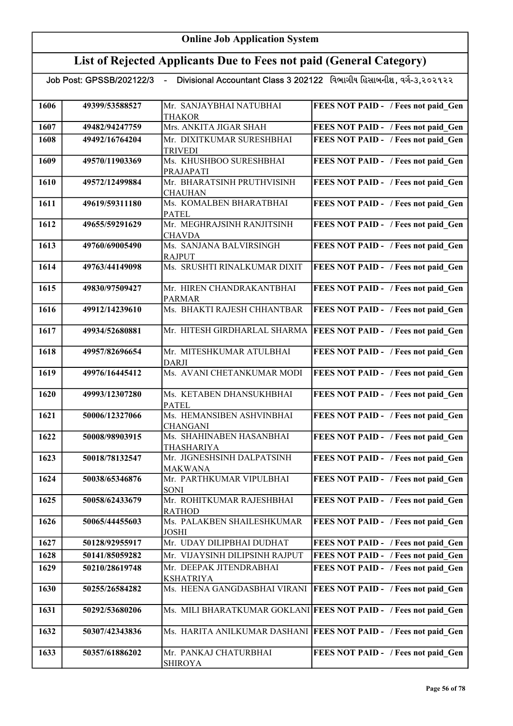### List of Rejected Applicants Due to Fees not paid (General Category)

|      | Job Post: GPSSB/202122/3 - |                                              | Divisional Accountant Class 3 202122 વિભાગીય હિસાબનીશ, વર્ગ-૩,૨૦૨૧૨૨ |
|------|----------------------------|----------------------------------------------|----------------------------------------------------------------------|
| 1606 | 49399/53588527             | Mr. SANJAYBHAI NATUBHAI<br>THAKOR            | FEES NOT PAID - / Fees not paid Gen                                  |
| 1607 | 49482/94247759             | Mrs. ANKITA JIGAR SHAH                       | FEES NOT PAID - / Fees not paid_Gen                                  |
| 1608 | 49492/16764204             | Mr. DIXITKUMAR SURESHBHAI<br><b>TRIVEDI</b>  | FEES NOT PAID - / Fees not paid Gen                                  |
| 1609 | 49570/11903369             | Ms. KHUSHBOO SURESHBHAI<br>PRAJAPATI         | FEES NOT PAID - / Fees not paid Gen                                  |
| 1610 | 49572/12499884             | Mr. BHARATSINH PRUTHVISINH<br><b>CHAUHAN</b> | FEES NOT PAID - / Fees not paid Gen                                  |
| 1611 | 49619/59311180             | Ms. KOMALBEN BHARATBHAI<br><b>PATEL</b>      | FEES NOT PAID - / Fees not paid_Gen                                  |
| 1612 | 49655/59291629             | Mr. MEGHRAJSINH RANJITSINH<br><b>CHAVDA</b>  | FEES NOT PAID - / Fees not paid_Gen                                  |
| 1613 | 49760/69005490             | Ms. SANJANA BALVIRSINGH<br><b>RAJPUT</b>     | FEES NOT PAID - / Fees not paid Gen                                  |
| 1614 | 49763/44149098             | Ms. SRUSHTI RINALKUMAR DIXIT                 | FEES NOT PAID - / Fees not paid_Gen                                  |
| 1615 | 49830/97509427             | Mr. HIREN CHANDRAKANTBHAI<br><b>PARMAR</b>   | FEES NOT PAID - / Fees not paid Gen                                  |
| 1616 | 49912/14239610             | Ms. BHAKTI RAJESH CHHANTBAR                  | FEES NOT PAID - / Fees not paid_Gen                                  |
| 1617 | 49934/52680881             | Mr. HITESH GIRDHARLAL SHARMA                 | FEES NOT PAID - / Fees not paid_Gen                                  |
| 1618 | 49957/82696654             | Mr. MITESHKUMAR ATULBHAI<br>DARJI            | FEES NOT PAID - / Fees not paid_Gen                                  |
| 1619 | 49976/16445412             | Ms. AVANI CHETANKUMAR MODI                   | FEES NOT PAID - / Fees not paid_Gen                                  |
| 1620 | 49993/12307280             | Ms. KETABEN DHANSUKHBHAI<br><b>PATEL</b>     | FEES NOT PAID - / Fees not paid_Gen                                  |
| 1621 | 50006/12327066             | Ms. HEMANSIBEN ASHVINBHAI<br><b>CHANGANI</b> | FEES NOT PAID - / Fees not paid Gen                                  |
| 1622 | 50008/98903915             | Ms. SHAHINABEN HASANBHAI<br>THASHARIYA       | FEES NOT PAID - / Fees not paid Gen                                  |
| 1623 | 50018/78132547             | Mr. JIGNESHSINH DALPATSINH<br><b>MAKWANA</b> | <b>FEES NOT PAID - / Fees not paid Gen</b>                           |
| 1624 | 50038/65346876             | Mr. PARTHKUMAR VIPULBHAI<br>SONI             | FEES NOT PAID - / Fees not paid Gen                                  |
| 1625 | 50058/62433679             | Mr. ROHITKUMAR RAJESHBHAI<br><b>RATHOD</b>   | FEES NOT PAID - / Fees not paid Gen                                  |
| 1626 | 50065/44455603             | Ms. PALAKBEN SHAILESHKUMAR<br><b>JOSHI</b>   | FEES NOT PAID - / Fees not paid Gen                                  |
| 1627 | 50128/92955917             | Mr. UDAY DILIPBHAI DUDHAT                    | FEES NOT PAID - / Fees not paid Gen                                  |
| 1628 | 50141/85059282             | Mr. VIJAYSINH DILIPSINH RAJPUT               | FEES NOT PAID - / Fees not paid Gen                                  |
| 1629 | 50210/28619748             | Mr. DEEPAK JITENDRABHAI<br><b>KSHATRIYA</b>  | FEES NOT PAID - / Fees not paid Gen                                  |
| 1630 | 50255/26584282             |                                              | Ms. HEENA GANGDASBHAI VIRANI   FEES NOT PAID - / Fees not paid Gen   |
| 1631 | 50292/53680206             |                                              | Ms. MILI BHARATKUMAR GOKLANI FEES NOT PAID - / Fees not paid_Gen     |

1632 50307/42343836 Ms. HARITA ANILKUMAR DASHANI FEES NOT PAID - / Fees not paid\_Gen

1633 50357/61886202 Mr. PANKAJ CHATURBHAI

SHIROYA

FEES NOT PAID - / Fees not paid\_Gen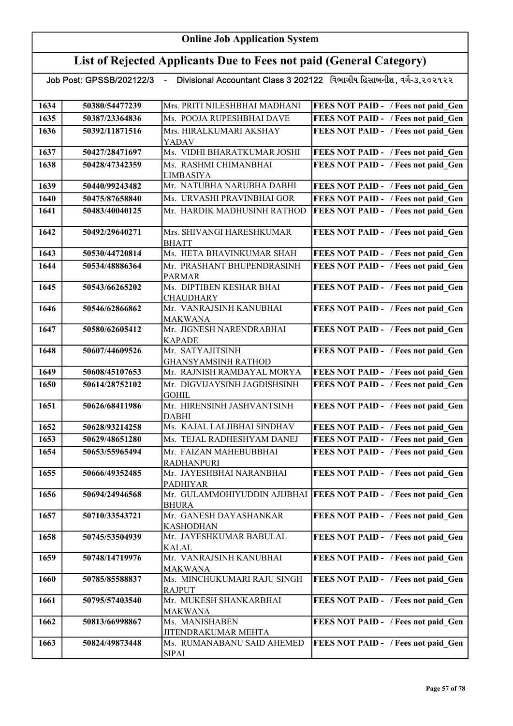## List of Rejected Applicants Due to Fees not paid (General Category)

| 1634 | 50380/54477239 | Mrs. PRITI NILESHBHAI MADHANI                     | FEES NOT PAID - / Fees not paid Gen                                |
|------|----------------|---------------------------------------------------|--------------------------------------------------------------------|
| 1635 | 50387/23364836 | Ms. POOJA RUPESHBHAI DAVE                         | FEES NOT PAID - / Fees not paid Gen                                |
| 1636 | 50392/11871516 | Mrs. HIRALKUMARI AKSHAY                           | FEES NOT PAID - / Fees not paid Gen                                |
|      |                | YADAV                                             |                                                                    |
| 1637 | 50427/28471697 | Ms. VIDHI BHARATKUMAR JOSHI                       | FEES NOT PAID - / Fees not paid Gen                                |
| 1638 | 50428/47342359 | Ms. RASHMI CHIMANBHAI                             | FEES NOT PAID - / Fees not paid Gen                                |
|      |                | <b>LIMBASIYA</b>                                  |                                                                    |
| 1639 | 50440/99243482 | Mr. NATUBHA NARUBHA DABHI                         | FEES NOT PAID - / Fees not paid Gen                                |
| 1640 | 50475/87658840 | Ms. URVASHI PRAVINBHAI GOR                        | FEES NOT PAID - / Fees not paid Gen                                |
| 1641 | 50483/40040125 | Mr. HARDIK MADHUSINH RATHOD                       | FEES NOT PAID - / Fees not paid Gen                                |
| 1642 | 50492/29640271 | Mrs. SHIVANGI HARESHKUMAR                         | FEES NOT PAID - / Fees not paid Gen                                |
|      |                | <b>BHATT</b>                                      |                                                                    |
| 1643 | 50530/44720814 | Ms. HETA BHAVINKUMAR SHAH                         | FEES NOT PAID - / Fees not paid Gen                                |
| 1644 | 50534/48886364 | Mr. PRASHANT BHUPENDRASINH                        | FEES NOT PAID - / Fees not paid Gen                                |
|      |                | <b>PARMAR</b>                                     |                                                                    |
| 1645 | 50543/66265202 | Ms. DIPTIBEN KESHAR BHAI                          | FEES NOT PAID - / Fees not paid Gen                                |
|      |                | <b>CHAUDHARY</b>                                  |                                                                    |
| 1646 | 50546/62866862 | Mr. VANRAJSINH KANUBHAI                           | FEES NOT PAID - / Fees not paid_Gen                                |
|      |                | <b>MAKWANA</b>                                    |                                                                    |
| 1647 | 50580/62605412 | Mr. JIGNESH NARENDRABHAI                          | FEES NOT PAID - / Fees not paid_Gen                                |
|      |                | <b>KAPADE</b><br>Mr. SATYAJITSINH                 |                                                                    |
| 1648 | 50607/44609526 |                                                   | FEES NOT PAID - / Fees not paid_Gen                                |
| 1649 | 50608/45107653 | GHANSYAMSINH RATHOD<br>Mr. RAJNISH RAMDAYAL MORYA | FEES NOT PAID - / Fees not paid Gen                                |
| 1650 | 50614/28752102 | Mr. DIGVIJAYSINH JAGDISHSINH                      | FEES NOT PAID - / Fees not paid Gen                                |
|      |                | <b>GOHIL</b>                                      |                                                                    |
| 1651 | 50626/68411986 | Mr. HIRENSINH JASHVANTSINH                        | FEES NOT PAID - / Fees not paid Gen                                |
|      |                | <b>DABHI</b>                                      |                                                                    |
| 1652 | 50628/93214258 | Ms. KAJAL LALJIBHAI SINDHAV                       | FEES NOT PAID - / Fees not paid Gen                                |
| 1653 | 50629/48651280 | Ms. TEJAL RADHESHYAM DANEJ                        | FEES NOT PAID - / Fees not paid Gen                                |
| 1654 | 50653/55965494 | Mr. FAIZAN MAHEBUBBHAI                            | FEES NOT PAID - / Fees not paid Gen                                |
|      |                | <b>RADHANPURI</b>                                 |                                                                    |
| 1655 | 50666/49352485 | Mr. JAYESHBHAI NARANBHAI                          | FEES NOT PAID - / Fees not paid Gen                                |
| 1656 | 50694/24946568 | <b>PADHIYAR</b>                                   | Mr. GULAMMOHIYUDDIN AJIJBHAI   FEES NOT PAID - / Fees not paid Gen |
|      |                | <b>BHURA</b>                                      |                                                                    |
| 1657 | 50710/33543721 | Mr. GANESH DAYASHANKAR                            | FEES NOT PAID - / Fees not paid Gen                                |
|      |                | <b>KASHODHAN</b>                                  |                                                                    |
| 1658 | 50745/53504939 | Mr. JAYESHKUMAR BABULAL                           | FEES NOT PAID - / Fees not paid Gen                                |
|      |                | KALAL                                             |                                                                    |
| 1659 | 50748/14719976 | Mr. VANRAJSINH KANUBHAI                           | FEES NOT PAID - / Fees not paid Gen                                |
|      |                | <b>MAKWANA</b>                                    |                                                                    |
| 1660 | 50785/85588837 | Ms. MINCHUKUMARI RAJU SINGH                       | FEES NOT PAID - / Fees not paid Gen                                |
| 1661 | 50795/57403540 | <b>RAJPUT</b><br>Mr. MUKESH SHANKARBHAI           | FEES NOT PAID - / Fees not paid Gen                                |
|      |                | <b>MAKWANA</b>                                    |                                                                    |
|      |                |                                                   |                                                                    |
| 1662 | 50813/66998867 | Ms. MANISHABEN                                    |                                                                    |
|      |                | JITENDRAKUMAR MEHTA                               | FEES NOT PAID - / Fees not paid Gen                                |
| 1663 | 50824/49873448 | Ms. RUMANABANU SAID AHEMED                        | FEES NOT PAID - / Fees not paid Gen                                |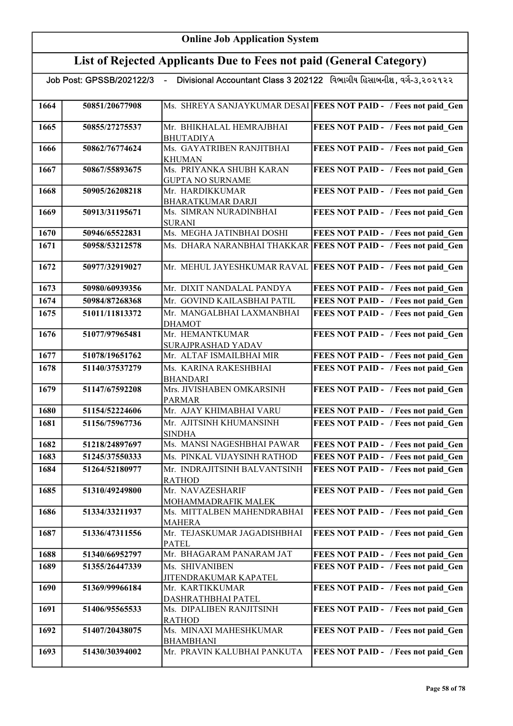|      | Job Post: GPSSB/202122/3 - |                                              | Divisional Accountant Class 3 202122 વિભાગીય હિસાબનીશ, વર્ગ-૩,૨૦૨૧૨૨ |
|------|----------------------------|----------------------------------------------|----------------------------------------------------------------------|
|      |                            |                                              |                                                                      |
| 1664 | 50851/20677908             |                                              | Ms. SHREYA SANJAYKUMAR DESAI FEES NOT PAID - / Fees not paid Gen     |
| 1665 | 50855/27275537             | Mr. BHIKHALAL HEMRAJBHAI<br><b>BHUTADIYA</b> | FEES NOT PAID - / Fees not paid Gen                                  |
| 1666 | 50862/76774624             | Ms. GAYATRIBEN RANJITBHAI                    | FEES NOT PAID - / Fees not paid Gen                                  |
|      |                            | <b>KHUMAN</b>                                |                                                                      |
| 1667 | 50867/55893675             | Ms. PRIYANKA SHUBH KARAN                     | FEES NOT PAID - / Fees not paid Gen                                  |
|      |                            | <b>GUPTA NO SURNAME</b>                      |                                                                      |
| 1668 | 50905/26208218             | Mr. HARDIKKUMAR                              | FEES NOT PAID - / Fees not paid Gen                                  |
|      |                            | BHARATKUMAR DARJI                            |                                                                      |
| 1669 | 50913/31195671             | Ms. SIMRAN NURADINBHAI                       | FEES NOT PAID - / Fees not paid Gen                                  |
|      |                            | <b>SURANI</b>                                |                                                                      |
| 1670 | 50946/65522831             | Ms. MEGHA JATINBHAI DOSHI                    | FEES NOT PAID - / Fees not paid Gen                                  |
| 1671 | 50958/53212578             | Ms. DHARA NARANBHAI THAKKAR                  | <b>FEES NOT PAID - / Fees not paid Gen</b>                           |
| 1672 | 50977/32919027             | Mr. MEHUL JAYESHKUMAR RAVAL                  | FEES NOT PAID - / Fees not paid Gen                                  |
| 1673 | 50980/60939356             | Mr. DIXIT NANDALAL PANDYA                    | FEES NOT PAID - / Fees not paid Gen                                  |
| 1674 | 50984/87268368             | Mr. GOVIND KAILASBHAI PATIL                  | FEES NOT PAID - / Fees not paid Gen                                  |
| 1675 | 51011/11813372             | Mr. MANGALBHAI LAXMANBHAI                    | FEES NOT PAID - / Fees not paid Gen                                  |
|      |                            | <b>DHAMOT</b>                                |                                                                      |
| 1676 | 51077/97965481             | Mr. HEMANTKUMAR                              | FEES NOT PAID - / Fees not paid Gen                                  |
|      |                            | SURAJPRASHAD YADAV                           |                                                                      |
| 1677 | 51078/19651762             | Mr. ALTAF ISMAILBHAI MIR                     | FEES NOT PAID - / Fees not paid Gen                                  |
| 1678 | 51140/37537279             | Ms. KARINA RAKESHBHAI                        | FEES NOT PAID - / Fees not paid Gen                                  |
|      |                            | <b>BHANDARI</b>                              |                                                                      |
| 1679 | 51147/67592208             | Mrs. JIVISHABEN OMKARSINH<br><b>PARMAR</b>   | FEES NOT PAID - / Fees not paid_Gen                                  |
| 1680 | 51154/52224606             | Mr. AJAY KHIMABHAI VARU                      | FEES NOT PAID - / Fees not paid Gen                                  |
| 1681 | 51156/75967736             | Mr. AJITSINH KHUMANSINH                      | FEES NOT PAID - / Fees not paid Gen                                  |
|      |                            | <b>SINDHA</b>                                |                                                                      |
| 1682 | 51218/24897697             | Ms. MANSI NAGESHBHAI PAWAR                   | FEES NOT PAID - / Fees not paid Gen                                  |
| 1683 | 51245/37550333             | Ms. PINKAL VIJAYSINH RATHOD                  | FEES NOT PAID - / Fees not paid Gen                                  |
| 1684 | 51264/52180977             | Mr. INDRAJITSINH BALVANTSINH                 | FEES NOT PAID - / Fees not paid Gen                                  |
|      |                            | <b>RATHOD</b>                                |                                                                      |
| 1685 | 51310/49249800             | Mr. NAVAZESHARIF<br>MOHAMMADRAFIK MALEK      | FEES NOT PAID - / Fees not paid Gen                                  |
| 1686 | 51334/33211937             | Ms. MITTALBEN MAHENDRABHAI                   | FEES NOT PAID - / Fees not paid Gen                                  |
|      |                            | <b>MAHERA</b>                                |                                                                      |
| 1687 | 51336/47311556             | Mr. TEJASKUMAR JAGADISHBHAI                  | FEES NOT PAID - / Fees not paid Gen                                  |
|      |                            | <b>PATEL</b>                                 |                                                                      |
| 1688 | 51340/66952797             | Mr. BHAGARAM PANARAM JAT                     | FEES NOT PAID - / Fees not paid Gen                                  |
| 1689 | 51355/26447339             | Ms. SHIVANIBEN                               | FEES NOT PAID - / Fees not paid Gen                                  |
|      |                            | JITENDRAKUMAR KAPATEL                        |                                                                      |
| 1690 | 51369/99966184             | Mr. KARTIKKUMAR                              | FEES NOT PAID - / Fees not paid Gen                                  |
|      |                            | DASHRATHBHAI PATEL                           |                                                                      |
| 1691 | 51406/95565533             | Ms. DIPALIBEN RANJITSINH                     | FEES NOT PAID - / Fees not paid Gen                                  |
|      |                            | <b>RATHOD</b>                                |                                                                      |
| 1692 | 51407/20438075             | Ms. MINAXI MAHESHKUMAR<br><b>BHAMBHANI</b>   | FEES NOT PAID - / Fees not paid Gen                                  |
| 1693 | 51430/30394002             | Mr. PRAVIN KALUBHAI PANKUTA                  | FEES NOT PAID - / Fees not paid Gen                                  |
|      |                            |                                              |                                                                      |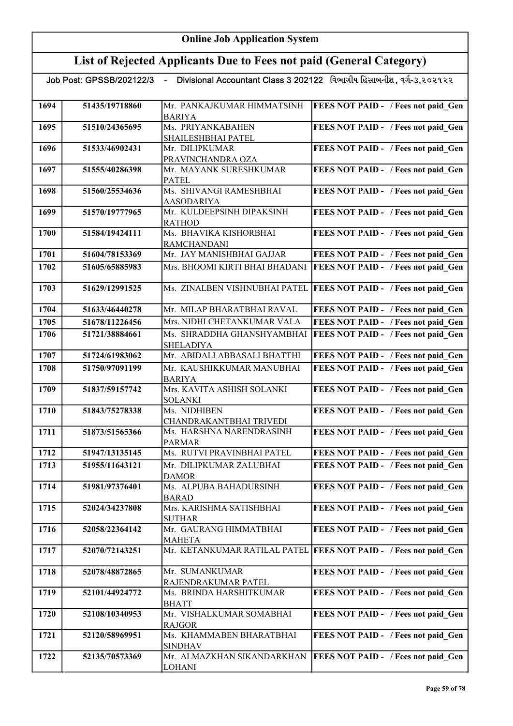|      | Job Post: GPSSB/202122/3 |                                                | Divisional Accountant Class 3 202122 વિભાગીય હિસાબનીશ, વર્ગ-૩,૨૦૨૧૨૨ |
|------|--------------------------|------------------------------------------------|----------------------------------------------------------------------|
| 1694 | 51435/19718860           | Mr. PANKAJKUMAR HIMMATSINH<br><b>BARIYA</b>    | <b>FEES NOT PAID - / Fees not paid Gen</b>                           |
| 1695 | 51510/24365695           | Ms. PRIYANKABAHEN<br>SHAILESHBHAI PATEL        | FEES NOT PAID - / Fees not paid Gen                                  |
| 1696 | 51533/46902431           | Mr. DILIPKUMAR<br>PRAVINCHANDRA OZA            | FEES NOT PAID - / Fees not paid Gen                                  |
| 1697 | 51555/40286398           | Mr. MAYANK SURESHKUMAR<br><b>PATEL</b>         | FEES NOT PAID - / Fees not paid Gen                                  |
| 1698 | 51560/25534636           | Ms. SHIVANGI RAMESHBHAI<br><b>AASODARIYA</b>   | FEES NOT PAID - / Fees not paid Gen                                  |
| 1699 | 51570/19777965           | Mr. KULDEEPSINH DIPAKSINH<br><b>RATHOD</b>     | FEES NOT PAID - / Fees not paid Gen                                  |
| 1700 | 51584/19424111           | Ms. BHAVIKA KISHORBHAI<br><b>RAMCHANDANI</b>   | FEES NOT PAID - / Fees not paid Gen                                  |
| 1701 | 51604/78153369           | Mr. JAY MANISHBHAI GAJJAR                      | FEES NOT PAID - / Fees not paid Gen                                  |
| 1702 | 51605/65885983           | Mrs. BHOOMI KIRTI BHAI BHADANI                 | <b>FEES NOT PAID - / Fees not paid Gen</b>                           |
| 1703 | 51629/12991525           | Ms. ZINALBEN VISHNUBHAI PATEL                  | <b>FEES NOT PAID - / Fees not paid Gen</b>                           |
| 1704 | 51633/46440278           | Mr. MILAP BHARATBHAI RAVAL                     | FEES NOT PAID - / Fees not paid Gen                                  |
| 1705 | 51678/11226456           | Mrs. NIDHI CHETANKUMAR VALA                    | FEES NOT PAID - / Fees not paid Gen                                  |
| 1706 | 51721/38884661           | Ms. SHRADDHA GHANSHYAMBHAI<br><b>SHELADIYA</b> | FEES NOT PAID - / Fees not paid Gen                                  |
| 1707 | 51724/61983062           | Mr. ABIDALI ABBASALI BHATTHI                   | FEES NOT PAID - / Fees not paid Gen                                  |
| 1708 | 51750/97091199           | Mr. KAUSHIKKUMAR MANUBHAI<br><b>BARIYA</b>     | FEES NOT PAID - / Fees not paid Gen                                  |
| 1709 | 51837/59157742           | Mrs. KAVITA ASHISH SOLANKI<br><b>SOLANKI</b>   | FEES NOT PAID - / Fees not paid Gen                                  |
| 1710 | 51843/75278338           | Ms. NIDHIBEN<br>CHANDRAKANTBHAI TRIVEDI        | FEES NOT PAID - / Fees not paid Gen                                  |
| 1711 | 51873/51565366           | Ms. HARSHNA NARENDRASINH<br><b>PARMAR</b>      | FEES NOT PAID - / Fees not paid_Gen                                  |
| 1712 | 51947/13135145           | Ms. RUTVI PRAVINBHAI PATEL                     | FEES NOT PAID - / Fees not paid Gen                                  |
| 1713 | 51955/11643121           | Mr. DILIPKUMAR ZALUBHAI<br><b>DAMOR</b>        | <b>FEES NOT PAID -</b> / Fees not paid Gen                           |
| 1714 | 51981/97376401           | Ms. ALPUBA BAHADURSINH<br><b>BARAD</b>         | FEES NOT PAID - / Fees not paid Gen                                  |
| 1715 | 52024/34237808           | Mrs. KARISHMA SATISHBHAI<br><b>SUTHAR</b>      | FEES NOT PAID - / Fees not paid Gen                                  |
| 1716 | 52058/22364142           | Mr. GAURANG HIMMATBHAI<br><b>MAHETA</b>        | FEES NOT PAID - / Fees not paid Gen                                  |
| 1717 | 52070/72143251           | Mr. KETANKUMAR RATILAL PATEL                   | <b>FEES NOT PAID - / Fees not paid Gen</b>                           |
| 1718 | 52078/48872865           | Mr. SUMANKUMAR<br>RAJENDRAKUMAR PATEL          | FEES NOT PAID - / Fees not paid_Gen                                  |
| 1719 | 52101/44924772           | Ms. BRINDA HARSHITKUMAR<br><b>BHATT</b>        | FEES NOT PAID - / Fees not paid_Gen                                  |
| 1720 | 52108/10340953           | Mr. VISHALKUMAR SOMABHAI<br><b>RAJGOR</b>      | FEES NOT PAID - / Fees not paid_Gen                                  |
| 1721 | 52120/58969951           | Ms. KHAMMABEN BHARATBHAI<br><b>SINDHAV</b>     | FEES NOT PAID - / Fees not paid Gen                                  |
| 1722 | 52135/70573369           | Mr. ALMAZKHAN SIKANDARKHAN<br><b>LOHANI</b>    | FEES NOT PAID - / Fees not paid Gen                                  |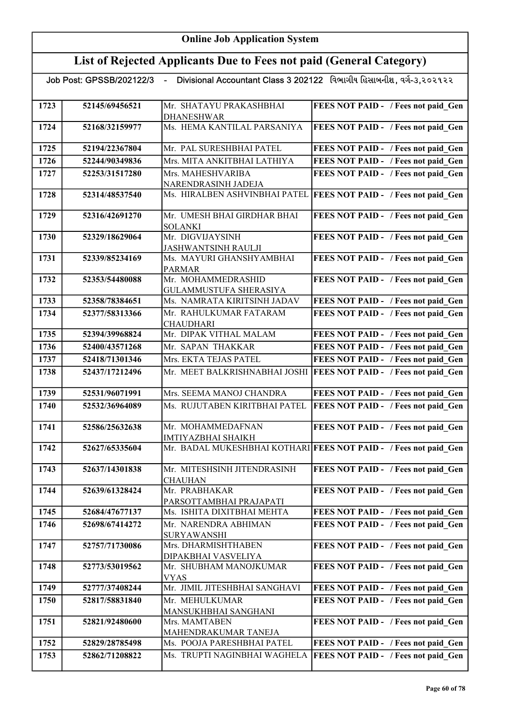#### List of Rejected Applicants Due to Fees not paid (General Category)

Job Post: GPSSB/202122/3 - Divisional Accountant Class 3 202122 વિભાગીય હિસાબનીશ, વર્ગ-૩,૨૦૨૧૨૨ 1723 52145/69456521 Mr. SHATAYU PRAKASHBHAI DHANESHWAR FEES NOT PAID - / Fees not paid Gen 1724 52168/32159977 Ms. HEMA KANTILAL PARSANIYA FEES NOT PAID - / Fees not paid Gen 1725 52194/22367804 Mr. PAL SURESHBHAI PATEL FEES NOT PAID - / Fees not paid Gen 1726 52244/90349836 Mrs. MITA ANKITBHAI LATHIYA FEES NOT PAID - / Fees not paid\_Gen 1727 | 52253/31517280 | Mrs. MAHESHVARIBA NARENDRASINH JADEJA FEES NOT PAID - / Fees not paid Gen 1728 52314/48537540 Ms. HIRALBEN ASHVINBHAI PATEL FEES NOT PAID - / Fees not paid\_Gen 1729 52316/42691270 Mr. UMESH BHAI GIRDHAR BHAI SOLANKI FEES NOT PAID - / Fees not paid Gen 1730 52329/18629064 Mr. DIGVIJAYSINH JASHWANTSINH RAULJI FEES NOT PAID - / Fees not paid Gen 1731 | 52339/85234169 | Ms. MAYURI GHANSHYAMBHAI PARMAR FEES NOT PAID - / Fees not paid Gen 1732 52353/54480088 Mr. MOHAMMEDRASHID GULAMMUSTUFA SHERASIYA FEES NOT PAID - / Fees not paid Gen 1733 52358/78384651 Ms. NAMRATA KIRITSINH JADAV FEES NOT PAID - / Fees not paid\_Gen 1734 | 52377/58313366 | Mr. RAHULKUMAR FATARAM **CHAUDHARI** FEES NOT PAID - / Fees not paid Gen 1735 52394/39968824 Mr. DIPAK VITHAL MALAM FEES NOT PAID - / Fees not paid\_Gen 1736 52400/43571268 Mr. SAPAN THAKKAR FEES NOT PAID - / Fees not paid Gen 1737 52418/71301346 Mrs. EKTA TEJAS PATEL FEES NOT PAID - / Fees not paid\_Gen 1738 52437/17212496 Mr. MEET BALKRISHNABHAI JOSHI FEES NOT PAID - / Fees not paid Gen 1739 52531/96071991 Mrs. SEEMA MANOJ CHANDRA FEES NOT PAID - / Fees not paid Gen 1740 52532/36964089 Ms. RUJUTABEN KIRITBHAI PATEL FEES NOT PAID - / Fees not paid\_Gen 1741 | 52586/25632638 | Mr. MOHAMMEDAFNAN IMTIYAZBHAI SHAIKH FEES NOT PAID - / Fees not paid\_Gen 1742 52627/65335604 Mr. BADAL MUKESHBHAI KOTHARI FEES NOT PAID - / Fees not paid Gen 1743 | 52637/14301838 | Mr. MITESHSINH JITENDRASINH **CHAUHAN** FEES NOT PAID - / Fees not paid Gen 1744 52639/61328424 Mr. PRABHAKAR PARSOTTAMBHAI PRAJAPATI FEES NOT PAID - / Fees not paid Gen 1745 52684/47677137 Ms. ISHITA DIXITBHAI MEHTA FEES NOT PAID - / Fees not paid\_Gen 1746 52698/67414272 Mr. NARENDRA ABHIMAN SURYAWANSHI FEES NOT PAID - / Fees not paid Gen 1747 | 52757/71730086 Mrs. DHARMISHTHABEN DIPAKBHAI VASVELIYA FEES NOT PAID - / Fees not paid Gen 1748 52773/53019562 Mr. SHUBHAM MANOJKUMAR VYAS FEES NOT PAID - / Fees not paid Gen 1749 52777/37408244 Mr. JIMIL JITESHBHAI SANGHAVI FEES NOT PAID - / Fees not paid\_Gen 1750 52817/58831840 Mr. MEHULKUMAR MANSUKHBHAI SANGHANI FEES NOT PAID - / Fees not paid Gen 1751 | 52821/92480600 | Mrs. MAMTABEN MAHENDRAKUMAR TANEJA FEES NOT PAID - / Fees not paid Gen 1752 52829/28785498 Ms. POOJA PARESHBHAI PATEL FEES NOT PAID - / Fees not paid\_Gen 1753 52862/71208822 Ms. TRUPTI NAGINBHAI WAGHELA FEES NOT PAID - / Fees not paid\_Gen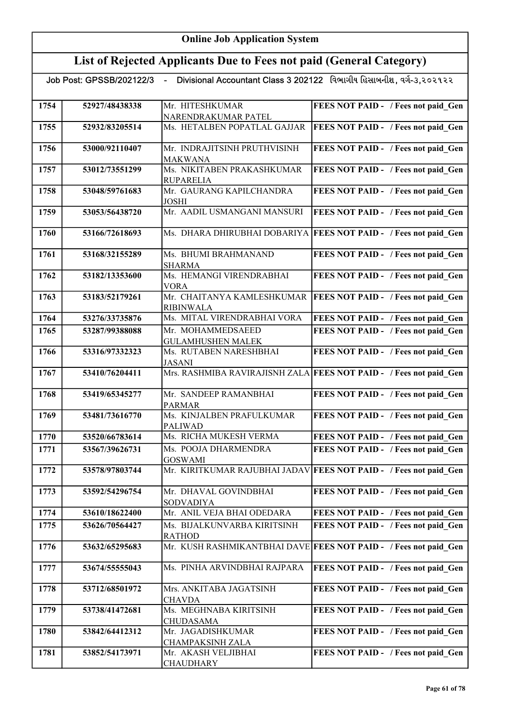## List of Rejected Applicants Due to Fees not paid (General Category)

| 1754 | 52927/48438338 | Mr. HITESHKUMAR                                | FEES NOT PAID - / Fees not paid Gen                                |
|------|----------------|------------------------------------------------|--------------------------------------------------------------------|
|      |                | NARENDRAKUMAR PATEL                            |                                                                    |
| 1755 | 52932/83205514 | Ms. HETALBEN POPATLAL GAJJAR                   | FEES NOT PAID - / Fees not paid Gen                                |
| 1756 | 53000/92110407 | Mr. INDRAJITSINH PRUTHVISINH<br><b>MAKWANA</b> | FEES NOT PAID - / Fees not paid Gen                                |
| 1757 | 53012/73551299 | Ms. NIKITABEN PRAKASHKUMAR                     | FEES NOT PAID - / Fees not paid Gen                                |
|      |                | <b>RUPARELIA</b>                               |                                                                    |
| 1758 | 53048/59761683 | Mr. GAURANG KAPILCHANDRA<br><b>JOSHI</b>       | FEES NOT PAID - / Fees not paid Gen                                |
| 1759 | 53053/56438720 | Mr. AADIL USMANGANI MANSURI                    | FEES NOT PAID - / Fees not paid Gen                                |
| 1760 | 53166/72618693 | Ms. DHARA DHIRUBHAI DOBARIYA                   | <b>FEES NOT PAID - / Fees not paid Gen</b>                         |
| 1761 | 53168/32155289 | Ms. BHUMI BRAHMANAND<br><b>SHARMA</b>          | FEES NOT PAID - / Fees not paid Gen                                |
| 1762 | 53182/13353600 | Ms. HEMANGI VIRENDRABHAI<br><b>VORA</b>        | FEES NOT PAID - / Fees not paid Gen                                |
| 1763 | 53183/52179261 | Mr. CHAITANYA KAMLESHKUMAR<br><b>RIBINWALA</b> | <b>FEES NOT PAID - / Fees not paid Gen</b>                         |
| 1764 | 53276/33735876 | Ms. MITAL VIRENDRABHAI VORA                    | FEES NOT PAID - / Fees not paid Gen                                |
| 1765 | 53287/99388088 | Mr. MOHAMMEDSAEED                              | FEES NOT PAID - / Fees not paid Gen                                |
|      |                | <b>GULAMHUSHEN MALEK</b>                       |                                                                    |
| 1766 | 53316/97332323 | Ms. RUTABEN NARESHBHAI<br><b>JASANI</b>        | FEES NOT PAID - / Fees not paid Gen                                |
| 1767 | 53410/76204411 |                                                | Mrs. RASHMIBA RAVIRAJISNH ZALA FEES NOT PAID - / Fees not paid Gen |
| 1768 | 53419/65345277 | Mr. SANDEEP RAMANBHAI<br><b>PARMAR</b>         | FEES NOT PAID - / Fees not paid Gen                                |
| 1769 | 53481/73616770 | Ms. KINJALBEN PRAFULKUMAR<br><b>PALIWAD</b>    | FEES NOT PAID - / Fees not paid Gen                                |
| 1770 | 53520/66783614 | Ms. RICHA MUKESH VERMA                         | FEES NOT PAID - / Fees not paid Gen                                |
| 1771 | 53567/39626731 | Ms. POOJA DHARMENDRA<br><b>GOSWAMI</b>         | FEES NOT PAID - / Fees not paid Gen                                |
| 1772 | 53578/97803744 |                                                | Mr. KIRITKUMAR RAJUBHAI JADAV FEES NOT PAID - / Fees not paid Gen  |
| 1773 | 53592/54296754 | Mr. DHAVAL GOVINDBHAI<br><b>SODVADIYA</b>      | FEES NOT PAID - / Fees not paid Gen                                |
| 1774 | 53610/18622400 | Mr. ANIL VEJA BHAI ODEDARA                     | FEES NOT PAID - / Fees not paid Gen                                |
| 1775 | 53626/70564427 | Ms. BIJALKUNVARBA KIRITSINH                    | FEES NOT PAID - / Fees not paid Gen                                |
|      |                | <b>RATHOD</b>                                  |                                                                    |
| 1776 | 53632/65295683 |                                                | Mr. KUSH RASHMIKANTBHAI DAVE FEES NOT PAID - / Fees not paid Gen   |
| 1777 | 53674/55555043 | Ms. PINHA ARVINDBHAI RAJPARA                   | FEES NOT PAID - / Fees not paid Gen                                |
| 1778 | 53712/68501972 | Mrs. ANKITABA JAGATSINH                        | FEES NOT PAID - / Fees not paid Gen                                |
|      |                | <b>CHAVDA</b>                                  |                                                                    |
| 1779 | 53738/41472681 | Ms. MEGHNABA KIRITSINH<br><b>CHUDASAMA</b>     | FEES NOT PAID - / Fees not paid Gen                                |
| 1780 | 53842/64412312 | Mr. JAGADISHKUMAR<br>CHAMPAKSINH ZALA          | FEES NOT PAID - / Fees not paid Gen                                |
| 1781 | 53852/54173971 | Mr. AKASH VELJIBHAI<br><b>CHAUDHARY</b>        | FEES NOT PAID - / Fees not paid Gen                                |
|      |                |                                                |                                                                    |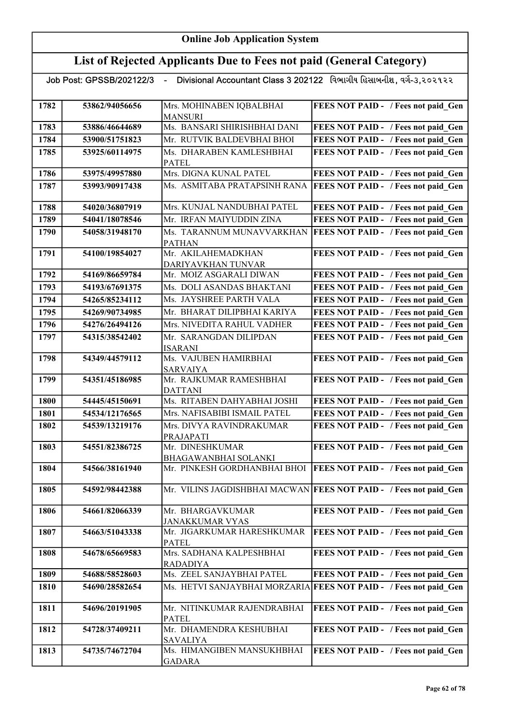## List of Rejected Applicants Due to Fees not paid (General Category)

<u>.</u><br>22/3 - Divisional Accountant Class 3 202122 વિભાગીય હિસાબનીશ , વર્ગ-૩,૨૦૨૧૨૨

| 1782 | 53862/94056656 | Mrs. MOHINABEN IQBALBHAI<br><b>MANSURI</b>    | FEES NOT PAID - / Fees not paid Gen                               |
|------|----------------|-----------------------------------------------|-------------------------------------------------------------------|
| 1783 | 53886/46644689 | Ms. BANSARI SHIRISHBHAI DANI                  | FEES NOT PAID - / Fees not paid Gen                               |
| 1784 | 53900/51751823 | Mr. RUTVIK BALDEVBHAI BHOI                    | FEES NOT PAID - / Fees not paid Gen                               |
| 1785 | 53925/60114975 | Ms. DHARABEN KAMLESHBHAI                      | FEES NOT PAID - / Fees not paid Gen                               |
|      |                | <b>PATEL</b>                                  |                                                                   |
| 1786 | 53975/49957880 | Mrs. DIGNA KUNAL PATEL                        | FEES NOT PAID - / Fees not paid Gen                               |
| 1787 | 53993/90917438 | Ms. ASMITABA PRATAPSINH RANA                  | <b>FEES NOT PAID - / Fees not paid Gen</b>                        |
| 1788 | 54020/36807919 | Mrs. KUNJAL NANDUBHAI PATEL                   | FEES NOT PAID - / Fees not paid Gen                               |
| 1789 | 54041/18078546 | Mr. IRFAN MAIYUDDIN ZINA                      | FEES NOT PAID - / Fees not paid Gen                               |
| 1790 | 54058/31948170 | Ms. TARANNUM MUNAVVARKHAN                     | <b>FEES NOT PAID - / Fees not paid Gen</b>                        |
|      |                | <b>PATHAN</b>                                 |                                                                   |
| 1791 | 54100/19854027 | Mr. AKILAHEMADKHAN                            | FEES NOT PAID - / Fees not paid Gen                               |
| 1792 | 54169/86659784 | DARIYAVKHAN TUNVAR<br>Mr. MOIZ ASGARALI DIWAN | FEES NOT PAID - / Fees not paid_Gen                               |
| 1793 | 54193/67691375 | Ms. DOLI ASANDAS BHAKTANI                     | FEES NOT PAID - / Fees not paid Gen                               |
| 1794 | 54265/85234112 | Ms. JAYSHREE PARTH VALA                       | FEES NOT PAID - / Fees not paid Gen                               |
| 1795 | 54269/90734985 | Mr. BHARAT DILIPBHAI KARIYA                   | FEES NOT PAID - / Fees not paid Gen                               |
|      |                | Mrs. NIVEDITA RAHUL VADHER                    |                                                                   |
| 1796 | 54276/26494126 |                                               | FEES NOT PAID - / Fees not paid Gen                               |
| 1797 | 54315/38542402 | Mr. SARANGDAN DILIPDAN<br><b>ISARANI</b>      | FEES NOT PAID - / Fees not paid Gen                               |
| 1798 | 54349/44579112 | Ms. VAJUBEN HAMIRBHAI                         | FEES NOT PAID - / Fees not paid Gen                               |
|      |                | <b>SARVAIYA</b><br>Mr. RAJKUMAR RAMESHBHAI    |                                                                   |
| 1799 | 54351/45186985 | <b>DATTANI</b>                                | FEES NOT PAID - / Fees not paid_Gen                               |
| 1800 | 54445/45150691 | Ms. RITABEN DAHYABHAI JOSHI                   | FEES NOT PAID - / Fees not paid Gen                               |
| 1801 | 54534/12176565 | Mrs. NAFISABIBI ISMAIL PATEL                  | FEES NOT PAID - / Fees not paid Gen                               |
| 1802 | 54539/13219176 | Mrs. DIVYA RAVINDRAKUMAR                      | FEES NOT PAID - / Fees not paid Gen                               |
|      |                | PRAJAPATI                                     |                                                                   |
| 1803 | 54551/82386725 | Mr. DINESHKUMAR                               | FEES NOT PAID - / Fees not paid Gen                               |
|      |                | BHAGAWANBHAI SOLANKI                          |                                                                   |
| 1804 | 54566/38161940 | Mr. PINKESH GORDHANBHAI BHOI                  | <b>FEES NOT PAID - / Fees not paid Gen</b>                        |
| 1805 | 54592/98442388 |                                               | Mr. VILINS JAGDISHBHAI MACWAN FEES NOT PAID - / Fees not paid Gen |
| 1806 | 54661/82066339 | Mr. BHARGAVKUMAR                              | FEES NOT PAID - / Fees not paid Gen                               |
|      |                | <b>JANAKKUMAR VYAS</b>                        |                                                                   |
| 1807 | 54663/51043338 | Mr. JIGARKUMAR HARESHKUMAR<br><b>PATEL</b>    | FEES NOT PAID - / Fees not paid Gen                               |
| 1808 | 54678/65669583 | Mrs. SADHANA KALPESHBHAI                      | FEES NOT PAID - / Fees not paid Gen                               |
|      |                | <b>RADADIYA</b>                               |                                                                   |
| 1809 | 54688/58528603 | Ms. ZEEL SANJAYBHAI PATEL                     | FEES NOT PAID - / Fees not paid Gen                               |
| 1810 | 54690/28582654 | Ms. HETVI SANJAYBHAI MORZARIA                 | <b>FEES NOT PAID - / Fees not paid Gen</b>                        |
| 1811 | 54696/20191905 | Mr. NITINKUMAR RAJENDRABHAI                   | FEES NOT PAID - / Fees not paid Gen                               |
|      |                | <b>PATEL</b>                                  |                                                                   |
| 1812 | 54728/37409211 | Mr. DHAMENDRA KESHUBHAI<br><b>SAVALIYA</b>    | FEES NOT PAID - / Fees not paid Gen                               |
| 1813 | 54735/74672704 | Ms. HIMANGIBEN MANSUKHBHAI<br><b>GADARA</b>   | FEES NOT PAID - / Fees not paid_Gen                               |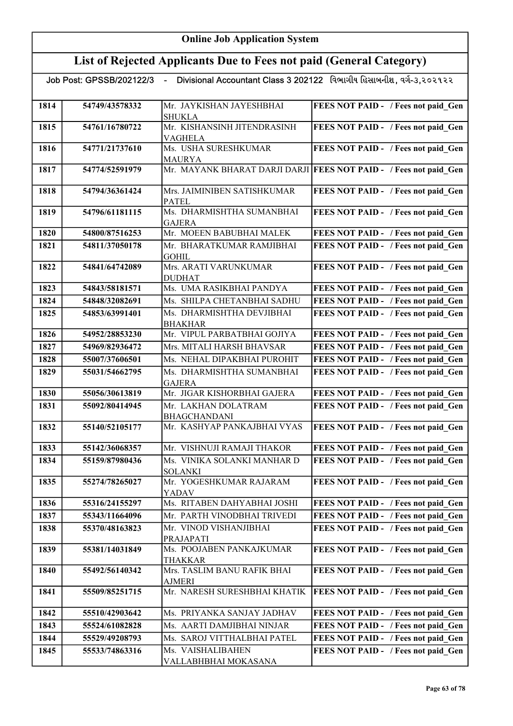|      | Divisional Accountant Class 3 202122 વિભાગીય હિસાબનીશ, વર્ગ-૩,૨૦૨૧૨૨<br>Job Post: GPSSB/202122/3<br>$\sim 10^{-1}$ |                                               |                                                                   |
|------|--------------------------------------------------------------------------------------------------------------------|-----------------------------------------------|-------------------------------------------------------------------|
| 1814 | 54749/43578332                                                                                                     | Mr. JAYKISHAN JAYESHBHAI<br><b>SHUKLA</b>     | FEES NOT PAID - / Fees not paid_Gen                               |
| 1815 | 54761/16780722                                                                                                     | Mr. KISHANSINH JITENDRASINH<br><b>VAGHELA</b> | <b>FEES NOT PAID - / Fees not paid Gen</b>                        |
| 1816 | 54771/21737610                                                                                                     | Ms. USHA SURESHKUMAR<br><b>MAURYA</b>         | FEES NOT PAID - / Fees not paid_Gen                               |
| 1817 | 54774/52591979                                                                                                     |                                               | Mr. MAYANK BHARAT DARJI DARJI FEES NOT PAID - / Fees not paid_Gen |
| 1818 | 54794/36361424                                                                                                     | Mrs. JAIMINIBEN SATISHKUMAR<br><b>PATEL</b>   | FEES NOT PAID - / Fees not paid Gen                               |
| 1819 | 54796/61181115                                                                                                     | Ms. DHARMISHTHA SUMANBHAI<br><b>GAJERA</b>    | FEES NOT PAID - / Fees not paid Gen                               |
| 1820 | 54800/87516253                                                                                                     | Mr. MOEEN BABUBHAI MALEK                      | FEES NOT PAID - / Fees not paid Gen                               |
| 1821 | 54811/37050178                                                                                                     | Mr. BHARATKUMAR RAMJIBHAI<br><b>GOHIL</b>     | FEES NOT PAID - / Fees not paid Gen                               |
| 1822 | 54841/64742089                                                                                                     | Mrs. ARATI VARUNKUMAR<br><b>DUDHAT</b>        | FEES NOT PAID - / Fees not paid Gen                               |
| 1823 | 54843/58181571                                                                                                     | Ms. UMA RASIKBHAI PANDYA                      | FEES NOT PAID - / Fees not paid Gen                               |
| 1824 | 54848/32082691                                                                                                     | Ms. SHILPA CHETANBHAI SADHU                   | FEES NOT PAID - / Fees not paid Gen                               |
| 1825 | 54853/63991401                                                                                                     | Ms. DHARMISHTHA DEVJIBHAI<br><b>BHAKHAR</b>   | FEES NOT PAID - / Fees not paid Gen                               |
| 1826 | 54952/28853230                                                                                                     | Mr. VIPUL PARBATBHAI GOJIYA                   | FEES NOT PAID - / Fees not paid Gen                               |
| 1827 | 54969/82936472                                                                                                     | Mrs. MITALI HARSH BHAVSAR                     | FEES NOT PAID - / Fees not paid Gen                               |
| 1828 | 55007/37606501                                                                                                     | Ms. NEHAL DIPAKBHAI PUROHIT                   | FEES NOT PAID - / Fees not paid Gen                               |
| 1829 | 55031/54662795                                                                                                     | Ms. DHARMISHTHA SUMANBHAI<br><b>GAJERA</b>    | FEES NOT PAID - / Fees not paid Gen                               |
| 1830 | 55056/30613819                                                                                                     | Mr. JIGAR KISHORBHAI GAJERA                   | FEES NOT PAID - / Fees not paid Gen                               |
| 1831 | 55092/80414945                                                                                                     | Mr. LAKHAN DOLATRAM<br><b>BHAGCHANDANI</b>    | <b>FEES NOT PAID - / Fees not paid Gen</b>                        |
| 1832 | 55140/52105177                                                                                                     | Mr. KASHYAP PANKAJBHAI VYAS                   | FEES NOT PAID - / Fees not paid Gen                               |
| 1833 | 55142/36068357                                                                                                     | Mr. VISHNUJI RAMAJI THAKOR                    | FEES NOT PAID - / Fees not paid Gen                               |
| 1834 | 55159/87980436                                                                                                     | Ms. VINIKA SOLANKI MANHAR D<br><b>SOLANKI</b> | FEES NOT PAID - / Fees not paid Gen                               |
| 1835 | 55274/78265027                                                                                                     | Mr. YOGESHKUMAR RAJARAM<br>YADAV              | FEES NOT PAID - / Fees not paid Gen                               |
| 1836 | 55316/24155297                                                                                                     | Ms. RITABEN DAHYABHAI JOSHI                   | FEES NOT PAID - / Fees not paid Gen                               |
| 1837 | 55343/11664096                                                                                                     | Mr. PARTH VINODBHAI TRIVEDI                   | FEES NOT PAID - / Fees not paid Gen                               |
| 1838 | 55370/48163823                                                                                                     | Mr. VINOD VISHANJIBHAI<br>PRAJAPATI           | FEES NOT PAID - / Fees not paid Gen                               |
| 1839 | 55381/14031849                                                                                                     | Ms. POOJABEN PANKAJKUMAR<br><b>THAKKAR</b>    | FEES NOT PAID - / Fees not paid Gen                               |
| 1840 | 55492/56140342                                                                                                     | Mrs. TASLIM BANU RAFIK BHAI<br><b>AJMERI</b>  | FEES NOT PAID - / Fees not paid Gen                               |
| 1841 | 55509/85251715                                                                                                     | Mr. NARESH SURESHBHAI KHATIK                  | FEES NOT PAID - / Fees not paid Gen                               |
| 1842 | 55510/42903642                                                                                                     | Ms. PRIYANKA SANJAY JADHAV                    | FEES NOT PAID - / Fees not paid Gen                               |
| 1843 | 55524/61082828                                                                                                     | Ms. AARTI DAMJIBHAI NINJAR                    | FEES NOT PAID - / Fees not paid Gen                               |
| 1844 | 55529/49208793                                                                                                     | Ms. SAROJ VITTHALBHAI PATEL                   | FEES NOT PAID - / Fees not paid Gen                               |
| 1845 | 55533/74863316                                                                                                     | Ms. VAISHALIBAHEN<br>VALLABHBHAI MOKASANA     | FEES NOT PAID - / Fees not paid Gen                               |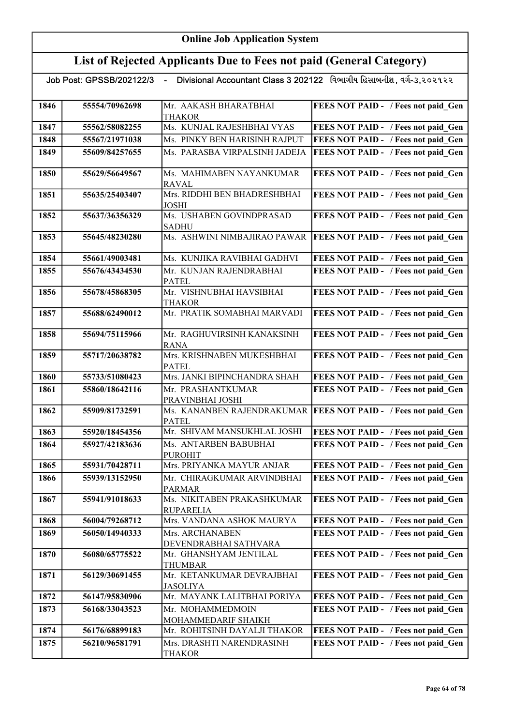|      | Job Post: GPSSB/202122/3 | $\blacksquare$                                 | Divisional Accountant Class 3 202122 વિભાગીય હિસાબનીશ, વર્ગ-૩,૨૦૨૧૨૨ |
|------|--------------------------|------------------------------------------------|----------------------------------------------------------------------|
|      |                          |                                                |                                                                      |
| 1846 | 55554/70962698           | Mr. AAKASH BHARATBHAI                          | FEES NOT PAID - / Fees not paid_Gen                                  |
|      |                          | THAKOR                                         |                                                                      |
| 1847 | 55562/58082255           | Ms. KUNJAL RAJESHBHAI VYAS                     | FEES NOT PAID - / Fees not paid Gen                                  |
| 1848 | 55567/21971038           | Ms. PINKY BEN HARISINH RAJPUT                  | FEES NOT PAID - / Fees not paid Gen                                  |
| 1849 | 55609/84257655           | Ms. PARASBA VIRPALSINH JADEJA                  | FEES NOT PAID - / Fees not paid Gen                                  |
| 1850 | 55629/56649567           | Ms. MAHIMABEN NAYANKUMAR<br><b>RAVAL</b>       | FEES NOT PAID - / Fees not paid Gen                                  |
| 1851 | 55635/25403407           | Mrs. RIDDHI BEN BHADRESHBHAI<br>JOSHI          | FEES NOT PAID - / Fees not paid Gen                                  |
| 1852 | 55637/36356329           | Ms. USHABEN GOVINDPRASAD<br><b>SADHU</b>       | FEES NOT PAID - / Fees not paid Gen                                  |
| 1853 | 55645/48230280           | Ms. ASHWINI NIMBAJIRAO PAWAR                   | FEES NOT PAID - / Fees not paid Gen                                  |
| 1854 | 55661/49003481           | Ms. KUNJIKA RAVIBHAI GADHVI                    | FEES NOT PAID - / Fees not paid Gen                                  |
| 1855 | 55676/43434530           | Mr. KUNJAN RAJENDRABHAI<br><b>PATEL</b>        | FEES NOT PAID - / Fees not paid Gen                                  |
| 1856 | 55678/45868305           | Mr. VISHNUBHAI HAVSIBHAI<br>THAKOR             | FEES NOT PAID - / Fees not paid Gen                                  |
| 1857 | 55688/62490012           | Mr. PRATIK SOMABHAI MARVADI                    | FEES NOT PAID - / Fees not paid Gen                                  |
| 1858 | 55694/75115966           | Mr. RAGHUVIRSINH KANAKSINH<br>RANA             | FEES NOT PAID - / Fees not paid Gen                                  |
| 1859 | 55717/20638782           | Mrs. KRISHNABEN MUKESHBHAI<br>PATEL            | FEES NOT PAID - / Fees not paid Gen                                  |
| 1860 | 55733/51080423           | Mrs. JANKI BIPINCHANDRA SHAH                   | FEES NOT PAID - / Fees not paid Gen                                  |
| 1861 | 55860/18642116           | Mr. PRASHANTKUMAR<br>PRAVINBHAI JOSHI          | FEES NOT PAID - / Fees not paid Gen                                  |
| 1862 | 55909/81732591           | Ms. KANANBEN RAJENDRAKUMAR<br><b>PATEL</b>     | FEES NOT PAID - / Fees not paid Gen                                  |
| 1863 | 55920/18454356           | Mr. SHIVAM MANSUKHLAL JOSHI                    | FEES NOT PAID - / Fees not paid Gen                                  |
| 1864 | 55927/42183636           | Ms. ANTARBEN BABUBHAI<br>PUROHIT               | FEES NOT PAID - / Fees not paid Gen                                  |
| 1865 | 55931/70428711           | Mrs. PRIYANKA MAYUR ANJAR                      | FEES NOT PAID - / Fees not paid Gen                                  |
| 1866 | 55939/13152950           | Mr. CHIRAGKUMAR ARVINDBHAI<br><b>PARMAR</b>    | FEES NOT PAID - / Fees not paid Gen                                  |
| 1867 | 55941/91018633           | Ms. NIKITABEN PRAKASHKUMAR<br><b>RUPARELIA</b> | FEES NOT PAID - / Fees not paid Gen                                  |
| 1868 | 56004/79268712           | Mrs. VANDANA ASHOK MAURYA                      | FEES NOT PAID - / Fees not paid Gen                                  |
| 1869 | 56050/14940333           | Mrs. ARCHANABEN<br>DEVENDRABHAI SATHVARA       | FEES NOT PAID - / Fees not paid Gen                                  |
| 1870 | 56080/65775522           | Mr. GHANSHYAM JENTILAL<br>THUMBAR              | FEES NOT PAID - / Fees not paid Gen                                  |
| 1871 | 56129/30691455           | Mr. KETANKUMAR DEVRAJBHAI<br>JASOLIYA          | FEES NOT PAID - / Fees not paid_Gen                                  |
| 1872 | 56147/95830906           | Mr. MAYANK LALITBHAI PORIYA                    | FEES NOT PAID - / Fees not paid Gen                                  |
| 1873 | 56168/33043523           | Mr. MOHAMMEDMOIN<br>MOHAMMEDARIF SHAIKH        | FEES NOT PAID - / Fees not paid Gen                                  |
| 1874 | 56176/68899183           | Mr. ROHITSINH DAYALJI THAKOR                   | FEES NOT PAID - / Fees not paid Gen                                  |
| 1875 | 56210/96581791           | Mrs. DRASHTI NARENDRASINH<br><b>THAKOR</b>     | FEES NOT PAID - / Fees not paid Gen                                  |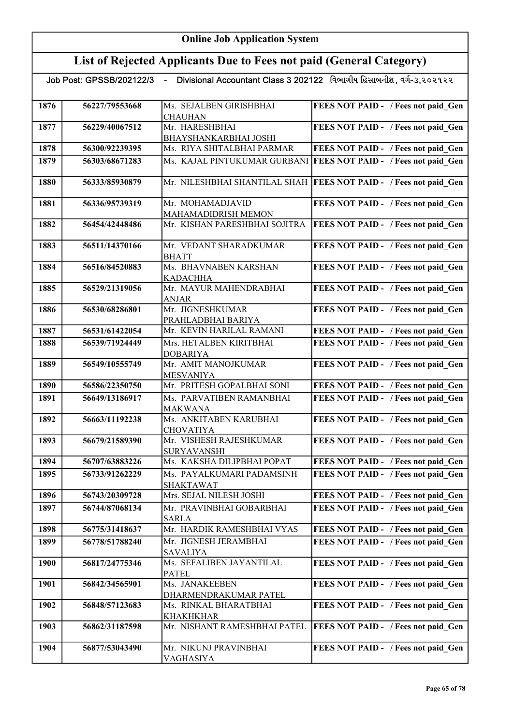## List of Rejected Applicants Due to Fees not paid (General Category)

|      |                | Job Post: GPSSB/202122/3 - Divisional Accountant Class 3 202122 વિભાગીય હિસાબનીશ, વર્ગ-૩,૨૦૨૧૨૨ |                                                                     |
|------|----------------|-------------------------------------------------------------------------------------------------|---------------------------------------------------------------------|
| 1876 | 56227/79553668 | Ms. SEJALBEN GIRISHBHAI<br><b>CHAUHAN</b>                                                       | FEES NOT PAID - / Fees not paid Gen                                 |
| 1877 | 56229/40067512 | Mr. HARESHBHAI                                                                                  | FEES NOT PAID - / Fees not paid Gen                                 |
|      |                | BHAYSHANKARBHAI JOSHI                                                                           |                                                                     |
| 1878 | 56300/92239395 | Ms. RIYA SHITALBHAI PARMAR                                                                      | FEES NOT PAID - / Fees not paid Gen                                 |
| 1879 | 56303/68671283 | Ms. KAJAL PINTUKUMAR GURBANI                                                                    | <b>FEES NOT PAID - / Fees not paid Gen</b>                          |
|      |                |                                                                                                 |                                                                     |
| 1880 | 56333/85930879 |                                                                                                 | Mr. NILESHBHAI SHANTILAL SHAH   FEES NOT PAID - / Fees not paid Gen |
| 1881 | 56336/95739319 | Mr. MOHAMADJAVID                                                                                | FEES NOT PAID - / Fees not paid Gen                                 |
|      |                | MAHAMADIDRISH MEMON                                                                             |                                                                     |
| 1882 | 56454/42448486 | Mr. KISHAN PARESHBHAI SOJITRA                                                                   | FEES NOT PAID - / Fees not paid Gen                                 |
|      |                |                                                                                                 |                                                                     |
| 1883 | 56511/14370166 | Mr. VEDANT SHARADKUMAR                                                                          | FEES NOT PAID - / Fees not paid Gen                                 |
|      |                | <b>BHATT</b>                                                                                    |                                                                     |
| 1884 | 56516/84520883 | Ms. BHAVNABEN KARSHAN                                                                           | FEES NOT PAID - / Fees not paid Gen                                 |
|      |                | <b>KADACHHA</b>                                                                                 |                                                                     |
| 1885 | 56529/21319056 | Mr. MAYUR MAHENDRABHAI                                                                          | FEES NOT PAID - / Fees not paid Gen                                 |
|      |                | <b>ANJAR</b>                                                                                    |                                                                     |
| 1886 | 56530/68286801 | Mr. JIGNESHKUMAR                                                                                | FEES NOT PAID - / Fees not paid Gen                                 |
|      |                | PRAHLADBHAI BARIYA                                                                              |                                                                     |
| 1887 | 56531/61422054 | Mr. KEVIN HARILAL RAMANI                                                                        | FEES NOT PAID - / Fees not paid Gen                                 |
| 1888 | 56539/71924449 | Mrs. HETALBEN KIRITBHAI<br><b>DOBARIYA</b>                                                      | FEES NOT PAID - / Fees not paid Gen                                 |
| 1889 | 56549/10555749 | Mr. AMIT MANOJKUMAR                                                                             | FEES NOT PAID - / Fees not paid Gen                                 |
|      |                | <b>MESVANIYA</b>                                                                                |                                                                     |
| 1890 | 56586/22350750 | Mr. PRITESH GOPALBHAI SONI                                                                      | FEES NOT PAID - / Fees not paid Gen                                 |
| 1891 | 56649/13186917 | Ms. PARVATIBEN RAMANBHAI                                                                        | FEES NOT PAID - / Fees not paid Gen                                 |
|      |                | <b>MAKWANA</b>                                                                                  |                                                                     |
| 1892 | 56663/11192238 | Ms. ANKITABEN KARUBHAI                                                                          | FEES NOT PAID - / Fees not paid Gen                                 |
|      |                | <b>CHOVATIYA</b>                                                                                |                                                                     |
| 1893 | 56679/21589390 | Mr. VISHESH RAJESHKUMAR                                                                         | FEES NOT PAID - / Fees not paid Gen                                 |
|      |                | SURYAVANSHI                                                                                     |                                                                     |
| 1894 | 56707/63883226 | Ms. KAKSHA DILIPBHAI POPAT                                                                      | FEES NOT PAID - / Fees not paid Gen                                 |
| 1895 | 56733/91262229 | Ms. PAYALKUMARI PADAMSINH                                                                       | FEES NOT PAID - / Fees not paid Gen                                 |
| 1896 | 56743/20309728 | <b>SHAKTAWAT</b><br>Mrs. SEJAL NILESH JOSHI                                                     | FEES NOT PAID - / Fees not paid Gen                                 |
|      |                |                                                                                                 |                                                                     |
| 1897 | 56744/87068134 | Mr. PRAVINBHAI GOBARBHAI                                                                        | FEES NOT PAID - / Fees not paid Gen                                 |
| 1898 | 56775/31418637 | <b>SARLA</b><br>Mr. HARDIK RAMESHBHAI VYAS                                                      | FEES NOT PAID - / Fees not paid Gen                                 |
|      |                |                                                                                                 |                                                                     |
| 1899 | 56778/51788240 | Mr. JIGNESH JERAMBHAI                                                                           | FEES NOT PAID - / Fees not paid Gen                                 |
| 1900 | 56817/24775346 | <b>SAVALIYA</b><br>Ms. SEFALIBEN JAYANTILAL                                                     | FEES NOT PAID - / Fees not paid Gen                                 |
|      |                | <b>PATEL</b>                                                                                    |                                                                     |
| 1901 | 56842/34565901 | Ms. JANAKEEBEN                                                                                  | FEES NOT PAID - / Fees not paid Gen                                 |
|      |                | DHARMENDRAKUMAR PATEL                                                                           |                                                                     |
| 1902 | 56848/57123683 | Ms. RINKAL BHARATBHAI                                                                           | FEES NOT PAID - / Fees not paid Gen                                 |
|      |                | <b>KHAKHKHAR</b>                                                                                |                                                                     |
| 1903 | 56862/31187598 | Mr. NISHANT RAMESHBHAI PATEL                                                                    | FEES NOT PAID - / Fees not paid Gen                                 |
|      |                |                                                                                                 |                                                                     |
| 1904 | 56877/53043490 | Mr. NIKUNJ PRAVINBHAI                                                                           | FEES NOT PAID - / Fees not paid Gen                                 |

VAGHASIYA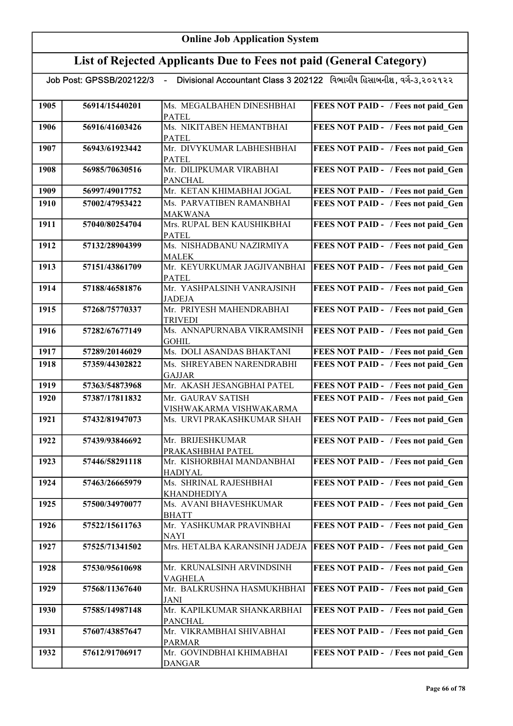## List of Rejected Applicants Due to Fees not paid (General Category)

| 1905 | 56914/15440201 | Ms. MEGALBAHEN DINESHBHAI<br><b>PATEL</b>   | <b>FEES NOT PAID - / Fees not paid Gen</b> |
|------|----------------|---------------------------------------------|--------------------------------------------|
| 1906 | 56916/41603426 | Ms. NIKITABEN HEMANTBHAI                    | FEES NOT PAID - / Fees not paid Gen        |
| 1907 | 56943/61923442 | <b>PATEL</b><br>Mr. DIVYKUMAR LABHESHBHAI   | <b>FEES NOT PAID - / Fees not paid Gen</b> |
|      |                | <b>PATEL</b>                                |                                            |
| 1908 | 56985/70630516 | Mr. DILIPKUMAR VIRABHAI<br><b>PANCHAL</b>   | FEES NOT PAID - / Fees not paid Gen        |
| 1909 | 56997/49017752 | Mr. KETAN KHIMABHAI JOGAL                   | FEES NOT PAID - / Fees not paid Gen        |
| 1910 | 57002/47953422 | Ms. PARVATIBEN RAMANBHAI                    | FEES NOT PAID - / Fees not paid Gen        |
|      |                | <b>MAKWANA</b>                              |                                            |
| 1911 | 57040/80254704 | Mrs. RUPAL BEN KAUSHIKBHAI                  | FEES NOT PAID - / Fees not paid_Gen        |
|      |                | <b>PATEL</b>                                |                                            |
| 1912 | 57132/28904399 | Ms. NISHADBANU NAZIRMIYA                    | FEES NOT PAID - / Fees not paid Gen        |
|      |                | <b>MALEK</b>                                |                                            |
| 1913 | 57151/43861709 | Mr. KEYURKUMAR JAGJIVANBHAI<br><b>PATEL</b> | <b>FEES NOT PAID - / Fees not paid Gen</b> |
| 1914 | 57188/46581876 | Mr. YASHPALSINH VANRAJSINH                  | FEES NOT PAID - / Fees not paid Gen        |
|      |                | <b>JADEJA</b>                               |                                            |
| 1915 | 57268/75770337 | Mr. PRIYESH MAHENDRABHAI                    | FEES NOT PAID - / Fees not paid Gen        |
|      |                | <b>TRIVEDI</b>                              |                                            |
| 1916 | 57282/67677149 | Ms. ANNAPURNABA VIKRAMSINH                  | <b>FEES NOT PAID - / Fees not paid Gen</b> |
|      |                | <b>GOHIL</b>                                |                                            |
| 1917 | 57289/20146029 | Ms. DOLI ASANDAS BHAKTANI                   | FEES NOT PAID - / Fees not paid Gen        |
| 1918 | 57359/44302822 | Ms. SHREYABEN NARENDRABHI<br><b>GAJJAR</b>  | FEES NOT PAID - / Fees not paid Gen        |
| 1919 | 57363/54873968 | Mr. AKASH JESANGBHAI PATEL                  | FEES NOT PAID - / Fees not paid Gen        |
| 1920 | 57387/17811832 | Mr. GAURAV SATISH                           | FEES NOT PAID - / Fees not paid Gen        |
|      |                | VISHWAKARMA VISHWAKARMA                     |                                            |
| 1921 | 57432/81947073 | Ms. URVI PRAKASHKUMAR SHAH                  | FEES NOT PAID - / Fees not paid Gen        |
| 1922 | 57439/93846692 | Mr. BRIJESHKUMAR                            | FEES NOT PAID - / Fees not paid_Gen        |
|      |                | PRAKASHBHAI PATEL                           |                                            |
| 1923 | 57446/58291118 | Mr. KISHORBHAI MANDANBHAI                   | FEES NOT PAID - / Fees not paid_Gen        |
| 1924 | 57463/26665979 | <b>HADIYAL</b><br>Ms. SHRINAL RAJESHBHAI    | <b>FEES NOT PAID -</b> / Fees not paid Gen |
|      |                | KHANDHEDIYA                                 |                                            |
| 1925 | 57500/34970077 | Ms. AVANI BHAVESHKUMAR                      | FEES NOT PAID - / Fees not paid Gen        |
|      |                | <b>BHATT</b>                                |                                            |
| 1926 | 57522/15611763 | Mr. YASHKUMAR PRAVINBHAI                    | FEES NOT PAID - / Fees not paid Gen        |
|      |                | <b>NAYI</b>                                 |                                            |
| 1927 | 57525/71341502 | Mrs. HETALBA KARANSINH JADEJA               | <b>FEES NOT PAID - / Fees not paid Gen</b> |
| 1928 | 57530/95610698 | Mr. KRUNALSINH ARVINDSINH                   | FEES NOT PAID - / Fees not paid Gen        |
|      |                | <b>VAGHELA</b>                              |                                            |
| 1929 | 57568/11367640 | Mr. BALKRUSHNA HASMUKHBHAI                  | <b>FEES NOT PAID - / Fees not paid Gen</b> |
|      |                | <b>JANI</b>                                 |                                            |
| 1930 | 57585/14987148 | Mr. KAPILKUMAR SHANKARBHAI                  | <b>FEES NOT PAID - / Fees not paid Gen</b> |
|      |                | <b>PANCHAL</b>                              |                                            |
| 1931 | 57607/43857647 | Mr. VIKRAMBHAI SHIVABHAI<br>PARMAR          | FEES NOT PAID - / Fees not paid Gen        |
| 1932 | 57612/91706917 | Mr. GOVINDBHAI KHIMABHAI                    | FEES NOT PAID - / Fees not paid Gen        |
|      |                | <b>DANGAR</b>                               |                                            |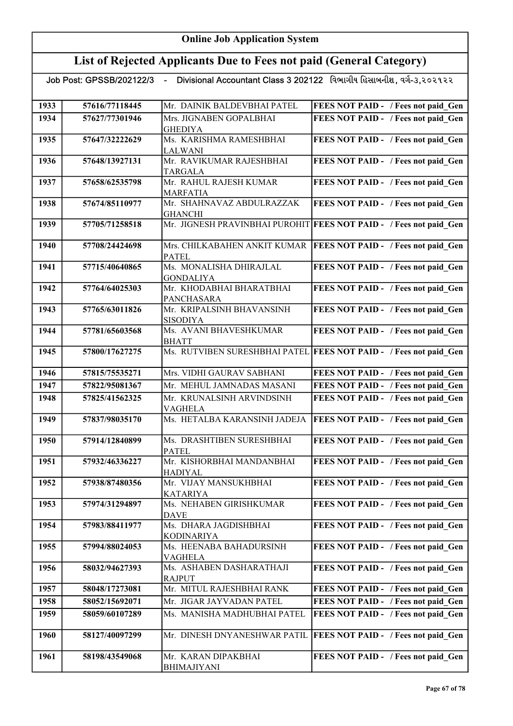# List of Rejected Applicants Due to Fees not paid (General Category)

| 1933 | 57616/77118445 | Mr. DAINIK BALDEVBHAI PATEL                    | FEES NOT PAID - / Fees not paid Gen                                |
|------|----------------|------------------------------------------------|--------------------------------------------------------------------|
| 1934 | 57627/77301946 | Mrs. JIGNABEN GOPALBHAI                        | FEES NOT PAID - / Fees not paid Gen                                |
|      |                | <b>GHEDIYA</b>                                 |                                                                    |
| 1935 | 57647/32222629 | Ms. KARISHMA RAMESHBHAI                        | FEES NOT PAID - / Fees not paid Gen                                |
|      |                | LALWANI                                        |                                                                    |
| 1936 | 57648/13927131 | Mr. RAVIKUMAR RAJESHBHAI                       | FEES NOT PAID - / Fees not paid Gen                                |
|      |                | <b>TARGALA</b>                                 |                                                                    |
| 1937 | 57658/62535798 | Mr. RAHUL RAJESH KUMAR                         | FEES NOT PAID - / Fees not paid Gen                                |
|      |                | <b>MARFATIA</b>                                |                                                                    |
| 1938 | 57674/85110977 | Mr. SHAHNAVAZ ABDULRAZZAK                      | FEES NOT PAID - / Fees not paid Gen                                |
|      |                | <b>GHANCHI</b>                                 |                                                                    |
| 1939 | 57705/71258518 |                                                | Mr. JIGNESH PRAVINBHAI PUROHIT FEES NOT PAID - / Fees not paid Gen |
|      |                |                                                |                                                                    |
| 1940 | 57708/24424698 | Mrs. CHILKABAHEN ANKIT KUMAR                   | <b>FEES NOT PAID - / Fees not paid Gen</b>                         |
|      |                | <b>PATEL</b>                                   |                                                                    |
| 1941 | 57715/40640865 | Ms. MONALISHA DHIRAJLAL                        | FEES NOT PAID - / Fees not paid Gen                                |
|      |                | <b>GONDALIYA</b>                               |                                                                    |
| 1942 | 57764/64025303 | Mr. KHODABHAI BHARATBHAI                       | FEES NOT PAID - / Fees not paid Gen                                |
|      |                | <b>PANCHASARA</b><br>Mr. KRIPALSINH BHAVANSINH |                                                                    |
| 1943 | 57765/63011826 |                                                | FEES NOT PAID - / Fees not paid Gen                                |
| 1944 | 57781/65603568 | <b>SISODIYA</b><br>Ms. AVANI BHAVESHKUMAR      | FEES NOT PAID - / Fees not paid Gen                                |
|      |                | <b>BHATT</b>                                   |                                                                    |
| 1945 | 57800/17627275 |                                                | Ms. RUTVIBEN SURESHBHAI PATEL FEES NOT PAID - / Fees not paid Gen  |
|      |                |                                                |                                                                    |
| 1946 | 57815/75535271 | Mrs. VIDHI GAURAV SABHANI                      | FEES NOT PAID - / Fees not paid Gen                                |
| 1947 | 57822/95081367 | Mr. MEHUL JAMNADAS MASANI                      | FEES NOT PAID - / Fees not paid Gen                                |
| 1948 | 57825/41562325 | Mr. KRUNALSINH ARVINDSINH                      | FEES NOT PAID - / Fees not paid Gen                                |
|      |                | VAGHELA                                        |                                                                    |
| 1949 | 57837/98035170 | Ms. HETALBA KARANSINH JADEJA                   | FEES NOT PAID - / Fees not paid Gen                                |
|      |                |                                                |                                                                    |
| 1950 | 57914/12840899 | Ms. DRASHTIBEN SURESHBHAI                      | FEES NOT PAID - / Fees not paid Gen                                |
|      |                | <b>PATEL</b>                                   |                                                                    |
| 1951 | 57932/46336227 | Mr. KISHORBHAI MANDANBHAI                      | FEES NOT PAID - / Fees not paid Gen                                |
|      |                | <b>HADIYAL</b>                                 |                                                                    |
| 1952 | 57938/87480356 | Mr. VIJAY MANSUKHBHAI                          | <b>FEES NOT PAID - / Fees not paid_Gen</b>                         |
|      |                | <b>KATARIYA</b>                                |                                                                    |
| 1953 | 57974/31294897 | Ms. NEHABEN GIRISHKUMAR                        | FEES NOT PAID - / Fees not paid Gen                                |
| 1954 | 57983/88411977 | <b>DAVE</b><br>Ms. DHARA JAGDISHBHAI           |                                                                    |
|      |                | KODINARIYA                                     | FEES NOT PAID - / Fees not paid Gen                                |
| 1955 | 57994/88024053 | Ms. HEENABA BAHADURSINH                        | FEES NOT PAID - / Fees not paid Gen                                |
|      |                | VAGHELA                                        |                                                                    |
| 1956 | 58032/94627393 | Ms. ASHABEN DASHARATHAJI                       | FEES NOT PAID - / Fees not paid Gen                                |
|      |                | <b>RAJPUT</b>                                  |                                                                    |
| 1957 | 58048/17273081 | Mr. MITUL RAJESHBHAI RANK                      | FEES NOT PAID - / Fees not paid Gen                                |
| 1958 | 58052/15692071 | Mr. JIGAR JAYVADAN PATEL                       | FEES NOT PAID - / Fees not paid Gen                                |
| 1959 | 58059/60107289 | Ms. MANISHA MADHUBHAI PATEL                    | FEES NOT PAID - / Fees not paid Gen                                |
|      |                |                                                |                                                                    |
| 1960 | 58127/40097299 | Mr. DINESH DNYANESHWAR PATIL                   | <b>FEES NOT PAID - / Fees not paid Gen</b>                         |
|      |                |                                                |                                                                    |
| 1961 | 58198/43549068 | Mr. KARAN DIPAKBHAI                            | FEES NOT PAID - / Fees not paid Gen                                |
|      |                | BHIMAJIYANI                                    |                                                                    |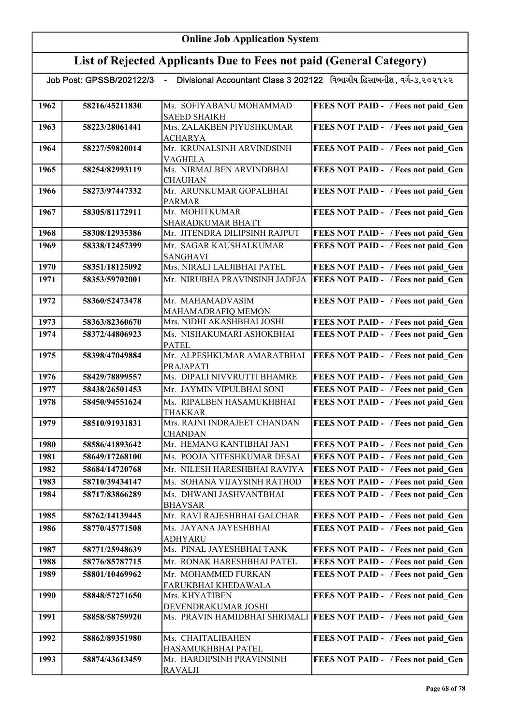|      | Job Post: GPSSB/202122/3 | $\sim$                                      | - Divisional Accountant Class 3 202122 - વિભાગીય હિસાબનીશ , વર્ગ-૩,૨૦૨૧૨૨ |
|------|--------------------------|---------------------------------------------|---------------------------------------------------------------------------|
| 1962 | 58216/45211830           | Ms. SOFIYABANU MOHAMMAD                     | FEES NOT PAID - / Fees not paid Gen                                       |
|      |                          | <b>SAEED SHAIKH</b>                         |                                                                           |
| 1963 | 58223/28061441           | Mrs. ZALAKBEN PIYUSHKUMAR                   | FEES NOT PAID - / Fees not paid Gen                                       |
|      |                          | <b>ACHARYA</b>                              |                                                                           |
| 1964 | 58227/59820014           | Mr. KRUNALSINH ARVINDSINH<br>VAGHELA        | FEES NOT PAID - / Fees not paid Gen                                       |
| 1965 | 58254/82993119           | Ms. NIRMALBEN ARVINDBHAI                    | FEES NOT PAID - / Fees not paid_Gen                                       |
|      |                          | <b>CHAUHAN</b>                              |                                                                           |
| 1966 | 58273/97447332           | Mr. ARUNKUMAR GOPALBHAI                     | FEES NOT PAID - / Fees not paid Gen                                       |
|      |                          | <b>PARMAR</b>                               |                                                                           |
| 1967 | 58305/81172911           | Mr. MOHITKUMAR                              | FEES NOT PAID - / Fees not paid Gen                                       |
|      |                          | SHARADKUMAR BHATT                           |                                                                           |
| 1968 | 58308/12935386           | Mr. JITENDRA DILIPSINH RAJPUT               | FEES NOT PAID - / Fees not paid Gen                                       |
| 1969 | 58338/12457399           | Mr. SAGAR KAUSHALKUMAR<br><b>SANGHAVI</b>   | FEES NOT PAID - / Fees not paid Gen                                       |
| 1970 | 58351/18125092           | Mrs. NIRALI LALJIBHAI PATEL                 | FEES NOT PAID - / Fees not paid Gen                                       |
|      |                          |                                             |                                                                           |
| 1971 | 58353/59702001           | Mr. NIRUBHA PRAVINSINH JADEJA               | FEES NOT PAID - / Fees not paid Gen                                       |
| 1972 | 58360/52473478           | Mr. MAHAMADVASIM                            | FEES NOT PAID - / Fees not paid Gen                                       |
|      |                          | MAHAMADRAFIQ MEMON                          |                                                                           |
| 1973 | 58363/82360670           | Mrs. NIDHI AKASHBHAI JOSHI                  | FEES NOT PAID - / Fees not paid_Gen                                       |
| 1974 | 58372/44806923           | Ms. NISHAKUMARI ASHOKBHAI<br><b>PATEL</b>   | FEES NOT PAID - / Fees not paid Gen                                       |
| 1975 | 58398/47049884           | Mr. ALPESHKUMAR AMARATBHAI                  | FEES NOT PAID - / Fees not paid Gen                                       |
| 1976 | 58429/78899557           | PRAJAPATI<br>Ms. DIPALI NIVVRUTTI BHAMRE    | FEES NOT PAID - / Fees not paid Gen                                       |
| 1977 | 58438/26501453           | Mr. JAYMIN VIPULBHAI SONI                   | FEES NOT PAID - / Fees not paid Gen                                       |
| 1978 | 58450/94551624           | Ms. RIPALBEN HASAMUKHBHAI                   | FEES NOT PAID - / Fees not paid Gen                                       |
|      |                          | THAKKAR                                     |                                                                           |
| 1979 | 58510/91931831           | Mrs. RAJNI INDRAJEET CHANDAN                | FEES NOT PAID - / Fees not paid Gen                                       |
|      |                          | <b>CHANDAN</b>                              |                                                                           |
| 1980 | 58586/41893642           | Mr. HEMANG KANTIBHAI JANI                   | FEES NOT PAID - / Fees not paid Gen                                       |
| 1981 | 58649/17268100           | Ms. POOJA NITESHKUMAR DESAI                 | FEES NOT PAID - / Fees not paid Gen                                       |
| 1982 | 58684/14720768           | Mr. NILESH HARESHBHAI RAVIYA                | FEES NOT PAID - / Fees not paid Gen                                       |
| 1983 | 58710/39434147           | Ms. SOHANA VIJAYSINH RATHOD                 | FEES NOT PAID - / Fees not paid Gen                                       |
| 1984 | 58717/83866289           | Ms. DHWANI JASHVANTBHAI                     | FEES NOT PAID - / Fees not paid Gen                                       |
|      |                          | <b>BHAVSAR</b>                              |                                                                           |
| 1985 | 58762/14139445           | Mr. RAVI RAJESHBHAI GALCHAR                 | FEES NOT PAID - / Fees not paid Gen                                       |
| 1986 | 58770/45771508           | Ms. JAYANA JAYESHBHAI                       | FEES NOT PAID - / Fees not paid Gen                                       |
|      |                          | <b>ADHYARU</b>                              |                                                                           |
| 1987 | 58771/25948639           | Ms. PINAL JAYESHBHAI TANK                   | FEES NOT PAID - / Fees not paid Gen                                       |
| 1988 | 58776/85787715           | Mr. RONAK HARESHBHAI PATEL                  | <b>FEES NOT PAID - / Fees not paid Gen</b>                                |
| 1989 | 58801/10469962           | Mr. MOHAMMED FURKAN                         | FEES NOT PAID - / Fees not paid Gen                                       |
|      |                          | FARUKBHAI KHEDAWALA                         |                                                                           |
| 1990 | 58848/57271650           | Mrs. KHYATIBEN<br>DEVENDRAKUMAR JOSHI       | FEES NOT PAID - / Fees not paid Gen                                       |
| 1991 | 58858/58759920           |                                             | Ms. PRAVIN HAMIDBHAI SHRIMALI   FEES NOT PAID - / Fees not paid Gen       |
|      |                          |                                             |                                                                           |
| 1992 | 58862/89351980           | Ms. CHAITALIBAHEN                           | FEES NOT PAID - / Fees not paid Gen                                       |
|      |                          | HASAMUKHBHAI PATEL                          |                                                                           |
| 1993 | 58874/43613459           | Mr. HARDIPSINH PRAVINSINH<br><b>RAVALJI</b> | FEES NOT PAID - / Fees not paid Gen                                       |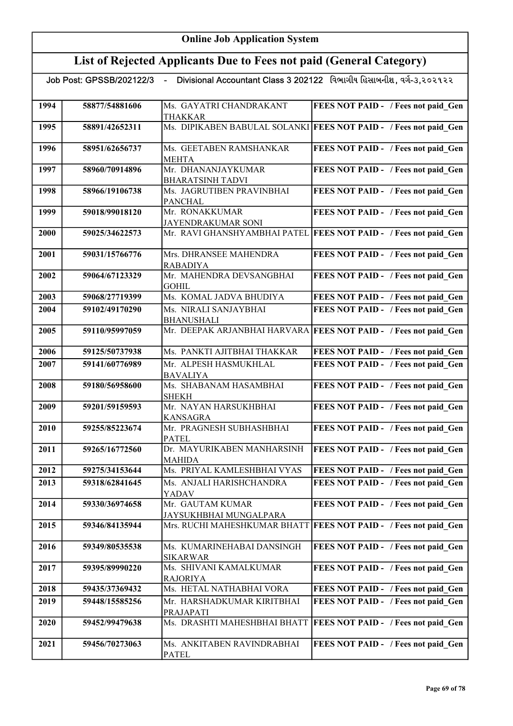|      | Job Post: GPSSB/202122/3 | $\sim$ $-$                                    | Divisional Accountant Class 3 202122 વિભાગીય હિસાબનીશ, વર્ગ-૩,૨૦૨૧૨૨ |
|------|--------------------------|-----------------------------------------------|----------------------------------------------------------------------|
| 1994 | 58877/54881606           | Ms. GAYATRI CHANDRAKANT                       | FEES NOT PAID - / Fees not paid Gen                                  |
| 1995 | 58891/42652311           | <b>THAKKAR</b>                                | Ms. DIPIKABEN BABULAL SOLANKI FEES NOT PAID - / Fees not paid Gen    |
| 1996 | 58951/62656737           | Ms. GEETABEN RAMSHANKAR<br><b>MEHTA</b>       | FEES NOT PAID - / Fees not paid Gen                                  |
| 1997 | 58960/70914896           | Mr. DHANANJAYKUMAR<br><b>BHARATSINH TADVI</b> | FEES NOT PAID - / Fees not paid Gen                                  |
| 1998 | 58966/19106738           | Ms. JAGRUTIBEN PRAVINBHAI<br><b>PANCHAL</b>   | FEES NOT PAID - / Fees not paid Gen                                  |
| 1999 | 59018/99018120           | Mr. RONAKKUMAR<br>JAYENDRAKUMAR SONI          | FEES NOT PAID - / Fees not paid Gen                                  |
| 2000 | 59025/34622573           |                                               | Mr. RAVI GHANSHYAMBHAI PATEL   FEES NOT PAID - / Fees not paid_Gen   |
| 2001 | 59031/15766776           | Mrs. DHRANSEE MAHENDRA<br><b>RABADIYA</b>     | FEES NOT PAID - / Fees not paid Gen                                  |
| 2002 | 59064/67123329           | Mr. MAHENDRA DEVSANGBHAI<br><b>GOHIL</b>      | FEES NOT PAID - / Fees not paid Gen                                  |
| 2003 | 59068/27719399           | Ms. KOMAL JADVA BHUDIYA                       | FEES NOT PAID - / Fees not paid Gen                                  |
| 2004 | 59102/49170290           | Ms. NIRALI SANJAYBHAI<br><b>BHANUSHALI</b>    | FEES NOT PAID - / Fees not paid Gen                                  |
| 2005 | 59110/95997059           |                                               | Mr. DEEPAK ARJANBHAI HARVARA FEES NOT PAID - / Fees not paid Gen     |
| 2006 | 59125/50737938           | Ms. PANKTI AJITBHAI THAKKAR                   | FEES NOT PAID - / Fees not paid Gen                                  |
| 2007 | 59141/60776989           | Mr. ALPESH HASMUKHLAL<br><b>BAVALIYA</b>      | FEES NOT PAID - / Fees not paid Gen                                  |
| 2008 | 59180/56958600           | Ms. SHABANAM HASAMBHAI<br><b>SHEKH</b>        | FEES NOT PAID - / Fees not paid_Gen                                  |
| 2009 | 59201/59159593           | Mr. NAYAN HARSUKHBHAI<br><b>KANSAGRA</b>      | FEES NOT PAID - / Fees not paid Gen                                  |
| 2010 | 59255/85223674           | Mr. PRAGNESH SUBHASHBHAI<br><b>PATEL</b>      | FEES NOT PAID - / Fees not paid Gen                                  |
| 2011 | 59265/16772560           | Dr. MAYURIKABEN MANHARSINH<br><b>MAHIDA</b>   | FEES NOT PAID - / Fees not paid Gen                                  |
| 2012 | 59275/34153644           | Ms. PRIYAL KAMLESHBHAI VYAS                   | FEES NOT PAID - / Fees not paid Gen                                  |
| 2013 | 59318/62841645           | Ms. ANJALI HARISHCHANDRA<br>YADAV             | FEES NOT PAID - / Fees not paid Gen                                  |
| 2014 | 59330/36974658           | Mr. GAUTAM KUMAR<br>JAYSUKHBHAI MUNGALPARA    | FEES NOT PAID - / Fees not paid Gen                                  |
| 2015 | 59346/84135944           | Mrs. RUCHI MAHESHKUMAR BHATT                  | <b>FEES NOT PAID - / Fees not paid_Gen</b>                           |
| 2016 | 59349/80535538           | Ms. KUMARINEHABAI DANSINGH<br><b>SIKARWAR</b> | FEES NOT PAID - / Fees not paid_Gen                                  |
| 2017 | 59395/89990220           | Ms. SHIVANI KAMALKUMAR<br><b>RAJORIYA</b>     | FEES NOT PAID - / Fees not paid Gen                                  |
| 2018 | 59435/37369432           | Ms. HETAL NATHABHAI VORA                      | FEES NOT PAID - / Fees not paid Gen                                  |
| 2019 | 59448/15585256           | Mr. HARSHADKUMAR KIRITBHAI<br>PRAJAPATI       | FEES NOT PAID - / Fees not paid Gen                                  |
| 2020 | 59452/99479638           | Ms. DRASHTI MAHESHBHAI BHATT                  | <b>FEES NOT PAID - / Fees not paid Gen</b>                           |
| 2021 | 59456/70273063           | Ms. ANKITABEN RAVINDRABHAI<br><b>PATEL</b>    | FEES NOT PAID - / Fees not paid Gen                                  |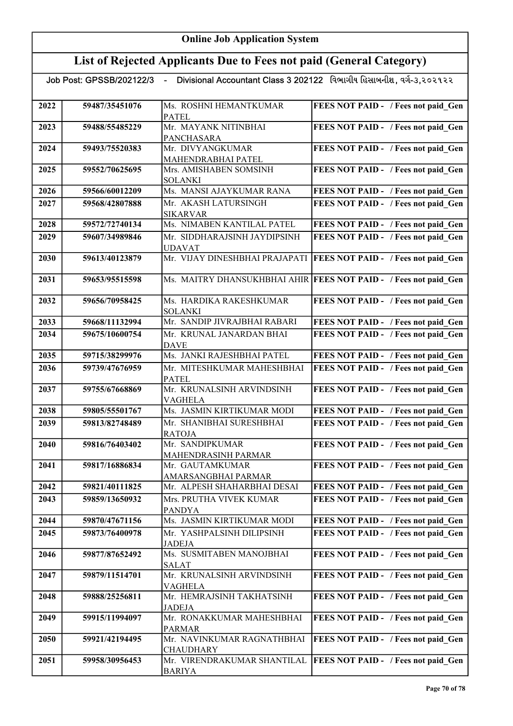|      |                | Job Post: GPSSB/202122/3   -    Divisional Accountant Class 3 202122   વિભાગીય હિસાબનીશ, વર્ગ-૩,૨૦૨૧૨૨ |                                                                  |
|------|----------------|--------------------------------------------------------------------------------------------------------|------------------------------------------------------------------|
|      |                |                                                                                                        |                                                                  |
| 2022 | 59487/35451076 | Ms. ROSHNI HEMANTKUMAR<br><b>PATEL</b>                                                                 | FEES NOT PAID - / Fees not paid Gen                              |
| 2023 | 59488/55485229 | Mr. MAYANK NITINBHAI<br>PANCHASARA                                                                     | FEES NOT PAID - / Fees not paid Gen                              |
| 2024 | 59493/75520383 | Mr. DIVYANGKUMAR<br>MAHENDRABHAI PATEL                                                                 | FEES NOT PAID - / Fees not paid Gen                              |
| 2025 | 59552/70625695 | Mrs. AMISHABEN SOMSINH<br>SOLANKI                                                                      | FEES NOT PAID - / Fees not paid Gen                              |
| 2026 | 59566/60012209 | Ms. MANSI AJAYKUMAR RANA                                                                               | FEES NOT PAID - / Fees not paid Gen                              |
| 2027 | 59568/42807888 | Mr. AKASH LATURSINGH<br><b>SIKARVAR</b>                                                                | FEES NOT PAID - / Fees not paid Gen                              |
| 2028 | 59572/72740134 | Ms. NIMABEN KANTILAL PATEL                                                                             | FEES NOT PAID - / Fees not paid Gen                              |
| 2029 | 59607/34989846 | Mr. SIDDHARAJSINH JAYDIPSINH<br><b>UDAVAT</b>                                                          | FEES NOT PAID - / Fees not paid Gen                              |
| 2030 | 59613/40123879 | Mr. VIJAY DINESHBHAI PRAJAPATI                                                                         | <b>FEES NOT PAID - / Fees not paid Gen</b>                       |
| 2031 | 59653/95515598 |                                                                                                        | Ms. MAITRY DHANSUKHBHAI AHIR FEES NOT PAID - / Fees not paid Gen |
| 2032 | 59656/70958425 | Ms. HARDIKA RAKESHKUMAR<br><b>SOLANKI</b>                                                              | FEES NOT PAID - / Fees not paid Gen                              |
| 2033 | 59668/11132994 | Mr. SANDIP JIVRAJBHAI RABARI                                                                           | FEES NOT PAID - / Fees not paid Gen                              |
| 2034 | 59675/10600754 | Mr. KRUNAL JANARDAN BHAI<br><b>DAVE</b>                                                                | FEES NOT PAID - / Fees not paid Gen                              |
| 2035 | 59715/38299976 | Ms. JANKI RAJESHBHAI PATEL                                                                             | FEES NOT PAID - / Fees not paid Gen                              |
| 2036 | 59739/47676959 | Mr. MITESHKUMAR MAHESHBHAI<br><b>PATEL</b>                                                             | FEES NOT PAID - / Fees not paid Gen                              |
| 2037 | 59755/67668869 | Mr. KRUNALSINH ARVINDSINH<br>VAGHELA                                                                   | FEES NOT PAID - / Fees not paid Gen                              |
| 2038 | 59805/55501767 | Ms. JASMIN KIRTIKUMAR MODI                                                                             | FEES NOT PAID - / Fees not paid Gen                              |
| 2039 | 59813/82748489 | Mr. SHANIBHAI SURESHBHAI<br><b>RATOJA</b>                                                              | FEES NOT PAID - / Fees not paid Gen                              |
| 2040 | 59816/76403402 | Mr. SANDIPKUMAR<br>MAHENDRASINH PARMAR                                                                 | FEES NOT PAID - / Fees not paid Gen                              |
| 2041 | 59817/16886834 | Mr. GAUTAMKUMAR<br>AMARSANGBHAI PARMAR                                                                 | FEES NOT PAID - / Fees not paid Gen                              |
| 2042 | 59821/40111825 | Mr. ALPESH SHAHARBHAI DESAI                                                                            | FEES NOT PAID - / Fees not paid Gen                              |
| 2043 | 59859/13650932 | Mrs. PRUTHA VIVEK KUMAR<br><b>PANDYA</b>                                                               | FEES NOT PAID - / Fees not paid Gen                              |
| 2044 | 59870/47671156 | Ms. JASMIN KIRTIKUMAR MODI                                                                             | FEES NOT PAID - / Fees not paid Gen                              |
| 2045 | 59873/76400978 | Mr. YASHPALSINH DILIPSINH<br><b>JADEJA</b>                                                             | FEES NOT PAID - / Fees not paid_Gen                              |
| 2046 | 59877/87652492 | Ms. SUSMITABEN MANOJBHAI<br><b>SALAT</b>                                                               | FEES NOT PAID - / Fees not paid Gen                              |
| 2047 | 59879/11514701 | Mr. KRUNALSINH ARVINDSINH<br><b>VAGHELA</b>                                                            | FEES NOT PAID - / Fees not paid_Gen                              |
| 2048 | 59888/25256811 | Mr. HEMRAJSINH TAKHATSINH<br><b>JADEJA</b>                                                             | FEES NOT PAID - / Fees not paid Gen                              |
| 2049 | 59915/11994097 | Mr. RONAKKUMAR MAHESHBHAI<br><b>PARMAR</b>                                                             | FEES NOT PAID - / Fees not paid Gen                              |
| 2050 | 59921/42194495 | Mr. NAVINKUMAR RAGNATHBHAI<br>CHAUDHARY                                                                | FEES NOT PAID - / Fees not paid Gen                              |
| 2051 | 59958/30956453 | Mr. VIRENDRAKUMAR SHANTILAL<br><b>BARIYA</b>                                                           | FEES NOT PAID - / Fees not paid Gen                              |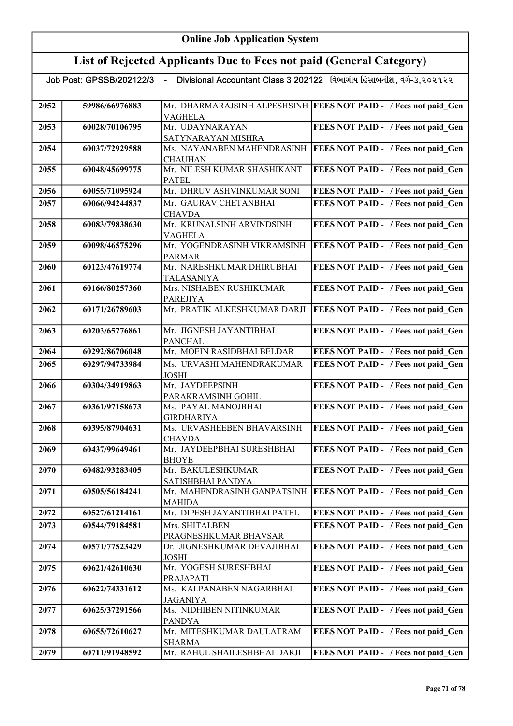|      | Divisional Accountant Class 3 202122 વિભાગીય હિસાબનીશ, વર્ગ-૩,૨૦૨૧૨૨<br>Job Post: GPSSB/202122/3<br>$\sim$ $-$ |                                        |                                                                   |
|------|----------------------------------------------------------------------------------------------------------------|----------------------------------------|-------------------------------------------------------------------|
|      |                                                                                                                |                                        |                                                                   |
| 2052 | 59986/66976883                                                                                                 | <b>VAGHELA</b>                         | Mr. DHARMARAJSINH ALPESHSINH  FEES NOT PAID - / Fees not paid Gen |
| 2053 | 60028/70106795                                                                                                 | Mr. UDAYNARAYAN                        | FEES NOT PAID - / Fees not paid Gen                               |
|      |                                                                                                                | SATYNARAYAN MISHRA                     |                                                                   |
| 2054 | 60037/72929588                                                                                                 | Ms. NAYANABEN MAHENDRASINH             | <b>FEES NOT PAID - / Fees not paid Gen</b>                        |
|      |                                                                                                                | <b>CHAUHAN</b>                         |                                                                   |
| 2055 | 60048/45699775                                                                                                 | Mr. NILESH KUMAR SHASHIKANT            | FEES NOT PAID - / Fees not paid_Gen                               |
|      |                                                                                                                | <b>PATEL</b>                           |                                                                   |
| 2056 | 60055/71095924                                                                                                 | Mr. DHRUV ASHVINKUMAR SONI             | FEES NOT PAID - / Fees not paid_Gen                               |
| 2057 | 60066/94244837                                                                                                 | Mr. GAURAV CHETANBHAI                  | FEES NOT PAID - / Fees not paid Gen                               |
|      |                                                                                                                | <b>CHAVDA</b>                          |                                                                   |
| 2058 | 60083/79838630                                                                                                 | Mr. KRUNALSINH ARVINDSINH<br>VAGHELA   | FEES NOT PAID - / Fees not paid Gen                               |
| 2059 | 60098/46575296                                                                                                 | Mr. YOGENDRASINH VIKRAMSINH            | FEES NOT PAID - / Fees not paid Gen                               |
|      |                                                                                                                | <b>PARMAR</b>                          |                                                                   |
| 2060 | 60123/47619774                                                                                                 | Mr. NARESHKUMAR DHIRUBHAI              | FEES NOT PAID - / Fees not paid Gen                               |
|      |                                                                                                                | <b>TALASANIYA</b>                      |                                                                   |
| 2061 | 60166/80257360                                                                                                 | Mrs. NISHABEN RUSHIKUMAR               | FEES NOT PAID - / Fees not paid Gen                               |
|      |                                                                                                                | <b>PAREJIYA</b>                        |                                                                   |
| 2062 | 60171/26789603                                                                                                 | Mr. PRATIK ALKESHKUMAR DARJI           | <b>FEES NOT PAID - / Fees not paid Gen</b>                        |
| 2063 | 60203/65776861                                                                                                 | Mr. JIGNESH JAYANTIBHAI                | FEES NOT PAID - / Fees not paid Gen                               |
|      |                                                                                                                | <b>PANCHAL</b>                         |                                                                   |
| 2064 | 60292/86706048                                                                                                 | Mr. MOEIN RASIDBHAI BELDAR             | FEES NOT PAID - / Fees not paid Gen                               |
| 2065 | 60297/94733984                                                                                                 | Ms. URVASHI MAHENDRAKUMAR              | FEES NOT PAID - / Fees not paid Gen                               |
|      |                                                                                                                | <b>JOSHI</b>                           |                                                                   |
| 2066 | 60304/34919863                                                                                                 | Mr. JAYDEEPSINH                        | FEES NOT PAID - / Fees not paid_Gen                               |
|      |                                                                                                                | PARAKRAMSINH GOHIL                     |                                                                   |
| 2067 | 60361/97158673                                                                                                 | Ms. PAYAL MANOJBHAI                    | FEES NOT PAID - / Fees not paid Gen                               |
|      |                                                                                                                | <b>GIRDHARIYA</b>                      |                                                                   |
| 2068 | 60395/87904631                                                                                                 | Ms. URVASHEEBEN BHAVARSINH             | FEES NOT PAID - / Fees not paid Gen                               |
|      |                                                                                                                | <b>CHAVDA</b>                          |                                                                   |
| 2069 | 60437/99649461                                                                                                 | Mr. JAYDEEPBHAI SURESHBHAI             | FEES NOT PAID - / Fees not paid Gen                               |
|      |                                                                                                                | <b>BHOYE</b>                           |                                                                   |
| 2070 | 60482/93283405                                                                                                 | Mr. BAKULESHKUMAR<br>SATISHBHAI PANDYA | FEES NOT PAID - / Fees not paid Gen                               |
| 2071 | 60505/56184241                                                                                                 | Mr. MAHENDRASINH GANPATSINH            | <b>FEES NOT PAID - / Fees not paid Gen</b>                        |
|      |                                                                                                                | <b>MAHIDA</b>                          |                                                                   |
| 2072 | 60527/61214161                                                                                                 | Mr. DIPESH JAYANTIBHAI PATEL           | FEES NOT PAID - / Fees not paid Gen                               |
| 2073 | 60544/79184581                                                                                                 | Mrs. SHITALBEN                         | FEES NOT PAID - / Fees not paid Gen                               |
|      |                                                                                                                | PRAGNESHKUMAR BHAVSAR                  |                                                                   |
| 2074 | 60571/77523429                                                                                                 | Dr. JIGNESHKUMAR DEVAJIBHAI            | FEES NOT PAID - / Fees not paid Gen                               |
|      |                                                                                                                | <b>JOSHI</b>                           |                                                                   |
| 2075 | 60621/42610630                                                                                                 | Mr. YOGESH SURESHBHAI                  | FEES NOT PAID - / Fees not paid Gen                               |
| 2076 | 60622/74331612                                                                                                 | PRAJAPATI<br>Ms. KALPANABEN NAGARBHAI  |                                                                   |
|      |                                                                                                                | <b>JAGANIYA</b>                        | FEES NOT PAID - / Fees not paid Gen                               |
| 2077 | 60625/37291566                                                                                                 | Ms. NIDHIBEN NITINKUMAR                | FEES NOT PAID - / Fees not paid_Gen                               |
|      |                                                                                                                | <b>PANDYA</b>                          |                                                                   |
| 2078 | 60655/72610627                                                                                                 | Mr. MITESHKUMAR DAULATRAM              | FEES NOT PAID - / Fees not paid Gen                               |
|      |                                                                                                                | <b>SHARMA</b>                          |                                                                   |
| 2079 | 60711/91948592                                                                                                 | Mr. RAHUL SHAILESHBHAI DARJI           | <b>FEES NOT PAID - / Fees not paid Gen</b>                        |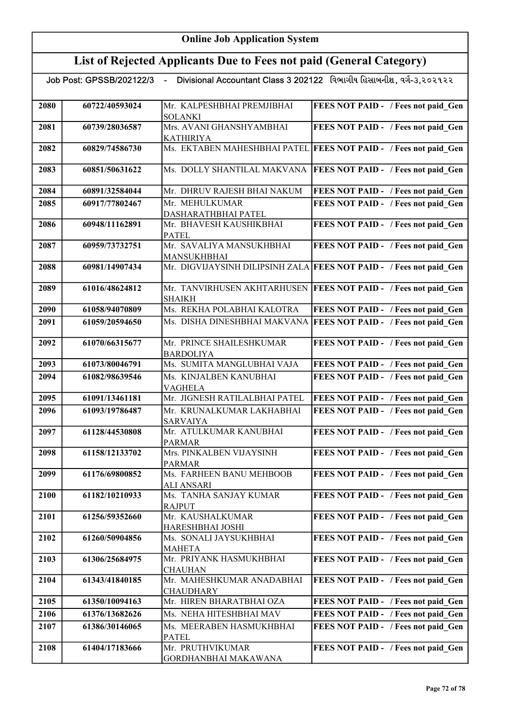| Divisional Accountant Class 3 202122 વિભાગીય હિસાબનીશ, વર્ગ-૩,૨૦૨૧૨૨<br>Job Post: GPSSB/202122/3<br>$\blacksquare$ |                |                                                |                                                                     |
|--------------------------------------------------------------------------------------------------------------------|----------------|------------------------------------------------|---------------------------------------------------------------------|
| 2080                                                                                                               | 60722/40593024 | Mr. KALPESHBHAI PREMJIBHAI<br><b>SOLANKI</b>   | FEES NOT PAID - / Fees not paid Gen                                 |
| 2081                                                                                                               | 60739/28036587 | Mrs. AVANI GHANSHYAMBHAI<br><b>KATHIRIYA</b>   | FEES NOT PAID - / Fees not paid Gen                                 |
| 2082                                                                                                               | 60829/74586730 |                                                | Ms. EKTABEN MAHESHBHAI PATEL FEES NOT PAID - / Fees not paid Gen    |
| 2083                                                                                                               | 60851/50631622 | Ms. DOLLY SHANTILAL MAKVANA                    | <b>FEES NOT PAID - / Fees not paid Gen</b>                          |
| 2084                                                                                                               | 60891/32584044 | Mr. DHRUV RAJESH BHAI NAKUM                    | FEES NOT PAID - / Fees not paid Gen                                 |
| 2085                                                                                                               | 60917/77802467 | Mr. MEHULKUMAR                                 | FEES NOT PAID - / Fees not paid Gen                                 |
|                                                                                                                    |                | DASHARATHBHAI PATEL                            |                                                                     |
| 2086                                                                                                               | 60948/11162891 | Mr. BHAVESH KAUSHIKBHAI<br><b>PATEL</b>        | FEES NOT PAID - / Fees not paid Gen                                 |
| 2087                                                                                                               | 60959/73732751 | Mr. SAVALIYA MANSUKHBHAI<br><b>MANSUKHBHAI</b> | FEES NOT PAID - / Fees not paid Gen                                 |
| 2088                                                                                                               | 60981/14907434 |                                                | Mr. DIGVIJAYSINH DILIPSINH ZALA FEES NOT PAID - / Fees not paid Gen |
| 2089                                                                                                               | 61016/48624812 | Mr. TANVIRHUSEN AKHTARHUSEN<br><b>SHAIKH</b>   | <b>FEES NOT PAID - / Fees not paid Gen</b>                          |
| 2090                                                                                                               | 61058/94070809 | Ms. REKHA POLABHAI KALOTRA                     | FEES NOT PAID - / Fees not paid Gen                                 |
| 2091                                                                                                               | 61059/20594650 | Ms. DISHA DINESHBHAI MAKVANA                   | <b>FEES NOT PAID - / Fees not paid Gen</b>                          |
| 2092                                                                                                               | 61070/66315677 | Mr. PRINCE SHAILESHKUMAR<br><b>BARDOLIYA</b>   | FEES NOT PAID - / Fees not paid Gen                                 |
| 2093                                                                                                               | 61073/80046791 | Ms. SUMITA MANGLUBHAI VAJA                     | FEES NOT PAID - / Fees not paid Gen                                 |
| 2094                                                                                                               | 61082/98639546 | Ms. KINJALBEN KANUBHAI<br><b>VAGHELA</b>       | FEES NOT PAID - / Fees not paid_Gen                                 |
| 2095                                                                                                               | 61091/13461181 | Mr. JIGNESH RATILALBHAI PATEL                  | FEES NOT PAID - / Fees not paid Gen                                 |
| 2096                                                                                                               | 61093/19786487 | Mr. KRUNALKUMAR LAKHABHAI                      | FEES NOT PAID - / Fees not paid Gen                                 |
|                                                                                                                    |                | <b>SARVAIYA</b>                                |                                                                     |
| 2097                                                                                                               | 61128/44530808 | Mr. ATULKUMAR KANUBHAI<br><b>PARMAR</b>        | FEES NOT PAID - / Fees not paid Gen                                 |
| 2098                                                                                                               | 61158/12133702 | Mrs. PINKALBEN VIJAYSINH<br><b>PARMAR</b>      | <b>FEES NOT PAID - / Fees not paid_Gen</b>                          |
| 2099                                                                                                               | 61176/69800852 | Ms. FARHEEN BANU MEHBOOB<br><b>ALI ANSARI</b>  | FEES NOT PAID - / Fees not paid Gen                                 |
| 2100                                                                                                               | 61182/10210933 | Ms. TANHA SANJAY KUMAR<br><b>RAJPUT</b>        | FEES NOT PAID - / Fees not paid Gen                                 |
| 2101                                                                                                               | 61256/59352660 | Mr. KAUSHALKUMAR<br>HARESHBHAI JOSHI           | FEES NOT PAID - / Fees not paid Gen                                 |
| 2102                                                                                                               | 61260/50904856 | Ms. SONALI JAYSUKHBHAI<br><b>MAHETA</b>        | FEES NOT PAID - / Fees not paid Gen                                 |
| 2103                                                                                                               | 61306/25684975 | Mr. PRIYANK HASMUKHBHAI<br><b>CHAUHAN</b>      | FEES NOT PAID - / Fees not paid Gen                                 |
| 2104                                                                                                               | 61343/41840185 | Mr. MAHESHKUMAR ANADABHAI<br><b>CHAUDHARY</b>  | FEES NOT PAID - / Fees not paid Gen                                 |
| 2105                                                                                                               | 61350/10094163 | Mr. HIREN BHARATBHAI OZA                       | FEES NOT PAID - / Fees not paid Gen                                 |
| 2106                                                                                                               | 61376/13682626 | Ms. NEHA HITESHBHAI MAV                        | FEES NOT PAID - / Fees not paid Gen                                 |
| 2107                                                                                                               | 61386/30146065 | Ms. MEERABEN HASMUKHBHAI<br><b>PATEL</b>       | FEES NOT PAID - / Fees not paid_Gen                                 |
| 2108                                                                                                               | 61404/17183666 | Mr. PRUTHVIKUMAR<br>GORDHANBHAI MAKAWANA       | FEES NOT PAID - / Fees not paid Gen                                 |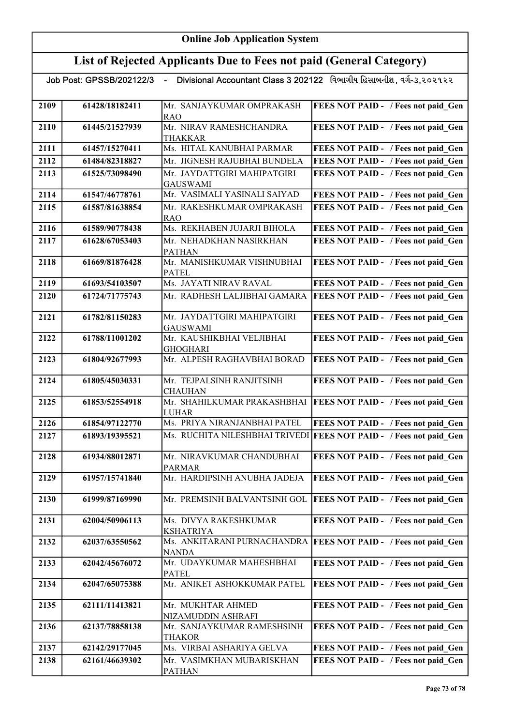|      |                | Job Post: GPSSB/202122/3  - Divisional Accountant Class 3 202122   વિભાગીય હિસાબનીશ , વગે-૩,૨૦૨૧૨૨ |                                            |
|------|----------------|----------------------------------------------------------------------------------------------------|--------------------------------------------|
|      |                |                                                                                                    |                                            |
| 2109 | 61428/18182411 | Mr. SANJAYKUMAR OMPRAKASH<br><b>RAO</b>                                                            | FEES NOT PAID - / Fees not paid_Gen        |
| 2110 | 61445/21527939 | Mr. NIRAV RAMESHCHANDRA                                                                            | FEES NOT PAID - / Fees not paid Gen        |
|      |                | <b>THAKKAR</b>                                                                                     |                                            |
| 2111 | 61457/15270411 | Ms. HITAL KANUBHAI PARMAR                                                                          | FEES NOT PAID - / Fees not paid Gen        |
| 2112 | 61484/82318827 | Mr. JIGNESH RAJUBHAI BUNDELA                                                                       | FEES NOT PAID - / Fees not paid Gen        |
| 2113 | 61525/73098490 | Mr. JAYDATTGIRI MAHIPATGIRI                                                                        | FEES NOT PAID - / Fees not paid Gen        |
|      |                | <b>GAUSWAMI</b>                                                                                    |                                            |
| 2114 | 61547/46778761 | Mr. VASIMALI YASINALI SAIYAD                                                                       | FEES NOT PAID - / Fees not paid Gen        |
| 2115 | 61587/81638854 | Mr. RAKESHKUMAR OMPRAKASH<br><b>RAO</b>                                                            | FEES NOT PAID - / Fees not paid Gen        |
| 2116 | 61589/90778438 | Ms. REKHABEN JUJARJI BIHOLA                                                                        | FEES NOT PAID - / Fees not paid Gen        |
| 2117 | 61628/67053403 | Mr. NEHADKHAN NASIRKHAN                                                                            | FEES NOT PAID - / Fees not paid Gen        |
|      |                | <b>PATHAN</b>                                                                                      |                                            |
| 2118 | 61669/81876428 | Mr. MANISHKUMAR VISHNUBHAI<br><b>PATEL</b>                                                         | FEES NOT PAID - / Fees not paid Gen        |
| 2119 | 61693/54103507 | Ms. JAYATI NIRAV RAVAL                                                                             | FEES NOT PAID - / Fees not paid Gen        |
| 2120 | 61724/71775743 | Mr. RADHESH LALJIBHAI GAMARA                                                                       | FEES NOT PAID - / Fees not paid Gen        |
|      |                |                                                                                                    |                                            |
| 2121 | 61782/81150283 | Mr. JAYDATTGIRI MAHIPATGIRI                                                                        | FEES NOT PAID - / Fees not paid Gen        |
|      |                | <b>GAUSWAMI</b>                                                                                    |                                            |
| 2122 | 61788/11001202 | Mr. KAUSHIKBHAI VELJIBHAI<br><b>GHOGHARI</b>                                                       | FEES NOT PAID - / Fees not paid Gen        |
| 2123 | 61804/92677993 | Mr. ALPESH RAGHAVBHAI BORAD                                                                        | FEES NOT PAID - / Fees not paid Gen        |
|      |                |                                                                                                    |                                            |
| 2124 | 61805/45030331 | Mr. TEJPALSINH RANJITSINH<br><b>CHAUHAN</b>                                                        | FEES NOT PAID - / Fees not paid Gen        |
| 2125 | 61853/52554918 | Mr. SHAHILKUMAR PRAKASHBHAI                                                                        | <b>FEES NOT PAID - / Fees not paid Gen</b> |
|      |                | <b>LUHAR</b>                                                                                       |                                            |
| 2126 | 61854/97122770 | Ms. PRIYA NIRANJANBHAI PATEL                                                                       | FEES NOT PAID - / Fees not paid Gen        |
| 2127 | 61893/19395521 | Ms. RUCHITA NILESHBHAI TRIVEDI                                                                     | <b>FEES NOT PAID - / Fees not paid Gen</b> |
| 2128 | 61934/88012871 | Mr. NIRAVKUMAR CHANDUBHAI                                                                          | FEES NOT PAID - / Fees not paid Gen        |
|      |                | <b>PARMAR</b>                                                                                      |                                            |
| 2129 | 61957/15741840 | Mr. HARDIPSINH ANUBHA JADEJA                                                                       | <b>FEES NOT PAID - / Fees not paid Gen</b> |
| 2130 | 61999/87169990 | Mr. PREMSINH BALVANTSINH GOL                                                                       | <b>FEES NOT PAID - / Fees not paid Gen</b> |
|      |                |                                                                                                    |                                            |
| 2131 | 62004/50906113 | Ms. DIVYA RAKESHKUMAR                                                                              | FEES NOT PAID - / Fees not paid Gen        |
|      |                | <b>KSHATRIYA</b>                                                                                   |                                            |
| 2132 | 62037/63550562 | Ms. ANKITARANI PURNACHANDRA<br><b>NANDA</b>                                                        | <b>FEES NOT PAID - / Fees not paid Gen</b> |
| 2133 | 62042/45676072 | Mr. UDAYKUMAR MAHESHBHAI                                                                           | FEES NOT PAID - / Fees not paid_Gen        |
|      |                | <b>PATEL</b>                                                                                       |                                            |
| 2134 | 62047/65075388 | Mr. ANIKET ASHOKKUMAR PATEL                                                                        | FEES NOT PAID - / Fees not paid_Gen        |
| 2135 | 62111/11413821 | Mr. MUKHTAR AHMED                                                                                  | FEES NOT PAID - / Fees not paid_Gen        |
|      |                | NIZAMUDDIN ASHRAFI                                                                                 |                                            |
| 2136 | 62137/78858138 | Mr. SANJAYKUMAR RAMESHSINH                                                                         | FEES NOT PAID - / Fees not paid Gen        |
|      |                | <b>THAKOR</b>                                                                                      |                                            |
| 2137 | 62142/29177045 | Ms. VIRBAI ASHARIYA GELVA                                                                          | <b>FEES NOT PAID - / Fees not paid Gen</b> |
| 2138 | 62161/46639302 | Mr. VASIMKHAN MUBARISKHAN<br><b>PATHAN</b>                                                         | FEES NOT PAID - / Fees not paid Gen        |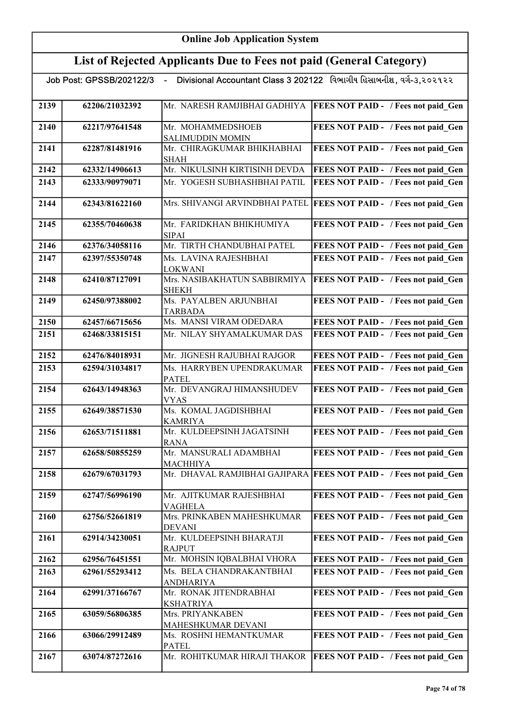| Job Post: GPSSB/202122/3 - |                                                          | Divisional Accountant Class 3 202122 વિભાગીય હિસાબનીશ, વર્ગ-૩,૨૦૨૧૨૨ |                                                                   |
|----------------------------|----------------------------------------------------------|----------------------------------------------------------------------|-------------------------------------------------------------------|
| 2139                       | 62206/21032392                                           | Mr. NARESH RAMJIBHAI GADHIYA                                         | FEES NOT PAID - / Fees not paid Gen                               |
| 2140                       | 62217/97641548                                           | Mr. MOHAMMEDSHOEB<br><b>SALIMUDDIN MOMIN</b>                         | FEES NOT PAID - / Fees not paid Gen                               |
| 2141<br>62287/81481916     |                                                          | Mr. CHIRAGKUMAR BHIKHABHAI<br><b>SHAH</b>                            | FEES NOT PAID - / Fees not paid Gen                               |
| 2142                       | 62332/14906613                                           | Mr. NIKULSINH KIRTISINH DEVDA                                        | FEES NOT PAID - / Fees not paid Gen                               |
| 2143                       | 62333/90979071                                           | Mr. YOGESH SUBHASHBHAI PATIL                                         | FEES NOT PAID - / Fees not paid Gen                               |
| 2144                       | 62343/81622160                                           | Mrs. SHIVANGI ARVINDBHAI PATEL                                       | <b>FEES NOT PAID - / Fees not paid Gen</b>                        |
| 2145                       | 62355/70460638                                           | Mr. FARIDKHAN BHIKHUMIYA<br><b>SIPAI</b>                             | FEES NOT PAID - / Fees not paid Gen                               |
| 2146                       | 62376/34058116                                           | Mr. TIRTH CHANDUBHAI PATEL                                           | FEES NOT PAID - / Fees not paid Gen                               |
| 2147                       | 62397/55350748                                           | Ms. LAVINA RAJESHBHAI<br><b>LOKWANI</b>                              | FEES NOT PAID - / Fees not paid Gen                               |
| 2148                       | 62410/87127091                                           | Mrs. NASIBAKHATUN SABBIRMIYA<br><b>SHEKH</b>                         | FEES NOT PAID - / Fees not paid Gen                               |
| 2149                       | 62450/97388002                                           | Ms. PAYALBEN ARJUNBHAI<br><b>TARBADA</b>                             | FEES NOT PAID - / Fees not paid Gen                               |
| 2150                       | 62457/66715656                                           | Ms. MANSI VIRAM ODEDARA                                              | FEES NOT PAID - / Fees not paid Gen                               |
| 2151                       | 62468/33815151                                           | Mr. NILAY SHYAMALKUMAR DAS                                           | FEES NOT PAID - / Fees not paid Gen                               |
| 2152                       | 62476/84018931                                           | Mr. JIGNESH RAJUBHAI RAJGOR                                          | FEES NOT PAID - / Fees not paid Gen                               |
| 2153                       | 62594/31034817                                           | Ms. HARRYBEN UPENDRAKUMAR<br><b>PATEL</b>                            | FEES NOT PAID - / Fees not paid Gen                               |
| 2154                       | 62643/14948363                                           | Mr. DEVANGRAJ HIMANSHUDEV<br><b>VYAS</b>                             | FEES NOT PAID - / Fees not paid_Gen                               |
| 2155                       | 62649/38571530                                           | Ms. KOMAL JAGDISHBHAI<br><b>KAMRIYA</b>                              | FEES NOT PAID - / Fees not paid_Gen                               |
| 2156                       | 62653/71511881                                           | Mr. KULDEEPSINH JAGATSINH<br><b>RANA</b>                             | FEES NOT PAID - / Fees not paid Gen                               |
| 2157                       | 62658/50855259                                           | Mr. MANSURALI ADAMBHAI<br><b>MACHHIYA</b>                            | FEES NOT PAID - / Fees not paid Gen                               |
| 2158                       | 62679/67031793                                           |                                                                      | Mr. DHAVAL RAMJIBHAI GAJIPARA FEES NOT PAID - / Fees not paid Gen |
| 2159                       | 62747/56996190                                           | Mr. AJITKUMAR RAJESHBHAI<br><b>VAGHELA</b>                           | FEES NOT PAID - / Fees not paid Gen                               |
| 2160                       | 62756/52661819                                           | Mrs. PRINKABEN MAHESHKUMAR<br><b>DEVANI</b>                          | FEES NOT PAID - / Fees not paid Gen                               |
| 2161                       | 62914/34230051                                           | Mr. KULDEEPSINH BHARATJI<br><b>RAJPUT</b>                            | FEES NOT PAID - / Fees not paid Gen                               |
| 2162                       | 62956/76451551                                           | Mr. MOHSIN IQBALBHAI VHORA                                           | FEES NOT PAID - / Fees not paid Gen                               |
| 2163                       | 62961/55293412                                           | Ms. BELA CHANDRAKANTBHAI                                             | FEES NOT PAID - / Fees not paid Gen                               |
|                            |                                                          | ANDHARIYA                                                            |                                                                   |
| 2164                       | 62991/37166767                                           | Mr. RONAK JITENDRABHAI<br>KSHATRIYA                                  | FEES NOT PAID - / Fees not paid Gen                               |
| 2165                       | 63059/56806385                                           | Mrs. PRIYANKABEN<br>MAHESHKUMAR DEVANI                               | FEES NOT PAID - / Fees not paid Gen                               |
| 2166                       | Ms. ROSHNI HEMANTKUMAR<br>63066/29912489<br><b>PATEL</b> |                                                                      | FEES NOT PAID - / Fees not paid Gen                               |
| 2167                       | 63074/87272616                                           | Mr. ROHITKUMAR HIRAJI THAKOR                                         | FEES NOT PAID - / Fees not paid Gen                               |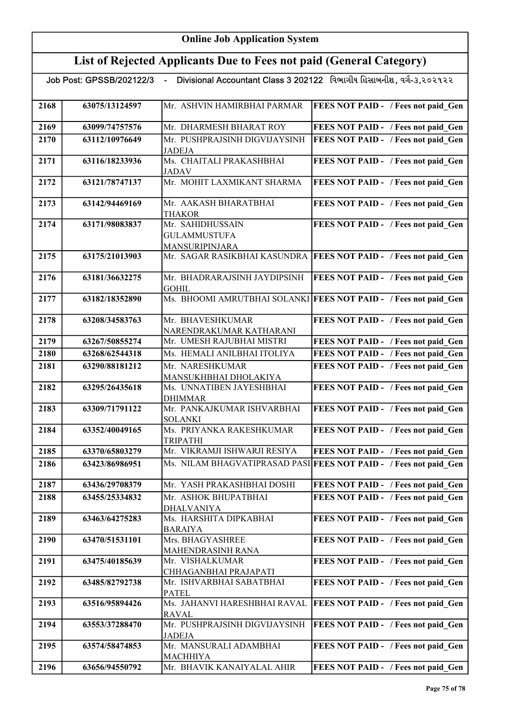| Job Post: GPSSB/202122/3   -    Divisional Accountant Class 3 202122   વિભાગીય હિસાબનીશ, વર્ગ-૩,૨૦૨૧૨૨ |                |                                                                  |                                                                    |  |
|--------------------------------------------------------------------------------------------------------|----------------|------------------------------------------------------------------|--------------------------------------------------------------------|--|
| 2168                                                                                                   | 63075/13124597 | Mr. ASHVIN HAMIRBHAI PARMAR                                      | <b>FEES NOT PAID - / Fees not paid Gen</b>                         |  |
| 2169                                                                                                   | 63099/74757576 | Mr. DHARMESH BHARAT ROY                                          | FEES NOT PAID - / Fees not paid Gen                                |  |
| 2170                                                                                                   | 63112/10976649 | Mr. PUSHPRAJSINH DIGVIJAYSINH<br><b>JADEJA</b>                   | FEES NOT PAID - / Fees not paid Gen                                |  |
| 2171                                                                                                   | 63116/18233936 | Ms. CHAITALI PRAKASHBHAI<br><b>JADAV</b>                         | FEES NOT PAID - / Fees not paid Gen                                |  |
| 2172                                                                                                   | 63121/78747137 | Mr. MOHIT LAXMIKANT SHARMA                                       | FEES NOT PAID - / Fees not paid Gen                                |  |
| 2173                                                                                                   | 63142/94469169 | Mr. AAKASH BHARATBHAI<br><b>THAKOR</b>                           | FEES NOT PAID - / Fees not paid Gen                                |  |
| 2174                                                                                                   | 63171/98083837 | Mr. SAHIDHUSSAIN<br><b>GULAMMUSTUFA</b><br><b>MANSURIPINJARA</b> | FEES NOT PAID - / Fees not paid Gen                                |  |
| 2175                                                                                                   | 63175/21013903 |                                                                  | Mr. SAGAR RASIKBHAI KASUNDRA   FEES NOT PAID - / Fees not paid Gen |  |
| 2176                                                                                                   | 63181/36632275 | Mr. BHADRARAJSINH JAYDIPSINH<br><b>GOHIL</b>                     | <b>FEES NOT PAID - / Fees not paid Gen</b>                         |  |
| 2177                                                                                                   | 63182/18352890 |                                                                  | Ms. BHOOMI AMRUTBHAI SOLANKI FEES NOT PAID - / Fees not paid Gen   |  |
| 2178                                                                                                   | 63208/34583763 | Mr. BHAVESHKUMAR<br>NARENDRAKUMAR KATHARANI                      | FEES NOT PAID - / Fees not paid Gen                                |  |
| 2179                                                                                                   | 63267/50855274 | Mr. UMESH RAJUBHAI MISTRI                                        | FEES NOT PAID - / Fees not paid Gen                                |  |
| 2180                                                                                                   | 63268/62544318 | Ms. HEMALI ANILBHAI ITOLIYA                                      | FEES NOT PAID - / Fees not paid_Gen                                |  |
| 2181                                                                                                   | 63290/88181212 | Mr. NARESHKUMAR<br>MANSUKHBHAI DHOLAKIYA                         | FEES NOT PAID - / Fees not paid Gen                                |  |
| 2182                                                                                                   | 63295/26435618 | Ms. UNNATIBEN JAYESHBHAI<br><b>DHIMMAR</b>                       | FEES NOT PAID - / Fees not paid Gen                                |  |
| 2183                                                                                                   | 63309/71791122 | Mr. PANKAJKUMAR ISHVARBHAI<br><b>SOLANKI</b>                     | FEES NOT PAID - / Fees not paid Gen                                |  |
| 2184                                                                                                   | 63352/40049165 | Ms. PRIYANKA RAKESHKUMAR<br><b>TRIPATHI</b>                      | FEES NOT PAID - / Fees not paid Gen                                |  |
| 2185                                                                                                   | 63370/65803279 | Mr. VIKRAMJI ISHWARJI RESIYA                                     | FEES NOT PAID - / Fees not paid_Gen                                |  |
| 2186                                                                                                   | 63423/86986951 |                                                                  | Ms. NILAM BHAGVATIPRASAD PASI FEES NOT PAID - / Fees not paid Gen  |  |
| 2187                                                                                                   | 63436/29708379 | Mr. YASH PRAKASHBHAI DOSHI                                       | FEES NOT PAID - / Fees not paid Gen                                |  |
| 2188                                                                                                   | 63455/25334832 | Mr. ASHOK BHUPATBHAI<br><b>DHALVANIYA</b>                        | FEES NOT PAID - / Fees not paid Gen                                |  |
| 2189                                                                                                   | 63463/64275283 | Ms. HARSHITA DIPKABHAI<br><b>BARAIYA</b>                         | FEES NOT PAID - / Fees not paid Gen                                |  |
| 2190                                                                                                   | 63470/51531101 | Mrs. BHAGYASHREE<br>MAHENDRASINH RANA                            | FEES NOT PAID - / Fees not paid Gen                                |  |
| 2191                                                                                                   | 63475/40185639 | Mr. VISHALKUMAR<br>CHHAGANBHAI PRAJAPATI                         | FEES NOT PAID - / Fees not paid Gen                                |  |
| 2192                                                                                                   | 63485/82792738 | Mr. ISHVARBHAI SABATBHAI<br><b>PATEL</b>                         | FEES NOT PAID - / Fees not paid Gen                                |  |
| 2193                                                                                                   | 63516/95894426 | Ms. JAHANVI HARESHBHAI RAVAL<br><b>RAVAL</b>                     | <b>FEES NOT PAID - / Fees not paid Gen</b>                         |  |
| 2194                                                                                                   | 63553/37288470 | Mr. PUSHPRAJSINH DIGVIJAYSINH<br><b>JADEJA</b>                   | <b>FEES NOT PAID - / Fees not paid Gen</b>                         |  |
| 2195                                                                                                   | 63574/58474853 | Mr. MANSURALI ADAMBHAI<br>MACHHIYA                               | FEES NOT PAID - / Fees not paid Gen                                |  |
| 2196                                                                                                   | 63656/94550792 | Mr. BHAVIK KANAIYALAL AHIR                                       | <b>FEES NOT PAID - / Fees not paid Gen</b>                         |  |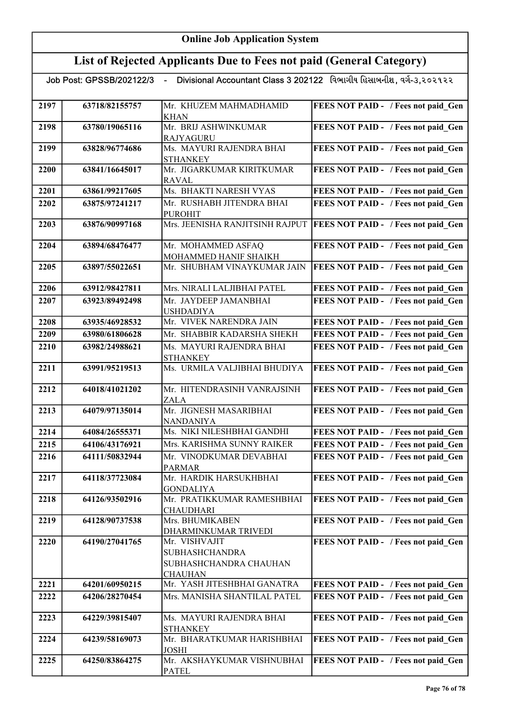| Job Post: GPSSB/202122/3 | Divisional Accountant Class 3 202122 વિભાગીય હિસાબનીશ, વર્ગ-૩,૨૦૨૧૨૨ |  |
|--------------------------|----------------------------------------------------------------------|--|
|                          |                                                                      |  |

| 2197 | 63718/82155757 | Mr. KHUZEM MAHMADHAMID<br><b>KHAN</b>          | FEES NOT PAID - / Fees not paid Gen        |
|------|----------------|------------------------------------------------|--------------------------------------------|
| 2198 | 63780/19065116 | Mr. BRIJ ASHWINKUMAR                           | FEES NOT PAID - / Fees not paid Gen        |
|      |                | <b>RAJYAGURU</b>                               |                                            |
| 2199 | 63828/96774686 | Ms. MAYURI RAJENDRA BHAI                       | FEES NOT PAID - / Fees not paid Gen        |
|      |                | <b>STHANKEY</b>                                |                                            |
| 2200 | 63841/16645017 | Mr. JIGARKUMAR KIRITKUMAR                      | FEES NOT PAID - / Fees not paid Gen        |
|      |                | <b>RAVAL</b>                                   |                                            |
| 2201 | 63861/99217605 | Ms. BHAKTI NARESH VYAS                         | FEES NOT PAID - / Fees not paid Gen        |
| 2202 | 63875/97241217 | Mr. RUSHABH JITENDRA BHAI                      | FEES NOT PAID - / Fees not paid Gen        |
|      |                | <b>PUROHIT</b>                                 |                                            |
| 2203 | 63876/90997168 | Mrs. JEENISHA RANJITSINH RAJPUT                | <b>FEES NOT PAID - / Fees not paid Gen</b> |
| 2204 |                | Mr. MOHAMMED ASFAQ                             | FEES NOT PAID - / Fees not paid Gen        |
|      | 63894/68476477 | MOHAMMED HANIF SHAIKH                          |                                            |
| 2205 | 63897/55022651 | Mr. SHUBHAM VINAYKUMAR JAIN                    | <b>FEES NOT PAID - / Fees not paid Gen</b> |
|      |                |                                                |                                            |
| 2206 | 63912/98427811 | Mrs. NIRALI LALJIBHAI PATEL                    | FEES NOT PAID - / Fees not paid Gen        |
| 2207 | 63923/89492498 | Mr. JAYDEEP JAMANBHAI                          | FEES NOT PAID - / Fees not paid Gen        |
|      |                | <b>USHDADIYA</b>                               |                                            |
| 2208 | 63935/46928532 | Mr. VIVEK NARENDRA JAIN                        | FEES NOT PAID - / Fees not paid Gen        |
| 2209 | 63980/61806628 | Mr. SHABBIR KADARSHA SHEKH                     | FEES NOT PAID - / Fees not paid Gen        |
| 2210 | 63982/24988621 | Ms. MAYURI RAJENDRA BHAI                       | FEES NOT PAID - / Fees not paid Gen        |
|      |                | <b>STHANKEY</b>                                |                                            |
| 2211 | 63991/95219513 | Ms. URMILA VALJIBHAI BHUDIYA                   | FEES NOT PAID - / Fees not paid Gen        |
|      |                |                                                |                                            |
| 2212 | 64018/41021202 | Mr. HITENDRASINH VANRAJSINH                    | FEES NOT PAID - / Fees not paid Gen        |
|      |                | ZALA                                           |                                            |
| 2213 | 64079/97135014 | Mr. JIGNESH MASARIBHAI                         | FEES NOT PAID - / Fees not paid Gen        |
| 2214 | 64084/26555371 | <b>NANDANIYA</b><br>Ms. NIKI NILESHBHAI GANDHI | FEES NOT PAID - / Fees not paid_Gen        |
| 2215 | 64106/43176921 | Mrs. KARISHMA SUNNY RAIKER                     | FEES NOT PAID - / Fees not paid Gen        |
|      |                | Mr. VINODKUMAR DEVABHAI                        |                                            |
| 2216 | 64111/50832944 |                                                | FEES NOT PAID - / Fees not paid Gen        |
| 2217 | 64118/37723084 | <b>PARMAR</b><br>Mr. HARDIK HARSUKHBHAI        | FEES NOT PAID - / Fees not paid Gen        |
|      |                | <b>GONDALIYA</b>                               |                                            |
| 2218 | 64126/93502916 | Mr. PRATIKKUMAR RAMESHBHAI                     | FEES NOT PAID - / Fees not paid Gen        |
|      |                | <b>CHAUDHARI</b>                               |                                            |
| 2219 | 64128/90737538 | Mrs. BHUMIKABEN                                | FEES NOT PAID - / Fees not paid Gen        |
|      |                | DHARMINKUMAR TRIVEDI                           |                                            |
| 2220 | 64190/27041765 | Mr. VISHVAJIT                                  | FEES NOT PAID - / Fees not paid Gen        |
|      |                | <b>SUBHASHCHANDRA</b>                          |                                            |
|      |                | SUBHASHCHANDRA CHAUHAN                         |                                            |
|      |                | <b>CHAUHAN</b>                                 |                                            |
| 2221 | 64201/60950215 | Mr. YASH JITESHBHAI GANATRA                    | FEES NOT PAID - / Fees not paid_Gen        |
| 2222 | 64206/28270454 | Mrs. MANISHA SHANTILAL PATEL                   | FEES NOT PAID - / Fees not paid Gen        |
| 2223 | 64229/39815407 | Ms. MAYURI RAJENDRA BHAI                       | FEES NOT PAID - / Fees not paid Gen        |
|      |                | <b>STHANKEY</b>                                |                                            |
| 2224 | 64239/58169073 | Mr. BHARATKUMAR HARISHBHAI                     | FEES NOT PAID - / Fees not paid Gen        |
|      |                | <b>JOSHI</b>                                   |                                            |
| 2225 | 64250/83864275 | Mr. AKSHAYKUMAR VISHNUBHAI                     | FEES NOT PAID - / Fees not paid Gen        |
|      |                | <b>PATEL</b>                                   |                                            |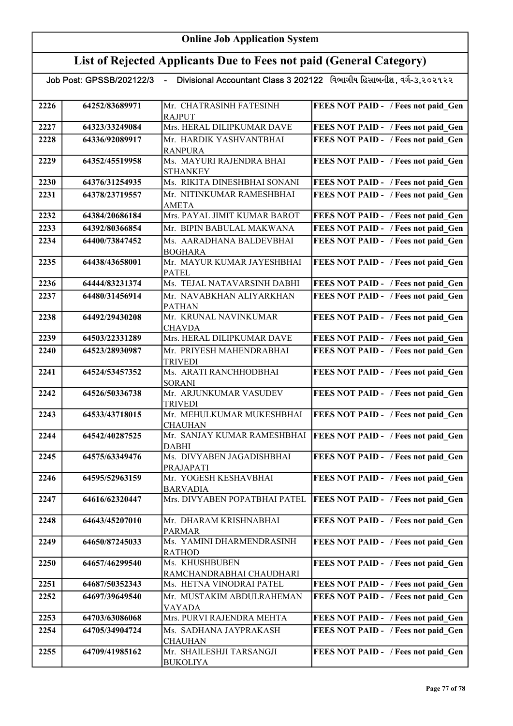## List of Rejected Applicants Due to Fees not paid (General Category)

|  | Job Post: GPSSB/2021 |  |
|--|----------------------|--|
|  |                      |  |

<mark>GPSSB/202122/3 - Divisional Accountant Class 3 202122 વિભાગીય હિસાબનીશ, વર્ગ-૩,૨૦૨૧૨૨</mark>

| 2226 | 64252/83689971 | Mr. CHATRASINH FATESINH                     | FEES NOT PAID - / Fees not paid Gen        |
|------|----------------|---------------------------------------------|--------------------------------------------|
|      |                | <b>RAJPUT</b>                               |                                            |
| 2227 | 64323/33249084 | Mrs. HERAL DILIPKUMAR DAVE                  | FEES NOT PAID - / Fees not paid Gen        |
| 2228 | 64336/92089917 | Mr. HARDIK YASHVANTBHAI                     | FEES NOT PAID - / Fees not paid Gen        |
|      |                | <b>RANPURA</b>                              |                                            |
| 2229 | 64352/45519958 | Ms. MAYURI RAJENDRA BHAI<br><b>STHANKEY</b> | FEES NOT PAID - / Fees not paid Gen        |
| 2230 | 64376/31254935 | Ms. RIKITA DINESHBHAI SONANI                | FEES NOT PAID - / Fees not paid Gen        |
| 2231 | 64378/23719557 | Mr. NITINKUMAR RAMESHBHAI                   | FEES NOT PAID - / Fees not paid Gen        |
|      |                | AMETA                                       |                                            |
| 2232 | 64384/20686184 | Mrs. PAYAL JIMIT KUMAR BAROT                | FEES NOT PAID - / Fees not paid Gen        |
| 2233 | 64392/80366854 | Mr. BIPIN BABULAL MAKWANA                   | FEES NOT PAID - / Fees not paid Gen        |
| 2234 | 64400/73847452 | Ms. AARADHANA BALDEVBHAI                    | FEES NOT PAID - / Fees not paid Gen        |
|      |                | <b>BOGHARA</b>                              |                                            |
| 2235 | 64438/43658001 | Mr. MAYUR KUMAR JAYESHBHAI                  | FEES NOT PAID - / Fees not paid Gen        |
| 2236 | 64444/83231374 | <b>PATEL</b><br>Ms. TEJAL NATAVARSINH DABHI | FEES NOT PAID - / Fees not paid Gen        |
| 2237 | 64480/31456914 | Mr. NAVABKHAN ALIYARKHAN                    | FEES NOT PAID - / Fees not paid Gen        |
|      |                | <b>PATHAN</b>                               |                                            |
| 2238 | 64492/29430208 | Mr. KRUNAL NAVINKUMAR                       | FEES NOT PAID - / Fees not paid Gen        |
|      |                | <b>CHAVDA</b>                               |                                            |
| 2239 | 64503/22331289 | Mrs. HERAL DILIPKUMAR DAVE                  | FEES NOT PAID - / Fees not paid Gen        |
| 2240 | 64523/28930987 | Mr. PRIYESH MAHENDRABHAI<br><b>TRIVEDI</b>  | FEES NOT PAID - / Fees not paid Gen        |
| 2241 | 64524/53457352 | Ms. ARATI RANCHHODBHAI                      | FEES NOT PAID - / Fees not paid Gen        |
|      |                | <b>SORANI</b>                               |                                            |
| 2242 | 64526/50336738 | Mr. ARJUNKUMAR VASUDEV<br><b>TRIVEDI</b>    | FEES NOT PAID - / Fees not paid Gen        |
| 2243 | 64533/43718015 | Mr. MEHULKUMAR MUKESHBHAI<br><b>CHAUHAN</b> | FEES NOT PAID - / Fees not paid_Gen        |
| 2244 | 64542/40287525 | Mr. SANJAY KUMAR RAMESHBHAI<br><b>DABHI</b> | <b>FEES NOT PAID - / Fees not paid Gen</b> |
| 2245 | 64575/63349476 | Ms. DIVYABEN JAGADISHBHAI                   | FEES NOT PAID - / Fees not paid_Gen        |
|      |                | PRAJAPATI                                   |                                            |
| 2246 | 64595/52963159 | Mr. YOGESH KESHAVBHAI<br><b>BARVADIA</b>    | FEES NOT PAID - / Fees not paid Gen        |
| 2247 | 64616/62320447 | Mrs. DIVYABEN POPATBHAI PATEL               | <b>FEES NOT PAID - / Fees not paid Gen</b> |
|      |                |                                             |                                            |
| 2248 | 64643/45207010 | Mr. DHARAM KRISHNABHAI                      | FEES NOT PAID - / Fees not paid_Gen        |
|      |                | <b>PARMAR</b>                               |                                            |
| 2249 | 64650/87245033 | Ms. YAMINI DHARMENDRASINH<br><b>RATHOD</b>  | FEES NOT PAID - / Fees not paid_Gen        |
| 2250 | 64657/46299540 | Ms. KHUSHBUBEN                              | FEES NOT PAID - / Fees not paid Gen        |
|      |                | RAMCHANDRABHAI CHAUDHARI                    |                                            |
| 2251 | 64687/50352343 | Ms. HETNA VINODRAI PATEL                    | FEES NOT PAID - / Fees not paid Gen        |
| 2252 | 64697/39649540 | Mr. MUSTAKIM ABDULRAHEMAN                   | FEES NOT PAID - / Fees not paid Gen        |
| 2253 | 64703/63086068 | VAYADA<br>Mrs. PURVI RAJENDRA MEHTA         | FEES NOT PAID - / Fees not paid Gen        |
| 2254 | 64705/34904724 | Ms. SADHANA JAYPRAKASH                      |                                            |
|      |                | <b>CHAUHAN</b>                              | FEES NOT PAID - / Fees not paid Gen        |
| 2255 | 64709/41985162 | Mr. SHAILESHJI TARSANGJI                    | FEES NOT PAID - / Fees not paid Gen        |
|      |                | <b>BUKOLIYA</b>                             |                                            |